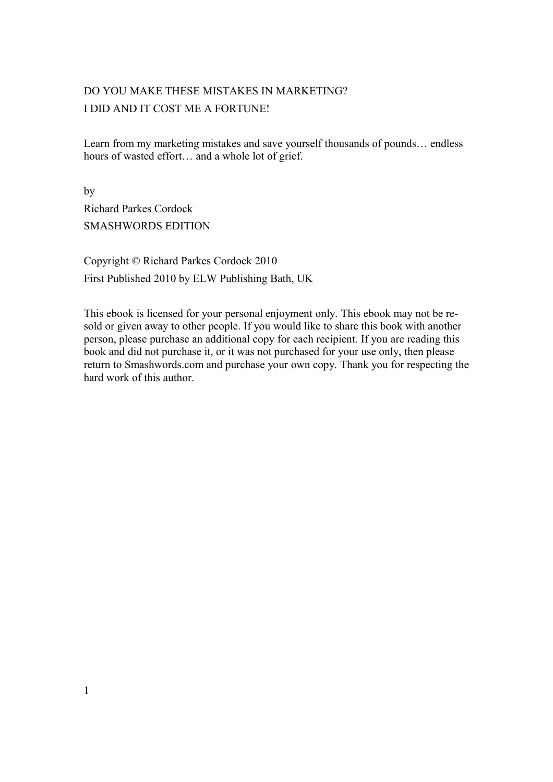## DO YOU MAKE THESE MISTAKES IN MARKETING? I DID AND IT COST ME A FORTUNE!

Learn from my marketing mistakes and save yourself thousands of pounds… endless hours of wasted effort… and a whole lot of grief.

by Richard Parkes Cordock SMASHWORDS EDITION

Copyright © Richard Parkes Cordock 2010 First Published 2010 by ELW Publishing Bath, UK

This ebook is licensed for your personal enjoyment only. This ebook may not be resold or given away to other people. If you would like to share this book with another person, please purchase an additional copy for each recipient. If you are reading this book and did not purchase it, or it was not purchased for your use only, then please return to Smashwords.com and purchase your own copy. Thank you for respecting the hard work of this author.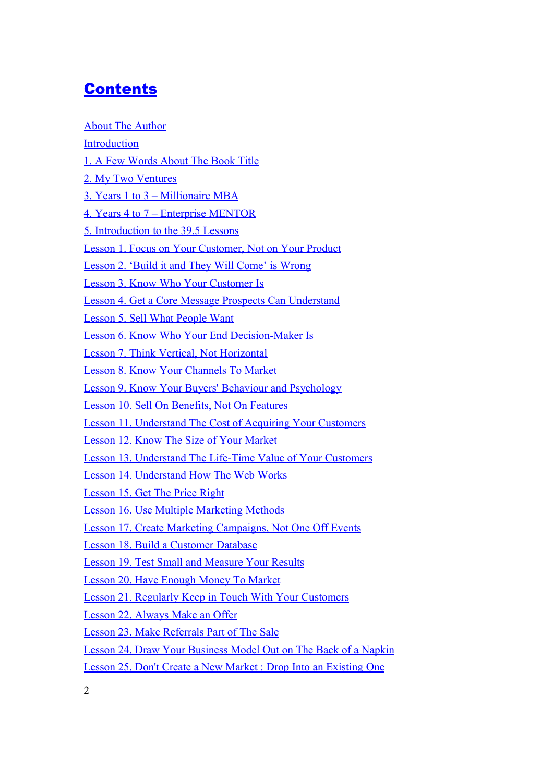# <span id="page-1-0"></span>**[Contents](#page-1-0)**

| <b>About The Author</b>                                                |
|------------------------------------------------------------------------|
| <b>Introduction</b>                                                    |
| 1. A Few Words About The Book Title                                    |
| 2. My Two Ventures                                                     |
| 3. Years 1 to 3 – Millionaire MBA                                      |
| <u>4. Years 4 to 7 – Enterprise MENTOR</u>                             |
| <u><b>5. Introduction to the 39.5 Lessons</b></u>                      |
| <u>Lesson 1. Focus on Your Customer, Not on Your Product</u>           |
| Lesson 2. 'Build it and They Will Come' is Wrong                       |
| <u>Lesson 3. Know Who Your Customer Is</u>                             |
| Lesson 4. Get a Core Message Prospects Can Understand                  |
| <b>Lesson 5. Sell What People Want</b>                                 |
| <u>Lesson 6. Know Who Your End Decision-Maker Is</u>                   |
| Lesson 7. Think Vertical, Not Horizontal                               |
| Lesson 8. Know Your Channels To Market                                 |
| <u><b>Lesson 9. Know Your Buyers' Behaviour and Psychology</b></u>     |
| <b>Lesson 10. Sell On Benefits, Not On Features</b>                    |
| <b>Lesson 11. Understand The Cost of Acquiring Your Customers</b>      |
| <b>Lesson 12. Know The Size of Your Market</b>                         |
| Lesson 13. Understand The Life-Time Value of Your Customers            |
| <b>Lesson 14. Understand How The Web Works</b>                         |
| <b>Lesson 15. Get The Price Right</b>                                  |
| <b>Lesson 16. Use Multiple Marketing Methods</b>                       |
| <b>Lesson 17. Create Marketing Campaigns, Not One Off Events</b>       |
| Lesson 18. Build a Customer Database                                   |
| Lesson 19. Test Small and Measure Your Results                         |
| Lesson 20. Have Enough Money To Market                                 |
| <b>Lesson 21. Regularly Keep in Touch With Your Customers</b>          |
| Lesson 22. Always Make an Offer                                        |
| Lesson 23. Make Referrals Part of The Sale                             |
| <u>Lesson 24. Draw Your Business Model Out on The Back of a Napkin</u> |
| <b>Lesson 25. Don't Create a New Market: Drop Into an Existing One</b> |
|                                                                        |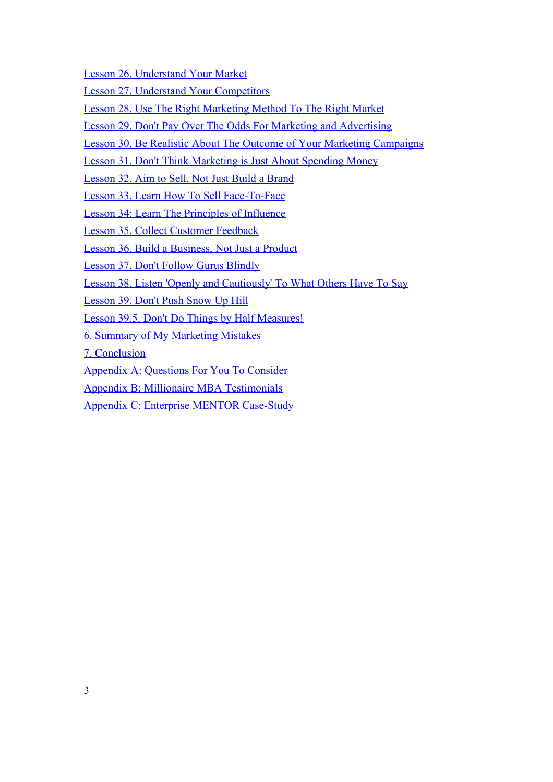[Lesson 26. Understand Your Market](#page-128-0)

[Lesson 27. Understand Your Competitors](#page-131-0)

[Lesson 28. Use The Right Marketing Method To The Right Market](#page-134-0)

[Lesson 29. Don't Pay Over The Odds For Marketing and Advertising](#page-139-0)

[Lesson 30. Be Realistic About The Outcome of Your Marketing Campaigns](#page-143-0)

[Lesson 31. Don't Think Marketing is Just About Spending Money](#page-146-0)

[Lesson 32. Aim to Sell, Not Just Build a Brand](#page-149-0)

[Lesson 33. Learn How To Sell Face-To-Face](#page-152-0)

[Lesson 34: Learn The Principles of Influence](#page-154-0)

[Lesson 35. Collect Customer Feedback](#page-158-0)

[Lesson 36. Build a Business, Not Just a Product](#page-161-0)

[Lesson 37. Don't Follow Gurus Blindly](#page-164-0)

[Lesson 38. Listen 'Openly and Cautiously' To What Others Have To Say](#page-167-0)

[Lesson 39. Don't Push Snow Up Hill](#page-170-0)

[Lesson 39.5. Don't Do Things by Half Measures!](#page-173-0)

[6. Summary of My Marketing Mistakes](#page-175-0)

[7. Conclusion](#page-178-0)

[Appendix A: Questions For You To Consider](#page-180-0)

[Appendix B: Millionaire MBA Testimonials](#page-183-0)

[Appendix C: Enterprise MENTOR Case-Study](#page-195-0)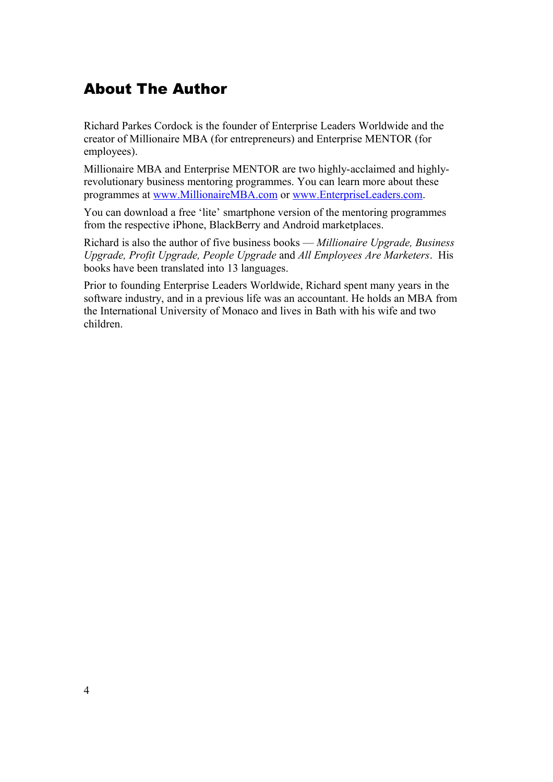# <span id="page-3-0"></span>About The Author

Richard Parkes Cordock is the founder of Enterprise Leaders Worldwide and the creator of Millionaire MBA (for entrepreneurs) and Enterprise MENTOR (for employees).

Millionaire MBA and Enterprise MENTOR are two highly-acclaimed and highlyrevolutionary business mentoring programmes. You can learn more about these programmes at [www.MillionaireMBA.com](http://www.MillionaireMBA.com/) or [www.EnterpriseLeaders.com.](http://www.EnterpriseLeaders.com/)

You can download a free 'lite' smartphone version of the mentoring programmes from the respective iPhone, BlackBerry and Android marketplaces.

Richard is also the author of five business books — *Millionaire Upgrade, Business Upgrade, Profit Upgrade, People Upgrade* and *All Employees Are Marketers*. His books have been translated into 13 languages.

Prior to founding Enterprise Leaders Worldwide, Richard spent many years in the software industry, and in a previous life was an accountant. He holds an MBA from the International University of Monaco and lives in Bath with his wife and two children.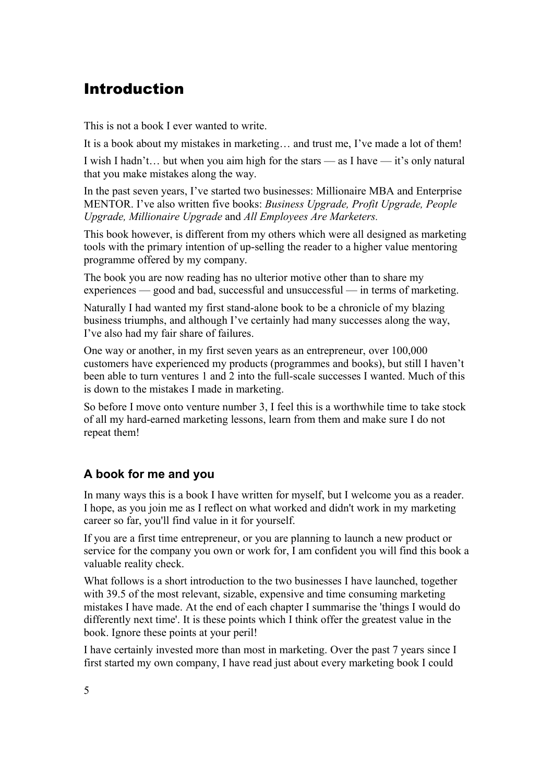## <span id="page-4-0"></span>Introduction

This is not a book I ever wanted to write.

It is a book about my mistakes in marketing… and trust me, I've made a lot of them!

I wish I hadn't… but when you aim high for the stars — as I have — it's only natural that you make mistakes along the way.

In the past seven years, I've started two businesses: Millionaire MBA and Enterprise MENTOR. I've also written five books: *Business Upgrade, Profit Upgrade, People Upgrade, Millionaire Upgrade* and *All Employees Are Marketers.*

This book however, is different from my others which were all designed as marketing tools with the primary intention of up-selling the reader to a higher value mentoring programme offered by my company.

The book you are now reading has no ulterior motive other than to share my experiences — good and bad, successful and unsuccessful — in terms of marketing.

Naturally I had wanted my first stand-alone book to be a chronicle of my blazing business triumphs, and although I've certainly had many successes along the way, I've also had my fair share of failures.

One way or another, in my first seven years as an entrepreneur, over 100,000 customers have experienced my products (programmes and books), but still I haven't been able to turn ventures 1 and 2 into the full-scale successes I wanted. Much of this is down to the mistakes I made in marketing.

So before I move onto venture number 3, I feel this is a worthwhile time to take stock of all my hard-earned marketing lessons, learn from them and make sure I do not repeat them!

## **A book for me and you**

In many ways this is a book I have written for myself, but I welcome you as a reader. I hope, as you join me as I reflect on what worked and didn't work in my marketing career so far, you'll find value in it for yourself.

If you are a first time entrepreneur, or you are planning to launch a new product or service for the company you own or work for, I am confident you will find this book a valuable reality check.

What follows is a short introduction to the two businesses I have launched, together with 39.5 of the most relevant, sizable, expensive and time consuming marketing mistakes I have made. At the end of each chapter I summarise the 'things I would do differently next time'. It is these points which I think offer the greatest value in the book. Ignore these points at your peril!

I have certainly invested more than most in marketing. Over the past 7 years since I first started my own company, I have read just about every marketing book I could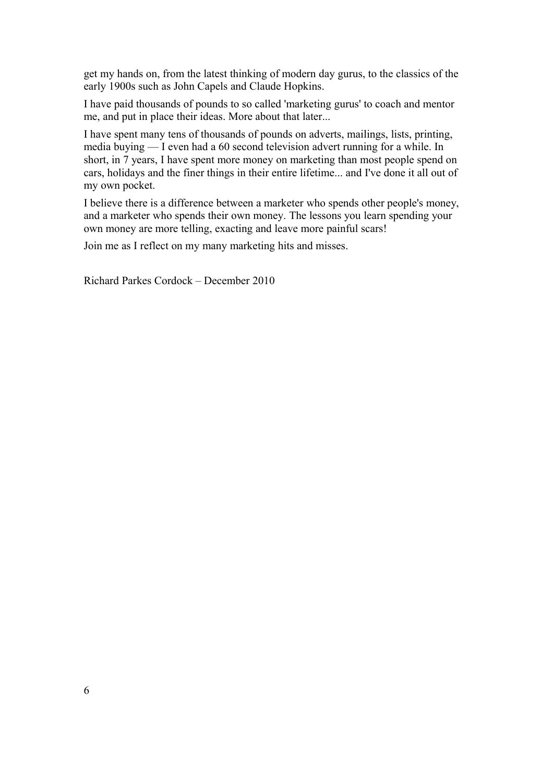get my hands on, from the latest thinking of modern day gurus, to the classics of the early 1900s such as John Capels and Claude Hopkins.

I have paid thousands of pounds to so called 'marketing gurus' to coach and mentor me, and put in place their ideas. More about that later...

I have spent many tens of thousands of pounds on adverts, mailings, lists, printing, media buying — I even had a 60 second television advert running for a while. In short, in 7 years, I have spent more money on marketing than most people spend on cars, holidays and the finer things in their entire lifetime... and I've done it all out of my own pocket.

I believe there is a difference between a marketer who spends other people's money, and a marketer who spends their own money. The lessons you learn spending your own money are more telling, exacting and leave more painful scars!

Join me as I reflect on my many marketing hits and misses.

Richard Parkes Cordock – December 2010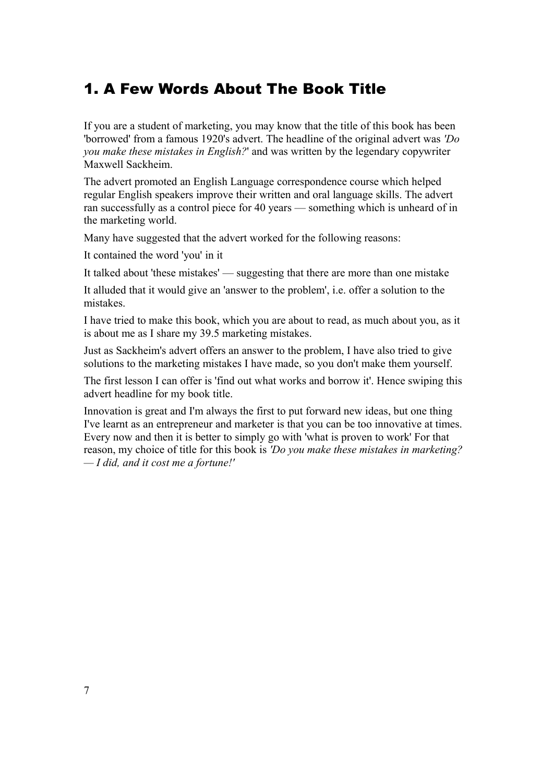# <span id="page-6-0"></span>1. A Few Words About The Book Title

If you are a student of marketing, you may know that the title of this book has been 'borrowed' from a famous 1920's advert. The headline of the original advert was *'Do you make these mistakes in English?*' and was written by the legendary copywriter Maxwell Sackheim.

The advert promoted an English Language correspondence course which helped regular English speakers improve their written and oral language skills. The advert ran successfully as a control piece for 40 years — something which is unheard of in the marketing world.

Many have suggested that the advert worked for the following reasons:

It contained the word 'you' in it

It talked about 'these mistakes' — suggesting that there are more than one mistake

It alluded that it would give an 'answer to the problem', i.e. offer a solution to the mistakes.

I have tried to make this book, which you are about to read, as much about you, as it is about me as I share my 39.5 marketing mistakes.

Just as Sackheim's advert offers an answer to the problem, I have also tried to give solutions to the marketing mistakes I have made, so you don't make them yourself.

The first lesson I can offer is 'find out what works and borrow it'. Hence swiping this advert headline for my book title.

Innovation is great and I'm always the first to put forward new ideas, but one thing I've learnt as an entrepreneur and marketer is that you can be too innovative at times. Every now and then it is better to simply go with 'what is proven to work' For that reason, my choice of title for this book is *'Do you make these mistakes in marketing? — I did, and it cost me a fortune!'*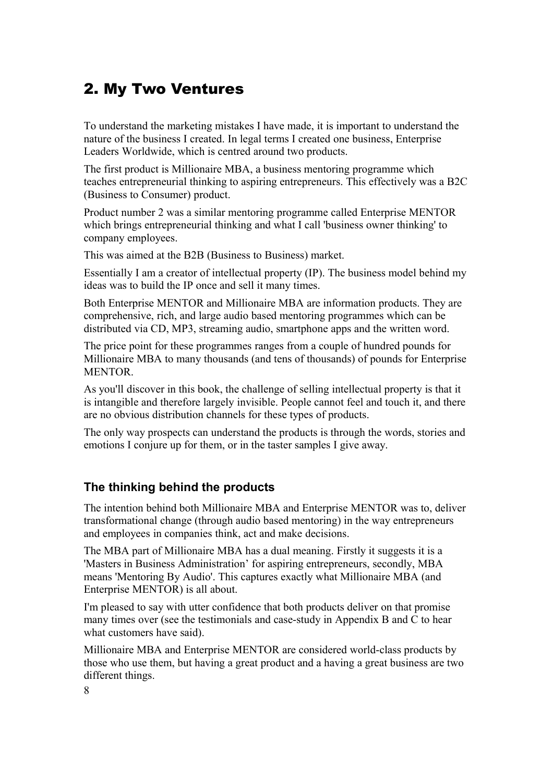## <span id="page-7-0"></span>2. My Two Ventures

To understand the marketing mistakes I have made, it is important to understand the nature of the business I created. In legal terms I created one business, Enterprise Leaders Worldwide, which is centred around two products.

The first product is Millionaire MBA, a business mentoring programme which teaches entrepreneurial thinking to aspiring entrepreneurs. This effectively was a B2C (Business to Consumer) product.

Product number 2 was a similar mentoring programme called Enterprise MENTOR which brings entrepreneurial thinking and what I call 'business owner thinking' to company employees.

This was aimed at the B2B (Business to Business) market.

Essentially I am a creator of intellectual property (IP). The business model behind my ideas was to build the IP once and sell it many times.

Both Enterprise MENTOR and Millionaire MBA are information products. They are comprehensive, rich, and large audio based mentoring programmes which can be distributed via CD, MP3, streaming audio, smartphone apps and the written word.

The price point for these programmes ranges from a couple of hundred pounds for Millionaire MBA to many thousands (and tens of thousands) of pounds for Enterprise MENTOR.

As you'll discover in this book, the challenge of selling intellectual property is that it is intangible and therefore largely invisible. People cannot feel and touch it, and there are no obvious distribution channels for these types of products.

The only way prospects can understand the products is through the words, stories and emotions I conjure up for them, or in the taster samples I give away.

#### **The thinking behind the products**

The intention behind both Millionaire MBA and Enterprise MENTOR was to, deliver transformational change (through audio based mentoring) in the way entrepreneurs and employees in companies think, act and make decisions.

The MBA part of Millionaire MBA has a dual meaning. Firstly it suggests it is a 'Masters in Business Administration' for aspiring entrepreneurs, secondly, MBA means 'Mentoring By Audio'. This captures exactly what Millionaire MBA (and Enterprise MENTOR) is all about.

I'm pleased to say with utter confidence that both products deliver on that promise many times over (see the testimonials and case-study in Appendix B and C to hear what customers have said).

Millionaire MBA and Enterprise MENTOR are considered world-class products by those who use them, but having a great product and a having a great business are two different things.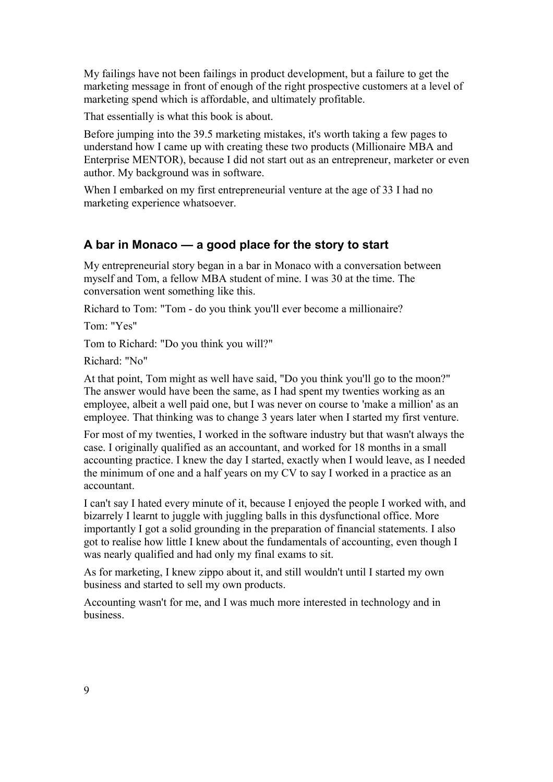My failings have not been failings in product development, but a failure to get the marketing message in front of enough of the right prospective customers at a level of marketing spend which is affordable, and ultimately profitable.

That essentially is what this book is about.

Before jumping into the 39.5 marketing mistakes, it's worth taking a few pages to understand how I came up with creating these two products (Millionaire MBA and Enterprise MENTOR), because I did not start out as an entrepreneur, marketer or even author. My background was in software.

When I embarked on my first entrepreneurial venture at the age of 33 I had no marketing experience whatsoever.

#### **A bar in Monaco — a good place for the story to start**

My entrepreneurial story began in a bar in Monaco with a conversation between myself and Tom, a fellow MBA student of mine. I was 30 at the time. The conversation went something like this.

Richard to Tom: "Tom - do you think you'll ever become a millionaire?

Tom: "Yes"

Tom to Richard: "Do you think you will?"

Richard: "No"

At that point, Tom might as well have said, "Do you think you'll go to the moon?" The answer would have been the same, as I had spent my twenties working as an employee, albeit a well paid one, but I was never on course to 'make a million' as an employee. That thinking was to change 3 years later when I started my first venture.

For most of my twenties, I worked in the software industry but that wasn't always the case. I originally qualified as an accountant, and worked for 18 months in a small accounting practice. I knew the day I started, exactly when I would leave, as I needed the minimum of one and a half years on my CV to say I worked in a practice as an accountant.

I can't say I hated every minute of it, because I enjoyed the people I worked with, and bizarrely I learnt to juggle with juggling balls in this dysfunctional office. More importantly I got a solid grounding in the preparation of financial statements. I also got to realise how little I knew about the fundamentals of accounting, even though I was nearly qualified and had only my final exams to sit.

As for marketing, I knew zippo about it, and still wouldn't until I started my own business and started to sell my own products.

Accounting wasn't for me, and I was much more interested in technology and in business.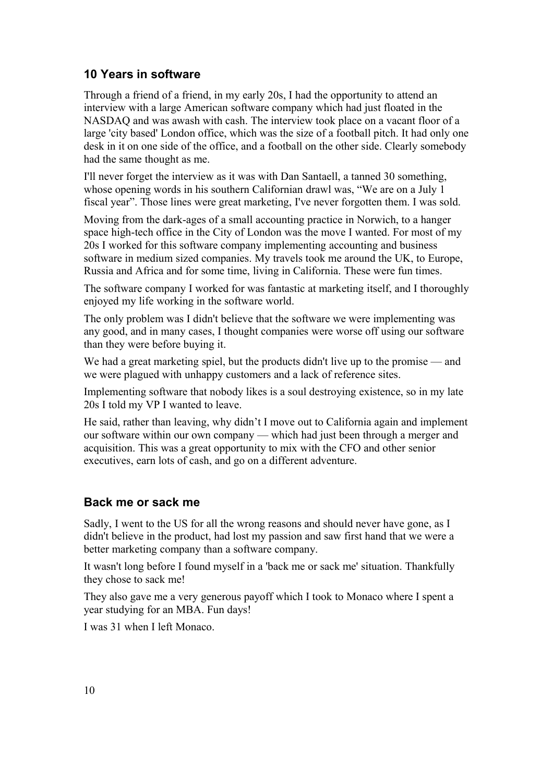## **10 Years in software**

Through a friend of a friend, in my early 20s, I had the opportunity to attend an interview with a large American software company which had just floated in the NASDAQ and was awash with cash. The interview took place on a vacant floor of a large 'city based' London office, which was the size of a football pitch. It had only one desk in it on one side of the office, and a football on the other side. Clearly somebody had the same thought as me.

I'll never forget the interview as it was with Dan Santaell, a tanned 30 something, whose opening words in his southern Californian drawl was, "We are on a July 1 fiscal year". Those lines were great marketing, I've never forgotten them. I was sold.

Moving from the dark-ages of a small accounting practice in Norwich, to a hanger space high-tech office in the City of London was the move I wanted. For most of my 20s I worked for this software company implementing accounting and business software in medium sized companies. My travels took me around the UK, to Europe, Russia and Africa and for some time, living in California. These were fun times.

The software company I worked for was fantastic at marketing itself, and I thoroughly enjoyed my life working in the software world.

The only problem was I didn't believe that the software we were implementing was any good, and in many cases, I thought companies were worse off using our software than they were before buying it.

We had a great marketing spiel, but the products didn't live up to the promise — and we were plagued with unhappy customers and a lack of reference sites.

Implementing software that nobody likes is a soul destroying existence, so in my late 20s I told my VP I wanted to leave.

He said, rather than leaving, why didn't I move out to California again and implement our software within our own company — which had just been through a merger and acquisition. This was a great opportunity to mix with the CFO and other senior executives, earn lots of cash, and go on a different adventure.

#### **Back me or sack me**

Sadly, I went to the US for all the wrong reasons and should never have gone, as I didn't believe in the product, had lost my passion and saw first hand that we were a better marketing company than a software company.

It wasn't long before I found myself in a 'back me or sack me' situation. Thankfully they chose to sack me!

They also gave me a very generous payoff which I took to Monaco where I spent a year studying for an MBA. Fun days!

I was 31 when I left Monaco.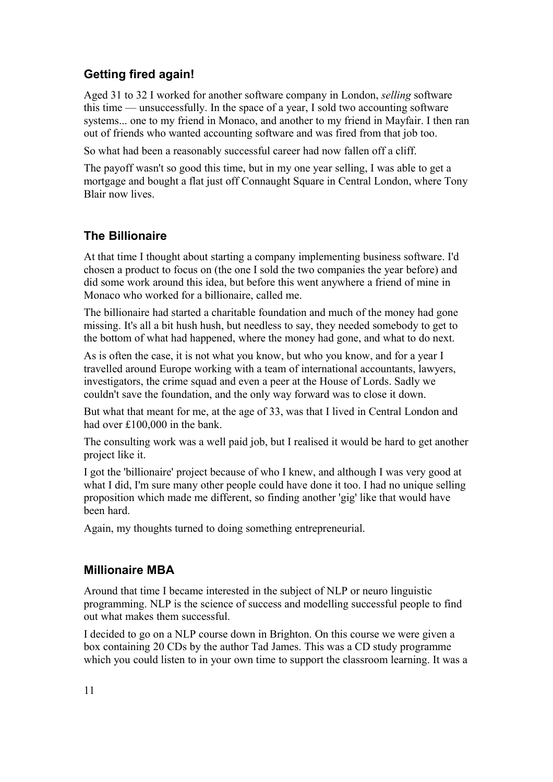## **Getting fired again!**

Aged 31 to 32 I worked for another software company in London, *selling* software this time — unsuccessfully. In the space of a year, I sold two accounting software systems... one to my friend in Monaco, and another to my friend in Mayfair. I then ran out of friends who wanted accounting software and was fired from that job too.

So what had been a reasonably successful career had now fallen off a cliff.

The payoff wasn't so good this time, but in my one year selling, I was able to get a mortgage and bought a flat just off Connaught Square in Central London, where Tony Blair now lives.

## **The Billionaire**

At that time I thought about starting a company implementing business software. I'd chosen a product to focus on (the one I sold the two companies the year before) and did some work around this idea, but before this went anywhere a friend of mine in Monaco who worked for a billionaire, called me.

The billionaire had started a charitable foundation and much of the money had gone missing. It's all a bit hush hush, but needless to say, they needed somebody to get to the bottom of what had happened, where the money had gone, and what to do next.

As is often the case, it is not what you know, but who you know, and for a year I travelled around Europe working with a team of international accountants, lawyers, investigators, the crime squad and even a peer at the House of Lords. Sadly we couldn't save the foundation, and the only way forward was to close it down.

But what that meant for me, at the age of 33, was that I lived in Central London and had over £100,000 in the bank.

The consulting work was a well paid job, but I realised it would be hard to get another project like it.

I got the 'billionaire' project because of who I knew, and although I was very good at what I did, I'm sure many other people could have done it too. I had no unique selling proposition which made me different, so finding another 'gig' like that would have been hard.

Again, my thoughts turned to doing something entrepreneurial.

#### **Millionaire MBA**

Around that time I became interested in the subject of NLP or neuro linguistic programming. NLP is the science of success and modelling successful people to find out what makes them successful.

I decided to go on a NLP course down in Brighton. On this course we were given a box containing 20 CDs by the author Tad James. This was a CD study programme which you could listen to in your own time to support the classroom learning. It was a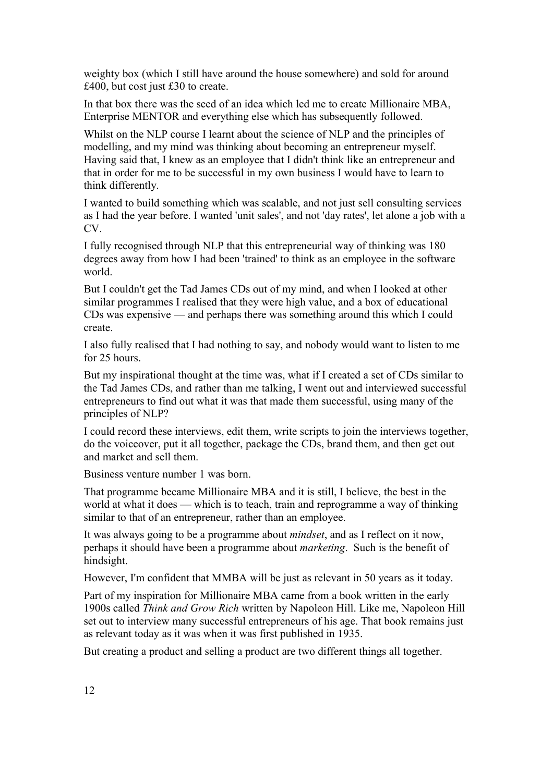weighty box (which I still have around the house somewhere) and sold for around £400, but cost just £30 to create.

In that box there was the seed of an idea which led me to create Millionaire MBA, Enterprise MENTOR and everything else which has subsequently followed.

Whilst on the NLP course I learnt about the science of NLP and the principles of modelling, and my mind was thinking about becoming an entrepreneur myself. Having said that, I knew as an employee that I didn't think like an entrepreneur and that in order for me to be successful in my own business I would have to learn to think differently.

I wanted to build something which was scalable, and not just sell consulting services as I had the year before. I wanted 'unit sales', and not 'day rates', let alone a job with a CV.

I fully recognised through NLP that this entrepreneurial way of thinking was 180 degrees away from how I had been 'trained' to think as an employee in the software world.

But I couldn't get the Tad James CDs out of my mind, and when I looked at other similar programmes I realised that they were high value, and a box of educational CDs was expensive — and perhaps there was something around this which I could create.

I also fully realised that I had nothing to say, and nobody would want to listen to me for 25 hours.

But my inspirational thought at the time was, what if I created a set of CDs similar to the Tad James CDs, and rather than me talking, I went out and interviewed successful entrepreneurs to find out what it was that made them successful, using many of the principles of NLP?

I could record these interviews, edit them, write scripts to join the interviews together, do the voiceover, put it all together, package the CDs, brand them, and then get out and market and sell them.

Business venture number 1 was born.

That programme became Millionaire MBA and it is still, I believe, the best in the world at what it does — which is to teach, train and reprogramme a way of thinking similar to that of an entrepreneur, rather than an employee.

It was always going to be a programme about *mindset*, and as I reflect on it now, perhaps it should have been a programme about *marketing*. Such is the benefit of hindsight.

However, I'm confident that MMBA will be just as relevant in 50 years as it today.

Part of my inspiration for Millionaire MBA came from a book written in the early 1900s called *Think and Grow Rich* written by Napoleon Hill. Like me, Napoleon Hill set out to interview many successful entrepreneurs of his age. That book remains just as relevant today as it was when it was first published in 1935.

But creating a product and selling a product are two different things all together.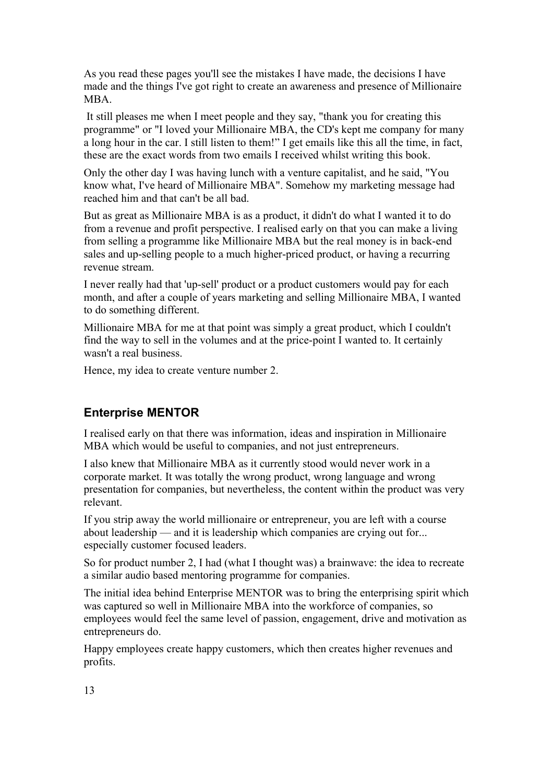As you read these pages you'll see the mistakes I have made, the decisions I have made and the things I've got right to create an awareness and presence of Millionaire **MBA** 

 It still pleases me when I meet people and they say, "thank you for creating this programme" or "I loved your Millionaire MBA, the CD's kept me company for many a long hour in the car. I still listen to them!" I get emails like this all the time, in fact, these are the exact words from two emails I received whilst writing this book.

Only the other day I was having lunch with a venture capitalist, and he said, "You know what, I've heard of Millionaire MBA". Somehow my marketing message had reached him and that can't be all bad.

But as great as Millionaire MBA is as a product, it didn't do what I wanted it to do from a revenue and profit perspective. I realised early on that you can make a living from selling a programme like Millionaire MBA but the real money is in back-end sales and up-selling people to a much higher-priced product, or having a recurring revenue stream.

I never really had that 'up-sell' product or a product customers would pay for each month, and after a couple of years marketing and selling Millionaire MBA, I wanted to do something different.

Millionaire MBA for me at that point was simply a great product, which I couldn't find the way to sell in the volumes and at the price-point I wanted to. It certainly wasn't a real business.

Hence, my idea to create venture number 2.

#### **Enterprise MENTOR**

I realised early on that there was information, ideas and inspiration in Millionaire MBA which would be useful to companies, and not just entrepreneurs.

I also knew that Millionaire MBA as it currently stood would never work in a corporate market. It was totally the wrong product, wrong language and wrong presentation for companies, but nevertheless, the content within the product was very relevant.

If you strip away the world millionaire or entrepreneur, you are left with a course about leadership — and it is leadership which companies are crying out for... especially customer focused leaders.

So for product number 2, I had (what I thought was) a brainwave: the idea to recreate a similar audio based mentoring programme for companies.

The initial idea behind Enterprise MENTOR was to bring the enterprising spirit which was captured so well in Millionaire MBA into the workforce of companies, so employees would feel the same level of passion, engagement, drive and motivation as entrepreneurs do.

Happy employees create happy customers, which then creates higher revenues and profits.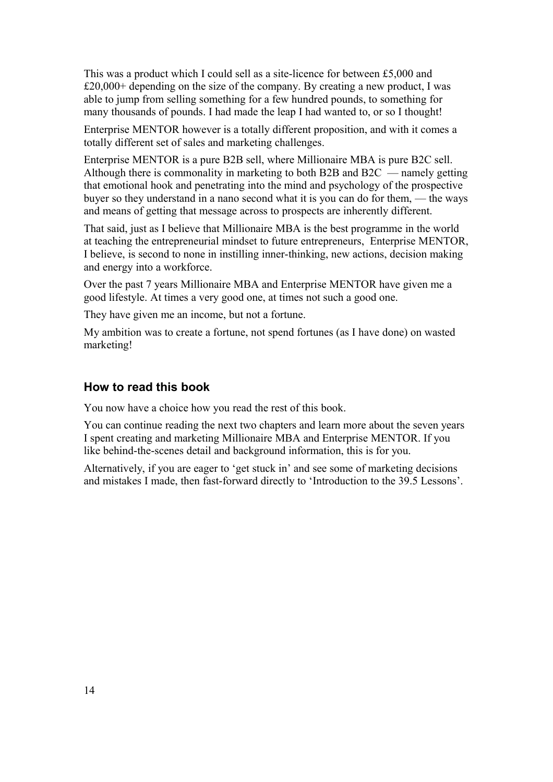This was a product which I could sell as a site-licence for between £5,000 and £20,000+ depending on the size of the company. By creating a new product, I was able to jump from selling something for a few hundred pounds, to something for many thousands of pounds. I had made the leap I had wanted to, or so I thought!

Enterprise MENTOR however is a totally different proposition, and with it comes a totally different set of sales and marketing challenges.

Enterprise MENTOR is a pure B2B sell, where Millionaire MBA is pure B2C sell. Although there is commonality in marketing to both B2B and B2C — namely getting that emotional hook and penetrating into the mind and psychology of the prospective buyer so they understand in a nano second what it is you can do for them, — the ways and means of getting that message across to prospects are inherently different.

That said, just as I believe that Millionaire MBA is the best programme in the world at teaching the entrepreneurial mindset to future entrepreneurs, Enterprise MENTOR, I believe, is second to none in instilling inner-thinking, new actions, decision making and energy into a workforce.

Over the past 7 years Millionaire MBA and Enterprise MENTOR have given me a good lifestyle. At times a very good one, at times not such a good one.

They have given me an income, but not a fortune.

My ambition was to create a fortune, not spend fortunes (as I have done) on wasted marketing!

#### **How to read this book**

You now have a choice how you read the rest of this book.

You can continue reading the next two chapters and learn more about the seven years I spent creating and marketing Millionaire MBA and Enterprise MENTOR. If you like behind-the-scenes detail and background information, this is for you.

Alternatively, if you are eager to 'get stuck in' and see some of marketing decisions and mistakes I made, then fast-forward directly to 'Introduction to the 39.5 Lessons'.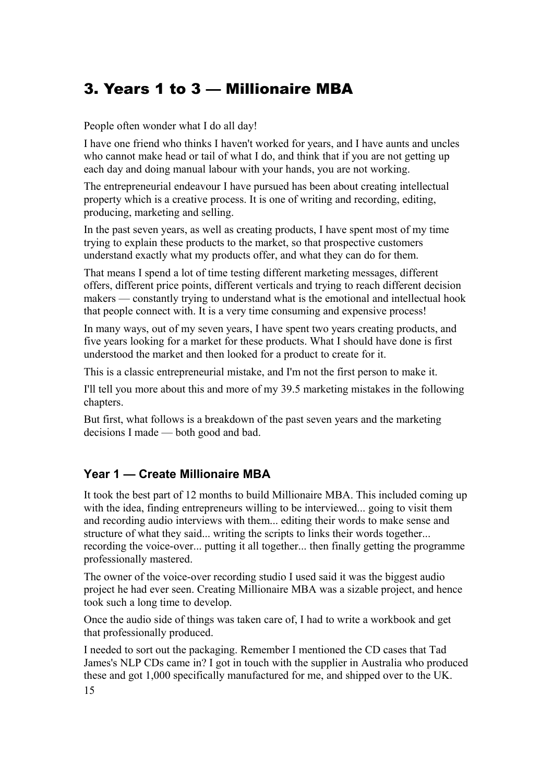# <span id="page-14-0"></span>3. Years 1 to 3 — Millionaire MBA

People often wonder what I do all day!

I have one friend who thinks I haven't worked for years, and I have aunts and uncles who cannot make head or tail of what I do, and think that if you are not getting up each day and doing manual labour with your hands, you are not working.

The entrepreneurial endeavour I have pursued has been about creating intellectual property which is a creative process. It is one of writing and recording, editing, producing, marketing and selling.

In the past seven years, as well as creating products, I have spent most of my time trying to explain these products to the market, so that prospective customers understand exactly what my products offer, and what they can do for them.

That means I spend a lot of time testing different marketing messages, different offers, different price points, different verticals and trying to reach different decision makers — constantly trying to understand what is the emotional and intellectual hook that people connect with. It is a very time consuming and expensive process!

In many ways, out of my seven years, I have spent two years creating products, and five years looking for a market for these products. What I should have done is first understood the market and then looked for a product to create for it.

This is a classic entrepreneurial mistake, and I'm not the first person to make it.

I'll tell you more about this and more of my 39.5 marketing mistakes in the following chapters.

But first, what follows is a breakdown of the past seven years and the marketing decisions I made — both good and bad.

## **Year 1 — Create Millionaire MBA**

It took the best part of 12 months to build Millionaire MBA. This included coming up with the idea, finding entrepreneurs willing to be interviewed... going to visit them and recording audio interviews with them... editing their words to make sense and structure of what they said... writing the scripts to links their words together... recording the voice-over... putting it all together... then finally getting the programme professionally mastered.

The owner of the voice-over recording studio I used said it was the biggest audio project he had ever seen. Creating Millionaire MBA was a sizable project, and hence took such a long time to develop.

Once the audio side of things was taken care of, I had to write a workbook and get that professionally produced.

I needed to sort out the packaging. Remember I mentioned the CD cases that Tad James's NLP CDs came in? I got in touch with the supplier in Australia who produced these and got 1,000 specifically manufactured for me, and shipped over to the UK. 15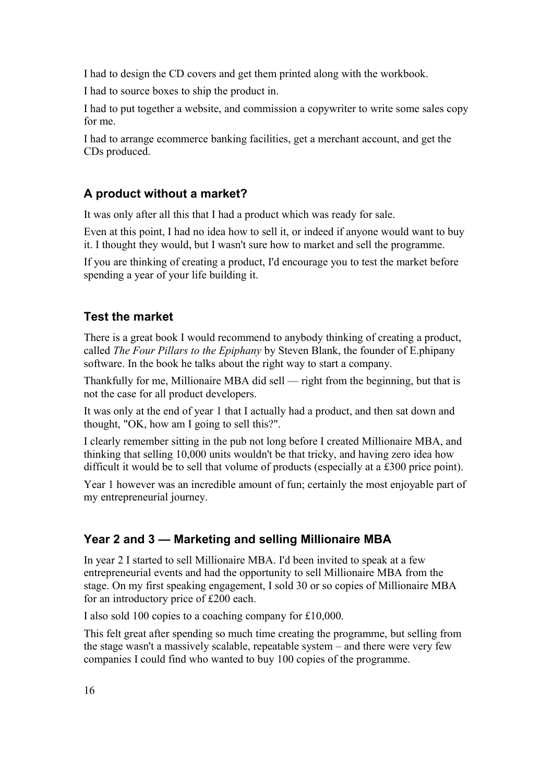I had to design the CD covers and get them printed along with the workbook.

I had to source boxes to ship the product in.

I had to put together a website, and commission a copywriter to write some sales copy for me.

I had to arrange ecommerce banking facilities, get a merchant account, and get the CDs produced.

#### **A product without a market?**

It was only after all this that I had a product which was ready for sale.

Even at this point, I had no idea how to sell it, or indeed if anyone would want to buy it. I thought they would, but I wasn't sure how to market and sell the programme.

If you are thinking of creating a product, I'd encourage you to test the market before spending a year of your life building it.

#### **Test the market**

There is a great book I would recommend to anybody thinking of creating a product, called *The Four Pillars to the Epiphany* by Steven Blank, the founder of E.phipany software. In the book he talks about the right way to start a company.

Thankfully for me, Millionaire MBA did sell — right from the beginning, but that is not the case for all product developers.

It was only at the end of year 1 that I actually had a product, and then sat down and thought, "OK, how am I going to sell this?".

I clearly remember sitting in the pub not long before I created Millionaire MBA, and thinking that selling 10,000 units wouldn't be that tricky, and having zero idea how difficult it would be to sell that volume of products (especially at a £300 price point).

Year 1 however was an incredible amount of fun; certainly the most enjoyable part of my entrepreneurial journey.

## **Year 2 and 3 — Marketing and selling Millionaire MBA**

In year 2 I started to sell Millionaire MBA. I'd been invited to speak at a few entrepreneurial events and had the opportunity to sell Millionaire MBA from the stage. On my first speaking engagement, I sold 30 or so copies of Millionaire MBA for an introductory price of £200 each.

I also sold 100 copies to a coaching company for £10,000.

This felt great after spending so much time creating the programme, but selling from the stage wasn't a massively scalable, repeatable system – and there were very few companies I could find who wanted to buy 100 copies of the programme.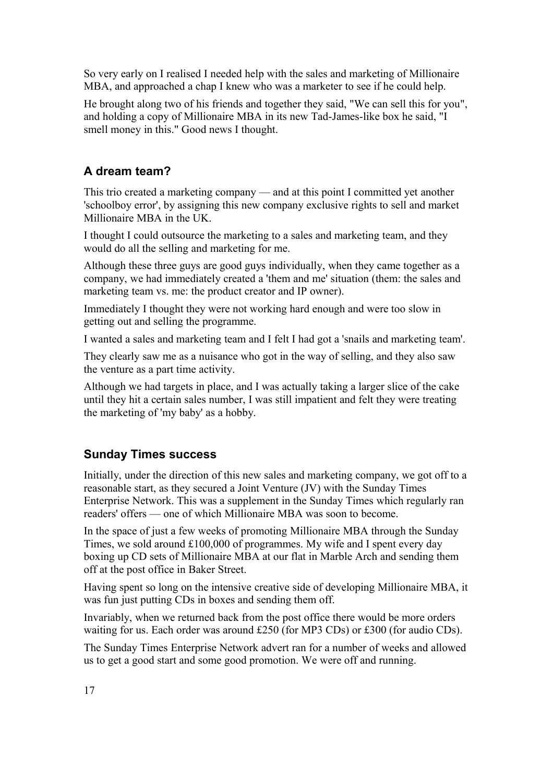So very early on I realised I needed help with the sales and marketing of Millionaire MBA, and approached a chap I knew who was a marketer to see if he could help.

He brought along two of his friends and together they said, "We can sell this for you", and holding a copy of Millionaire MBA in its new Tad-James-like box he said, "I smell money in this." Good news I thought.

## **A dream team?**

This trio created a marketing company — and at this point I committed yet another 'schoolboy error', by assigning this new company exclusive rights to sell and market Millionaire MBA in the UK.

I thought I could outsource the marketing to a sales and marketing team, and they would do all the selling and marketing for me.

Although these three guys are good guys individually, when they came together as a company, we had immediately created a 'them and me' situation (them: the sales and marketing team vs. me: the product creator and IP owner).

Immediately I thought they were not working hard enough and were too slow in getting out and selling the programme.

I wanted a sales and marketing team and I felt I had got a 'snails and marketing team'.

They clearly saw me as a nuisance who got in the way of selling, and they also saw the venture as a part time activity.

Although we had targets in place, and I was actually taking a larger slice of the cake until they hit a certain sales number, I was still impatient and felt they were treating the marketing of 'my baby' as a hobby.

## **Sunday Times success**

Initially, under the direction of this new sales and marketing company, we got off to a reasonable start, as they secured a Joint Venture (JV) with the Sunday Times Enterprise Network. This was a supplement in the Sunday Times which regularly ran readers' offers — one of which Millionaire MBA was soon to become.

In the space of just a few weeks of promoting Millionaire MBA through the Sunday Times, we sold around £100,000 of programmes. My wife and I spent every day boxing up CD sets of Millionaire MBA at our flat in Marble Arch and sending them off at the post office in Baker Street.

Having spent so long on the intensive creative side of developing Millionaire MBA, it was fun just putting CDs in boxes and sending them off.

Invariably, when we returned back from the post office there would be more orders waiting for us. Each order was around £250 (for MP3 CDs) or £300 (for audio CDs).

The Sunday Times Enterprise Network advert ran for a number of weeks and allowed us to get a good start and some good promotion. We were off and running.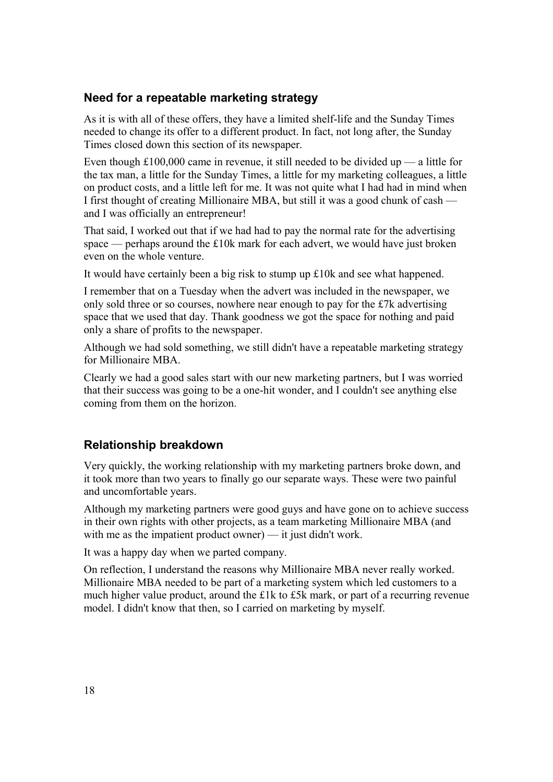#### **Need for a repeatable marketing strategy**

As it is with all of these offers, they have a limited shelf-life and the Sunday Times needed to change its offer to a different product. In fact, not long after, the Sunday Times closed down this section of its newspaper.

Even though £100,000 came in revenue, it still needed to be divided up — a little for the tax man, a little for the Sunday Times, a little for my marketing colleagues, a little on product costs, and a little left for me. It was not quite what I had had in mind when I first thought of creating Millionaire MBA, but still it was a good chunk of cash and I was officially an entrepreneur!

That said, I worked out that if we had had to pay the normal rate for the advertising space — perhaps around the £10k mark for each advert, we would have just broken even on the whole venture.

It would have certainly been a big risk to stump up £10k and see what happened.

I remember that on a Tuesday when the advert was included in the newspaper, we only sold three or so courses, nowhere near enough to pay for the £7k advertising space that we used that day. Thank goodness we got the space for nothing and paid only a share of profits to the newspaper.

Although we had sold something, we still didn't have a repeatable marketing strategy for Millionaire MBA.

Clearly we had a good sales start with our new marketing partners, but I was worried that their success was going to be a one-hit wonder, and I couldn't see anything else coming from them on the horizon.

#### **Relationship breakdown**

Very quickly, the working relationship with my marketing partners broke down, and it took more than two years to finally go our separate ways. These were two painful and uncomfortable years.

Although my marketing partners were good guys and have gone on to achieve success in their own rights with other projects, as a team marketing Millionaire MBA (and with me as the impatient product owner) — it just didn't work.

It was a happy day when we parted company.

On reflection, I understand the reasons why Millionaire MBA never really worked. Millionaire MBA needed to be part of a marketing system which led customers to a much higher value product, around the £1k to £5k mark, or part of a recurring revenue model. I didn't know that then, so I carried on marketing by myself.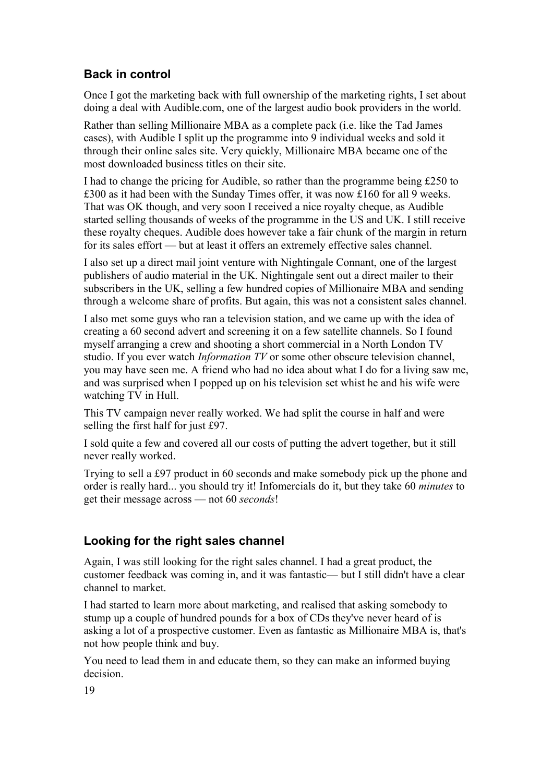## **Back in control**

Once I got the marketing back with full ownership of the marketing rights, I set about doing a deal with Audible.com, one of the largest audio book providers in the world.

Rather than selling Millionaire MBA as a complete pack (i.e. like the Tad James cases), with Audible I split up the programme into 9 individual weeks and sold it through their online sales site. Very quickly, Millionaire MBA became one of the most downloaded business titles on their site.

I had to change the pricing for Audible, so rather than the programme being £250 to £300 as it had been with the Sunday Times offer, it was now £160 for all 9 weeks. That was OK though, and very soon I received a nice royalty cheque, as Audible started selling thousands of weeks of the programme in the US and UK. I still receive these royalty cheques. Audible does however take a fair chunk of the margin in return for its sales effort — but at least it offers an extremely effective sales channel.

I also set up a direct mail joint venture with Nightingale Connant, one of the largest publishers of audio material in the UK. Nightingale sent out a direct mailer to their subscribers in the UK, selling a few hundred copies of Millionaire MBA and sending through a welcome share of profits. But again, this was not a consistent sales channel.

I also met some guys who ran a television station, and we came up with the idea of creating a 60 second advert and screening it on a few satellite channels. So I found myself arranging a crew and shooting a short commercial in a North London TV studio. If you ever watch *Information TV* or some other obscure television channel, you may have seen me. A friend who had no idea about what I do for a living saw me, and was surprised when I popped up on his television set whist he and his wife were watching TV in Hull.

This TV campaign never really worked. We had split the course in half and were selling the first half for just £97.

I sold quite a few and covered all our costs of putting the advert together, but it still never really worked.

Trying to sell a £97 product in 60 seconds and make somebody pick up the phone and order is really hard... you should try it! Infomercials do it, but they take 60 *minutes* to get their message across — not 60 *seconds*!

## **Looking for the right sales channel**

Again, I was still looking for the right sales channel. I had a great product, the customer feedback was coming in, and it was fantastic— but I still didn't have a clear channel to market.

I had started to learn more about marketing, and realised that asking somebody to stump up a couple of hundred pounds for a box of CDs they've never heard of is asking a lot of a prospective customer. Even as fantastic as Millionaire MBA is, that's not how people think and buy.

You need to lead them in and educate them, so they can make an informed buying decision.

19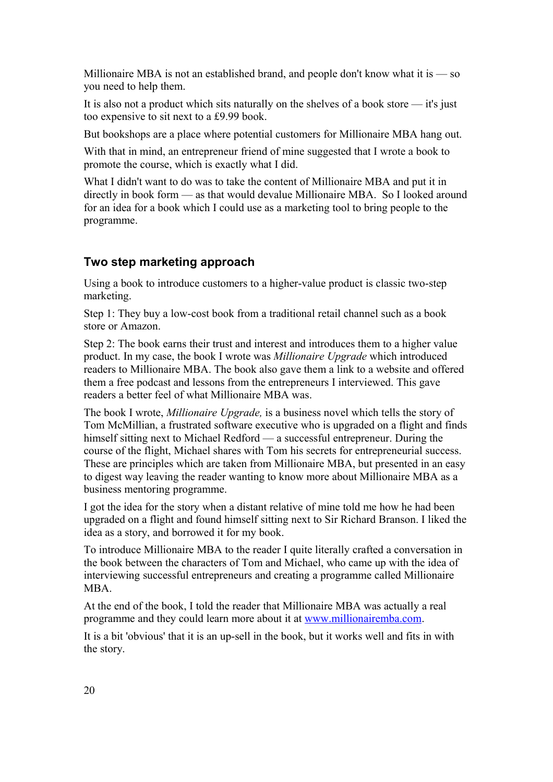Millionaire MBA is not an established brand, and people don't know what it is — so you need to help them.

It is also not a product which sits naturally on the shelves of a book store — it's just too expensive to sit next to a £9.99 book.

But bookshops are a place where potential customers for Millionaire MBA hang out.

With that in mind, an entrepreneur friend of mine suggested that I wrote a book to promote the course, which is exactly what I did.

What I didn't want to do was to take the content of Millionaire MBA and put it in directly in book form — as that would devalue Millionaire MBA. So I looked around for an idea for a book which I could use as a marketing tool to bring people to the programme.

## **Two step marketing approach**

Using a book to introduce customers to a higher-value product is classic two-step marketing.

Step 1: They buy a low-cost book from a traditional retail channel such as a book store or Amazon.

Step 2: The book earns their trust and interest and introduces them to a higher value product. In my case, the book I wrote was *Millionaire Upgrade* which introduced readers to Millionaire MBA. The book also gave them a link to a website and offered them a free podcast and lessons from the entrepreneurs I interviewed. This gave readers a better feel of what Millionaire MBA was.

The book I wrote, *Millionaire Upgrade,* is a business novel which tells the story of Tom McMillian, a frustrated software executive who is upgraded on a flight and finds himself sitting next to Michael Redford — a successful entrepreneur. During the course of the flight, Michael shares with Tom his secrets for entrepreneurial success. These are principles which are taken from Millionaire MBA, but presented in an easy to digest way leaving the reader wanting to know more about Millionaire MBA as a business mentoring programme.

I got the idea for the story when a distant relative of mine told me how he had been upgraded on a flight and found himself sitting next to Sir Richard Branson. I liked the idea as a story, and borrowed it for my book.

To introduce Millionaire MBA to the reader I quite literally crafted a conversation in the book between the characters of Tom and Michael, who came up with the idea of interviewing successful entrepreneurs and creating a programme called Millionaire MBA.

At the end of the book, I told the reader that Millionaire MBA was actually a real programme and they could learn more about it at [www.millionairemba.com.](http://www.millionairemba.com/)

It is a bit 'obvious' that it is an up-sell in the book, but it works well and fits in with the story.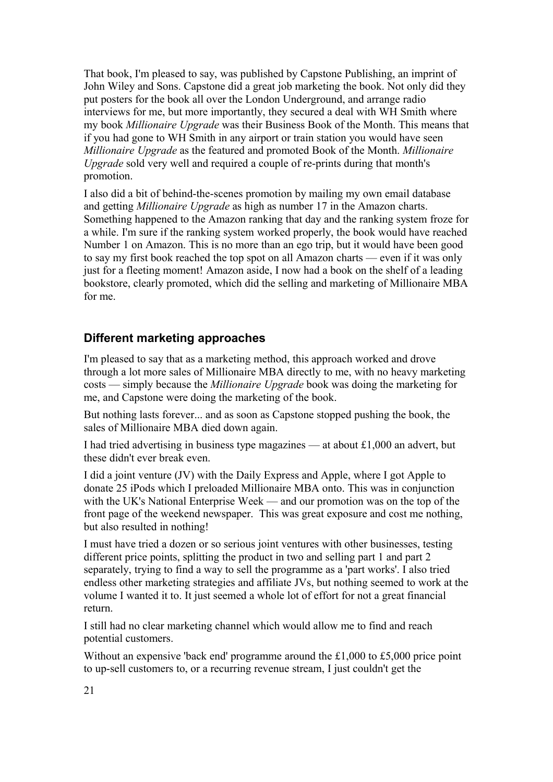That book, I'm pleased to say, was published by Capstone Publishing, an imprint of John Wiley and Sons. Capstone did a great job marketing the book. Not only did they put posters for the book all over the London Underground, and arrange radio interviews for me, but more importantly, they secured a deal with WH Smith where my book *Millionaire Upgrade* was their Business Book of the Month. This means that if you had gone to WH Smith in any airport or train station you would have seen *Millionaire Upgrade* as the featured and promoted Book of the Month. *Millionaire Upgrade* sold very well and required a couple of re-prints during that month's promotion.

I also did a bit of behind-the-scenes promotion by mailing my own email database and getting *Millionaire Upgrade* as high as number 17 in the Amazon charts. Something happened to the Amazon ranking that day and the ranking system froze for a while. I'm sure if the ranking system worked properly, the book would have reached Number 1 on Amazon. This is no more than an ego trip, but it would have been good to say my first book reached the top spot on all Amazon charts — even if it was only just for a fleeting moment! Amazon aside, I now had a book on the shelf of a leading bookstore, clearly promoted, which did the selling and marketing of Millionaire MBA for me.

#### **Different marketing approaches**

I'm pleased to say that as a marketing method, this approach worked and drove through a lot more sales of Millionaire MBA directly to me, with no heavy marketing costs — simply because the *Millionaire Upgrade* book was doing the marketing for me, and Capstone were doing the marketing of the book.

But nothing lasts forever... and as soon as Capstone stopped pushing the book, the sales of Millionaire MBA died down again.

I had tried advertising in business type magazines — at about £1,000 an advert, but these didn't ever break even.

I did a joint venture (JV) with the Daily Express and Apple, where I got Apple to donate 25 iPods which I preloaded Millionaire MBA onto. This was in conjunction with the UK's National Enterprise Week — and our promotion was on the top of the front page of the weekend newspaper. This was great exposure and cost me nothing, but also resulted in nothing!

I must have tried a dozen or so serious joint ventures with other businesses, testing different price points, splitting the product in two and selling part 1 and part 2 separately, trying to find a way to sell the programme as a 'part works'. I also tried endless other marketing strategies and affiliate JVs, but nothing seemed to work at the volume I wanted it to. It just seemed a whole lot of effort for not a great financial return.

I still had no clear marketing channel which would allow me to find and reach potential customers.

Without an expensive 'back end' programme around the £1,000 to £5,000 price point to up-sell customers to, or a recurring revenue stream, I just couldn't get the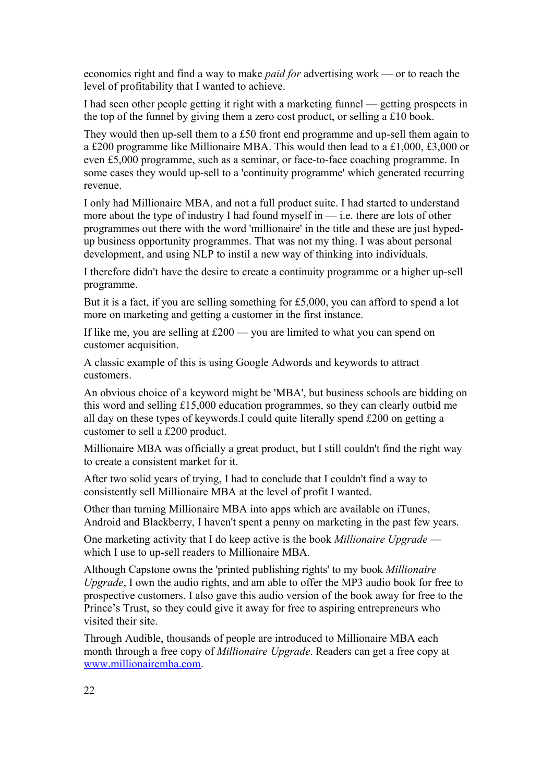economics right and find a way to make *paid for* advertising work — or to reach the level of profitability that I wanted to achieve.

I had seen other people getting it right with a marketing funnel — getting prospects in the top of the funnel by giving them a zero cost product, or selling a £10 book.

They would then up-sell them to a £50 front end programme and up-sell them again to a £200 programme like Millionaire MBA. This would then lead to a £1,000, £3,000 or even £5,000 programme, such as a seminar, or face-to-face coaching programme. In some cases they would up-sell to a 'continuity programme' which generated recurring revenue.

I only had Millionaire MBA, and not a full product suite. I had started to understand more about the type of industry I had found myself in — i.e. there are lots of other programmes out there with the word 'millionaire' in the title and these are just hypedup business opportunity programmes. That was not my thing. I was about personal development, and using NLP to instil a new way of thinking into individuals.

I therefore didn't have the desire to create a continuity programme or a higher up-sell programme.

But it is a fact, if you are selling something for £5,000, you can afford to spend a lot more on marketing and getting a customer in the first instance.

If like me, you are selling at £200 — you are limited to what you can spend on customer acquisition.

A classic example of this is using Google Adwords and keywords to attract customers.

An obvious choice of a keyword might be 'MBA', but business schools are bidding on this word and selling £15,000 education programmes, so they can clearly outbid me all day on these types of keywords.I could quite literally spend £200 on getting a customer to sell a £200 product.

Millionaire MBA was officially a great product, but I still couldn't find the right way to create a consistent market for it.

After two solid years of trying, I had to conclude that I couldn't find a way to consistently sell Millionaire MBA at the level of profit I wanted.

Other than turning Millionaire MBA into apps which are available on iTunes, Android and Blackberry, I haven't spent a penny on marketing in the past few years.

One marketing activity that I do keep active is the book *Millionaire Upgrade* which I use to up-sell readers to Millionaire MBA.

Although Capstone owns the 'printed publishing rights' to my book *Millionaire Upgrade*, I own the audio rights, and am able to offer the MP3 audio book for free to prospective customers. I also gave this audio version of the book away for free to the Prince's Trust, so they could give it away for free to aspiring entrepreneurs who visited their site.

Through Audible, thousands of people are introduced to Millionaire MBA each month through a free copy of *Millionaire Upgrade*. Readers can get a free copy at [www.millionairemba.com.](http://www.millionairemba.com/)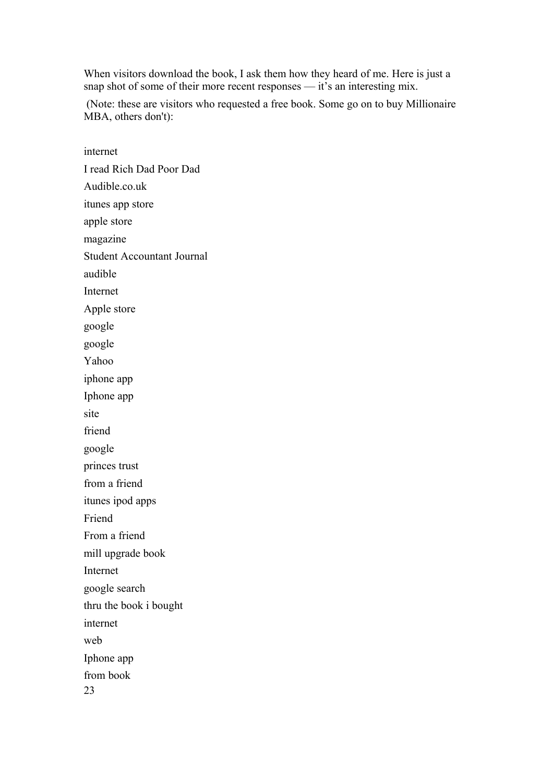When visitors download the book, I ask them how they heard of me. Here is just a snap shot of some of their more recent responses — it's an interesting mix.

 (Note: these are visitors who requested a free book. Some go on to buy Millionaire MBA, others don't):

internet I read Rich Dad Poor Dad Audible.co.uk itunes app store apple store magazine Student Accountant Journal audible Internet Apple store google google Yahoo iphone app Iphone app site friend google princes trust from a friend itunes ipod apps Friend From a friend mill upgrade book Internet google search thru the book i bought internet web Iphone app from book 23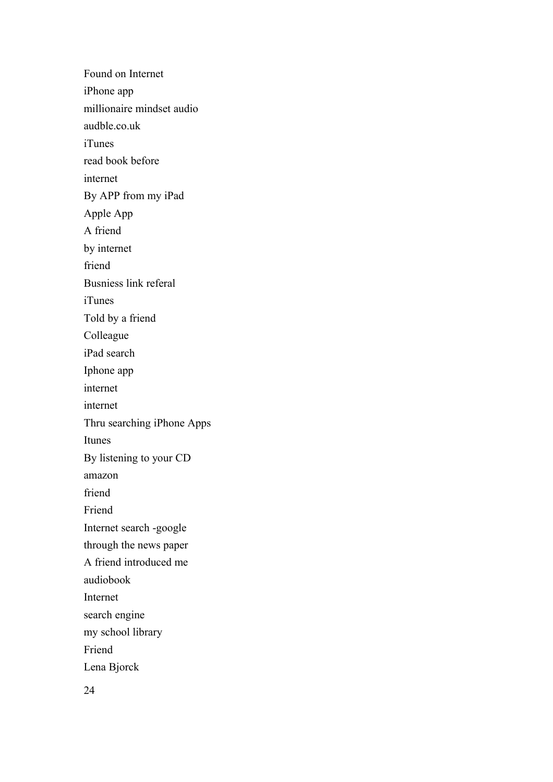Found on Internet iPhone app millionaire mindset audio audble.co.uk iTunes read book before internet By APP from my iPad Apple App A friend by internet friend Busniess link referal iTunes Told by a friend Colleague iPad search Iphone app internet internet Thru searching iPhone Apps Itunes By listening to your CD amazon friend Friend Internet search -google through the news paper A friend introduced me audiobook Internet search engine my school library Friend Lena Bjorck

24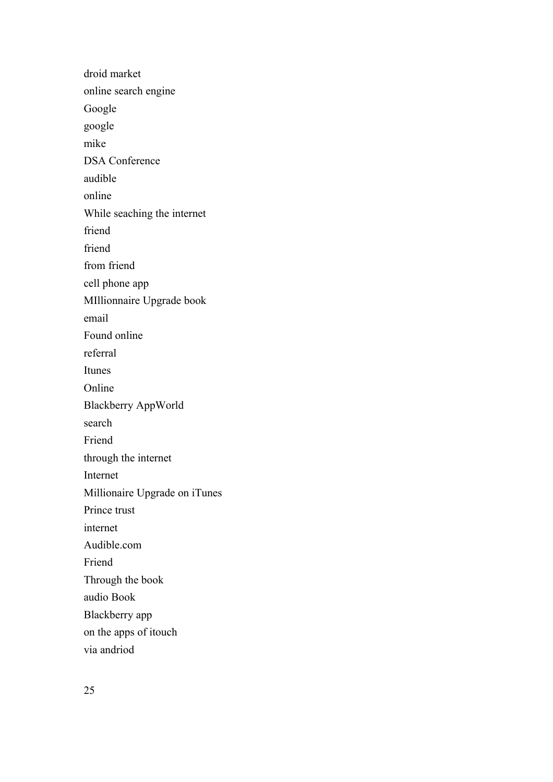droid market online search engine Google google mike DSA Conference audible online While seaching the internet friend friend from friend cell phone app MIllionnaire Upgrade book email Found online referral Itunes Online Blackberry AppWorld search Friend through the internet Internet Millionaire Upgrade on iTunes Prince trust internet Audible.com Friend Through the book audio Book Blackberry app on the apps of itouch via andriod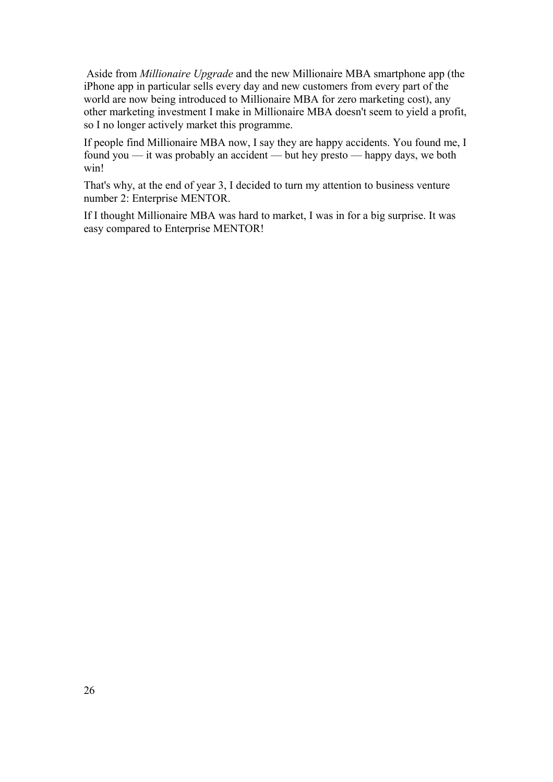Aside from *Millionaire Upgrade* and the new Millionaire MBA smartphone app (the iPhone app in particular sells every day and new customers from every part of the world are now being introduced to Millionaire MBA for zero marketing cost), any other marketing investment I make in Millionaire MBA doesn't seem to yield a profit, so I no longer actively market this programme.

If people find Millionaire MBA now, I say they are happy accidents. You found me, I found you — it was probably an accident — but hey presto — happy days, we both win!

That's why, at the end of year 3, I decided to turn my attention to business venture number 2: Enterprise MENTOR.

If I thought Millionaire MBA was hard to market, I was in for a big surprise. It was easy compared to Enterprise MENTOR!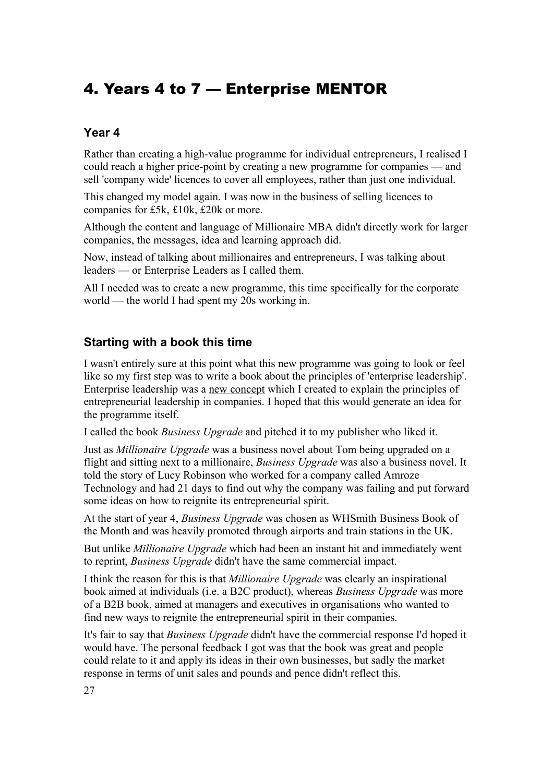# <span id="page-26-0"></span>4. Years 4 to 7 — Enterprise MENTOR

## **Year 4**

Rather than creating a high-value programme for individual entrepreneurs, I realised I could reach a higher price-point by creating a new programme for companies — and sell 'company wide' licences to cover all employees, rather than just one individual.

This changed my model again. I was now in the business of selling licences to companies for £5k, £10k, £20k or more.

Although the content and language of Millionaire MBA didn't directly work for larger companies, the messages, idea and learning approach did.

Now, instead of talking about millionaires and entrepreneurs, I was talking about leaders — or Enterprise Leaders as I called them.

All I needed was to create a new programme, this time specifically for the corporate world — the world I had spent my 20s working in.

## **Starting with a book this time**

I wasn't entirely sure at this point what this new programme was going to look or feel like so my first step was to write a book about the principles of 'enterprise leadership'. Enterprise leadership was a new concept which I created to explain the principles of entrepreneurial leadership in companies. I hoped that this would generate an idea for the programme itself.

I called the book *Business Upgrade* and pitched it to my publisher who liked it.

Just as *Millionaire Upgrade* was a business novel about Tom being upgraded on a flight and sitting next to a millionaire, *Business Upgrade* was also a business novel. It told the story of Lucy Robinson who worked for a company called Amroze Technology and had 21 days to find out why the company was failing and put forward some ideas on how to reignite its entrepreneurial spirit.

At the start of year 4, *Business Upgrade* was chosen as WHSmith Business Book of the Month and was heavily promoted through airports and train stations in the UK.

But unlike *Millionaire Upgrade* which had been an instant hit and immediately went to reprint, *Business Upgrade* didn't have the same commercial impact.

I think the reason for this is that *Millionaire Upgrade* was clearly an inspirational book aimed at individuals (i.e. a B2C product), whereas *Business Upgrade* was more of a B2B book, aimed at managers and executives in organisations who wanted to find new ways to reignite the entrepreneurial spirit in their companies.

It's fair to say that *Business Upgrade* didn't have the commercial response I'd hoped it would have. The personal feedback I got was that the book was great and people could relate to it and apply its ideas in their own businesses, but sadly the market response in terms of unit sales and pounds and pence didn't reflect this.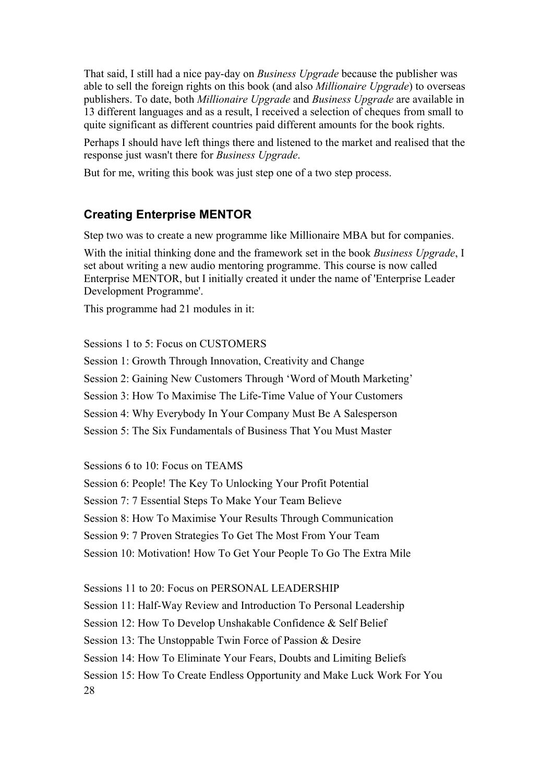That said, I still had a nice pay-day on *Business Upgrade* because the publisher was able to sell the foreign rights on this book (and also *Millionaire Upgrade*) to overseas publishers. To date, both *Millionaire Upgrade* and *Business Upgrade* are available in 13 different languages and as a result, I received a selection of cheques from small to quite significant as different countries paid different amounts for the book rights.

Perhaps I should have left things there and listened to the market and realised that the response just wasn't there for *Business Upgrade*.

But for me, writing this book was just step one of a two step process.

#### **Creating Enterprise MENTOR**

Step two was to create a new programme like Millionaire MBA but for companies.

With the initial thinking done and the framework set in the book *Business Upgrade*, I set about writing a new audio mentoring programme. This course is now called Enterprise MENTOR, but I initially created it under the name of 'Enterprise Leader Development Programme'.

This programme had 21 modules in it:

Sessions 1 to 5: Focus on CUSTOMERS Session 1: Growth Through Innovation, Creativity and Change Session 2: Gaining New Customers Through 'Word of Mouth Marketing' Session 3: How To Maximise The Life-Time Value of Your Customers Session 4: Why Everybody In Your Company Must Be A Salesperson Session 5: The Six Fundamentals of Business That You Must Master

Sessions 6 to 10: Focus on TEAMS

Session 6: People! The Key To Unlocking Your Profit Potential

Session 7: 7 Essential Steps To Make Your Team Believe

Session 8: How To Maximise Your Results Through Communication

Session 9: 7 Proven Strategies To Get The Most From Your Team

Session 10: Motivation! How To Get Your People To Go The Extra Mile

Sessions 11 to 20: Focus on PERSONAL LEADERSHIP

Session 11: Half-Way Review and Introduction To Personal Leadership

Session 12: How To Develop Unshakable Confidence & Self Belief

Session 13: The Unstoppable Twin Force of Passion & Desire

Session 14: How To Eliminate Your Fears, Doubts and Limiting Beliefs

Session 15: How To Create Endless Opportunity and Make Luck Work For You 28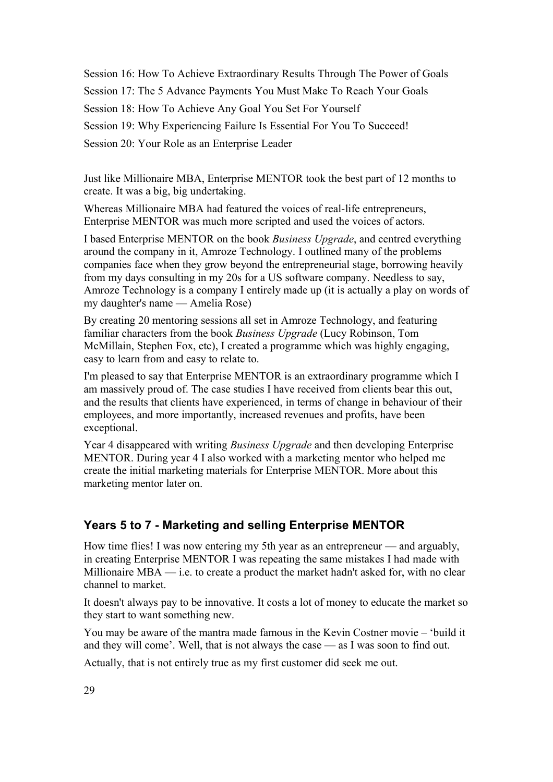Session 16: How To Achieve Extraordinary Results Through The Power of Goals Session 17: The 5 Advance Payments You Must Make To Reach Your Goals Session 18: How To Achieve Any Goal You Set For Yourself Session 19: Why Experiencing Failure Is Essential For You To Succeed! Session 20: Your Role as an Enterprise Leader

Just like Millionaire MBA, Enterprise MENTOR took the best part of 12 months to create. It was a big, big undertaking.

Whereas Millionaire MBA had featured the voices of real-life entrepreneurs, Enterprise MENTOR was much more scripted and used the voices of actors.

I based Enterprise MENTOR on the book *Business Upgrade*, and centred everything around the company in it, Amroze Technology. I outlined many of the problems companies face when they grow beyond the entrepreneurial stage, borrowing heavily from my days consulting in my 20s for a US software company. Needless to say, Amroze Technology is a company I entirely made up (it is actually a play on words of my daughter's name — Amelia Rose)

By creating 20 mentoring sessions all set in Amroze Technology, and featuring familiar characters from the book *Business Upgrade* (Lucy Robinson, Tom McMillain, Stephen Fox, etc), I created a programme which was highly engaging, easy to learn from and easy to relate to.

I'm pleased to say that Enterprise MENTOR is an extraordinary programme which I am massively proud of. The case studies I have received from clients bear this out, and the results that clients have experienced, in terms of change in behaviour of their employees, and more importantly, increased revenues and profits, have been exceptional.

Year 4 disappeared with writing *Business Upgrade* and then developing Enterprise MENTOR. During year 4 I also worked with a marketing mentor who helped me create the initial marketing materials for Enterprise MENTOR. More about this marketing mentor later on.

## **Years 5 to 7 - Marketing and selling Enterprise MENTOR**

How time flies! I was now entering my 5th year as an entrepreneur — and arguably, in creating Enterprise MENTOR I was repeating the same mistakes I had made with Millionaire MBA — i.e. to create a product the market hadn't asked for, with no clear channel to market.

It doesn't always pay to be innovative. It costs a lot of money to educate the market so they start to want something new.

You may be aware of the mantra made famous in the Kevin Costner movie – 'build it and they will come'. Well, that is not always the case — as I was soon to find out.

Actually, that is not entirely true as my first customer did seek me out.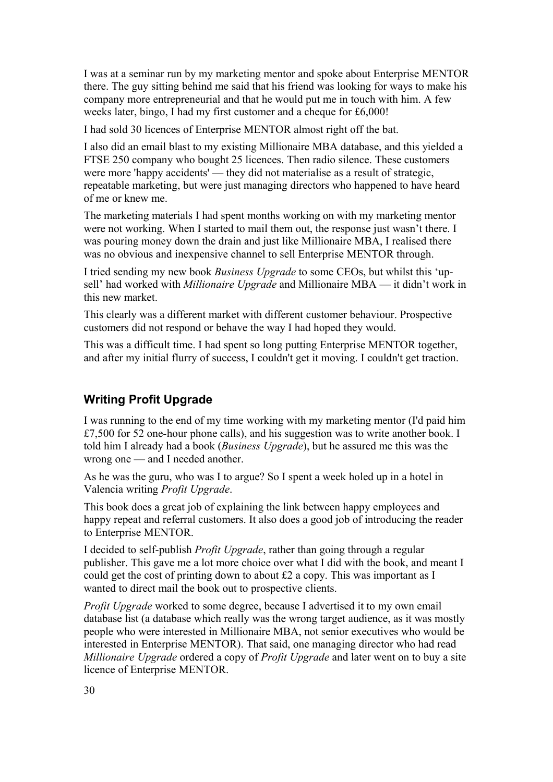I was at a seminar run by my marketing mentor and spoke about Enterprise MENTOR there. The guy sitting behind me said that his friend was looking for ways to make his company more entrepreneurial and that he would put me in touch with him. A few weeks later, bingo, I had my first customer and a cheque for £6,000!

I had sold 30 licences of Enterprise MENTOR almost right off the bat.

I also did an email blast to my existing Millionaire MBA database, and this yielded a FTSE 250 company who bought 25 licences. Then radio silence. These customers were more 'happy accidents' — they did not materialise as a result of strategic, repeatable marketing, but were just managing directors who happened to have heard of me or knew me.

The marketing materials I had spent months working on with my marketing mentor were not working. When I started to mail them out, the response just wasn't there. I was pouring money down the drain and just like Millionaire MBA, I realised there was no obvious and inexpensive channel to sell Enterprise MENTOR through.

I tried sending my new book *Business Upgrade* to some CEOs, but whilst this 'upsell' had worked with *Millionaire Upgrade* and Millionaire MBA — it didn't work in this new market.

This clearly was a different market with different customer behaviour. Prospective customers did not respond or behave the way I had hoped they would.

This was a difficult time. I had spent so long putting Enterprise MENTOR together, and after my initial flurry of success, I couldn't get it moving. I couldn't get traction.

#### **Writing Profit Upgrade**

I was running to the end of my time working with my marketing mentor (I'd paid him £7,500 for 52 one-hour phone calls), and his suggestion was to write another book. I told him I already had a book (*Business Upgrade*), but he assured me this was the wrong one — and I needed another.

As he was the guru, who was I to argue? So I spent a week holed up in a hotel in Valencia writing *Profit Upgrade*.

This book does a great job of explaining the link between happy employees and happy repeat and referral customers. It also does a good job of introducing the reader to Enterprise MENTOR.

I decided to self-publish *Profit Upgrade*, rather than going through a regular publisher. This gave me a lot more choice over what I did with the book, and meant I could get the cost of printing down to about £2 a copy. This was important as I wanted to direct mail the book out to prospective clients.

*Profit Upgrade* worked to some degree, because I advertised it to my own email database list (a database which really was the wrong target audience, as it was mostly people who were interested in Millionaire MBA, not senior executives who would be interested in Enterprise MENTOR). That said, one managing director who had read *Millionaire Upgrade* ordered a copy of *Profit Upgrade* and later went on to buy a site licence of Enterprise MENTOR.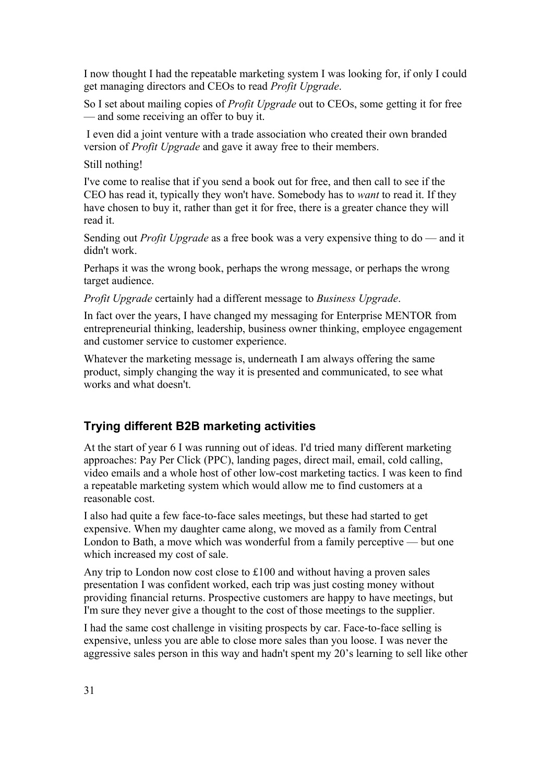I now thought I had the repeatable marketing system I was looking for, if only I could get managing directors and CEOs to read *Profit Upgrade*.

So I set about mailing copies of *Profit Upgrade* out to CEOs, some getting it for free — and some receiving an offer to buy it.

 I even did a joint venture with a trade association who created their own branded version of *Profit Upgrade* and gave it away free to their members.

Still nothing!

I've come to realise that if you send a book out for free, and then call to see if the CEO has read it, typically they won't have. Somebody has to *want* to read it. If they have chosen to buy it, rather than get it for free, there is a greater chance they will read it.

Sending out *Profit Upgrade* as a free book was a very expensive thing to do — and it didn't work.

Perhaps it was the wrong book, perhaps the wrong message, or perhaps the wrong target audience.

*Profit Upgrade* certainly had a different message to *Business Upgrade*.

In fact over the years, I have changed my messaging for Enterprise MENTOR from entrepreneurial thinking, leadership, business owner thinking, employee engagement and customer service to customer experience.

Whatever the marketing message is, underneath I am always offering the same product, simply changing the way it is presented and communicated, to see what works and what doesn't.

## **Trying different B2B marketing activities**

At the start of year 6 I was running out of ideas. I'd tried many different marketing approaches: Pay Per Click (PPC), landing pages, direct mail, email, cold calling, video emails and a whole host of other low-cost marketing tactics. I was keen to find a repeatable marketing system which would allow me to find customers at a reasonable cost.

I also had quite a few face-to-face sales meetings, but these had started to get expensive. When my daughter came along, we moved as a family from Central London to Bath, a move which was wonderful from a family perceptive — but one which increased my cost of sale.

Any trip to London now cost close to £100 and without having a proven sales presentation I was confident worked, each trip was just costing money without providing financial returns. Prospective customers are happy to have meetings, but I'm sure they never give a thought to the cost of those meetings to the supplier.

I had the same cost challenge in visiting prospects by car. Face-to-face selling is expensive, unless you are able to close more sales than you loose. I was never the aggressive sales person in this way and hadn't spent my 20's learning to sell like other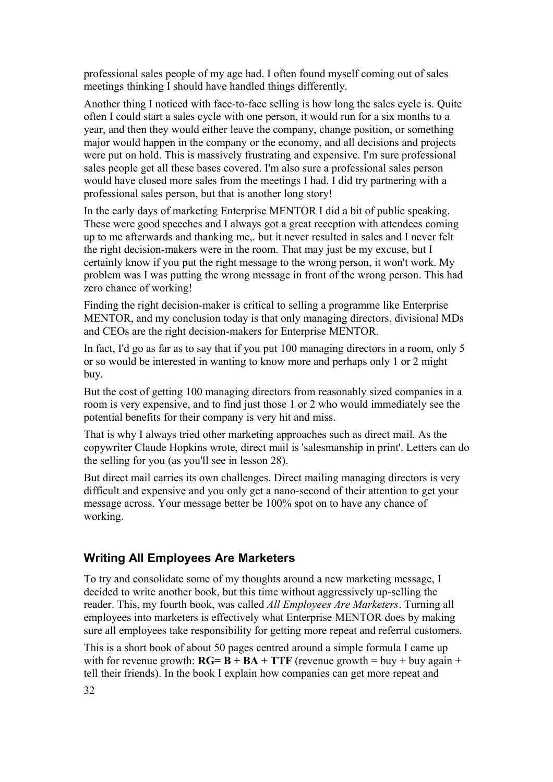professional sales people of my age had. I often found myself coming out of sales meetings thinking I should have handled things differently.

Another thing I noticed with face-to-face selling is how long the sales cycle is. Quite often I could start a sales cycle with one person, it would run for a six months to a year, and then they would either leave the company, change position, or something major would happen in the company or the economy, and all decisions and projects were put on hold. This is massively frustrating and expensive. I'm sure professional sales people get all these bases covered. I'm also sure a professional sales person would have closed more sales from the meetings I had. I did try partnering with a professional sales person, but that is another long story!

In the early days of marketing Enterprise MENTOR I did a bit of public speaking. These were good speeches and I always got a great reception with attendees coming up to me afterwards and thanking me,. but it never resulted in sales and I never felt the right decision-makers were in the room. That may just be my excuse, but I certainly know if you put the right message to the wrong person, it won't work. My problem was I was putting the wrong message in front of the wrong person. This had zero chance of working!

Finding the right decision-maker is critical to selling a programme like Enterprise MENTOR, and my conclusion today is that only managing directors, divisional MDs and CEOs are the right decision-makers for Enterprise MENTOR.

In fact, I'd go as far as to say that if you put 100 managing directors in a room, only 5 or so would be interested in wanting to know more and perhaps only 1 or 2 might buy.

But the cost of getting 100 managing directors from reasonably sized companies in a room is very expensive, and to find just those 1 or 2 who would immediately see the potential benefits for their company is very hit and miss.

That is why I always tried other marketing approaches such as direct mail. As the copywriter Claude Hopkins wrote, direct mail is 'salesmanship in print'. Letters can do the selling for you (as you'll see in lesson 28).

But direct mail carries its own challenges. Direct mailing managing directors is very difficult and expensive and you only get a nano-second of their attention to get your message across. Your message better be 100% spot on to have any chance of working.

#### **Writing All Employees Are Marketers**

To try and consolidate some of my thoughts around a new marketing message, I decided to write another book, but this time without aggressively up-selling the reader. This, my fourth book, was called *All Employees Are Marketers*. Turning all employees into marketers is effectively what Enterprise MENTOR does by making sure all employees take responsibility for getting more repeat and referral customers.

This is a short book of about 50 pages centred around a simple formula I came up with for revenue growth:  $\bf{R}$ **G**=  $\bf{B}$  +  $\bf{B}$ **A** +  $\bf{T}$ **TF** (revenue growth = buy + buy again + tell their friends). In the book I explain how companies can get more repeat and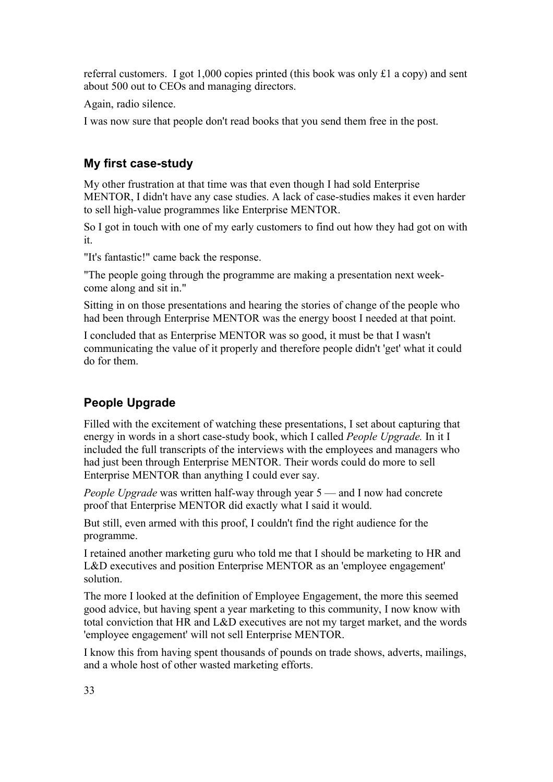referral customers. I got 1,000 copies printed (this book was only £1 a copy) and sent about 500 out to CEOs and managing directors.

Again, radio silence.

I was now sure that people don't read books that you send them free in the post.

## **My first case-study**

My other frustration at that time was that even though I had sold Enterprise MENTOR, I didn't have any case studies. A lack of case-studies makes it even harder to sell high-value programmes like Enterprise MENTOR.

So I got in touch with one of my early customers to find out how they had got on with it.

"It's fantastic!" came back the response.

"The people going through the programme are making a presentation next weekcome along and sit in."

Sitting in on those presentations and hearing the stories of change of the people who had been through Enterprise MENTOR was the energy boost I needed at that point.

I concluded that as Enterprise MENTOR was so good, it must be that I wasn't communicating the value of it properly and therefore people didn't 'get' what it could do for them.

## **People Upgrade**

Filled with the excitement of watching these presentations, I set about capturing that energy in words in a short case-study book, which I called *People Upgrade.* In it I included the full transcripts of the interviews with the employees and managers who had just been through Enterprise MENTOR. Their words could do more to sell Enterprise MENTOR than anything I could ever say.

*People Upgrade* was written half-way through year 5 — and I now had concrete proof that Enterprise MENTOR did exactly what I said it would.

But still, even armed with this proof, I couldn't find the right audience for the programme.

I retained another marketing guru who told me that I should be marketing to HR and L&D executives and position Enterprise MENTOR as an 'employee engagement' solution.

The more I looked at the definition of Employee Engagement, the more this seemed good advice, but having spent a year marketing to this community, I now know with total conviction that HR and L&D executives are not my target market, and the words 'employee engagement' will not sell Enterprise MENTOR.

I know this from having spent thousands of pounds on trade shows, adverts, mailings, and a whole host of other wasted marketing efforts.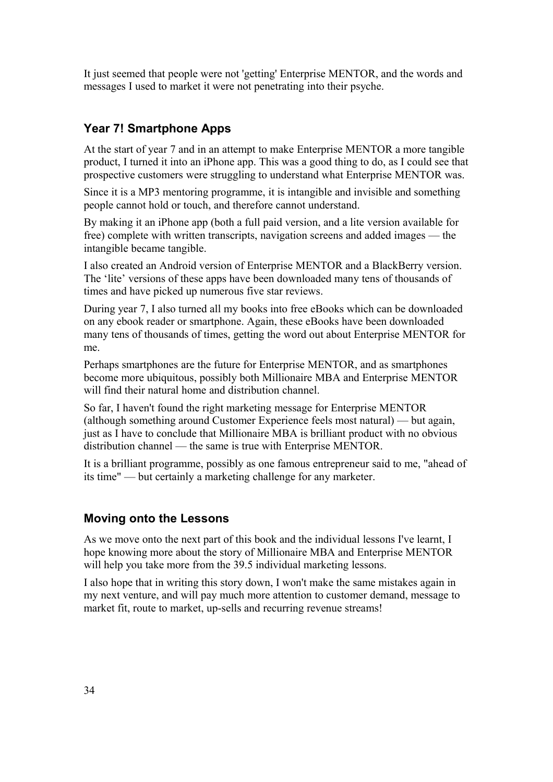It just seemed that people were not 'getting' Enterprise MENTOR, and the words and messages I used to market it were not penetrating into their psyche.

## **Year 7! Smartphone Apps**

At the start of year 7 and in an attempt to make Enterprise MENTOR a more tangible product, I turned it into an iPhone app. This was a good thing to do, as I could see that prospective customers were struggling to understand what Enterprise MENTOR was.

Since it is a MP3 mentoring programme, it is intangible and invisible and something people cannot hold or touch, and therefore cannot understand.

By making it an iPhone app (both a full paid version, and a lite version available for free) complete with written transcripts, navigation screens and added images — the intangible became tangible.

I also created an Android version of Enterprise MENTOR and a BlackBerry version. The 'lite' versions of these apps have been downloaded many tens of thousands of times and have picked up numerous five star reviews.

During year 7, I also turned all my books into free eBooks which can be downloaded on any ebook reader or smartphone. Again, these eBooks have been downloaded many tens of thousands of times, getting the word out about Enterprise MENTOR for me.

Perhaps smartphones are the future for Enterprise MENTOR, and as smartphones become more ubiquitous, possibly both Millionaire MBA and Enterprise MENTOR will find their natural home and distribution channel.

So far, I haven't found the right marketing message for Enterprise MENTOR (although something around Customer Experience feels most natural) — but again, just as I have to conclude that Millionaire MBA is brilliant product with no obvious distribution channel — the same is true with Enterprise MENTOR.

It is a brilliant programme, possibly as one famous entrepreneur said to me, "ahead of its time" — but certainly a marketing challenge for any marketer.

#### **Moving onto the Lessons**

As we move onto the next part of this book and the individual lessons I've learnt, I hope knowing more about the story of Millionaire MBA and Enterprise MENTOR will help you take more from the 39.5 individual marketing lessons.

I also hope that in writing this story down, I won't make the same mistakes again in my next venture, and will pay much more attention to customer demand, message to market fit, route to market, up-sells and recurring revenue streams!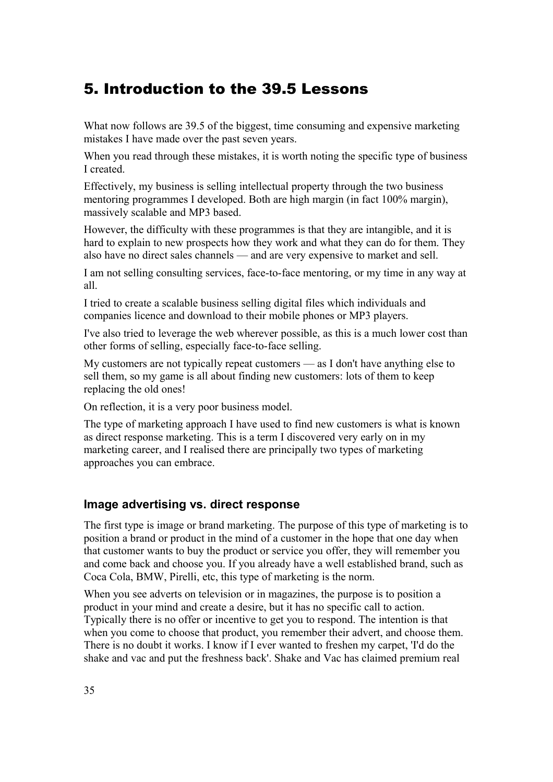# <span id="page-34-0"></span>5. Introduction to the 39.5 Lessons

What now follows are 39.5 of the biggest, time consuming and expensive marketing mistakes I have made over the past seven years.

When you read through these mistakes, it is worth noting the specific type of business I created.

Effectively, my business is selling intellectual property through the two business mentoring programmes I developed. Both are high margin (in fact 100% margin), massively scalable and MP3 based.

However, the difficulty with these programmes is that they are intangible, and it is hard to explain to new prospects how they work and what they can do for them. They also have no direct sales channels — and are very expensive to market and sell.

I am not selling consulting services, face-to-face mentoring, or my time in any way at all.

I tried to create a scalable business selling digital files which individuals and companies licence and download to their mobile phones or MP3 players.

I've also tried to leverage the web wherever possible, as this is a much lower cost than other forms of selling, especially face-to-face selling.

My customers are not typically repeat customers — as I don't have anything else to sell them, so my game is all about finding new customers: lots of them to keep replacing the old ones!

On reflection, it is a very poor business model.

The type of marketing approach I have used to find new customers is what is known as direct response marketing. This is a term I discovered very early on in my marketing career, and I realised there are principally two types of marketing approaches you can embrace.

#### **Image advertising vs. direct response**

The first type is image or brand marketing. The purpose of this type of marketing is to position a brand or product in the mind of a customer in the hope that one day when that customer wants to buy the product or service you offer, they will remember you and come back and choose you. If you already have a well established brand, such as Coca Cola, BMW, Pirelli, etc, this type of marketing is the norm.

When you see adverts on television or in magazines, the purpose is to position a product in your mind and create a desire, but it has no specific call to action. Typically there is no offer or incentive to get you to respond. The intention is that when you come to choose that product, you remember their advert, and choose them. There is no doubt it works. I know if I ever wanted to freshen my carpet, 'I'd do the shake and vac and put the freshness back'. Shake and Vac has claimed premium real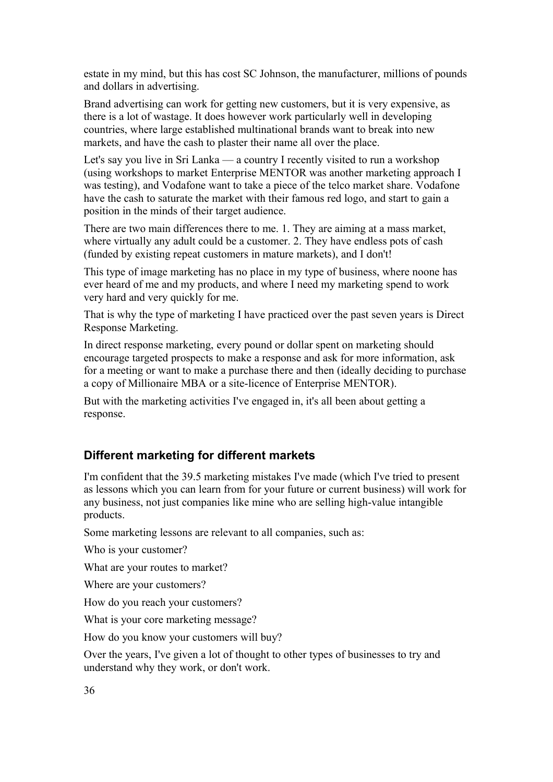estate in my mind, but this has cost SC Johnson, the manufacturer, millions of pounds and dollars in advertising.

Brand advertising can work for getting new customers, but it is very expensive, as there is a lot of wastage. It does however work particularly well in developing countries, where large established multinational brands want to break into new markets, and have the cash to plaster their name all over the place.

Let's say you live in Sri Lanka — a country I recently visited to run a workshop (using workshops to market Enterprise MENTOR was another marketing approach I was testing), and Vodafone want to take a piece of the telco market share. Vodafone have the cash to saturate the market with their famous red logo, and start to gain a position in the minds of their target audience.

There are two main differences there to me. 1. They are aiming at a mass market, where virtually any adult could be a customer. 2. They have endless pots of cash (funded by existing repeat customers in mature markets), and I don't!

This type of image marketing has no place in my type of business, where noone has ever heard of me and my products, and where I need my marketing spend to work very hard and very quickly for me.

That is why the type of marketing I have practiced over the past seven years is Direct Response Marketing.

In direct response marketing, every pound or dollar spent on marketing should encourage targeted prospects to make a response and ask for more information, ask for a meeting or want to make a purchase there and then (ideally deciding to purchase a copy of Millionaire MBA or a site-licence of Enterprise MENTOR).

But with the marketing activities I've engaged in, it's all been about getting a response.

#### **Different marketing for different markets**

I'm confident that the 39.5 marketing mistakes I've made (which I've tried to present as lessons which you can learn from for your future or current business) will work for any business, not just companies like mine who are selling high-value intangible products.

Some marketing lessons are relevant to all companies, such as:

Who is your customer?

What are your routes to market?

Where are your customers?

How do you reach your customers?

What is your core marketing message?

How do you know your customers will buy?

Over the years, I've given a lot of thought to other types of businesses to try and understand why they work, or don't work.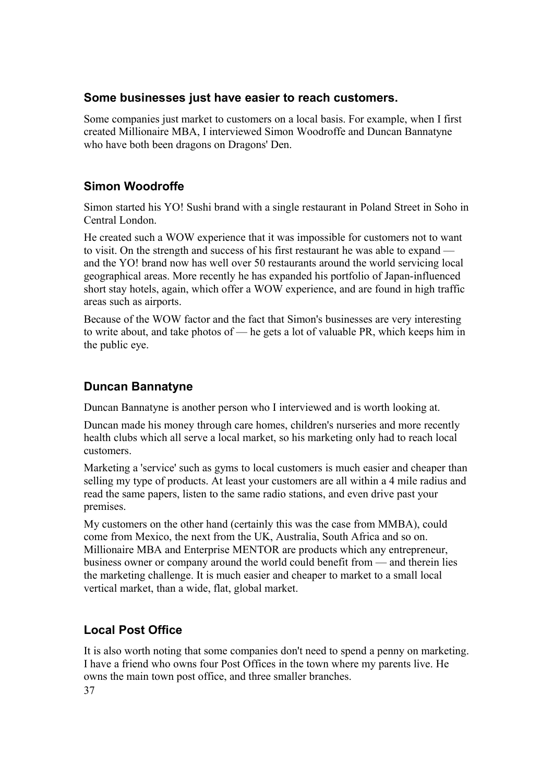### **Some businesses just have easier to reach customers.**

Some companies just market to customers on a local basis. For example, when I first created Millionaire MBA, I interviewed Simon Woodroffe and Duncan Bannatyne who have both been dragons on Dragons' Den.

# **Simon Woodroffe**

Simon started his YO! Sushi brand with a single restaurant in Poland Street in Soho in Central London.

He created such a WOW experience that it was impossible for customers not to want to visit. On the strength and success of his first restaurant he was able to expand and the YO! brand now has well over 50 restaurants around the world servicing local geographical areas. More recently he has expanded his portfolio of Japan-influenced short stay hotels, again, which offer a WOW experience, and are found in high traffic areas such as airports.

Because of the WOW factor and the fact that Simon's businesses are very interesting to write about, and take photos of — he gets a lot of valuable PR, which keeps him in the public eye.

# **Duncan Bannatyne**

Duncan Bannatyne is another person who I interviewed and is worth looking at.

Duncan made his money through care homes, children's nurseries and more recently health clubs which all serve a local market, so his marketing only had to reach local customers.

Marketing a 'service' such as gyms to local customers is much easier and cheaper than selling my type of products. At least your customers are all within a 4 mile radius and read the same papers, listen to the same radio stations, and even drive past your premises.

My customers on the other hand (certainly this was the case from MMBA), could come from Mexico, the next from the UK, Australia, South Africa and so on. Millionaire MBA and Enterprise MENTOR are products which any entrepreneur, business owner or company around the world could benefit from — and therein lies the marketing challenge. It is much easier and cheaper to market to a small local vertical market, than a wide, flat, global market.

# **Local Post Office**

It is also worth noting that some companies don't need to spend a penny on marketing. I have a friend who owns four Post Offices in the town where my parents live. He owns the main town post office, and three smaller branches.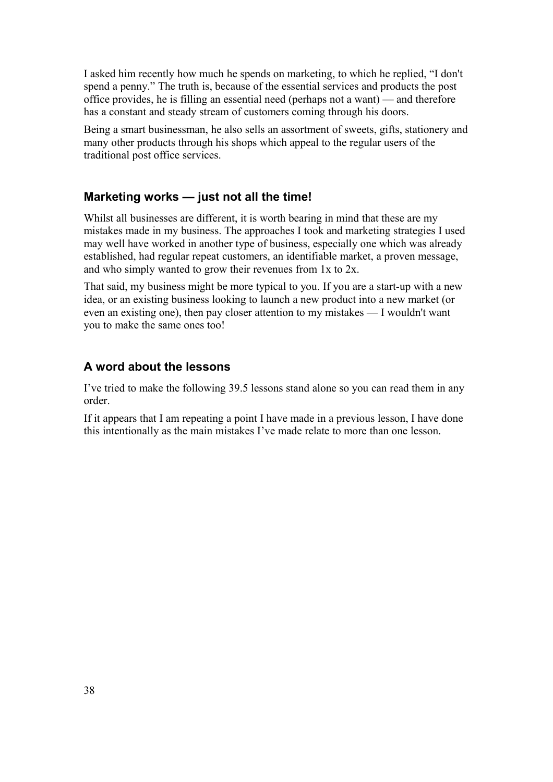I asked him recently how much he spends on marketing, to which he replied, "I don't spend a penny." The truth is, because of the essential services and products the post office provides, he is filling an essential need (perhaps not a want) — and therefore has a constant and steady stream of customers coming through his doors.

Being a smart businessman, he also sells an assortment of sweets, gifts, stationery and many other products through his shops which appeal to the regular users of the traditional post office services.

#### **Marketing works — just not all the time!**

Whilst all businesses are different, it is worth bearing in mind that these are my mistakes made in my business. The approaches I took and marketing strategies I used may well have worked in another type of business, especially one which was already established, had regular repeat customers, an identifiable market, a proven message, and who simply wanted to grow their revenues from 1x to 2x.

That said, my business might be more typical to you. If you are a start-up with a new idea, or an existing business looking to launch a new product into a new market (or even an existing one), then pay closer attention to my mistakes — I wouldn't want you to make the same ones too!

#### **A word about the lessons**

I've tried to make the following 39.5 lessons stand alone so you can read them in any order.

If it appears that I am repeating a point I have made in a previous lesson, I have done this intentionally as the main mistakes I've made relate to more than one lesson.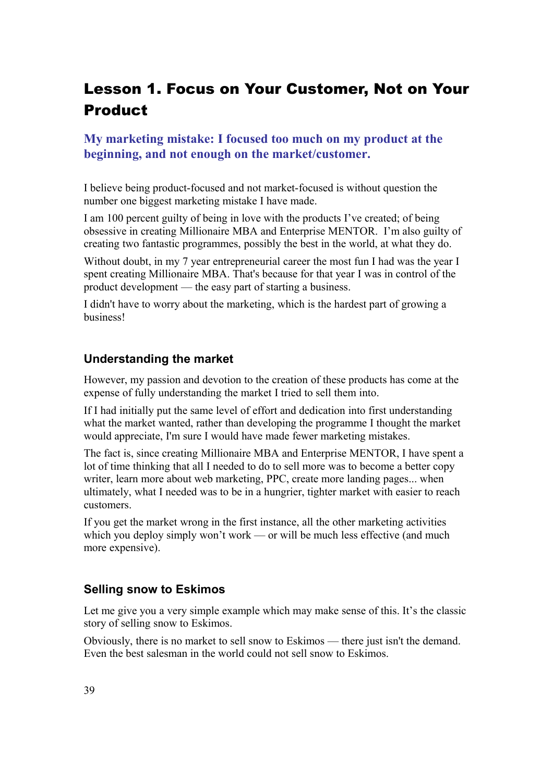# Lesson 1. Focus on Your Customer, Not on Your Product

## **My marketing mistake: I focused too much on my product at the beginning, and not enough on the market/customer.**

I believe being product-focused and not market-focused is without question the number one biggest marketing mistake I have made.

I am 100 percent guilty of being in love with the products I've created; of being obsessive in creating Millionaire MBA and Enterprise MENTOR. I'm also guilty of creating two fantastic programmes, possibly the best in the world, at what they do.

Without doubt, in my 7 year entrepreneurial career the most fun I had was the year I spent creating Millionaire MBA. That's because for that year I was in control of the product development — the easy part of starting a business.

I didn't have to worry about the marketing, which is the hardest part of growing a business!

#### **Understanding the market**

However, my passion and devotion to the creation of these products has come at the expense of fully understanding the market I tried to sell them into.

If I had initially put the same level of effort and dedication into first understanding what the market wanted, rather than developing the programme I thought the market would appreciate, I'm sure I would have made fewer marketing mistakes.

The fact is, since creating Millionaire MBA and Enterprise MENTOR, I have spent a lot of time thinking that all I needed to do to sell more was to become a better copy writer, learn more about web marketing, PPC, create more landing pages... when ultimately, what I needed was to be in a hungrier, tighter market with easier to reach customers.

If you get the market wrong in the first instance, all the other marketing activities which you deploy simply won't work — or will be much less effective (and much more expensive).

#### **Selling snow to Eskimos**

Let me give you a very simple example which may make sense of this. It's the classic story of selling snow to Eskimos.

Obviously, there is no market to sell snow to Eskimos — there just isn't the demand. Even the best salesman in the world could not sell snow to Eskimos.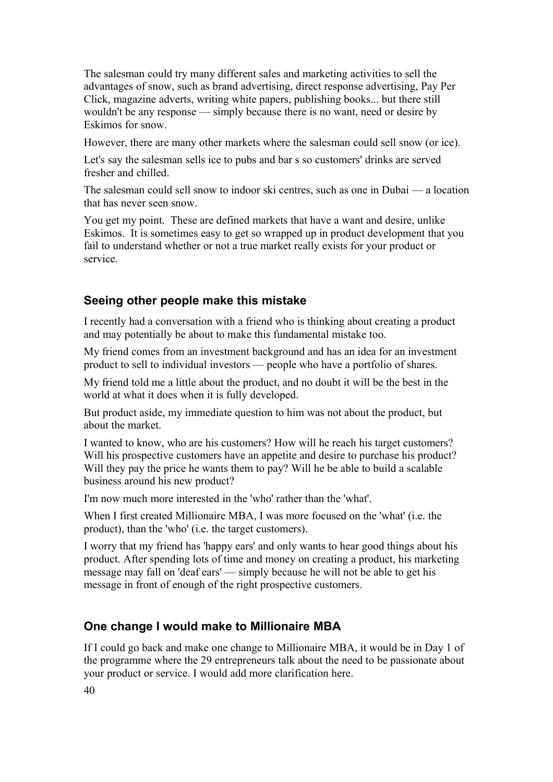The salesman could try many different sales and marketing activities to sell the advantages of snow, such as brand advertising, direct response advertising, Pay Per Click, magazine adverts, writing white papers, publishing books... but there still wouldn't be any response — simply because there is no want, need or desire by Eskimos for snow.

However, there are many other markets where the salesman could sell snow (or ice).

Let's say the salesman sells ice to pubs and bar s so customers' drinks are served fresher and chilled.

The salesman could sell snow to indoor ski centres, such as one in Dubai — a location that has never seen snow.

You get my point. These are defined markets that have a want and desire, unlike Eskimos. It is sometimes easy to get so wrapped up in product development that you fail to understand whether or not a true market really exists for your product or service.

#### **Seeing other people make this mistake**

I recently had a conversation with a friend who is thinking about creating a product and may potentially be about to make this fundamental mistake too.

My friend comes from an investment background and has an idea for an investment product to sell to individual investors — people who have a portfolio of shares.

My friend told me a little about the product, and no doubt it will be the best in the world at what it does when it is fully developed.

But product aside, my immediate question to him was not about the product, but about the market.

I wanted to know, who are his customers? How will he reach his target customers? Will his prospective customers have an appetite and desire to purchase his product? Will they pay the price he wants them to pay? Will he be able to build a scalable business around his new product?

I'm now much more interested in the 'who' rather than the 'what'.

When I first created Millionaire MBA, I was more focused on the 'what' (i.e. the product), than the 'who' (i.e. the target customers).

I worry that my friend has 'happy ears' and only wants to hear good things about his product. After spending lots of time and money on creating a product, his marketing message may fall on 'deaf ears' — simply because he will not be able to get his message in front of enough of the right prospective customers.

#### **One change I would make to Millionaire MBA**

If I could go back and make one change to Millionaire MBA, it would be in Day 1 of the programme where the 29 entrepreneurs talk about the need to be passionate about your product or service. I would add more clarification here.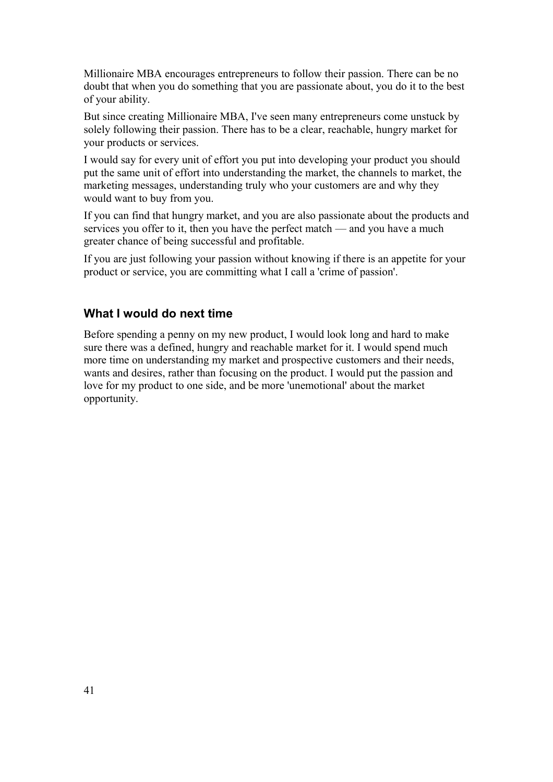Millionaire MBA encourages entrepreneurs to follow their passion. There can be no doubt that when you do something that you are passionate about, you do it to the best of your ability.

But since creating Millionaire MBA, I've seen many entrepreneurs come unstuck by solely following their passion. There has to be a clear, reachable, hungry market for your products or services.

I would say for every unit of effort you put into developing your product you should put the same unit of effort into understanding the market, the channels to market, the marketing messages, understanding truly who your customers are and why they would want to buy from you.

If you can find that hungry market, and you are also passionate about the products and services you offer to it, then you have the perfect match — and you have a much greater chance of being successful and profitable.

If you are just following your passion without knowing if there is an appetite for your product or service, you are committing what I call a 'crime of passion'.

#### **What I would do next time**

Before spending a penny on my new product, I would look long and hard to make sure there was a defined, hungry and reachable market for it. I would spend much more time on understanding my market and prospective customers and their needs, wants and desires, rather than focusing on the product. I would put the passion and love for my product to one side, and be more 'unemotional' about the market opportunity.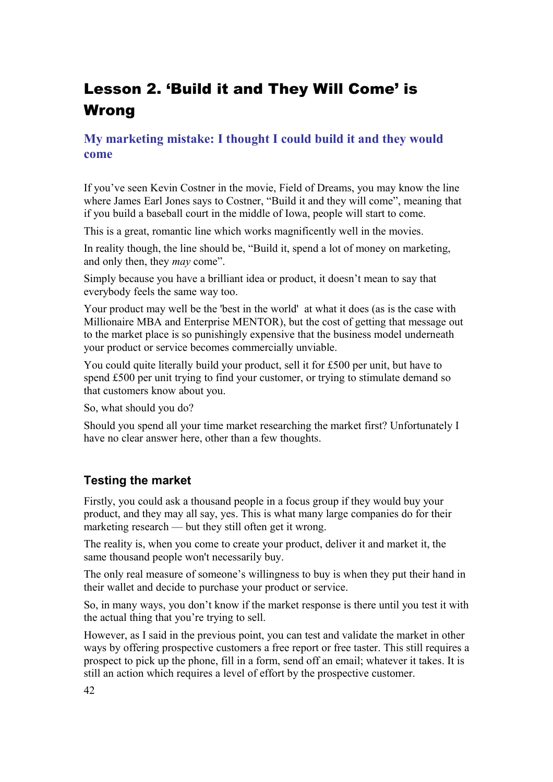# Lesson 2. 'Build it and They Will Come' is Wrong

# **My marketing mistake: I thought I could build it and they would come**

If you've seen Kevin Costner in the movie, Field of Dreams, you may know the line where James Earl Jones says to Costner, "Build it and they will come", meaning that if you build a baseball court in the middle of Iowa, people will start to come.

This is a great, romantic line which works magnificently well in the movies.

In reality though, the line should be, "Build it, spend a lot of money on marketing, and only then, they *may* come".

Simply because you have a brilliant idea or product, it doesn't mean to say that everybody feels the same way too.

Your product may well be the 'best in the world' at what it does (as is the case with Millionaire MBA and Enterprise MENTOR), but the cost of getting that message out to the market place is so punishingly expensive that the business model underneath your product or service becomes commercially unviable.

You could quite literally build your product, sell it for £500 per unit, but have to spend £500 per unit trying to find your customer, or trying to stimulate demand so that customers know about you.

So, what should you do?

Should you spend all your time market researching the market first? Unfortunately I have no clear answer here, other than a few thoughts.

# **Testing the market**

Firstly, you could ask a thousand people in a focus group if they would buy your product, and they may all say, yes. This is what many large companies do for their marketing research — but they still often get it wrong.

The reality is, when you come to create your product, deliver it and market it, the same thousand people won't necessarily buy.

The only real measure of someone's willingness to buy is when they put their hand in their wallet and decide to purchase your product or service.

So, in many ways, you don't know if the market response is there until you test it with the actual thing that you're trying to sell.

However, as I said in the previous point, you can test and validate the market in other ways by offering prospective customers a free report or free taster. This still requires a prospect to pick up the phone, fill in a form, send off an email; whatever it takes. It is still an action which requires a level of effort by the prospective customer.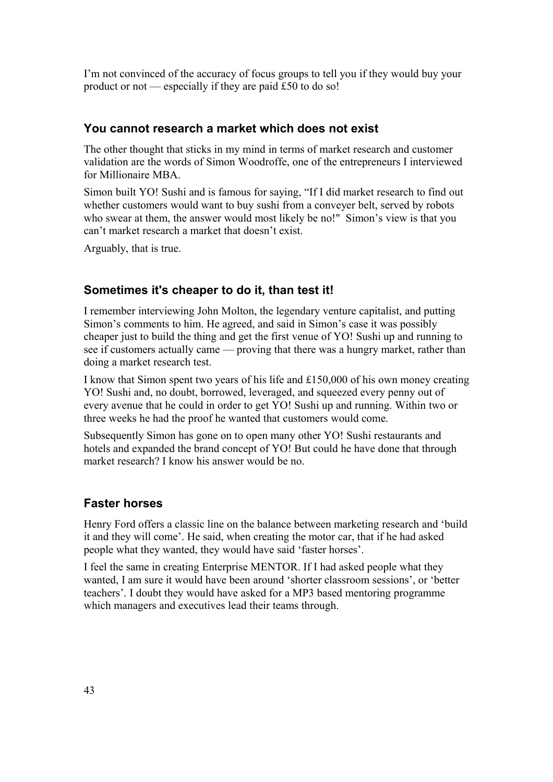I'm not convinced of the accuracy of focus groups to tell you if they would buy your product or not — especially if they are paid £50 to do so!

#### **You cannot research a market which does not exist**

The other thought that sticks in my mind in terms of market research and customer validation are the words of Simon Woodroffe, one of the entrepreneurs I interviewed for Millionaire MBA.

Simon built YO! Sushi and is famous for saying, "If I did market research to find out whether customers would want to buy sushi from a conveyer belt, served by robots who swear at them, the answer would most likely be no!" Simon's view is that you can't market research a market that doesn't exist.

Arguably, that is true.

### **Sometimes it's cheaper to do it, than test it!**

I remember interviewing John Molton, the legendary venture capitalist, and putting Simon's comments to him. He agreed, and said in Simon's case it was possibly cheaper just to build the thing and get the first venue of YO! Sushi up and running to see if customers actually came — proving that there was a hungry market, rather than doing a market research test.

I know that Simon spent two years of his life and £150,000 of his own money creating YO! Sushi and, no doubt, borrowed, leveraged, and squeezed every penny out of every avenue that he could in order to get YO! Sushi up and running. Within two or three weeks he had the proof he wanted that customers would come.

Subsequently Simon has gone on to open many other YO! Sushi restaurants and hotels and expanded the brand concept of YO! But could he have done that through market research? I know his answer would be no.

### **Faster horses**

Henry Ford offers a classic line on the balance between marketing research and 'build it and they will come'. He said, when creating the motor car, that if he had asked people what they wanted, they would have said 'faster horses'.

I feel the same in creating Enterprise MENTOR. If I had asked people what they wanted, I am sure it would have been around 'shorter classroom sessions', or 'better teachers'. I doubt they would have asked for a MP3 based mentoring programme which managers and executives lead their teams through.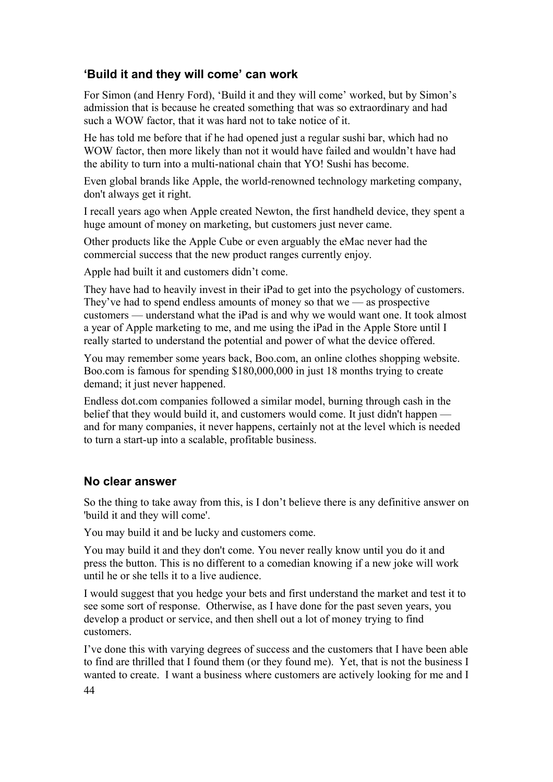## **'Build it and they will come' can work**

For Simon (and Henry Ford), 'Build it and they will come' worked, but by Simon's admission that is because he created something that was so extraordinary and had such a WOW factor, that it was hard not to take notice of it.

He has told me before that if he had opened just a regular sushi bar, which had no WOW factor, then more likely than not it would have failed and wouldn't have had the ability to turn into a multi-national chain that YO! Sushi has become.

Even global brands like Apple, the world-renowned technology marketing company, don't always get it right.

I recall years ago when Apple created Newton, the first handheld device, they spent a huge amount of money on marketing, but customers just never came.

Other products like the Apple Cube or even arguably the eMac never had the commercial success that the new product ranges currently enjoy.

Apple had built it and customers didn't come.

They have had to heavily invest in their iPad to get into the psychology of customers. They've had to spend endless amounts of money so that we — as prospective customers — understand what the iPad is and why we would want one. It took almost a year of Apple marketing to me, and me using the iPad in the Apple Store until I really started to understand the potential and power of what the device offered.

You may remember some years back, Boo.com, an online clothes shopping website. Boo.com is famous for spending \$180,000,000 in just 18 months trying to create demand; it just never happened.

Endless dot.com companies followed a similar model, burning through cash in the belief that they would build it, and customers would come. It just didn't happen and for many companies, it never happens, certainly not at the level which is needed to turn a start-up into a scalable, profitable business.

#### **No clear answer**

So the thing to take away from this, is I don't believe there is any definitive answer on 'build it and they will come'.

You may build it and be lucky and customers come.

You may build it and they don't come. You never really know until you do it and press the button. This is no different to a comedian knowing if a new joke will work until he or she tells it to a live audience.

I would suggest that you hedge your bets and first understand the market and test it to see some sort of response. Otherwise, as I have done for the past seven years, you develop a product or service, and then shell out a lot of money trying to find customers.

I've done this with varying degrees of success and the customers that I have been able to find are thrilled that I found them (or they found me). Yet, that is not the business I wanted to create. I want a business where customers are actively looking for me and I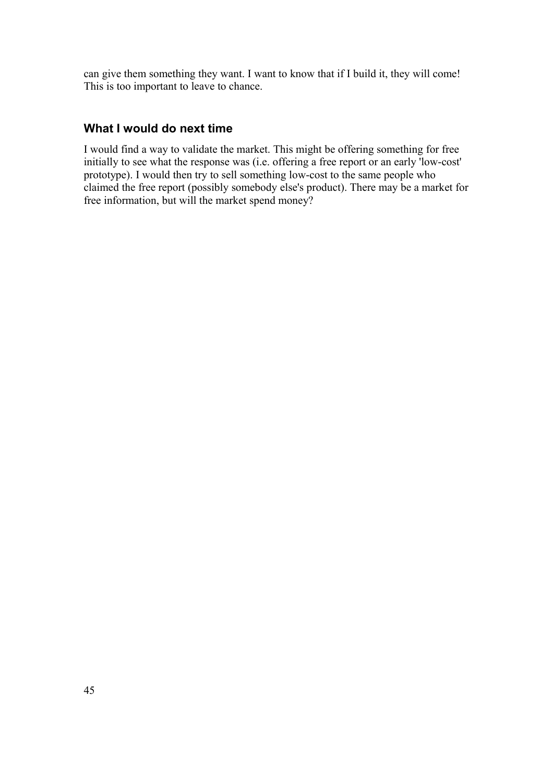can give them something they want. I want to know that if I build it, they will come! This is too important to leave to chance.

### **What I would do next time**

I would find a way to validate the market. This might be offering something for free initially to see what the response was (i.e. offering a free report or an early 'low-cost' prototype). I would then try to sell something low-cost to the same people who claimed the free report (possibly somebody else's product). There may be a market for free information, but will the market spend money?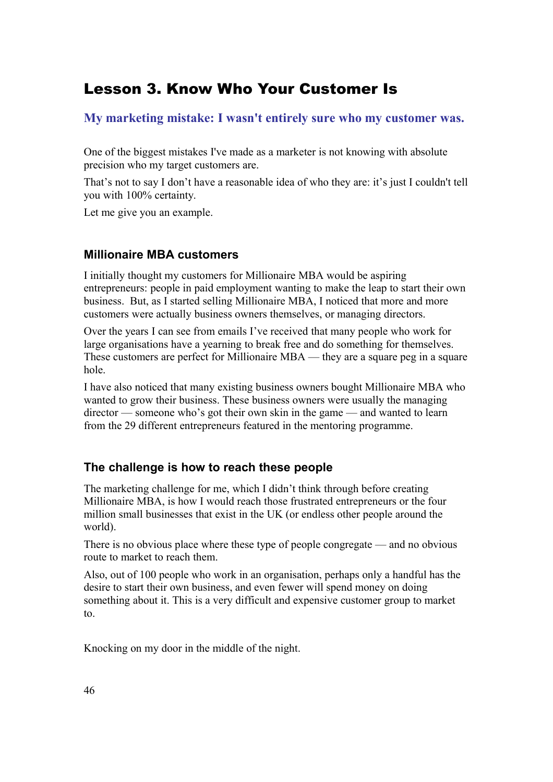# Lesson 3. Know Who Your Customer Is

# **My marketing mistake: I wasn't entirely sure who my customer was.**

One of the biggest mistakes I've made as a marketer is not knowing with absolute precision who my target customers are.

That's not to say I don't have a reasonable idea of who they are: it's just I couldn't tell you with 100% certainty.

Let me give you an example.

### **Millionaire MBA customers**

I initially thought my customers for Millionaire MBA would be aspiring entrepreneurs: people in paid employment wanting to make the leap to start their own business. But, as I started selling Millionaire MBA, I noticed that more and more customers were actually business owners themselves, or managing directors.

Over the years I can see from emails I've received that many people who work for large organisations have a yearning to break free and do something for themselves. These customers are perfect for Millionaire MBA — they are a square peg in a square hole.

I have also noticed that many existing business owners bought Millionaire MBA who wanted to grow their business. These business owners were usually the managing director — someone who's got their own skin in the game — and wanted to learn from the 29 different entrepreneurs featured in the mentoring programme.

# **The challenge is how to reach these people**

The marketing challenge for me, which I didn't think through before creating Millionaire MBA, is how I would reach those frustrated entrepreneurs or the four million small businesses that exist in the UK (or endless other people around the world).

There is no obvious place where these type of people congregate — and no obvious route to market to reach them.

Also, out of 100 people who work in an organisation, perhaps only a handful has the desire to start their own business, and even fewer will spend money on doing something about it. This is a very difficult and expensive customer group to market to.

Knocking on my door in the middle of the night.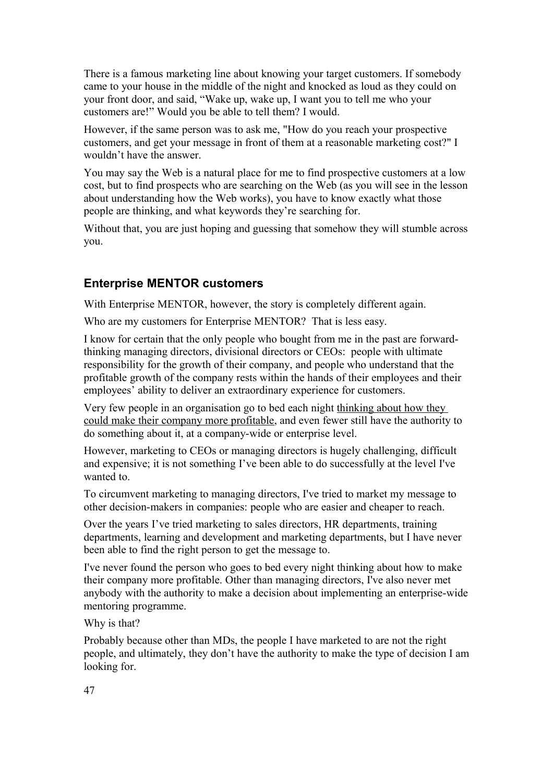There is a famous marketing line about knowing your target customers. If somebody came to your house in the middle of the night and knocked as loud as they could on your front door, and said, "Wake up, wake up, I want you to tell me who your customers are!" Would you be able to tell them? I would.

However, if the same person was to ask me, "How do you reach your prospective customers, and get your message in front of them at a reasonable marketing cost?" I wouldn't have the answer.

You may say the Web is a natural place for me to find prospective customers at a low cost, but to find prospects who are searching on the Web (as you will see in the lesson about understanding how the Web works), you have to know exactly what those people are thinking, and what keywords they're searching for.

Without that, you are just hoping and guessing that somehow they will stumble across you.

#### **Enterprise MENTOR customers**

With Enterprise MENTOR, however, the story is completely different again.

Who are my customers for Enterprise MENTOR? That is less easy.

I know for certain that the only people who bought from me in the past are forwardthinking managing directors, divisional directors or CEOs: people with ultimate responsibility for the growth of their company, and people who understand that the profitable growth of the company rests within the hands of their employees and their employees' ability to deliver an extraordinary experience for customers.

Very few people in an organisation go to bed each night thinking about how they could make their company more profitable, and even fewer still have the authority to do something about it, at a company-wide or enterprise level.

However, marketing to CEOs or managing directors is hugely challenging, difficult and expensive; it is not something I've been able to do successfully at the level I've wanted to.

To circumvent marketing to managing directors, I've tried to market my message to other decision-makers in companies: people who are easier and cheaper to reach.

Over the years I've tried marketing to sales directors, HR departments, training departments, learning and development and marketing departments, but I have never been able to find the right person to get the message to.

I've never found the person who goes to bed every night thinking about how to make their company more profitable. Other than managing directors, I've also never met anybody with the authority to make a decision about implementing an enterprise-wide mentoring programme.

Why is that?

Probably because other than MDs, the people I have marketed to are not the right people, and ultimately, they don't have the authority to make the type of decision I am looking for.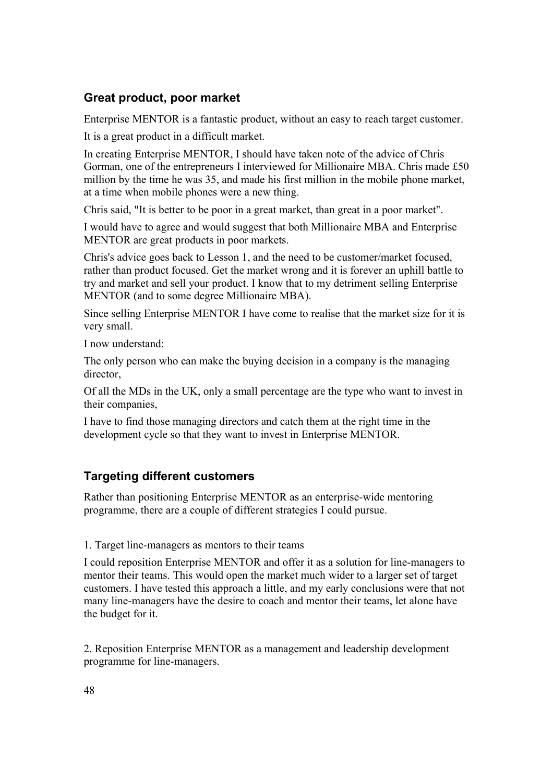## **Great product, poor market**

Enterprise MENTOR is a fantastic product, without an easy to reach target customer.

It is a great product in a difficult market.

In creating Enterprise MENTOR, I should have taken note of the advice of Chris Gorman, one of the entrepreneurs I interviewed for Millionaire MBA. Chris made £50 million by the time he was 35, and made his first million in the mobile phone market, at a time when mobile phones were a new thing.

Chris said, "It is better to be poor in a great market, than great in a poor market".

I would have to agree and would suggest that both Millionaire MBA and Enterprise MENTOR are great products in poor markets.

Chris's advice goes back to Lesson 1, and the need to be customer/market focused, rather than product focused. Get the market wrong and it is forever an uphill battle to try and market and sell your product. I know that to my detriment selling Enterprise MENTOR (and to some degree Millionaire MBA).

Since selling Enterprise MENTOR I have come to realise that the market size for it is very small.

I now understand:

The only person who can make the buying decision in a company is the managing director

Of all the MDs in the UK, only a small percentage are the type who want to invest in their companies,

I have to find those managing directors and catch them at the right time in the development cycle so that they want to invest in Enterprise MENTOR.

# **Targeting different customers**

Rather than positioning Enterprise MENTOR as an enterprise-wide mentoring programme, there are a couple of different strategies I could pursue.

#### 1. Target line-managers as mentors to their teams

I could reposition Enterprise MENTOR and offer it as a solution for line-managers to mentor their teams. This would open the market much wider to a larger set of target customers. I have tested this approach a little, and my early conclusions were that not many line-managers have the desire to coach and mentor their teams, let alone have the budget for it.

2. Reposition Enterprise MENTOR as a management and leadership development programme for line-managers.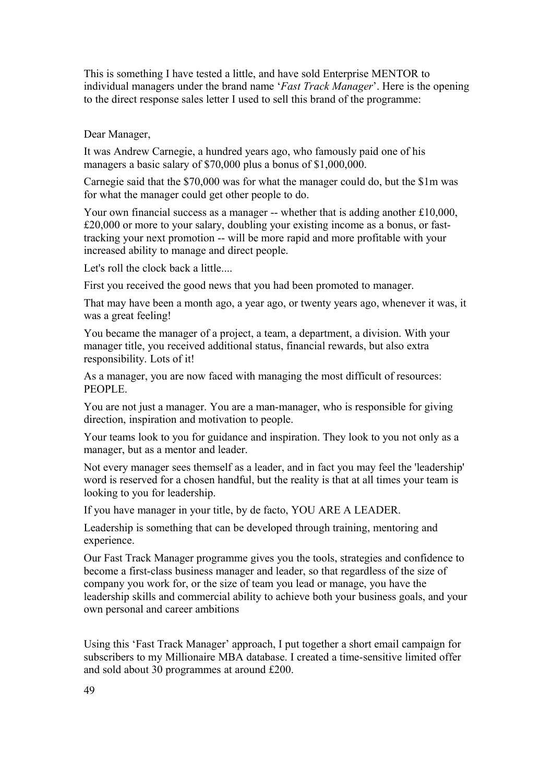This is something I have tested a little, and have sold Enterprise MENTOR to individual managers under the brand name '*Fast Track Manager*'. Here is the opening to the direct response sales letter I used to sell this brand of the programme:

Dear Manager,

It was Andrew Carnegie, a hundred years ago, who famously paid one of his managers a basic salary of \$70,000 plus a bonus of \$1,000,000.

Carnegie said that the \$70,000 was for what the manager could do, but the \$1m was for what the manager could get other people to do.

Your own financial success as a manager -- whether that is adding another £10,000, £20,000 or more to your salary, doubling your existing income as a bonus, or fasttracking your next promotion -- will be more rapid and more profitable with your increased ability to manage and direct people.

Let's roll the clock back a little....

First you received the good news that you had been promoted to manager.

That may have been a month ago, a year ago, or twenty years ago, whenever it was, it was a great feeling!

You became the manager of a project, a team, a department, a division. With your manager title, you received additional status, financial rewards, but also extra responsibility. Lots of it!

As a manager, you are now faced with managing the most difficult of resources: PEOPLE.

You are not just a manager. You are a man-manager, who is responsible for giving direction, inspiration and motivation to people.

Your teams look to you for guidance and inspiration. They look to you not only as a manager, but as a mentor and leader.

Not every manager sees themself as a leader, and in fact you may feel the 'leadership' word is reserved for a chosen handful, but the reality is that at all times your team is looking to you for leadership.

If you have manager in your title, by de facto, YOU ARE A LEADER.

Leadership is something that can be developed through training, mentoring and experience.

Our Fast Track Manager programme gives you the tools, strategies and confidence to become a first-class business manager and leader, so that regardless of the size of company you work for, or the size of team you lead or manage, you have the leadership skills and commercial ability to achieve both your business goals, and your own personal and career ambitions

Using this 'Fast Track Manager' approach, I put together a short email campaign for subscribers to my Millionaire MBA database. I created a time-sensitive limited offer and sold about 30 programmes at around £200.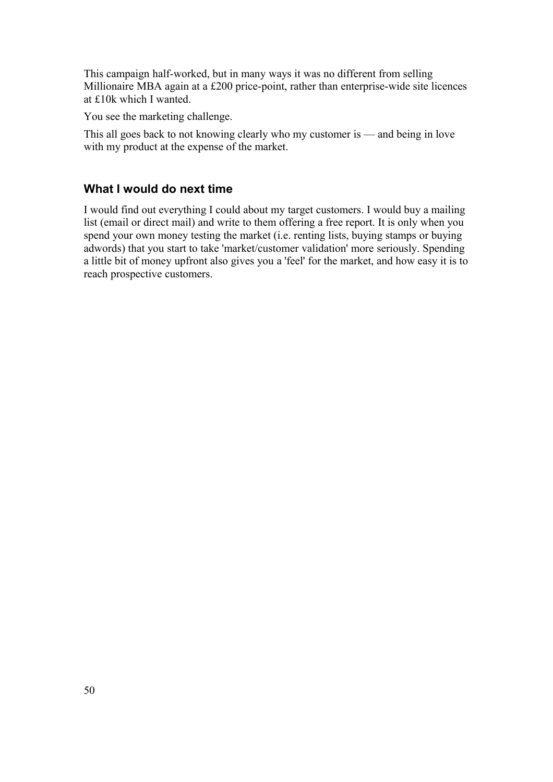This campaign half-worked, but in many ways it was no different from selling Millionaire MBA again at a £200 price-point, rather than enterprise-wide site licences at £10k which I wanted.

You see the marketing challenge.

This all goes back to not knowing clearly who my customer is — and being in love with my product at the expense of the market.

#### **What I would do next time**

I would find out everything I could about my target customers. I would buy a mailing list (email or direct mail) and write to them offering a free report. It is only when you spend your own money testing the market (i.e. renting lists, buying stamps or buying adwords) that you start to take 'market/customer validation' more seriously. Spending a little bit of money upfront also gives you a 'feel' for the market, and how easy it is to reach prospective customers.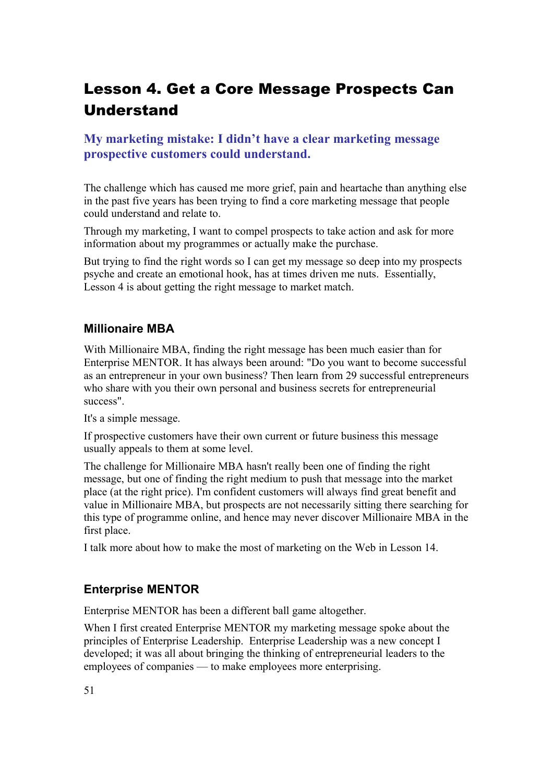# Lesson 4. Get a Core Message Prospects Can Understand

## **My marketing mistake: I didn't have a clear marketing message prospective customers could understand.**

The challenge which has caused me more grief, pain and heartache than anything else in the past five years has been trying to find a core marketing message that people could understand and relate to.

Through my marketing, I want to compel prospects to take action and ask for more information about my programmes or actually make the purchase.

But trying to find the right words so I can get my message so deep into my prospects psyche and create an emotional hook, has at times driven me nuts. Essentially, Lesson 4 is about getting the right message to market match.

#### **Millionaire MBA**

With Millionaire MBA, finding the right message has been much easier than for Enterprise MENTOR. It has always been around: "Do you want to become successful as an entrepreneur in your own business? Then learn from 29 successful entrepreneurs who share with you their own personal and business secrets for entrepreneurial success".

It's a simple message.

If prospective customers have their own current or future business this message usually appeals to them at some level.

The challenge for Millionaire MBA hasn't really been one of finding the right message, but one of finding the right medium to push that message into the market place (at the right price). I'm confident customers will always find great benefit and value in Millionaire MBA, but prospects are not necessarily sitting there searching for this type of programme online, and hence may never discover Millionaire MBA in the first place.

I talk more about how to make the most of marketing on the Web in Lesson 14.

### **Enterprise MENTOR**

Enterprise MENTOR has been a different ball game altogether.

When I first created Enterprise MENTOR my marketing message spoke about the principles of Enterprise Leadership. Enterprise Leadership was a new concept I developed; it was all about bringing the thinking of entrepreneurial leaders to the employees of companies — to make employees more enterprising.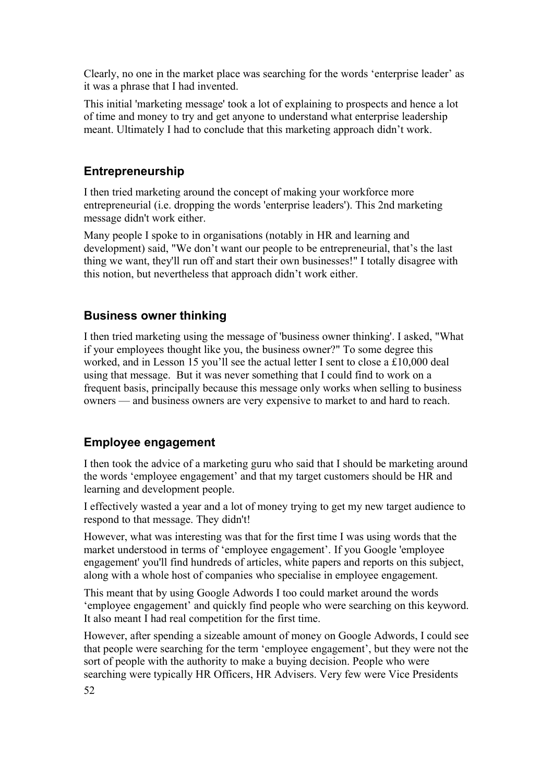Clearly, no one in the market place was searching for the words 'enterprise leader' as it was a phrase that I had invented.

This initial 'marketing message' took a lot of explaining to prospects and hence a lot of time and money to try and get anyone to understand what enterprise leadership meant. Ultimately I had to conclude that this marketing approach didn't work.

#### **Entrepreneurship**

I then tried marketing around the concept of making your workforce more entrepreneurial (i.e. dropping the words 'enterprise leaders'). This 2nd marketing message didn't work either.

Many people I spoke to in organisations (notably in HR and learning and development) said, "We don't want our people to be entrepreneurial, that's the last thing we want, they'll run off and start their own businesses!" I totally disagree with this notion, but nevertheless that approach didn't work either.

#### **Business owner thinking**

I then tried marketing using the message of 'business owner thinking'. I asked, "What if your employees thought like you, the business owner?" To some degree this worked, and in Lesson 15 you'll see the actual letter I sent to close a £10,000 deal using that message. But it was never something that I could find to work on a frequent basis, principally because this message only works when selling to business owners — and business owners are very expensive to market to and hard to reach.

### **Employee engagement**

I then took the advice of a marketing guru who said that I should be marketing around the words 'employee engagement' and that my target customers should be HR and learning and development people.

I effectively wasted a year and a lot of money trying to get my new target audience to respond to that message. They didn't!

However, what was interesting was that for the first time I was using words that the market understood in terms of 'employee engagement'. If you Google 'employee engagement' you'll find hundreds of articles, white papers and reports on this subject, along with a whole host of companies who specialise in employee engagement.

This meant that by using Google Adwords I too could market around the words 'employee engagement' and quickly find people who were searching on this keyword. It also meant I had real competition for the first time.

However, after spending a sizeable amount of money on Google Adwords, I could see that people were searching for the term 'employee engagement', but they were not the sort of people with the authority to make a buying decision. People who were searching were typically HR Officers, HR Advisers. Very few were Vice Presidents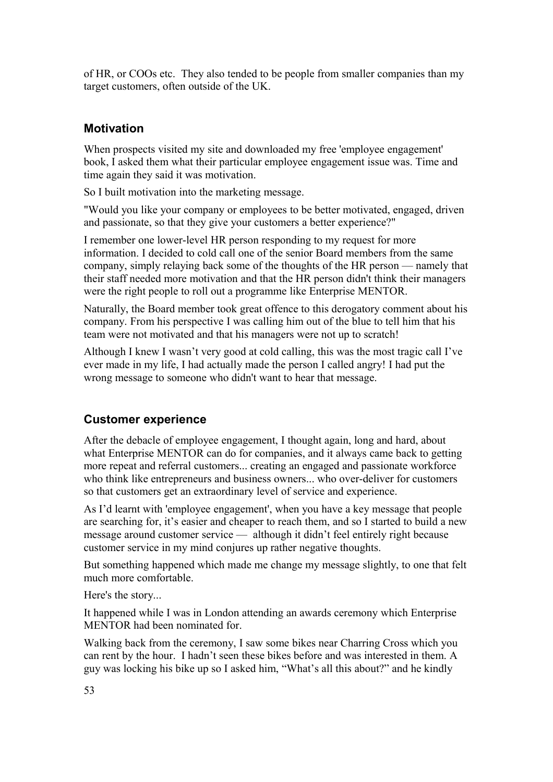of HR, or COOs etc. They also tended to be people from smaller companies than my target customers, often outside of the UK.

## **Motivation**

When prospects visited my site and downloaded my free 'employee engagement' book, I asked them what their particular employee engagement issue was. Time and time again they said it was motivation.

So I built motivation into the marketing message.

"Would you like your company or employees to be better motivated, engaged, driven and passionate, so that they give your customers a better experience?"

I remember one lower-level HR person responding to my request for more information. I decided to cold call one of the senior Board members from the same company, simply relaying back some of the thoughts of the HR person — namely that their staff needed more motivation and that the HR person didn't think their managers were the right people to roll out a programme like Enterprise MENTOR.

Naturally, the Board member took great offence to this derogatory comment about his company. From his perspective I was calling him out of the blue to tell him that his team were not motivated and that his managers were not up to scratch!

Although I knew I wasn't very good at cold calling, this was the most tragic call I've ever made in my life, I had actually made the person I called angry! I had put the wrong message to someone who didn't want to hear that message.

# **Customer experience**

After the debacle of employee engagement, I thought again, long and hard, about what Enterprise MENTOR can do for companies, and it always came back to getting more repeat and referral customers... creating an engaged and passionate workforce who think like entrepreneurs and business owners... who over-deliver for customers so that customers get an extraordinary level of service and experience.

As I'd learnt with 'employee engagement', when you have a key message that people are searching for, it's easier and cheaper to reach them, and so I started to build a new message around customer service — although it didn't feel entirely right because customer service in my mind conjures up rather negative thoughts.

But something happened which made me change my message slightly, to one that felt much more comfortable.

Here's the story...

It happened while I was in London attending an awards ceremony which Enterprise MENTOR had been nominated for.

Walking back from the ceremony, I saw some bikes near Charring Cross which you can rent by the hour. I hadn't seen these bikes before and was interested in them. A guy was locking his bike up so I asked him, "What's all this about?" and he kindly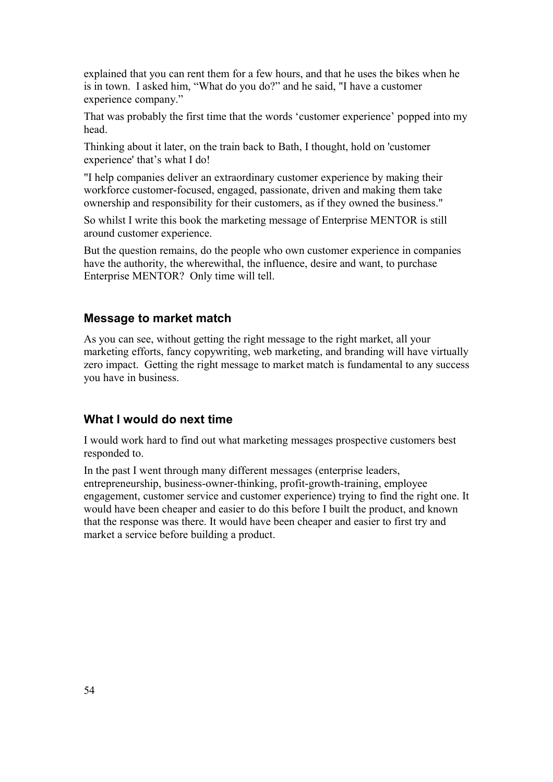explained that you can rent them for a few hours, and that he uses the bikes when he is in town. I asked him, "What do you do?" and he said, "I have a customer experience company."

That was probably the first time that the words 'customer experience' popped into my head.

Thinking about it later, on the train back to Bath, I thought, hold on 'customer experience' that's what I do!

"I help companies deliver an extraordinary customer experience by making their workforce customer-focused, engaged, passionate, driven and making them take ownership and responsibility for their customers, as if they owned the business."

So whilst I write this book the marketing message of Enterprise MENTOR is still around customer experience.

But the question remains, do the people who own customer experience in companies have the authority, the wherewithal, the influence, desire and want, to purchase Enterprise MENTOR? Only time will tell.

#### **Message to market match**

As you can see, without getting the right message to the right market, all your marketing efforts, fancy copywriting, web marketing, and branding will have virtually zero impact. Getting the right message to market match is fundamental to any success you have in business.

#### **What I would do next time**

I would work hard to find out what marketing messages prospective customers best responded to.

In the past I went through many different messages (enterprise leaders, entrepreneurship, business-owner-thinking, profit-growth-training, employee engagement, customer service and customer experience) trying to find the right one. It would have been cheaper and easier to do this before I built the product, and known that the response was there. It would have been cheaper and easier to first try and market a service before building a product.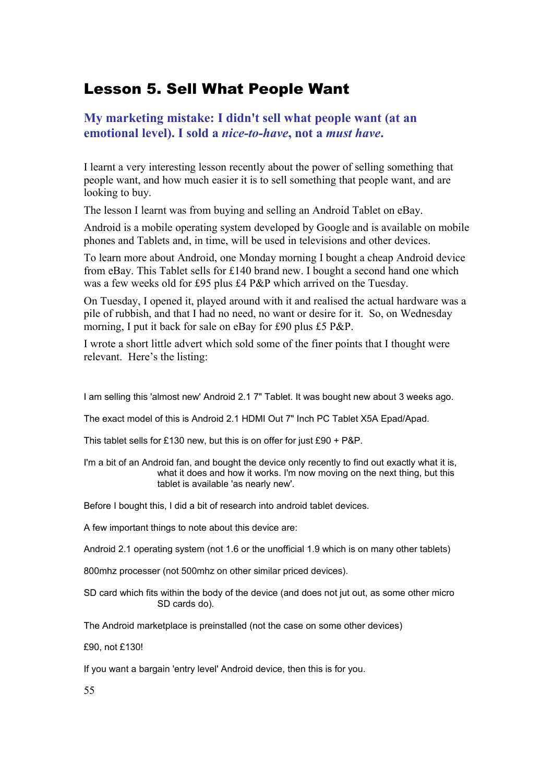# Lesson 5. Sell What People Want

## **My marketing mistake: I didn't sell what people want (at an emotional level). I sold a** *nice-to-have***, not a** *must have***.**

I learnt a very interesting lesson recently about the power of selling something that people want, and how much easier it is to sell something that people want, and are looking to buy.

The lesson I learnt was from buying and selling an Android Tablet on eBay.

Android is a mobile operating system developed by Google and is available on mobile phones and Tablets and, in time, will be used in televisions and other devices.

To learn more about Android, one Monday morning I bought a cheap Android device from eBay. This Tablet sells for £140 brand new. I bought a second hand one which was a few weeks old for £95 plus £4 P&P which arrived on the Tuesday.

On Tuesday, I opened it, played around with it and realised the actual hardware was a pile of rubbish, and that I had no need, no want or desire for it. So, on Wednesday morning, I put it back for sale on eBay for £90 plus £5 P&P.

I wrote a short little advert which sold some of the finer points that I thought were relevant. Here's the listing:

I am selling this 'almost new' Android 2.1 7" Tablet. It was bought new about 3 weeks ago.

The exact model of this is Android 2.1 HDMI Out 7" Inch PC Tablet X5A Epad/Apad.

This tablet sells for £130 new, but this is on offer for just £90 + P&P.

I'm a bit of an Android fan, and bought the device only recently to find out exactly what it is, what it does and how it works. I'm now moving on the next thing, but this tablet is available 'as nearly new'.

Before I bought this, I did a bit of research into android tablet devices.

A few important things to note about this device are:

Android 2.1 operating system (not 1.6 or the unofficial 1.9 which is on many other tablets)

800mhz processer (not 500mhz on other similar priced devices).

SD card which fits within the body of the device (and does not jut out, as some other micro SD cards do).

The Android marketplace is preinstalled (not the case on some other devices)

£90, not £130!

If you want a bargain 'entry level' Android device, then this is for you.

55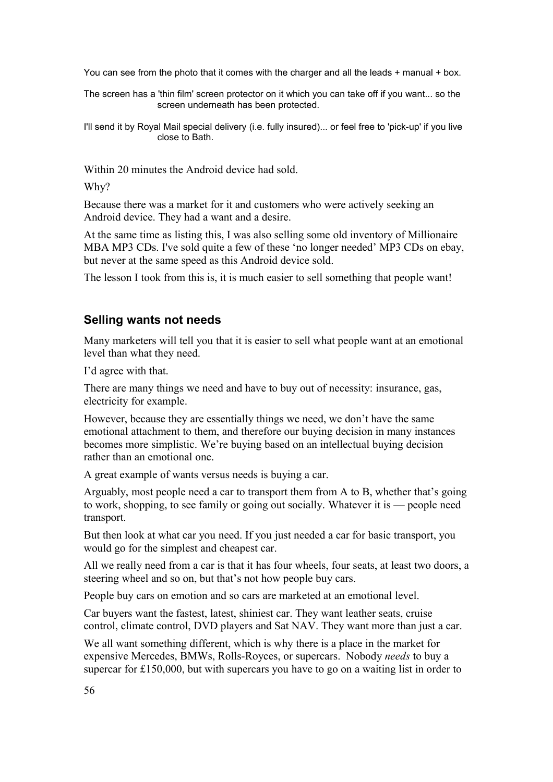You can see from the photo that it comes with the charger and all the leads + manual + box.

The screen has a 'thin film' screen protector on it which you can take off if you want... so the screen underneath has been protected.

I'll send it by Royal Mail special delivery (i.e. fully insured)... or feel free to 'pick-up' if you live close to Bath.

Within 20 minutes the Android device had sold.

Why?

Because there was a market for it and customers who were actively seeking an Android device. They had a want and a desire.

At the same time as listing this, I was also selling some old inventory of Millionaire MBA MP3 CDs. I've sold quite a few of these 'no longer needed' MP3 CDs on ebay, but never at the same speed as this Android device sold.

The lesson I took from this is, it is much easier to sell something that people want!

#### **Selling wants not needs**

Many marketers will tell you that it is easier to sell what people want at an emotional level than what they need.

I'd agree with that.

There are many things we need and have to buy out of necessity: insurance, gas, electricity for example.

However, because they are essentially things we need, we don't have the same emotional attachment to them, and therefore our buying decision in many instances becomes more simplistic. We're buying based on an intellectual buying decision rather than an emotional one.

A great example of wants versus needs is buying a car.

Arguably, most people need a car to transport them from A to B, whether that's going to work, shopping, to see family or going out socially. Whatever it is — people need transport.

But then look at what car you need. If you just needed a car for basic transport, you would go for the simplest and cheapest car.

All we really need from a car is that it has four wheels, four seats, at least two doors, a steering wheel and so on, but that's not how people buy cars.

People buy cars on emotion and so cars are marketed at an emotional level.

Car buyers want the fastest, latest, shiniest car. They want leather seats, cruise control, climate control, DVD players and Sat NAV. They want more than just a car.

We all want something different, which is why there is a place in the market for expensive Mercedes, BMWs, Rolls-Royces, or supercars. Nobody *needs* to buy a supercar for £150,000, but with supercars you have to go on a waiting list in order to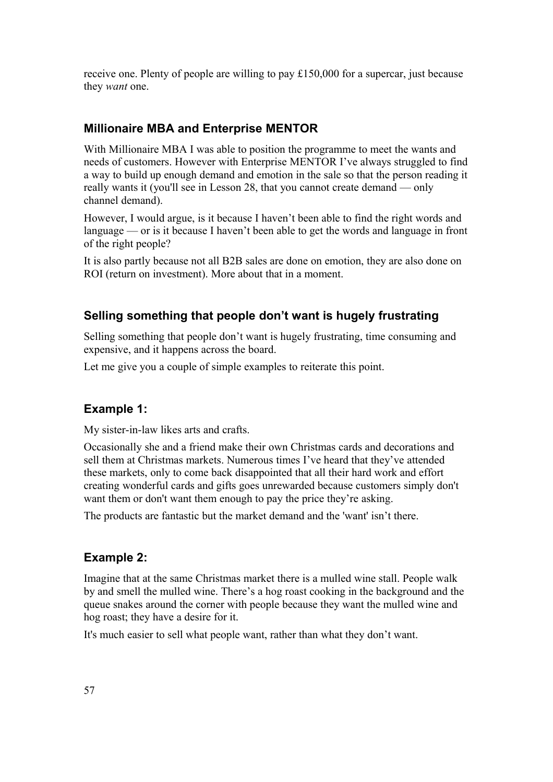receive one. Plenty of people are willing to pay £150,000 for a supercar, just because they *want* one.

## **Millionaire MBA and Enterprise MENTOR**

With Millionaire MBA I was able to position the programme to meet the wants and needs of customers. However with Enterprise MENTOR I've always struggled to find a way to build up enough demand and emotion in the sale so that the person reading it really wants it (you'll see in Lesson 28, that you cannot create demand — only channel demand).

However, I would argue, is it because I haven't been able to find the right words and language — or is it because I haven't been able to get the words and language in front of the right people?

It is also partly because not all B2B sales are done on emotion, they are also done on ROI (return on investment). More about that in a moment.

## **Selling something that people don't want is hugely frustrating**

Selling something that people don't want is hugely frustrating, time consuming and expensive, and it happens across the board.

Let me give you a couple of simple examples to reiterate this point.

### **Example 1:**

My sister-in-law likes arts and crafts.

Occasionally she and a friend make their own Christmas cards and decorations and sell them at Christmas markets. Numerous times I've heard that they've attended these markets, only to come back disappointed that all their hard work and effort creating wonderful cards and gifts goes unrewarded because customers simply don't want them or don't want them enough to pay the price they're asking.

The products are fantastic but the market demand and the 'want' isn't there.

### **Example 2:**

Imagine that at the same Christmas market there is a mulled wine stall. People walk by and smell the mulled wine. There's a hog roast cooking in the background and the queue snakes around the corner with people because they want the mulled wine and hog roast; they have a desire for it.

It's much easier to sell what people want, rather than what they don't want.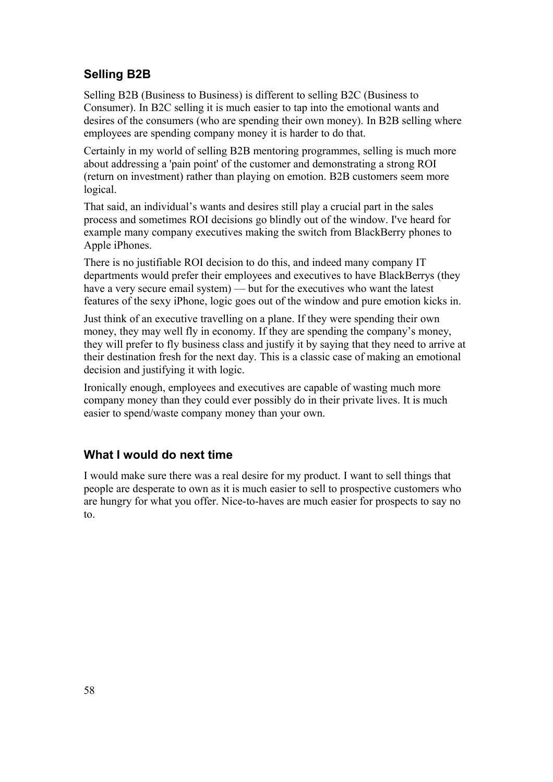# **Selling B2B**

Selling B2B (Business to Business) is different to selling B2C (Business to Consumer). In B2C selling it is much easier to tap into the emotional wants and desires of the consumers (who are spending their own money). In B2B selling where employees are spending company money it is harder to do that.

Certainly in my world of selling B2B mentoring programmes, selling is much more about addressing a 'pain point' of the customer and demonstrating a strong ROI (return on investment) rather than playing on emotion. B2B customers seem more logical.

That said, an individual's wants and desires still play a crucial part in the sales process and sometimes ROI decisions go blindly out of the window. I've heard for example many company executives making the switch from BlackBerry phones to Apple iPhones.

There is no justifiable ROI decision to do this, and indeed many company IT departments would prefer their employees and executives to have BlackBerrys (they have a very secure email system) — but for the executives who want the latest features of the sexy iPhone, logic goes out of the window and pure emotion kicks in.

Just think of an executive travelling on a plane. If they were spending their own money, they may well fly in economy. If they are spending the company's money, they will prefer to fly business class and justify it by saying that they need to arrive at their destination fresh for the next day. This is a classic case of making an emotional decision and justifying it with logic.

Ironically enough, employees and executives are capable of wasting much more company money than they could ever possibly do in their private lives. It is much easier to spend/waste company money than your own.

# **What I would do next time**

I would make sure there was a real desire for my product. I want to sell things that people are desperate to own as it is much easier to sell to prospective customers who are hungry for what you offer. Nice-to-haves are much easier for prospects to say no to.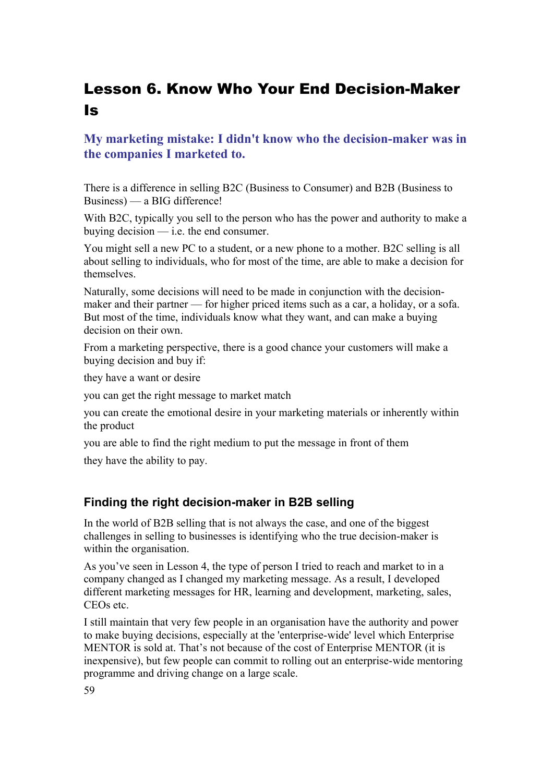# Lesson 6. Know Who Your End Decision-Maker Is

# **My marketing mistake: I didn't know who the decision-maker was in the companies I marketed to.**

There is a difference in selling B2C (Business to Consumer) and B2B (Business to Business) — a BIG difference!

With B2C, typically you sell to the person who has the power and authority to make a buying decision — i.e. the end consumer.

You might sell a new PC to a student, or a new phone to a mother. B2C selling is all about selling to individuals, who for most of the time, are able to make a decision for themselves.

Naturally, some decisions will need to be made in conjunction with the decisionmaker and their partner — for higher priced items such as a car, a holiday, or a sofa. But most of the time, individuals know what they want, and can make a buying decision on their own.

From a marketing perspective, there is a good chance your customers will make a buying decision and buy if:

they have a want or desire

you can get the right message to market match

you can create the emotional desire in your marketing materials or inherently within the product

you are able to find the right medium to put the message in front of them

they have the ability to pay.

#### **Finding the right decision-maker in B2B selling**

In the world of B2B selling that is not always the case, and one of the biggest challenges in selling to businesses is identifying who the true decision-maker is within the organisation.

As you've seen in Lesson 4, the type of person I tried to reach and market to in a company changed as I changed my marketing message. As a result, I developed different marketing messages for HR, learning and development, marketing, sales, CEOs etc.

I still maintain that very few people in an organisation have the authority and power to make buying decisions, especially at the 'enterprise-wide' level which Enterprise MENTOR is sold at. That's not because of the cost of Enterprise MENTOR (it is inexpensive), but few people can commit to rolling out an enterprise-wide mentoring programme and driving change on a large scale.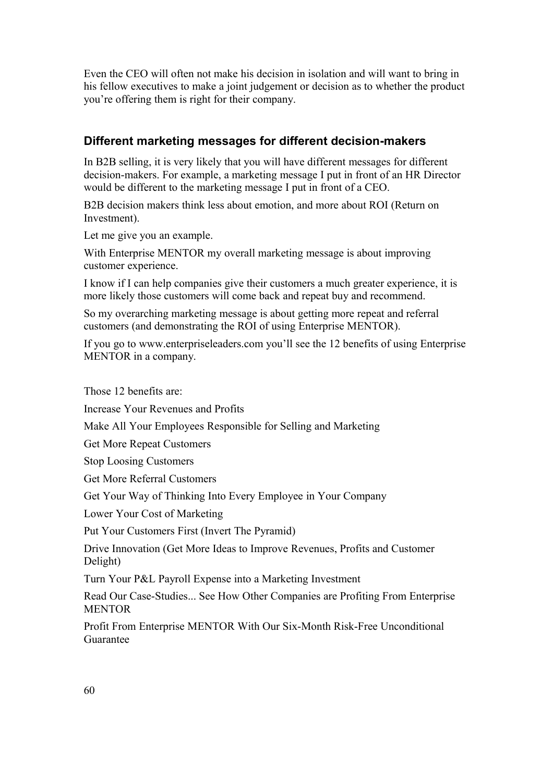Even the CEO will often not make his decision in isolation and will want to bring in his fellow executives to make a joint judgement or decision as to whether the product you're offering them is right for their company.

## **Different marketing messages for different decision-makers**

In B2B selling, it is very likely that you will have different messages for different decision-makers. For example, a marketing message I put in front of an HR Director would be different to the marketing message I put in front of a CEO.

B2B decision makers think less about emotion, and more about ROI (Return on Investment).

Let me give you an example.

With Enterprise MENTOR my overall marketing message is about improving customer experience.

I know if I can help companies give their customers a much greater experience, it is more likely those customers will come back and repeat buy and recommend.

So my overarching marketing message is about getting more repeat and referral customers (and demonstrating the ROI of using Enterprise MENTOR).

If you go to www.enterpriseleaders.com you'll see the 12 benefits of using Enterprise MENTOR in a company.

Those 12 benefits are:

Increase Your Revenues and Profits

Make All Your Employees Responsible for Selling and Marketing

Get More Repeat Customers

Stop Loosing Customers

Get More Referral Customers

Get Your Way of Thinking Into Every Employee in Your Company

Lower Your Cost of Marketing

Put Your Customers First (Invert The Pyramid)

Drive Innovation (Get More Ideas to Improve Revenues, Profits and Customer Delight)

Turn Your P&L Payroll Expense into a Marketing Investment

Read Our Case-Studies... See How Other Companies are Profiting From Enterprise **MENTOR** 

Profit From Enterprise MENTOR With Our Six-Month Risk-Free Unconditional Guarantee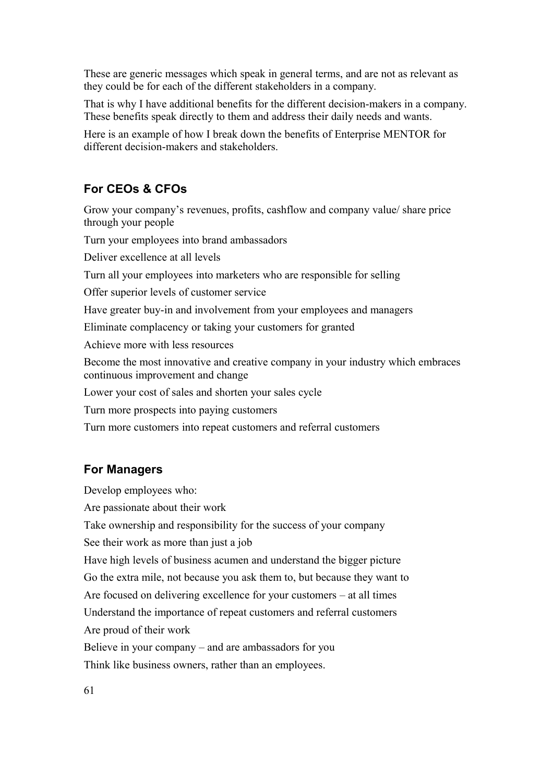These are generic messages which speak in general terms, and are not as relevant as they could be for each of the different stakeholders in a company.

That is why I have additional benefits for the different decision-makers in a company. These benefits speak directly to them and address their daily needs and wants.

Here is an example of how I break down the benefits of Enterprise MENTOR for different decision-makers and stakeholders.

## **For CEOs & CFOs**

Grow your company's revenues, profits, cashflow and company value/ share price through your people

Turn your employees into brand ambassadors

Deliver excellence at all levels

Turn all your employees into marketers who are responsible for selling

Offer superior levels of customer service

Have greater buy-in and involvement from your employees and managers

Eliminate complacency or taking your customers for granted

Achieve more with less resources

Become the most innovative and creative company in your industry which embraces continuous improvement and change

Lower your cost of sales and shorten your sales cycle

Turn more prospects into paying customers

Turn more customers into repeat customers and referral customers

#### **For Managers**

Develop employees who:

Are passionate about their work

Take ownership and responsibility for the success of your company

See their work as more than just a job

Have high levels of business acumen and understand the bigger picture Go the extra mile, not because you ask them to, but because they want to Are focused on delivering excellence for your customers – at all times Understand the importance of repeat customers and referral customers Are proud of their work

Believe in your company – and are ambassadors for you

Think like business owners, rather than an employees.

61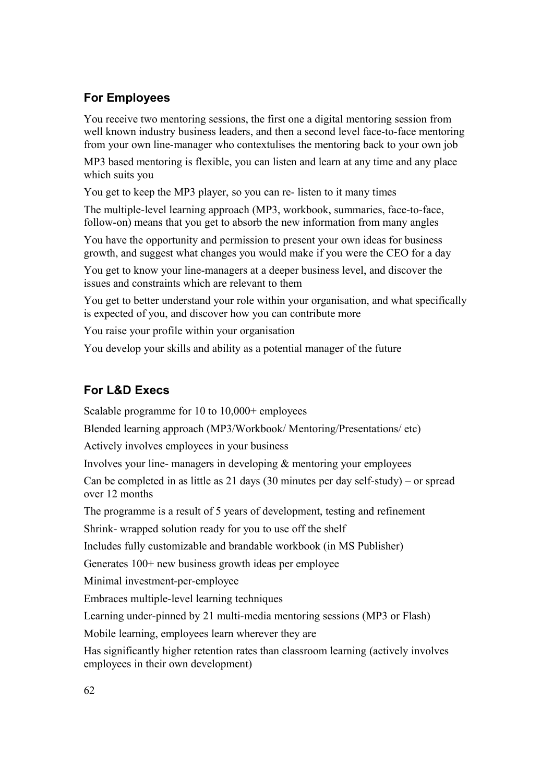# **For Employees**

You receive two mentoring sessions, the first one a digital mentoring session from well known industry business leaders, and then a second level face-to-face mentoring from your own line-manager who contextulises the mentoring back to your own job

MP3 based mentoring is flexible, you can listen and learn at any time and any place which suits you

You get to keep the MP3 player, so you can re- listen to it many times

The multiple-level learning approach (MP3, workbook, summaries, face-to-face, follow-on) means that you get to absorb the new information from many angles

You have the opportunity and permission to present your own ideas for business growth, and suggest what changes you would make if you were the CEO for a day

You get to know your line-managers at a deeper business level, and discover the issues and constraints which are relevant to them

You get to better understand your role within your organisation, and what specifically is expected of you, and discover how you can contribute more

You raise your profile within your organisation

You develop your skills and ability as a potential manager of the future

# **For L&D Execs**

Scalable programme for 10 to 10,000+ employees

Blended learning approach (MP3/Workbook/ Mentoring/Presentations/ etc)

Actively involves employees in your business

Involves your line- managers in developing & mentoring your employees

Can be completed in as little as 21 days (30 minutes per day self-study) – or spread over 12 months

The programme is a result of 5 years of development, testing and refinement

Shrink- wrapped solution ready for you to use off the shelf

Includes fully customizable and brandable workbook (in MS Publisher)

Generates 100+ new business growth ideas per employee

Minimal investment-per-employee

Embraces multiple-level learning techniques

Learning under-pinned by 21 multi-media mentoring sessions (MP3 or Flash)

Mobile learning, employees learn wherever they are

Has significantly higher retention rates than classroom learning (actively involves employees in their own development)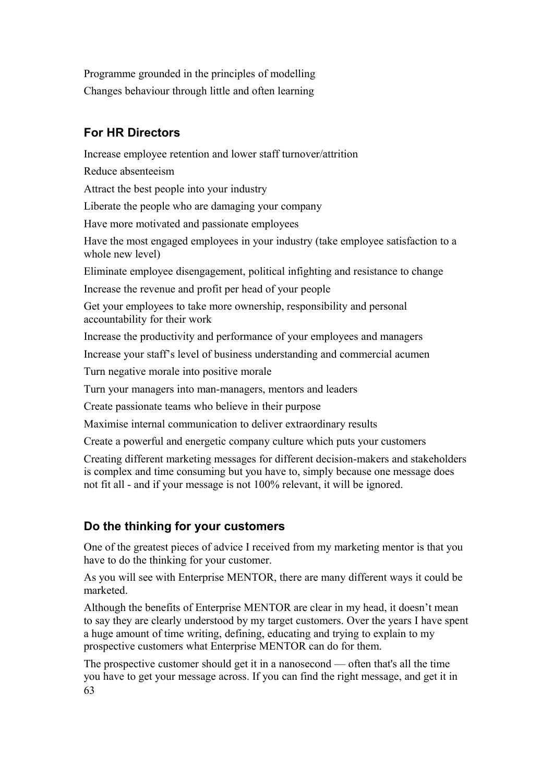Programme grounded in the principles of modelling Changes behaviour through little and often learning

# **For HR Directors**

Increase employee retention and lower staff turnover/attrition

Reduce absenteeism

Attract the best people into your industry

Liberate the people who are damaging your company

Have more motivated and passionate employees

Have the most engaged employees in your industry (take employee satisfaction to a whole new level)

Eliminate employee disengagement, political infighting and resistance to change

Increase the revenue and profit per head of your people

Get your employees to take more ownership, responsibility and personal accountability for their work

Increase the productivity and performance of your employees and managers

Increase your staff's level of business understanding and commercial acumen

Turn negative morale into positive morale

Turn your managers into man-managers, mentors and leaders

Create passionate teams who believe in their purpose

Maximise internal communication to deliver extraordinary results

Create a powerful and energetic company culture which puts your customers

Creating different marketing messages for different decision-makers and stakeholders is complex and time consuming but you have to, simply because one message does not fit all - and if your message is not 100% relevant, it will be ignored.

# **Do the thinking for your customers**

One of the greatest pieces of advice I received from my marketing mentor is that you have to do the thinking for your customer.

As you will see with Enterprise MENTOR, there are many different ways it could be marketed.

Although the benefits of Enterprise MENTOR are clear in my head, it doesn't mean to say they are clearly understood by my target customers. Over the years I have spent a huge amount of time writing, defining, educating and trying to explain to my prospective customers what Enterprise MENTOR can do for them.

The prospective customer should get it in a nanosecond — often that's all the time you have to get your message across. If you can find the right message, and get it in 63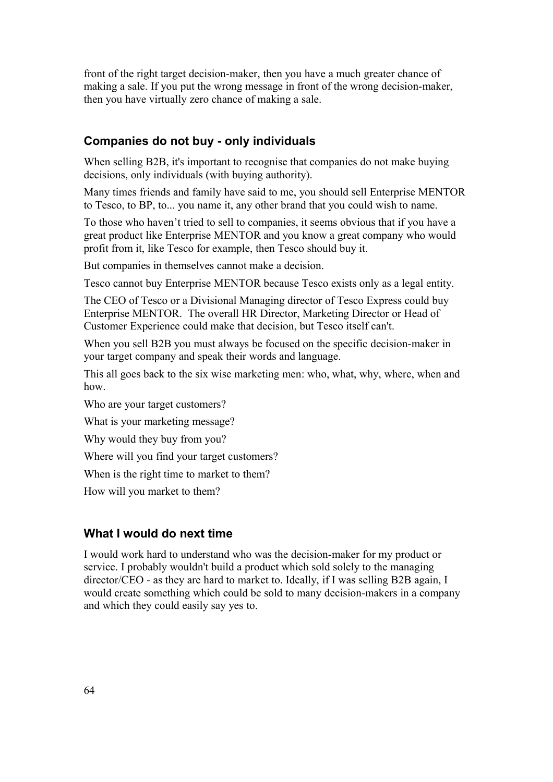front of the right target decision-maker, then you have a much greater chance of making a sale. If you put the wrong message in front of the wrong decision-maker, then you have virtually zero chance of making a sale.

### **Companies do not buy - only individuals**

When selling B2B, it's important to recognise that companies do not make buying decisions, only individuals (with buying authority).

Many times friends and family have said to me, you should sell Enterprise MENTOR to Tesco, to BP, to... you name it, any other brand that you could wish to name.

To those who haven't tried to sell to companies, it seems obvious that if you have a great product like Enterprise MENTOR and you know a great company who would profit from it, like Tesco for example, then Tesco should buy it.

But companies in themselves cannot make a decision.

Tesco cannot buy Enterprise MENTOR because Tesco exists only as a legal entity.

The CEO of Tesco or a Divisional Managing director of Tesco Express could buy Enterprise MENTOR. The overall HR Director, Marketing Director or Head of Customer Experience could make that decision, but Tesco itself can't.

When you sell B2B you must always be focused on the specific decision-maker in your target company and speak their words and language.

This all goes back to the six wise marketing men: who, what, why, where, when and how.

Who are your target customers?

What is your marketing message?

Why would they buy from you?

Where will you find your target customers?

When is the right time to market to them?

How will you market to them?

#### **What I would do next time**

I would work hard to understand who was the decision-maker for my product or service. I probably wouldn't build a product which sold solely to the managing director/CEO - as they are hard to market to. Ideally, if I was selling B2B again, I would create something which could be sold to many decision-makers in a company and which they could easily say yes to.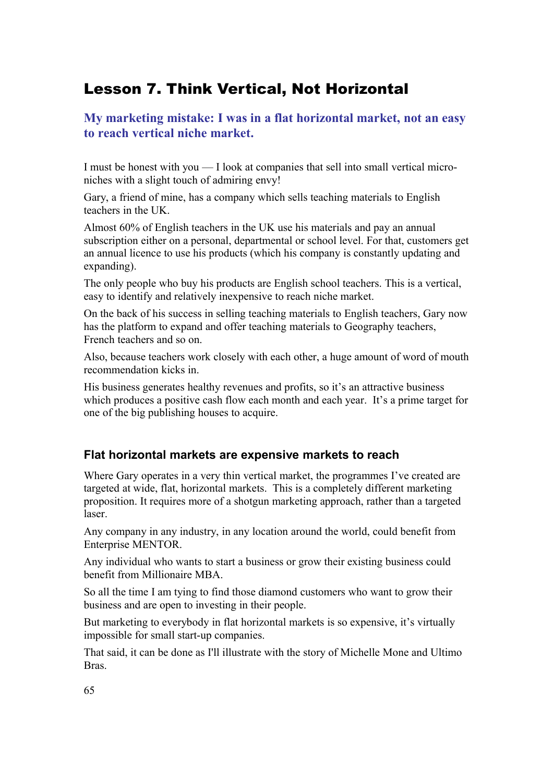# Lesson 7. Think Vertical, Not Horizontal

# **My marketing mistake: I was in a flat horizontal market, not an easy to reach vertical niche market.**

I must be honest with you — I look at companies that sell into small vertical microniches with a slight touch of admiring envy!

Gary, a friend of mine, has a company which sells teaching materials to English teachers in the UK.

Almost 60% of English teachers in the UK use his materials and pay an annual subscription either on a personal, departmental or school level. For that, customers get an annual licence to use his products (which his company is constantly updating and expanding).

The only people who buy his products are English school teachers. This is a vertical, easy to identify and relatively inexpensive to reach niche market.

On the back of his success in selling teaching materials to English teachers, Gary now has the platform to expand and offer teaching materials to Geography teachers, French teachers and so on.

Also, because teachers work closely with each other, a huge amount of word of mouth recommendation kicks in.

His business generates healthy revenues and profits, so it's an attractive business which produces a positive cash flow each month and each year. It's a prime target for one of the big publishing houses to acquire.

# **Flat horizontal markets are expensive markets to reach**

Where Gary operates in a very thin vertical market, the programmes I've created are targeted at wide, flat, horizontal markets. This is a completely different marketing proposition. It requires more of a shotgun marketing approach, rather than a targeted laser.

Any company in any industry, in any location around the world, could benefit from Enterprise MENTOR.

Any individual who wants to start a business or grow their existing business could benefit from Millionaire MBA.

So all the time I am tying to find those diamond customers who want to grow their business and are open to investing in their people.

But marketing to everybody in flat horizontal markets is so expensive, it's virtually impossible for small start-up companies.

That said, it can be done as I'll illustrate with the story of Michelle Mone and Ultimo Bras.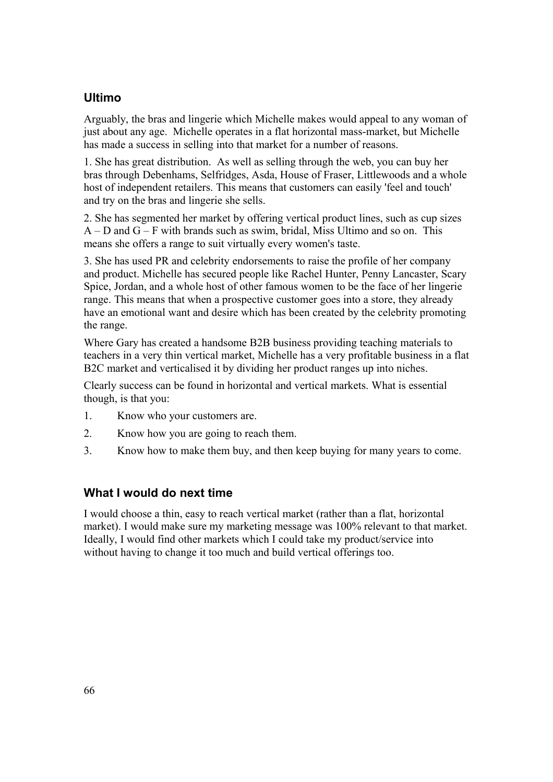# **Ultimo**

Arguably, the bras and lingerie which Michelle makes would appeal to any woman of just about any age. Michelle operates in a flat horizontal mass-market, but Michelle has made a success in selling into that market for a number of reasons.

1. She has great distribution. As well as selling through the web, you can buy her bras through Debenhams, Selfridges, Asda, House of Fraser, Littlewoods and a whole host of independent retailers. This means that customers can easily 'feel and touch' and try on the bras and lingerie she sells.

2. She has segmented her market by offering vertical product lines, such as cup sizes  $A - D$  and  $G - F$  with brands such as swim, bridal, Miss Ultimo and so on. This means she offers a range to suit virtually every women's taste.

3. She has used PR and celebrity endorsements to raise the profile of her company and product. Michelle has secured people like Rachel Hunter, Penny Lancaster, Scary Spice, Jordan, and a whole host of other famous women to be the face of her lingerie range. This means that when a prospective customer goes into a store, they already have an emotional want and desire which has been created by the celebrity promoting the range.

Where Gary has created a handsome B2B business providing teaching materials to teachers in a very thin vertical market, Michelle has a very profitable business in a flat B2C market and verticalised it by dividing her product ranges up into niches.

Clearly success can be found in horizontal and vertical markets. What is essential though, is that you:

- 1. Know who your customers are.
- 2. Know how you are going to reach them.
- 3. Know how to make them buy, and then keep buying for many years to come.

### **What I would do next time**

I would choose a thin, easy to reach vertical market (rather than a flat, horizontal market). I would make sure my marketing message was 100% relevant to that market. Ideally, I would find other markets which I could take my product/service into without having to change it too much and build vertical offerings too.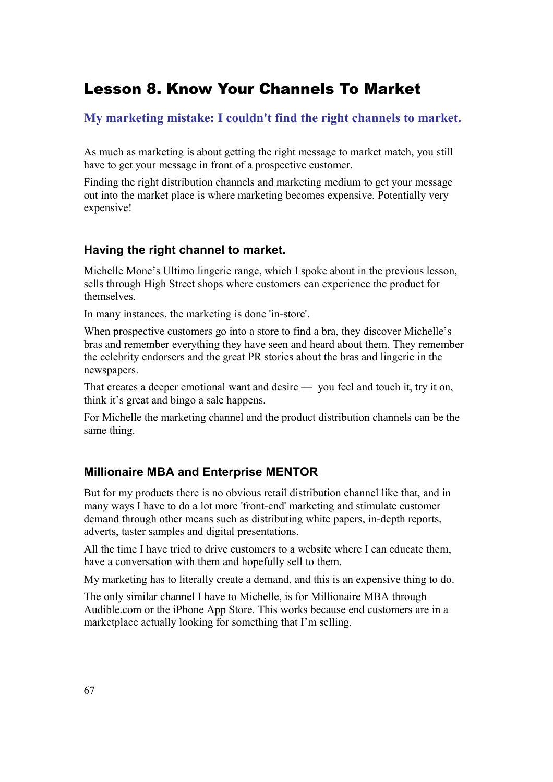# Lesson 8. Know Your Channels To Market

**My marketing mistake: I couldn't find the right channels to market.**

As much as marketing is about getting the right message to market match, you still have to get your message in front of a prospective customer.

Finding the right distribution channels and marketing medium to get your message out into the market place is where marketing becomes expensive. Potentially very expensive!

# **Having the right channel to market.**

Michelle Mone's Ultimo lingerie range, which I spoke about in the previous lesson, sells through High Street shops where customers can experience the product for themselves.

In many instances, the marketing is done 'in-store'.

When prospective customers go into a store to find a bra, they discover Michelle's bras and remember everything they have seen and heard about them. They remember the celebrity endorsers and the great PR stories about the bras and lingerie in the newspapers.

That creates a deeper emotional want and desire — you feel and touch it, try it on, think it's great and bingo a sale happens.

For Michelle the marketing channel and the product distribution channels can be the same thing.

# **Millionaire MBA and Enterprise MENTOR**

But for my products there is no obvious retail distribution channel like that, and in many ways I have to do a lot more 'front-end' marketing and stimulate customer demand through other means such as distributing white papers, in-depth reports, adverts, taster samples and digital presentations.

All the time I have tried to drive customers to a website where I can educate them, have a conversation with them and hopefully sell to them.

My marketing has to literally create a demand, and this is an expensive thing to do.

The only similar channel I have to Michelle, is for Millionaire MBA through Audible.com or the iPhone App Store. This works because end customers are in a marketplace actually looking for something that I'm selling.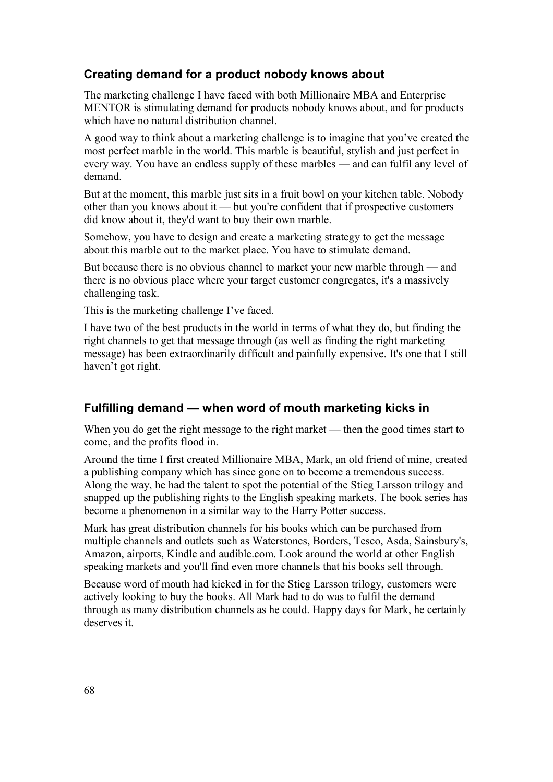## **Creating demand for a product nobody knows about**

The marketing challenge I have faced with both Millionaire MBA and Enterprise MENTOR is stimulating demand for products nobody knows about, and for products which have no natural distribution channel.

A good way to think about a marketing challenge is to imagine that you've created the most perfect marble in the world. This marble is beautiful, stylish and just perfect in every way. You have an endless supply of these marbles — and can fulfil any level of demand.

But at the moment, this marble just sits in a fruit bowl on your kitchen table. Nobody other than you knows about it — but you're confident that if prospective customers did know about it, they'd want to buy their own marble.

Somehow, you have to design and create a marketing strategy to get the message about this marble out to the market place. You have to stimulate demand.

But because there is no obvious channel to market your new marble through — and there is no obvious place where your target customer congregates, it's a massively challenging task.

This is the marketing challenge I've faced.

I have two of the best products in the world in terms of what they do, but finding the right channels to get that message through (as well as finding the right marketing message) has been extraordinarily difficult and painfully expensive. It's one that I still haven't got right.

#### **Fulfilling demand — when word of mouth marketing kicks in**

When you do get the right message to the right market — then the good times start to come, and the profits flood in.

Around the time I first created Millionaire MBA, Mark, an old friend of mine, created a publishing company which has since gone on to become a tremendous success. Along the way, he had the talent to spot the potential of the Stieg Larsson trilogy and snapped up the publishing rights to the English speaking markets. The book series has become a phenomenon in a similar way to the Harry Potter success.

Mark has great distribution channels for his books which can be purchased from multiple channels and outlets such as Waterstones, Borders, Tesco, Asda, Sainsbury's, Amazon, airports, Kindle and audible.com. Look around the world at other English speaking markets and you'll find even more channels that his books sell through.

Because word of mouth had kicked in for the Stieg Larsson trilogy, customers were actively looking to buy the books. All Mark had to do was to fulfil the demand through as many distribution channels as he could. Happy days for Mark, he certainly deserves it.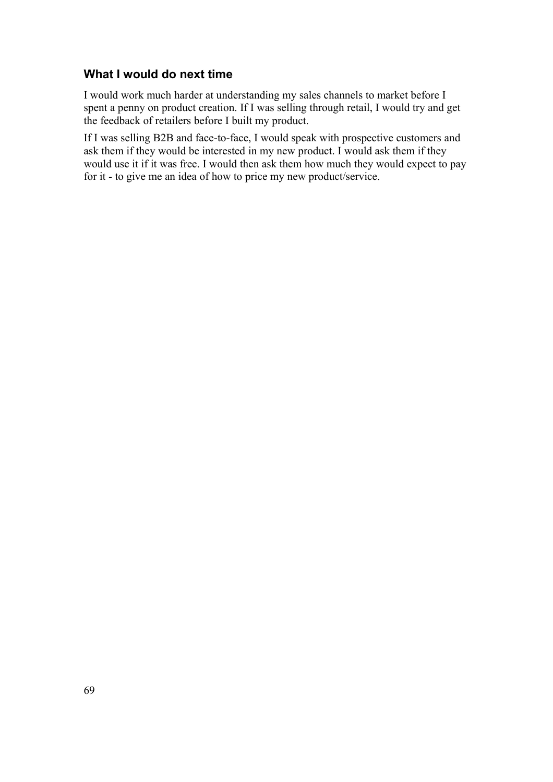## **What I would do next time**

I would work much harder at understanding my sales channels to market before I spent a penny on product creation. If I was selling through retail, I would try and get the feedback of retailers before I built my product.

If I was selling B2B and face-to-face, I would speak with prospective customers and ask them if they would be interested in my new product. I would ask them if they would use it if it was free. I would then ask them how much they would expect to pay for it - to give me an idea of how to price my new product/service.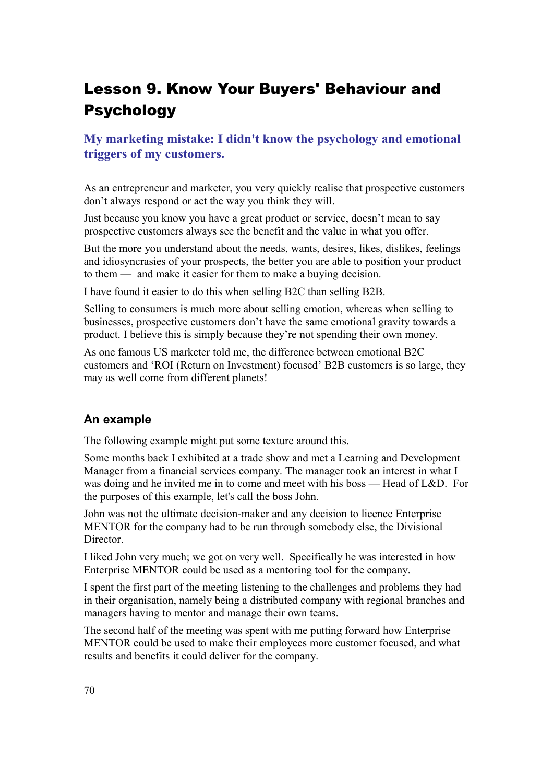# Lesson 9. Know Your Buyers' Behaviour and Psychology

# **My marketing mistake: I didn't know the psychology and emotional triggers of my customers.**

As an entrepreneur and marketer, you very quickly realise that prospective customers don't always respond or act the way you think they will.

Just because you know you have a great product or service, doesn't mean to say prospective customers always see the benefit and the value in what you offer.

But the more you understand about the needs, wants, desires, likes, dislikes, feelings and idiosyncrasies of your prospects, the better you are able to position your product to them — and make it easier for them to make a buying decision.

I have found it easier to do this when selling B2C than selling B2B.

Selling to consumers is much more about selling emotion, whereas when selling to businesses, prospective customers don't have the same emotional gravity towards a product. I believe this is simply because they're not spending their own money.

As one famous US marketer told me, the difference between emotional B2C customers and 'ROI (Return on Investment) focused' B2B customers is so large, they may as well come from different planets!

### **An example**

The following example might put some texture around this.

Some months back I exhibited at a trade show and met a Learning and Development Manager from a financial services company. The manager took an interest in what I was doing and he invited me in to come and meet with his boss — Head of L&D. For the purposes of this example, let's call the boss John.

John was not the ultimate decision-maker and any decision to licence Enterprise MENTOR for the company had to be run through somebody else, the Divisional Director.

I liked John very much; we got on very well. Specifically he was interested in how Enterprise MENTOR could be used as a mentoring tool for the company.

I spent the first part of the meeting listening to the challenges and problems they had in their organisation, namely being a distributed company with regional branches and managers having to mentor and manage their own teams.

The second half of the meeting was spent with me putting forward how Enterprise MENTOR could be used to make their employees more customer focused, and what results and benefits it could deliver for the company.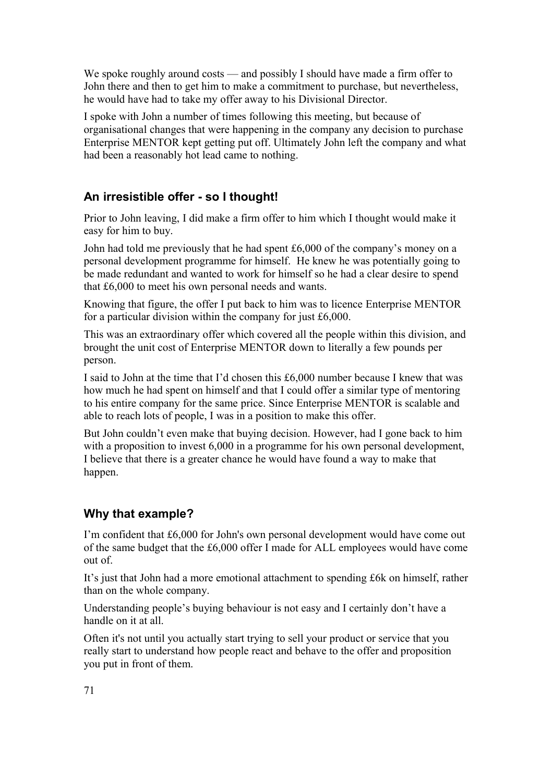We spoke roughly around costs — and possibly I should have made a firm offer to John there and then to get him to make a commitment to purchase, but nevertheless, he would have had to take my offer away to his Divisional Director.

I spoke with John a number of times following this meeting, but because of organisational changes that were happening in the company any decision to purchase Enterprise MENTOR kept getting put off. Ultimately John left the company and what had been a reasonably hot lead came to nothing.

## **An irresistible offer - so I thought!**

Prior to John leaving, I did make a firm offer to him which I thought would make it easy for him to buy.

John had told me previously that he had spent £6,000 of the company's money on a personal development programme for himself. He knew he was potentially going to be made redundant and wanted to work for himself so he had a clear desire to spend that £6,000 to meet his own personal needs and wants.

Knowing that figure, the offer I put back to him was to licence Enterprise MENTOR for a particular division within the company for just £6,000.

This was an extraordinary offer which covered all the people within this division, and brought the unit cost of Enterprise MENTOR down to literally a few pounds per person.

I said to John at the time that I'd chosen this £6,000 number because I knew that was how much he had spent on himself and that I could offer a similar type of mentoring to his entire company for the same price. Since Enterprise MENTOR is scalable and able to reach lots of people, I was in a position to make this offer.

But John couldn't even make that buying decision. However, had I gone back to him with a proposition to invest 6,000 in a programme for his own personal development, I believe that there is a greater chance he would have found a way to make that happen.

# **Why that example?**

I'm confident that £6,000 for John's own personal development would have come out of the same budget that the £6,000 offer I made for ALL employees would have come out of.

It's just that John had a more emotional attachment to spending £6k on himself, rather than on the whole company.

Understanding people's buying behaviour is not easy and I certainly don't have a handle on it at all.

Often it's not until you actually start trying to sell your product or service that you really start to understand how people react and behave to the offer and proposition you put in front of them.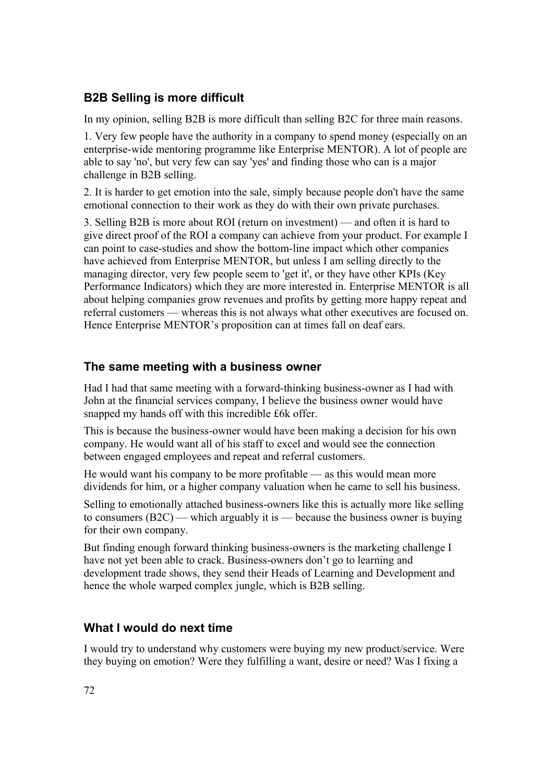## **B2B Selling is more difficult**

In my opinion, selling B2B is more difficult than selling B2C for three main reasons.

1. Very few people have the authority in a company to spend money (especially on an enterprise-wide mentoring programme like Enterprise MENTOR). A lot of people are able to say 'no', but very few can say 'yes' and finding those who can is a major challenge in B2B selling.

2. It is harder to get emotion into the sale, simply because people don't have the same emotional connection to their work as they do with their own private purchases.

3. Selling B2B is more about ROI (return on investment) — and often it is hard to give direct proof of the ROI a company can achieve from your product. For example I can point to case-studies and show the bottom-line impact which other companies have achieved from Enterprise MENTOR, but unless I am selling directly to the managing director, very few people seem to 'get it', or they have other KPIs (Key Performance Indicators) which they are more interested in. Enterprise MENTOR is all about helping companies grow revenues and profits by getting more happy repeat and referral customers — whereas this is not always what other executives are focused on. Hence Enterprise MENTOR's proposition can at times fall on deaf ears.

### **The same meeting with a business owner**

Had I had that same meeting with a forward-thinking business-owner as I had with John at the financial services company, I believe the business owner would have snapped my hands off with this incredible £6k offer.

This is because the business-owner would have been making a decision for his own company. He would want all of his staff to excel and would see the connection between engaged employees and repeat and referral customers.

He would want his company to be more profitable — as this would mean more dividends for him, or a higher company valuation when he came to sell his business.

Selling to emotionally attached business-owners like this is actually more like selling to consumers (B2C) — which arguably it is — because the business owner is buying for their own company.

But finding enough forward thinking business-owners is the marketing challenge I have not yet been able to crack. Business-owners don't go to learning and development trade shows, they send their Heads of Learning and Development and hence the whole warped complex jungle, which is B2B selling.

### **What I would do next time**

I would try to understand why customers were buying my new product/service. Were they buying on emotion? Were they fulfilling a want, desire or need? Was I fixing a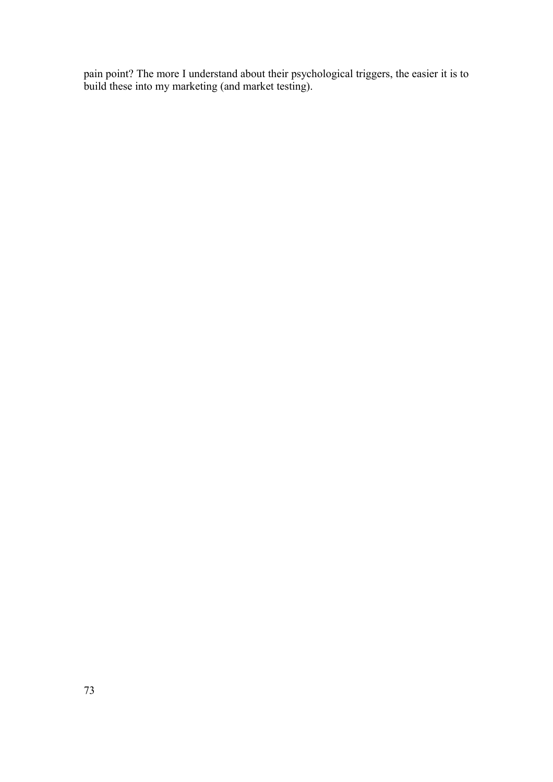pain point? The more I understand about their psychological triggers, the easier it is to build these into my marketing (and market testing).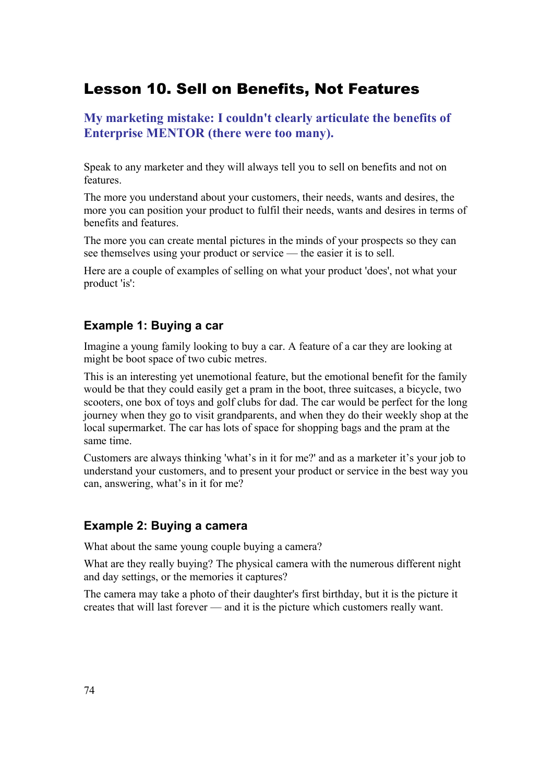# Lesson 10. Sell on Benefits, Not Features

### **My marketing mistake: I couldn't clearly articulate the benefits of Enterprise MENTOR (there were too many).**

Speak to any marketer and they will always tell you to sell on benefits and not on features.

The more you understand about your customers, their needs, wants and desires, the more you can position your product to fulfil their needs, wants and desires in terms of benefits and features.

The more you can create mental pictures in the minds of your prospects so they can see themselves using your product or service — the easier it is to sell.

Here are a couple of examples of selling on what your product 'does', not what your product 'is':

#### **Example 1: Buying a car**

Imagine a young family looking to buy a car. A feature of a car they are looking at might be boot space of two cubic metres.

This is an interesting yet unemotional feature, but the emotional benefit for the family would be that they could easily get a pram in the boot, three suitcases, a bicycle, two scooters, one box of toys and golf clubs for dad. The car would be perfect for the long journey when they go to visit grandparents, and when they do their weekly shop at the local supermarket. The car has lots of space for shopping bags and the pram at the same time.

Customers are always thinking 'what's in it for me?' and as a marketer it's your job to understand your customers, and to present your product or service in the best way you can, answering, what's in it for me?

#### **Example 2: Buying a camera**

What about the same young couple buying a camera?

What are they really buying? The physical camera with the numerous different night and day settings, or the memories it captures?

The camera may take a photo of their daughter's first birthday, but it is the picture it creates that will last forever — and it is the picture which customers really want.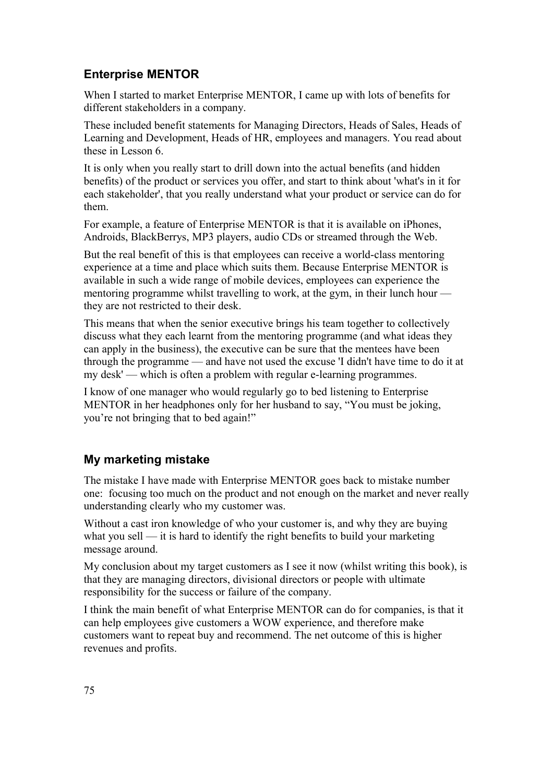## **Enterprise MENTOR**

When I started to market Enterprise MENTOR, I came up with lots of benefits for different stakeholders in a company.

These included benefit statements for Managing Directors, Heads of Sales, Heads of Learning and Development, Heads of HR, employees and managers. You read about these in Lesson 6.

It is only when you really start to drill down into the actual benefits (and hidden benefits) of the product or services you offer, and start to think about 'what's in it for each stakeholder', that you really understand what your product or service can do for them.

For example, a feature of Enterprise MENTOR is that it is available on iPhones, Androids, BlackBerrys, MP3 players, audio CDs or streamed through the Web.

But the real benefit of this is that employees can receive a world-class mentoring experience at a time and place which suits them. Because Enterprise MENTOR is available in such a wide range of mobile devices, employees can experience the mentoring programme whilst travelling to work, at the gym, in their lunch hour they are not restricted to their desk.

This means that when the senior executive brings his team together to collectively discuss what they each learnt from the mentoring programme (and what ideas they can apply in the business), the executive can be sure that the mentees have been through the programme — and have not used the excuse 'I didn't have time to do it at my desk' — which is often a problem with regular e-learning programmes.

I know of one manager who would regularly go to bed listening to Enterprise MENTOR in her headphones only for her husband to say, "You must be joking, you're not bringing that to bed again!"

## **My marketing mistake**

The mistake I have made with Enterprise MENTOR goes back to mistake number one: focusing too much on the product and not enough on the market and never really understanding clearly who my customer was.

Without a cast iron knowledge of who your customer is, and why they are buying what you sell — it is hard to identify the right benefits to build your marketing message around.

My conclusion about my target customers as I see it now (whilst writing this book), is that they are managing directors, divisional directors or people with ultimate responsibility for the success or failure of the company.

I think the main benefit of what Enterprise MENTOR can do for companies, is that it can help employees give customers a WOW experience, and therefore make customers want to repeat buy and recommend. The net outcome of this is higher revenues and profits.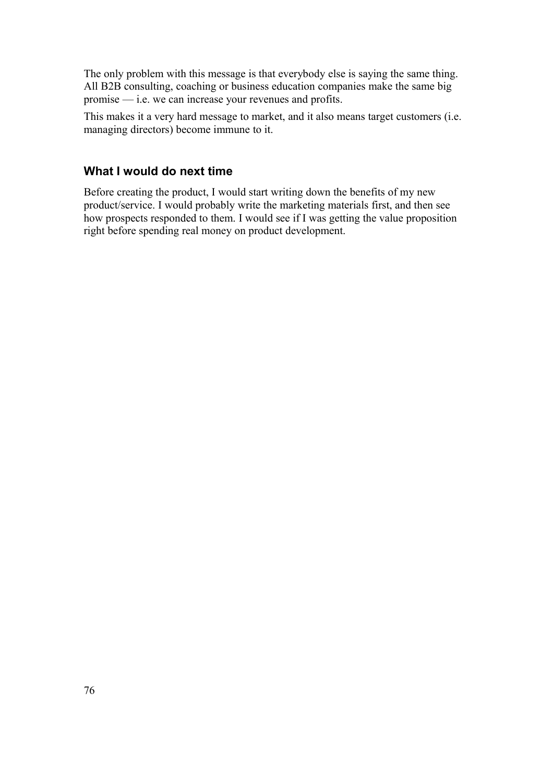The only problem with this message is that everybody else is saying the same thing. All B2B consulting, coaching or business education companies make the same big promise — i.e. we can increase your revenues and profits.

This makes it a very hard message to market, and it also means target customers (i.e. managing directors) become immune to it.

#### **What I would do next time**

Before creating the product, I would start writing down the benefits of my new product/service. I would probably write the marketing materials first, and then see how prospects responded to them. I would see if I was getting the value proposition right before spending real money on product development.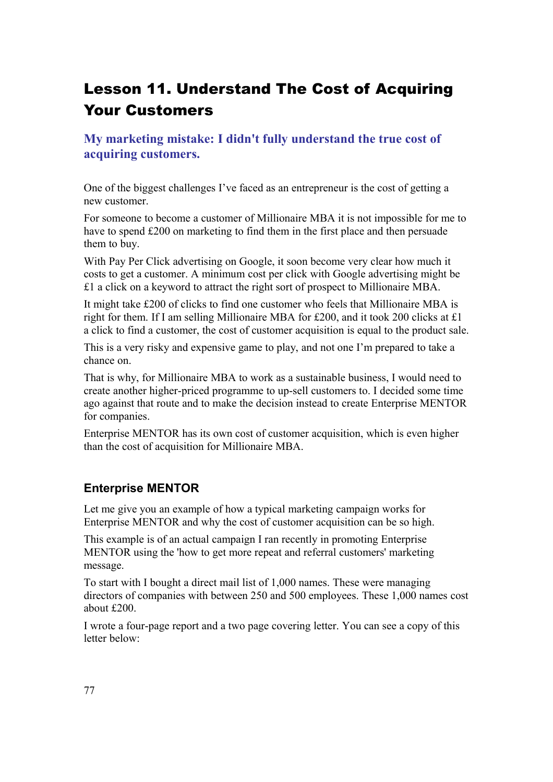# Lesson 11. Understand The Cost of Acquiring Your Customers

**My marketing mistake: I didn't fully understand the true cost of acquiring customers.**

One of the biggest challenges I've faced as an entrepreneur is the cost of getting a new customer.

For someone to become a customer of Millionaire MBA it is not impossible for me to have to spend £200 on marketing to find them in the first place and then persuade them to buy.

With Pay Per Click advertising on Google, it soon become very clear how much it costs to get a customer. A minimum cost per click with Google advertising might be £1 a click on a keyword to attract the right sort of prospect to Millionaire MBA.

It might take £200 of clicks to find one customer who feels that Millionaire MBA is right for them. If I am selling Millionaire MBA for £200, and it took 200 clicks at £1 a click to find a customer, the cost of customer acquisition is equal to the product sale.

This is a very risky and expensive game to play, and not one I'm prepared to take a chance on.

That is why, for Millionaire MBA to work as a sustainable business, I would need to create another higher-priced programme to up-sell customers to. I decided some time ago against that route and to make the decision instead to create Enterprise MENTOR for companies.

Enterprise MENTOR has its own cost of customer acquisition, which is even higher than the cost of acquisition for Millionaire MBA.

#### **Enterprise MENTOR**

Let me give you an example of how a typical marketing campaign works for Enterprise MENTOR and why the cost of customer acquisition can be so high.

This example is of an actual campaign I ran recently in promoting Enterprise MENTOR using the 'how to get more repeat and referral customers' marketing message.

To start with I bought a direct mail list of 1,000 names. These were managing directors of companies with between 250 and 500 employees. These 1,000 names cost about £200.

I wrote a four-page report and a two page covering letter. You can see a copy of this letter below: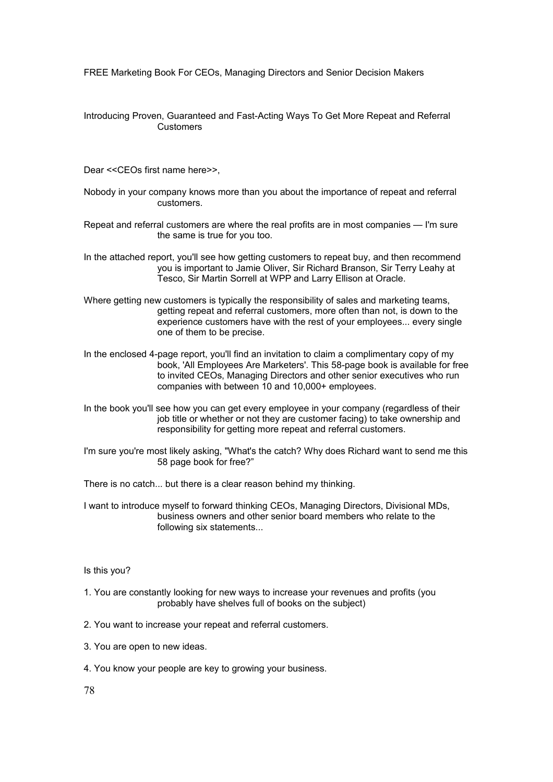FREE Marketing Book For CEOs, Managing Directors and Senior Decision Makers

Introducing Proven, Guaranteed and Fast-Acting Ways To Get More Repeat and Referral **Customers** 

Dear <<CEOs first name here>>,

- Nobody in your company knows more than you about the importance of repeat and referral customers.
- Repeat and referral customers are where the real profits are in most companies I'm sure the same is true for you too.
- In the attached report, you'll see how getting customers to repeat buy, and then recommend you is important to Jamie Oliver, Sir Richard Branson, Sir Terry Leahy at Tesco, Sir Martin Sorrell at WPP and Larry Ellison at Oracle.
- Where getting new customers is typically the responsibility of sales and marketing teams, getting repeat and referral customers, more often than not, is down to the experience customers have with the rest of your employees... every single one of them to be precise.
- In the enclosed 4-page report, you'll find an invitation to claim a complimentary copy of my book, 'All Employees Are Marketers'. This 58-page book is available for free to invited CEOs, Managing Directors and other senior executives who run companies with between 10 and 10,000+ employees.
- In the book you'll see how you can get every employee in your company (regardless of their job title or whether or not they are customer facing) to take ownership and responsibility for getting more repeat and referral customers.
- I'm sure you're most likely asking, "What's the catch? Why does Richard want to send me this 58 page book for free?"

There is no catch... but there is a clear reason behind my thinking.

I want to introduce myself to forward thinking CEOs, Managing Directors, Divisional MDs, business owners and other senior board members who relate to the following six statements...

#### Is this you?

- 1. You are constantly looking for new ways to increase your revenues and profits (you probably have shelves full of books on the subject)
- 2. You want to increase your repeat and referral customers.
- 3. You are open to new ideas.
- 4. You know your people are key to growing your business.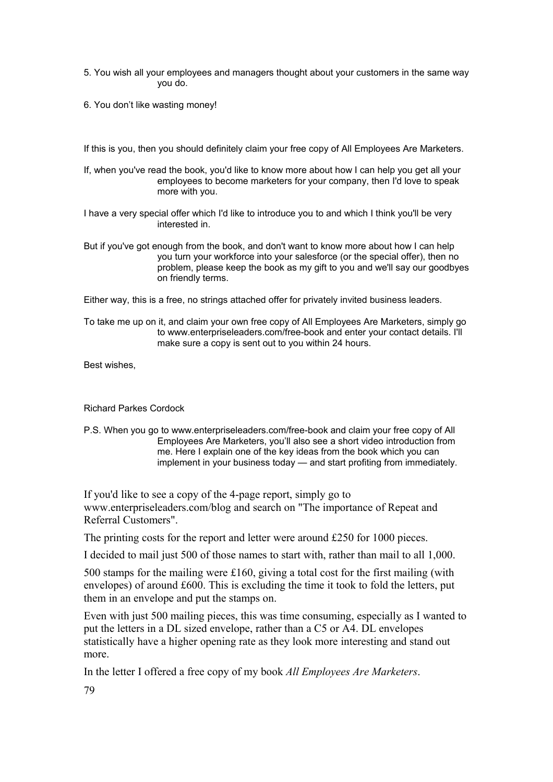- 5. You wish all your employees and managers thought about your customers in the same way you do.
- 6. You don't like wasting money!

If this is you, then you should definitely claim your free copy of All Employees Are Marketers.

If, when you've read the book, you'd like to know more about how I can help you get all your employees to become marketers for your company, then I'd love to speak more with you.

I have a very special offer which I'd like to introduce you to and which I think you'll be very interested in.

But if you've got enough from the book, and don't want to know more about how I can help you turn your workforce into your salesforce (or the special offer), then no problem, please keep the book as my gift to you and we'll say our goodbyes on friendly terms.

Either way, this is a free, no strings attached offer for privately invited business leaders.

To take me up on it, and claim your own free copy of All Employees Are Marketers, simply go to www.enterpriseleaders.com/free-book and enter your contact details. I'll make sure a copy is sent out to you within 24 hours.

Best wishes,

Richard Parkes Cordock

P.S. When you go to www.enterpriseleaders.com/free-book and claim your free copy of All Employees Are Marketers, you'll also see a short video introduction from me. Here I explain one of the key ideas from the book which you can implement in your business today — and start profiting from immediately.

If you'd like to see a copy of the 4-page report, simply go to www.enterpriseleaders.com/blog and search on "The importance of Repeat and Referral Customers".

The printing costs for the report and letter were around £250 for 1000 pieces.

I decided to mail just 500 of those names to start with, rather than mail to all 1,000.

500 stamps for the mailing were £160, giving a total cost for the first mailing (with envelopes) of around £600. This is excluding the time it took to fold the letters, put them in an envelope and put the stamps on.

Even with just 500 mailing pieces, this was time consuming, especially as I wanted to put the letters in a DL sized envelope, rather than a C5 or A4. DL envelopes statistically have a higher opening rate as they look more interesting and stand out more.

In the letter I offered a free copy of my book *All Employees Are Marketers*.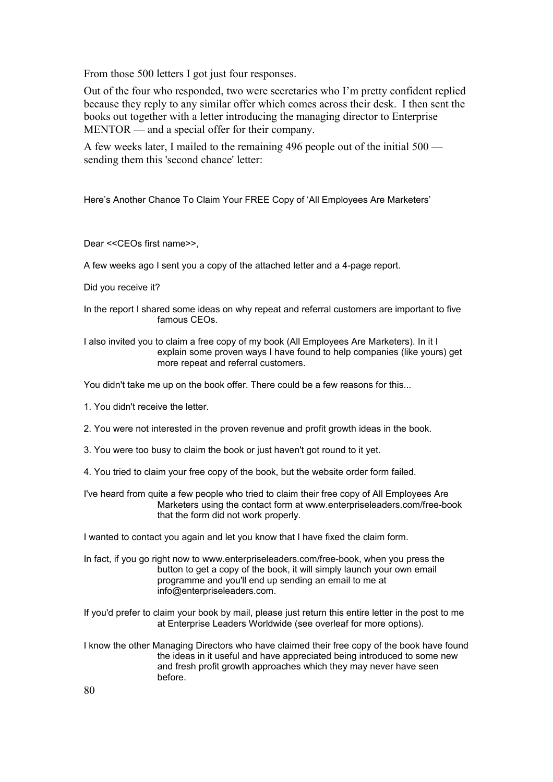From those 500 letters I got just four responses.

Out of the four who responded, two were secretaries who I'm pretty confident replied because they reply to any similar offer which comes across their desk. I then sent the books out together with a letter introducing the managing director to Enterprise MENTOR — and a special offer for their company.

A few weeks later, I mailed to the remaining 496 people out of the initial 500 sending them this 'second chance' letter:

Here's Another Chance To Claim Your FREE Copy of 'All Employees Are Marketers'

Dear <<CEOs first name>>,

A few weeks ago I sent you a copy of the attached letter and a 4-page report.

- Did you receive it?
- In the report I shared some ideas on why repeat and referral customers are important to five famous CEOs.

I also invited you to claim a free copy of my book (All Employees Are Marketers). In it I explain some proven ways I have found to help companies (like yours) get more repeat and referral customers.

You didn't take me up on the book offer. There could be a few reasons for this...

- 1. You didn't receive the letter.
- 2. You were not interested in the proven revenue and profit growth ideas in the book.
- 3. You were too busy to claim the book or just haven't got round to it yet.
- 4. You tried to claim your free copy of the book, but the website order form failed.

I've heard from quite a few people who tried to claim their free copy of All Employees Are Marketers using the contact form at www.enterpriseleaders.com/free-book that the form did not work properly.

I wanted to contact you again and let you know that I have fixed the claim form.

- In fact, if you go right now to www.enterpriseleaders.com/free-book, when you press the button to get a copy of the book, it will simply launch your own email programme and you'll end up sending an email to me at info@enterpriseleaders.com.
- If you'd prefer to claim your book by mail, please just return this entire letter in the post to me at Enterprise Leaders Worldwide (see overleaf for more options).
- I know the other Managing Directors who have claimed their free copy of the book have found the ideas in it useful and have appreciated being introduced to some new and fresh profit growth approaches which they may never have seen before.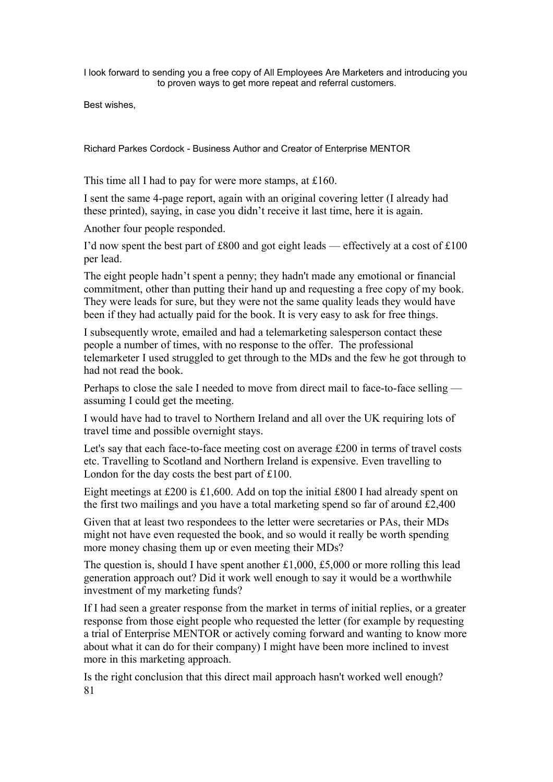I look forward to sending you a free copy of All Employees Are Marketers and introducing you to proven ways to get more repeat and referral customers.

Best wishes,

Richard Parkes Cordock - Business Author and Creator of Enterprise MENTOR

This time all I had to pay for were more stamps, at £160.

I sent the same 4-page report, again with an original covering letter (I already had these printed), saying, in case you didn't receive it last time, here it is again.

Another four people responded.

I'd now spent the best part of £800 and got eight leads — effectively at a cost of £100 per lead.

The eight people hadn't spent a penny; they hadn't made any emotional or financial commitment, other than putting their hand up and requesting a free copy of my book. They were leads for sure, but they were not the same quality leads they would have been if they had actually paid for the book. It is very easy to ask for free things.

I subsequently wrote, emailed and had a telemarketing salesperson contact these people a number of times, with no response to the offer. The professional telemarketer I used struggled to get through to the MDs and the few he got through to had not read the book.

Perhaps to close the sale I needed to move from direct mail to face-to-face selling assuming I could get the meeting.

I would have had to travel to Northern Ireland and all over the UK requiring lots of travel time and possible overnight stays.

Let's say that each face-to-face meeting cost on average £200 in terms of travel costs etc. Travelling to Scotland and Northern Ireland is expensive. Even travelling to London for the day costs the best part of £100.

Eight meetings at £200 is £1,600. Add on top the initial £800 I had already spent on the first two mailings and you have a total marketing spend so far of around £2,400

Given that at least two respondees to the letter were secretaries or PAs, their MDs might not have even requested the book, and so would it really be worth spending more money chasing them up or even meeting their MDs?

The question is, should I have spent another £1,000, £5,000 or more rolling this lead generation approach out? Did it work well enough to say it would be a worthwhile investment of my marketing funds?

If I had seen a greater response from the market in terms of initial replies, or a greater response from those eight people who requested the letter (for example by requesting a trial of Enterprise MENTOR or actively coming forward and wanting to know more about what it can do for their company) I might have been more inclined to invest more in this marketing approach.

Is the right conclusion that this direct mail approach hasn't worked well enough? 81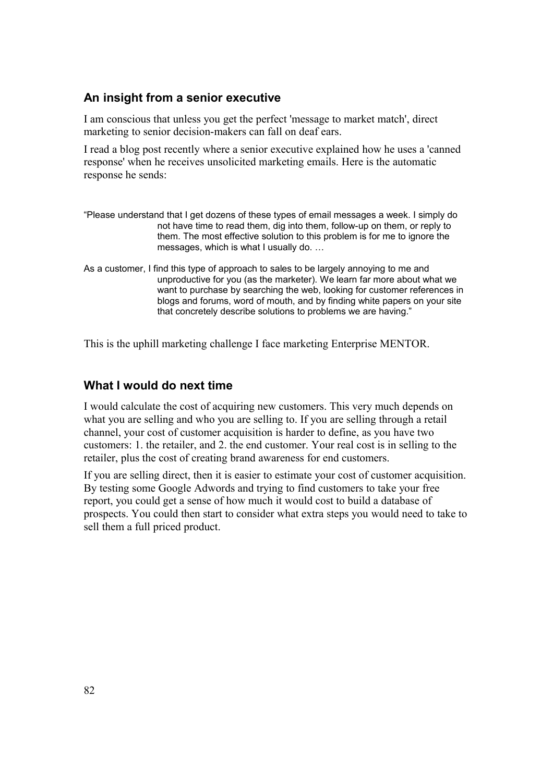#### **An insight from a senior executive**

I am conscious that unless you get the perfect 'message to market match', direct marketing to senior decision-makers can fall on deaf ears.

I read a blog post recently where a senior executive explained how he uses a 'canned response' when he receives unsolicited marketing emails. Here is the automatic response he sends:

- "Please understand that I get dozens of these types of email messages a week. I simply do not have time to read them, dig into them, follow-up on them, or reply to them. The most effective solution to this problem is for me to ignore the messages, which is what I usually do. …
- As a customer, I find this type of approach to sales to be largely annoying to me and unproductive for you (as the marketer). We learn far more about what we want to purchase by searching the web, looking for customer references in blogs and forums, word of mouth, and by finding white papers on your site that concretely describe solutions to problems we are having."

This is the uphill marketing challenge I face marketing Enterprise MENTOR.

#### **What I would do next time**

I would calculate the cost of acquiring new customers. This very much depends on what you are selling and who you are selling to. If you are selling through a retail channel, your cost of customer acquisition is harder to define, as you have two customers: 1. the retailer, and 2. the end customer. Your real cost is in selling to the retailer, plus the cost of creating brand awareness for end customers.

If you are selling direct, then it is easier to estimate your cost of customer acquisition. By testing some Google Adwords and trying to find customers to take your free report, you could get a sense of how much it would cost to build a database of prospects. You could then start to consider what extra steps you would need to take to sell them a full priced product.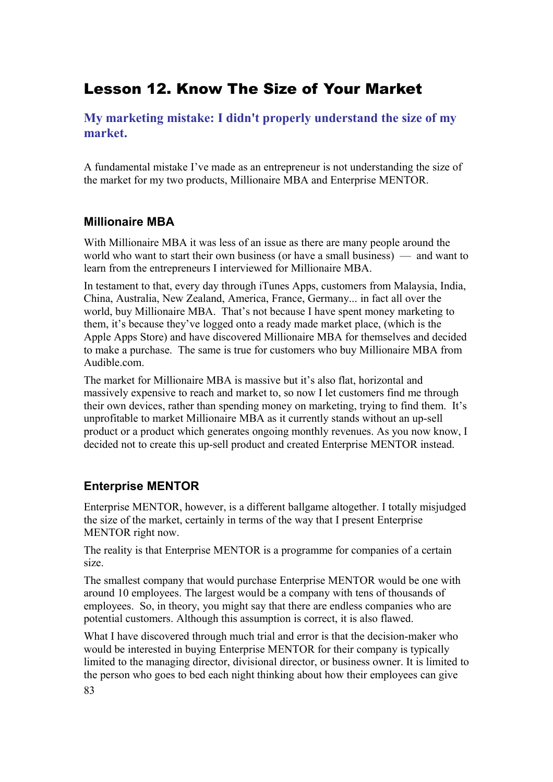# Lesson 12. Know The Size of Your Market

**My marketing mistake: I didn't properly understand the size of my market.**

A fundamental mistake I've made as an entrepreneur is not understanding the size of the market for my two products, Millionaire MBA and Enterprise MENTOR.

### **Millionaire MBA**

With Millionaire MBA it was less of an issue as there are many people around the world who want to start their own business (or have a small business) — and want to learn from the entrepreneurs I interviewed for Millionaire MBA.

In testament to that, every day through iTunes Apps, customers from Malaysia, India, China, Australia, New Zealand, America, France, Germany... in fact all over the world, buy Millionaire MBA. That's not because I have spent money marketing to them, it's because they've logged onto a ready made market place, (which is the Apple Apps Store) and have discovered Millionaire MBA for themselves and decided to make a purchase. The same is true for customers who buy Millionaire MBA from Audible.com.

The market for Millionaire MBA is massive but it's also flat, horizontal and massively expensive to reach and market to, so now I let customers find me through their own devices, rather than spending money on marketing, trying to find them. It's unprofitable to market Millionaire MBA as it currently stands without an up-sell product or a product which generates ongoing monthly revenues. As you now know, I decided not to create this up-sell product and created Enterprise MENTOR instead.

# **Enterprise MENTOR**

Enterprise MENTOR, however, is a different ballgame altogether. I totally misjudged the size of the market, certainly in terms of the way that I present Enterprise MENTOR right now.

The reality is that Enterprise MENTOR is a programme for companies of a certain size.

The smallest company that would purchase Enterprise MENTOR would be one with around 10 employees. The largest would be a company with tens of thousands of employees. So, in theory, you might say that there are endless companies who are potential customers. Although this assumption is correct, it is also flawed.

What I have discovered through much trial and error is that the decision-maker who would be interested in buying Enterprise MENTOR for their company is typically limited to the managing director, divisional director, or business owner. It is limited to the person who goes to bed each night thinking about how their employees can give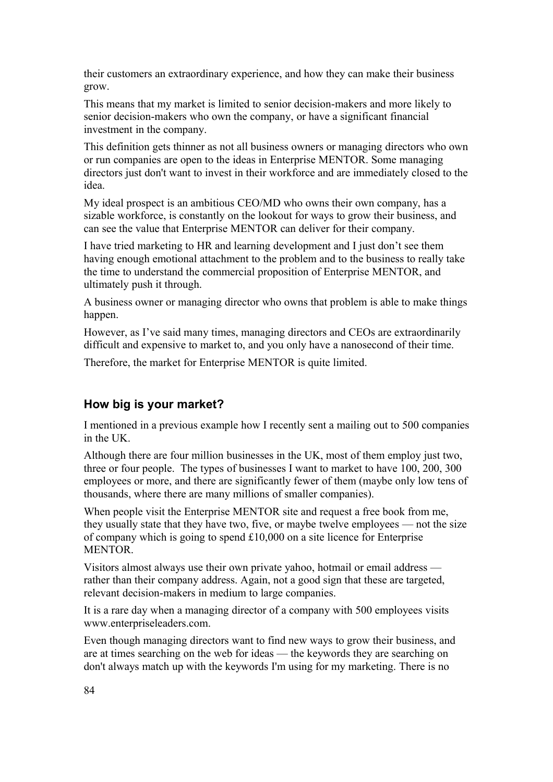their customers an extraordinary experience, and how they can make their business grow.

This means that my market is limited to senior decision-makers and more likely to senior decision-makers who own the company, or have a significant financial investment in the company.

This definition gets thinner as not all business owners or managing directors who own or run companies are open to the ideas in Enterprise MENTOR. Some managing directors just don't want to invest in their workforce and are immediately closed to the idea.

My ideal prospect is an ambitious CEO/MD who owns their own company, has a sizable workforce, is constantly on the lookout for ways to grow their business, and can see the value that Enterprise MENTOR can deliver for their company.

I have tried marketing to HR and learning development and I just don't see them having enough emotional attachment to the problem and to the business to really take the time to understand the commercial proposition of Enterprise MENTOR, and ultimately push it through.

A business owner or managing director who owns that problem is able to make things happen.

However, as I've said many times, managing directors and CEOs are extraordinarily difficult and expensive to market to, and you only have a nanosecond of their time.

Therefore, the market for Enterprise MENTOR is quite limited.

#### **How big is your market?**

I mentioned in a previous example how I recently sent a mailing out to 500 companies in the UK.

Although there are four million businesses in the UK, most of them employ just two, three or four people. The types of businesses I want to market to have 100, 200, 300 employees or more, and there are significantly fewer of them (maybe only low tens of thousands, where there are many millions of smaller companies).

When people visit the Enterprise MENTOR site and request a free book from me, they usually state that they have two, five, or maybe twelve employees — not the size of company which is going to spend £10,000 on a site licence for Enterprise MENTOR.

Visitors almost always use their own private yahoo, hotmail or email address rather than their company address. Again, not a good sign that these are targeted, relevant decision-makers in medium to large companies.

It is a rare day when a managing director of a company with 500 employees visits www.enterpriseleaders.com.

Even though managing directors want to find new ways to grow their business, and are at times searching on the web for ideas — the keywords they are searching on don't always match up with the keywords I'm using for my marketing. There is no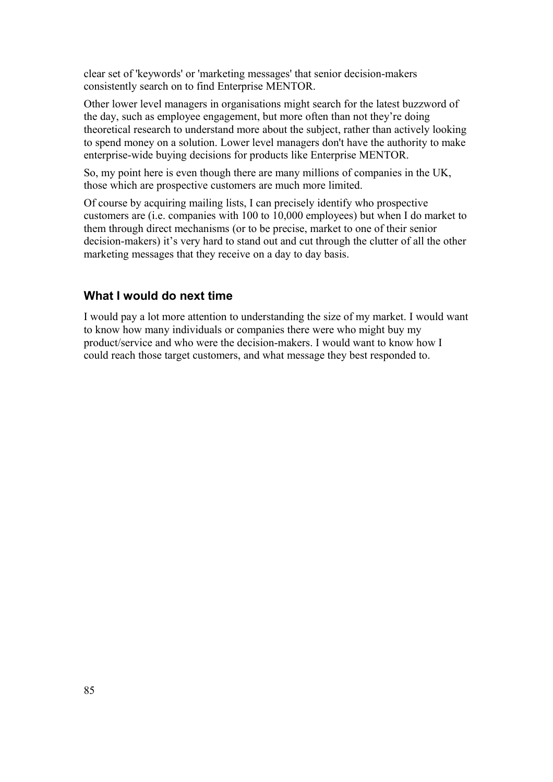clear set of 'keywords' or 'marketing messages' that senior decision-makers consistently search on to find Enterprise MENTOR.

Other lower level managers in organisations might search for the latest buzzword of the day, such as employee engagement, but more often than not they're doing theoretical research to understand more about the subject, rather than actively looking to spend money on a solution. Lower level managers don't have the authority to make enterprise-wide buying decisions for products like Enterprise MENTOR.

So, my point here is even though there are many millions of companies in the UK, those which are prospective customers are much more limited.

Of course by acquiring mailing lists, I can precisely identify who prospective customers are (i.e. companies with 100 to 10,000 employees) but when I do market to them through direct mechanisms (or to be precise, market to one of their senior decision-makers) it's very hard to stand out and cut through the clutter of all the other marketing messages that they receive on a day to day basis.

### **What I would do next time**

I would pay a lot more attention to understanding the size of my market. I would want to know how many individuals or companies there were who might buy my product/service and who were the decision-makers. I would want to know how I could reach those target customers, and what message they best responded to.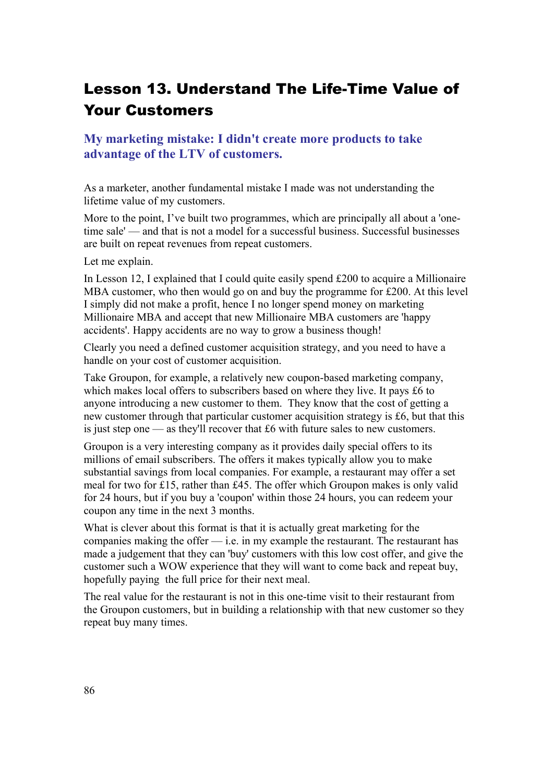# Lesson 13. Understand The Life-Time Value of Your Customers

### **My marketing mistake: I didn't create more products to take advantage of the LTV of customers.**

As a marketer, another fundamental mistake I made was not understanding the lifetime value of my customers.

More to the point, I've built two programmes, which are principally all about a 'onetime sale' — and that is not a model for a successful business. Successful businesses are built on repeat revenues from repeat customers.

Let me explain.

In Lesson 12, I explained that I could quite easily spend £200 to acquire a Millionaire MBA customer, who then would go on and buy the programme for £200. At this level I simply did not make a profit, hence I no longer spend money on marketing Millionaire MBA and accept that new Millionaire MBA customers are 'happy accidents'. Happy accidents are no way to grow a business though!

Clearly you need a defined customer acquisition strategy, and you need to have a handle on your cost of customer acquisition.

Take Groupon, for example, a relatively new coupon-based marketing company, which makes local offers to subscribers based on where they live. It pays £6 to anyone introducing a new customer to them. They know that the cost of getting a new customer through that particular customer acquisition strategy is £6, but that this is just step one — as they'll recover that £6 with future sales to new customers.

Groupon is a very interesting company as it provides daily special offers to its millions of email subscribers. The offers it makes typically allow you to make substantial savings from local companies. For example, a restaurant may offer a set meal for two for £15, rather than £45. The offer which Groupon makes is only valid for 24 hours, but if you buy a 'coupon' within those 24 hours, you can redeem your coupon any time in the next 3 months.

What is clever about this format is that it is actually great marketing for the companies making the offer  $-$  i.e. in my example the restaurant. The restaurant has made a judgement that they can 'buy' customers with this low cost offer, and give the customer such a WOW experience that they will want to come back and repeat buy, hopefully paying the full price for their next meal.

The real value for the restaurant is not in this one-time visit to their restaurant from the Groupon customers, but in building a relationship with that new customer so they repeat buy many times.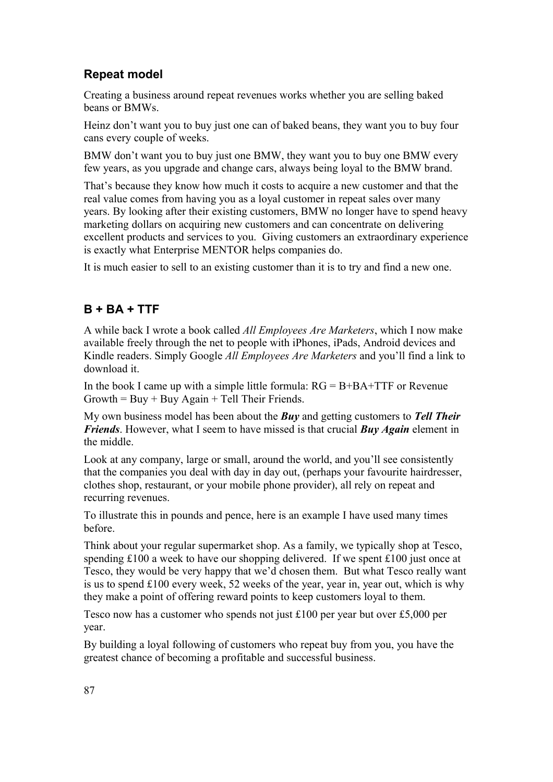# **Repeat model**

Creating a business around repeat revenues works whether you are selling baked beans or BMWs.

Heinz don't want you to buy just one can of baked beans, they want you to buy four cans every couple of weeks.

BMW don't want you to buy just one BMW, they want you to buy one BMW every few years, as you upgrade and change cars, always being loyal to the BMW brand.

That's because they know how much it costs to acquire a new customer and that the real value comes from having you as a loyal customer in repeat sales over many years. By looking after their existing customers, BMW no longer have to spend heavy marketing dollars on acquiring new customers and can concentrate on delivering excellent products and services to you. Giving customers an extraordinary experience is exactly what Enterprise MENTOR helps companies do.

It is much easier to sell to an existing customer than it is to try and find a new one.

### **B + BA + TTF**

A while back I wrote a book called *All Employees Are Marketers*, which I now make available freely through the net to people with iPhones, iPads, Android devices and Kindle readers. Simply Google *All Employees Are Marketers* and you'll find a link to download it.

In the book I came up with a simple little formula:  $RG = B + BA + TTF$  or Revenue  $Growth = Buy + Buy Again + Tell Their Friends.$ 

My own business model has been about the *Buy* and getting customers to *Tell Their Friends*. However, what I seem to have missed is that crucial *Buy Again* element in the middle.

Look at any company, large or small, around the world, and you'll see consistently that the companies you deal with day in day out, (perhaps your favourite hairdresser, clothes shop, restaurant, or your mobile phone provider), all rely on repeat and recurring revenues.

To illustrate this in pounds and pence, here is an example I have used many times before.

Think about your regular supermarket shop. As a family, we typically shop at Tesco, spending £100 a week to have our shopping delivered. If we spent £100 just once at Tesco, they would be very happy that we'd chosen them. But what Tesco really want is us to spend £100 every week, 52 weeks of the year, year in, year out, which is why they make a point of offering reward points to keep customers loyal to them.

Tesco now has a customer who spends not just £100 per year but over £5,000 per year.

By building a loyal following of customers who repeat buy from you, you have the greatest chance of becoming a profitable and successful business.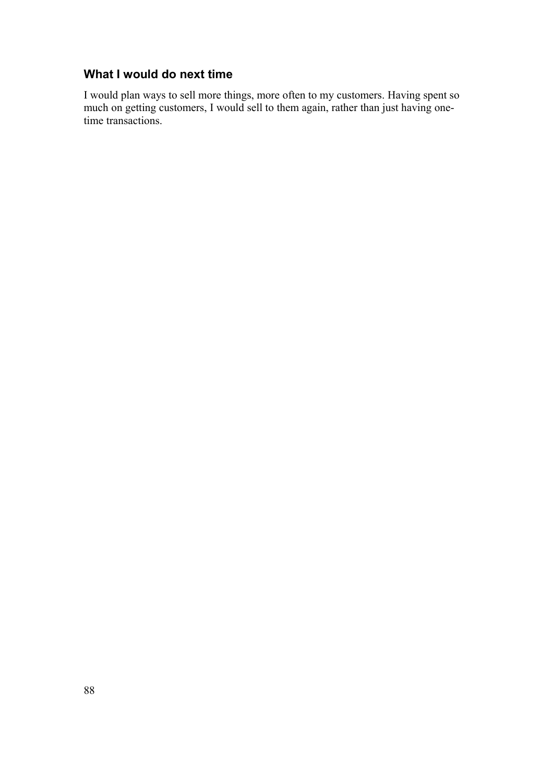# **What I would do next time**

I would plan ways to sell more things, more often to my customers. Having spent so much on getting customers, I would sell to them again, rather than just having onetime transactions.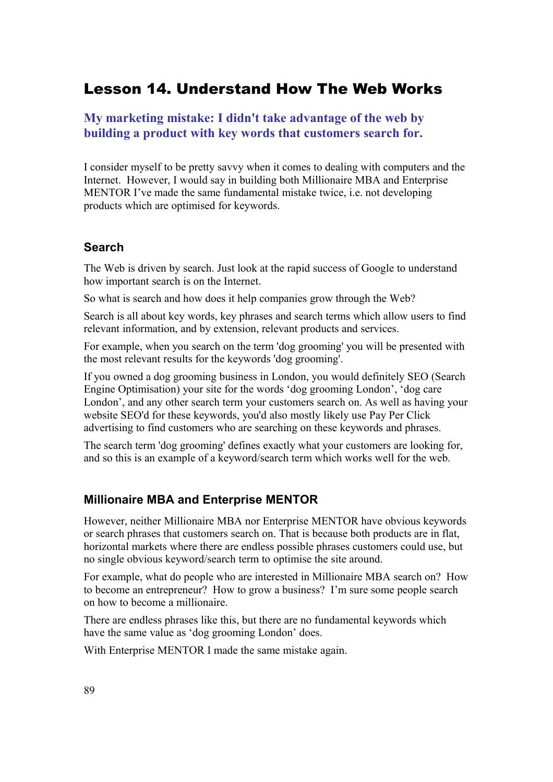# Lesson 14. Understand How The Web Works

#### **My marketing mistake: I didn't take advantage of the web by building a product with key words that customers search for.**

I consider myself to be pretty savvy when it comes to dealing with computers and the Internet. However, I would say in building both Millionaire MBA and Enterprise MENTOR I've made the same fundamental mistake twice, i.e. not developing products which are optimised for keywords.

#### **Search**

The Web is driven by search. Just look at the rapid success of Google to understand how important search is on the Internet.

So what is search and how does it help companies grow through the Web?

Search is all about key words, key phrases and search terms which allow users to find relevant information, and by extension, relevant products and services.

For example, when you search on the term 'dog grooming' you will be presented with the most relevant results for the keywords 'dog grooming'.

If you owned a dog grooming business in London, you would definitely SEO (Search Engine Optimisation) your site for the words 'dog grooming London', 'dog care London', and any other search term your customers search on. As well as having your website SEO'd for these keywords, you'd also mostly likely use Pay Per Click advertising to find customers who are searching on these keywords and phrases.

The search term 'dog grooming' defines exactly what your customers are looking for, and so this is an example of a keyword/search term which works well for the web.

#### **Millionaire MBA and Enterprise MENTOR**

However, neither Millionaire MBA nor Enterprise MENTOR have obvious keywords or search phrases that customers search on. That is because both products are in flat, horizontal markets where there are endless possible phrases customers could use, but no single obvious keyword/search term to optimise the site around.

For example, what do people who are interested in Millionaire MBA search on? How to become an entrepreneur? How to grow a business? I'm sure some people search on how to become a millionaire.

There are endless phrases like this, but there are no fundamental keywords which have the same value as 'dog grooming London' does.

With Enterprise MENTOR I made the same mistake again.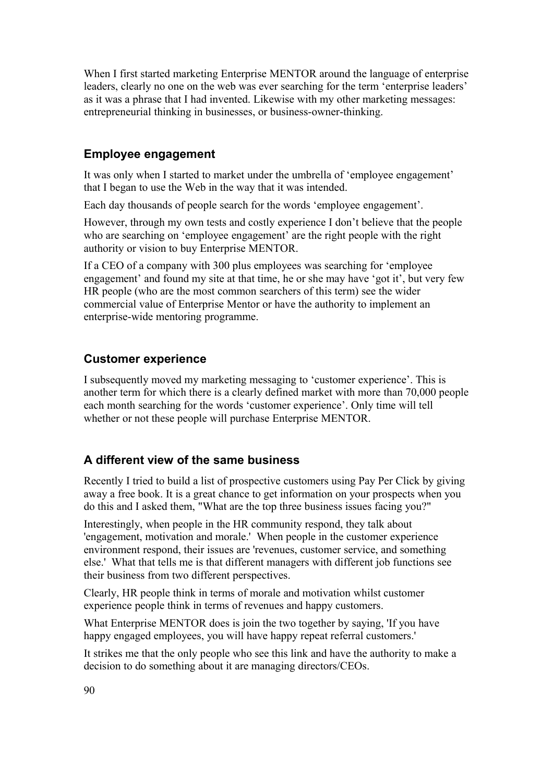When I first started marketing Enterprise MENTOR around the language of enterprise leaders, clearly no one on the web was ever searching for the term 'enterprise leaders' as it was a phrase that I had invented. Likewise with my other marketing messages: entrepreneurial thinking in businesses, or business-owner-thinking.

#### **Employee engagement**

It was only when I started to market under the umbrella of 'employee engagement' that I began to use the Web in the way that it was intended.

Each day thousands of people search for the words 'employee engagement'.

However, through my own tests and costly experience I don't believe that the people who are searching on 'employee engagement' are the right people with the right authority or vision to buy Enterprise MENTOR.

If a CEO of a company with 300 plus employees was searching for 'employee engagement' and found my site at that time, he or she may have 'got it', but very few HR people (who are the most common searchers of this term) see the wider commercial value of Enterprise Mentor or have the authority to implement an enterprise-wide mentoring programme.

### **Customer experience**

I subsequently moved my marketing messaging to 'customer experience'. This is another term for which there is a clearly defined market with more than 70,000 people each month searching for the words 'customer experience'. Only time will tell whether or not these people will purchase Enterprise MENTOR.

#### **A different view of the same business**

Recently I tried to build a list of prospective customers using Pay Per Click by giving away a free book. It is a great chance to get information on your prospects when you do this and I asked them, "What are the top three business issues facing you?"

Interestingly, when people in the HR community respond, they talk about 'engagement, motivation and morale.' When people in the customer experience environment respond, their issues are 'revenues, customer service, and something else.' What that tells me is that different managers with different job functions see their business from two different perspectives.

Clearly, HR people think in terms of morale and motivation whilst customer experience people think in terms of revenues and happy customers.

What Enterprise MENTOR does is join the two together by saying, 'If you have happy engaged employees, you will have happy repeat referral customers.'

It strikes me that the only people who see this link and have the authority to make a decision to do something about it are managing directors/CEOs.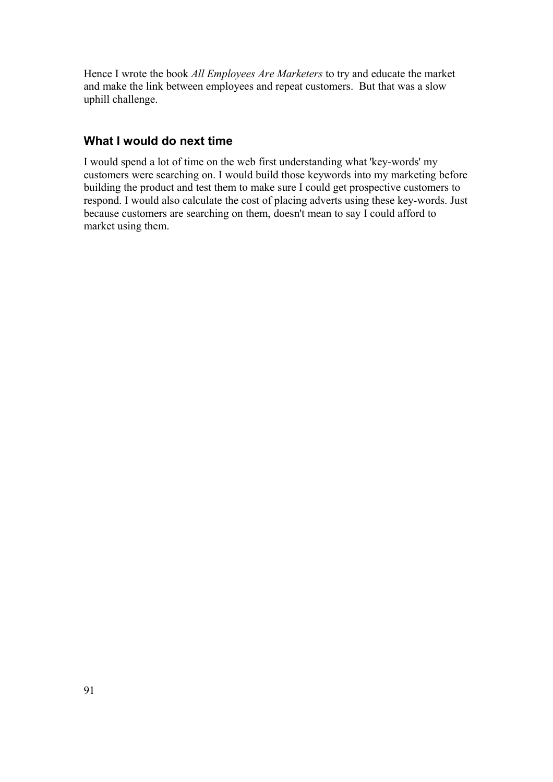Hence I wrote the book *All Employees Are Marketers* to try and educate the market and make the link between employees and repeat customers. But that was a slow uphill challenge.

### **What I would do next time**

I would spend a lot of time on the web first understanding what 'key-words' my customers were searching on. I would build those keywords into my marketing before building the product and test them to make sure I could get prospective customers to respond. I would also calculate the cost of placing adverts using these key-words. Just because customers are searching on them, doesn't mean to say I could afford to market using them.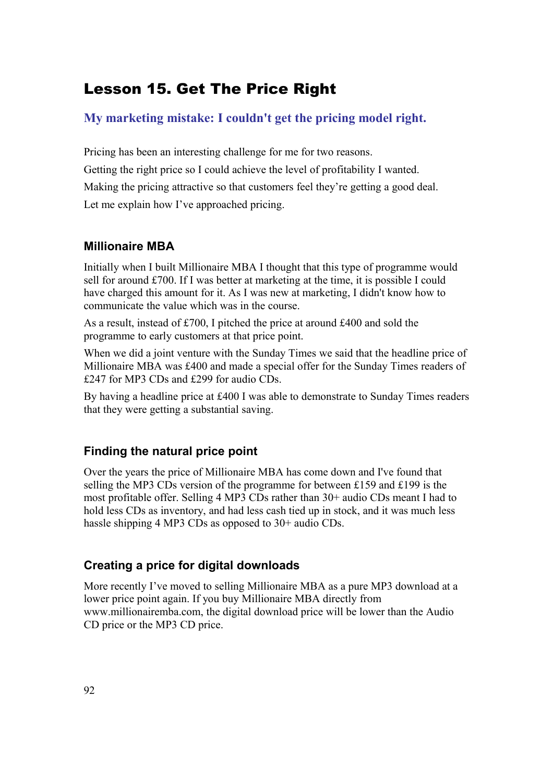# Lesson 15. Get The Price Right

# **My marketing mistake: I couldn't get the pricing model right.**

Pricing has been an interesting challenge for me for two reasons. Getting the right price so I could achieve the level of profitability I wanted. Making the pricing attractive so that customers feel they're getting a good deal. Let me explain how I've approached pricing.

### **Millionaire MBA**

Initially when I built Millionaire MBA I thought that this type of programme would sell for around £700. If I was better at marketing at the time, it is possible I could have charged this amount for it. As I was new at marketing, I didn't know how to communicate the value which was in the course.

As a result, instead of £700, I pitched the price at around £400 and sold the programme to early customers at that price point.

When we did a joint venture with the Sunday Times we said that the headline price of Millionaire MBA was £400 and made a special offer for the Sunday Times readers of £247 for MP3 CDs and £299 for audio CDs.

By having a headline price at £400 I was able to demonstrate to Sunday Times readers that they were getting a substantial saving.

## **Finding the natural price point**

Over the years the price of Millionaire MBA has come down and I've found that selling the MP3 CDs version of the programme for between £159 and £199 is the most profitable offer. Selling 4 MP3 CDs rather than 30+ audio CDs meant I had to hold less CDs as inventory, and had less cash tied up in stock, and it was much less hassle shipping 4 MP3 CDs as opposed to 30+ audio CDs.

## **Creating a price for digital downloads**

More recently I've moved to selling Millionaire MBA as a pure MP3 download at a lower price point again. If you buy Millionaire MBA directly from www.millionairemba.com, the digital download price will be lower than the Audio CD price or the MP3 CD price.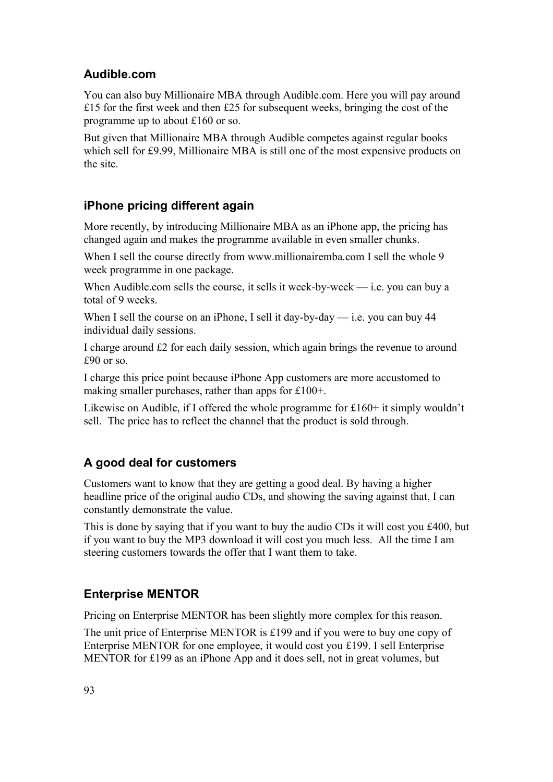## **Audible.com**

You can also buy Millionaire MBA through Audible.com. Here you will pay around £15 for the first week and then £25 for subsequent weeks, bringing the cost of the programme up to about £160 or so.

But given that Millionaire MBA through Audible competes against regular books which sell for £9.99, Millionaire MBA is still one of the most expensive products on the site.

# **iPhone pricing different again**

More recently, by introducing Millionaire MBA as an iPhone app, the pricing has changed again and makes the programme available in even smaller chunks.

When I sell the course directly from www.millionairemba.com I sell the whole 9 week programme in one package.

When Audible.com sells the course, it sells it week-by-week  $-$  i.e. you can buy a total of 9 weeks.

When I sell the course on an iPhone, I sell it day-by-day — i.e. you can buy 44 individual daily sessions.

I charge around £2 for each daily session, which again brings the revenue to around £90 or so.

I charge this price point because iPhone App customers are more accustomed to making smaller purchases, rather than apps for £100+.

Likewise on Audible, if I offered the whole programme for £160+ it simply wouldn't sell. The price has to reflect the channel that the product is sold through.

# **A good deal for customers**

Customers want to know that they are getting a good deal. By having a higher headline price of the original audio CDs, and showing the saving against that, I can constantly demonstrate the value.

This is done by saying that if you want to buy the audio CDs it will cost you £400, but if you want to buy the MP3 download it will cost you much less. All the time I am steering customers towards the offer that I want them to take.

# **Enterprise MENTOR**

Pricing on Enterprise MENTOR has been slightly more complex for this reason.

The unit price of Enterprise MENTOR is £199 and if you were to buy one copy of Enterprise MENTOR for one employee, it would cost you £199. I sell Enterprise MENTOR for £199 as an iPhone App and it does sell, not in great volumes, but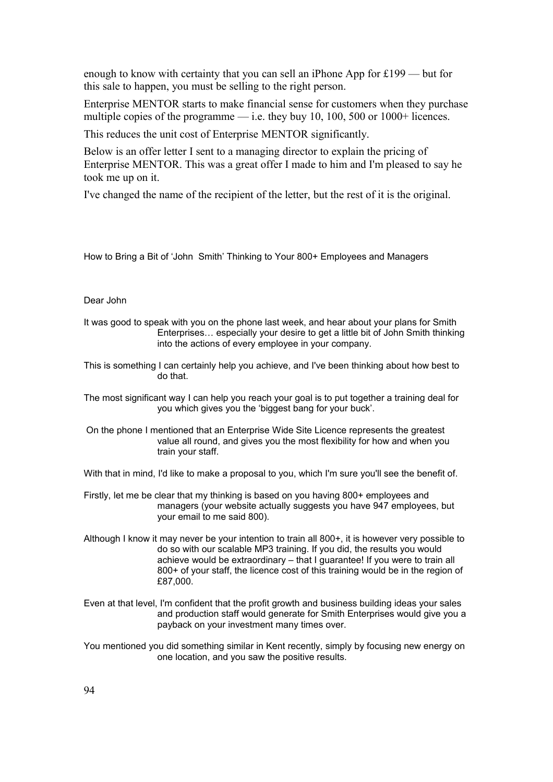enough to know with certainty that you can sell an iPhone App for £199 — but for this sale to happen, you must be selling to the right person.

Enterprise MENTOR starts to make financial sense for customers when they purchase multiple copies of the programme — i.e. they buy 10, 100, 500 or 1000+ licences.

This reduces the unit cost of Enterprise MENTOR significantly.

Below is an offer letter I sent to a managing director to explain the pricing of Enterprise MENTOR. This was a great offer I made to him and I'm pleased to say he took me up on it.

I've changed the name of the recipient of the letter, but the rest of it is the original.

How to Bring a Bit of 'John Smith' Thinking to Your 800+ Employees and Managers

#### Dear John

- It was good to speak with you on the phone last week, and hear about your plans for Smith Enterprises… especially your desire to get a little bit of John Smith thinking into the actions of every employee in your company.
- This is something I can certainly help you achieve, and I've been thinking about how best to do that.
- The most significant way I can help you reach your goal is to put together a training deal for you which gives you the 'biggest bang for your buck'.
- On the phone I mentioned that an Enterprise Wide Site Licence represents the greatest value all round, and gives you the most flexibility for how and when you train your staff.

With that in mind, I'd like to make a proposal to you, which I'm sure you'll see the benefit of.

- Firstly, let me be clear that my thinking is based on you having 800+ employees and managers (your website actually suggests you have 947 employees, but your email to me said 800).
- Although I know it may never be your intention to train all 800+, it is however very possible to do so with our scalable MP3 training. If you did, the results you would achieve would be extraordinary – that I guarantee! If you were to train all 800+ of your staff, the licence cost of this training would be in the region of £87,000.
- Even at that level, I'm confident that the profit growth and business building ideas your sales and production staff would generate for Smith Enterprises would give you a payback on your investment many times over.
- You mentioned you did something similar in Kent recently, simply by focusing new energy on one location, and you saw the positive results.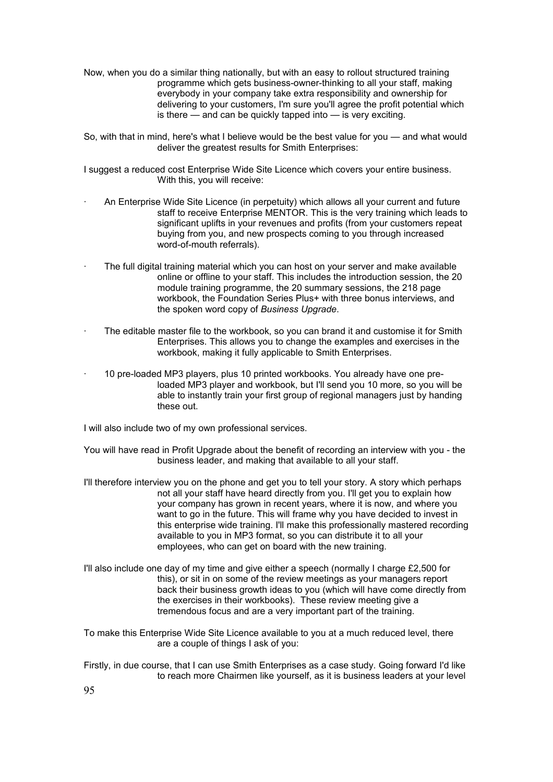- Now, when you do a similar thing nationally, but with an easy to rollout structured training programme which gets business-owner-thinking to all your staff, making everybody in your company take extra responsibility and ownership for delivering to your customers, I'm sure you'll agree the profit potential which is there — and can be quickly tapped into — is very exciting.
- So, with that in mind, here's what I believe would be the best value for you and what would deliver the greatest results for Smith Enterprises:
- I suggest a reduced cost Enterprise Wide Site Licence which covers your entire business. With this, you will receive:
- · An Enterprise Wide Site Licence (in perpetuity) which allows all your current and future staff to receive Enterprise MENTOR. This is the very training which leads to significant uplifts in your revenues and profits (from your customers repeat buying from you, and new prospects coming to you through increased word-of-mouth referrals).
- · The full digital training material which you can host on your server and make available online or offline to your staff. This includes the introduction session, the 20 module training programme, the 20 summary sessions, the 218 page workbook, the Foundation Series Plus+ with three bonus interviews, and the spoken word copy of *Business Upgrade*.
- The editable master file to the workbook, so you can brand it and customise it for Smith Enterprises. This allows you to change the examples and exercises in the workbook, making it fully applicable to Smith Enterprises.
- · 10 pre-loaded MP3 players, plus 10 printed workbooks. You already have one preloaded MP3 player and workbook, but I'll send you 10 more, so you will be able to instantly train your first group of regional managers just by handing these out.

I will also include two of my own professional services.

- You will have read in Profit Upgrade about the benefit of recording an interview with you the business leader, and making that available to all your staff.
- I'll therefore interview you on the phone and get you to tell your story. A story which perhaps not all your staff have heard directly from you. I'll get you to explain how your company has grown in recent years, where it is now, and where you want to go in the future. This will frame why you have decided to invest in this enterprise wide training. I'll make this professionally mastered recording available to you in MP3 format, so you can distribute it to all your employees, who can get on board with the new training.
- I'll also include one day of my time and give either a speech (normally I charge  $£2,500$  for this), or sit in on some of the review meetings as your managers report back their business growth ideas to you (which will have come directly from the exercises in their workbooks). These review meeting give a tremendous focus and are a very important part of the training.
- To make this Enterprise Wide Site Licence available to you at a much reduced level, there are a couple of things I ask of you:
- Firstly, in due course, that I can use Smith Enterprises as a case study. Going forward I'd like to reach more Chairmen like yourself, as it is business leaders at your level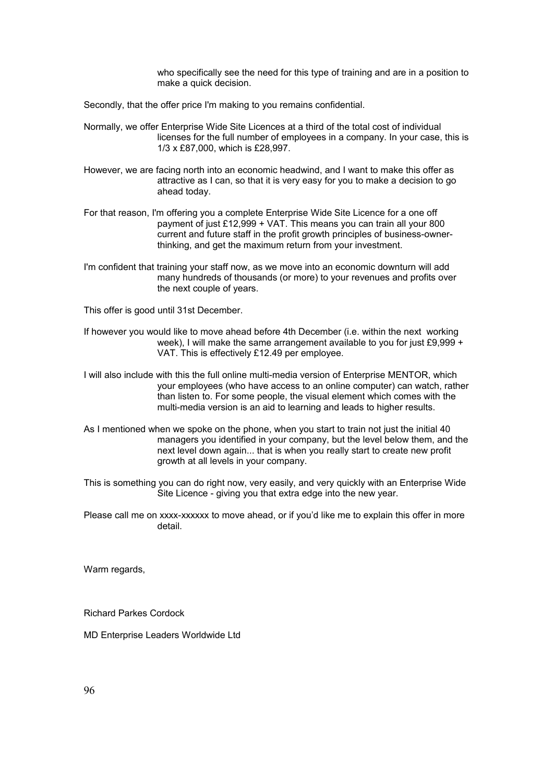who specifically see the need for this type of training and are in a position to make a quick decision.

Secondly, that the offer price I'm making to you remains confidential.

- Normally, we offer Enterprise Wide Site Licences at a third of the total cost of individual licenses for the full number of employees in a company. In your case, this is 1/3 x £87,000, which is £28,997.
- However, we are facing north into an economic headwind, and I want to make this offer as attractive as I can, so that it is very easy for you to make a decision to go ahead today.
- For that reason, I'm offering you a complete Enterprise Wide Site Licence for a one off payment of just £12,999 + VAT. This means you can train all your 800 current and future staff in the profit growth principles of business-ownerthinking, and get the maximum return from your investment.
- I'm confident that training your staff now, as we move into an economic downturn will add many hundreds of thousands (or more) to your revenues and profits over the next couple of years.

This offer is good until 31st December.

- If however you would like to move ahead before 4th December (i.e. within the next working week), I will make the same arrangement available to you for just £9,999 + VAT. This is effectively £12.49 per employee.
- I will also include with this the full online multi-media version of Enterprise MENTOR, which your employees (who have access to an online computer) can watch, rather than listen to. For some people, the visual element which comes with the multi-media version is an aid to learning and leads to higher results.
- As I mentioned when we spoke on the phone, when you start to train not just the initial 40 managers you identified in your company, but the level below them, and the next level down again... that is when you really start to create new profit growth at all levels in your company.
- This is something you can do right now, very easily, and very quickly with an Enterprise Wide Site Licence - giving you that extra edge into the new year.

Please call me on xxxx-xxxxxx to move ahead, or if you'd like me to explain this offer in more detail.

Warm regards,

Richard Parkes Cordock

MD Enterprise Leaders Worldwide Ltd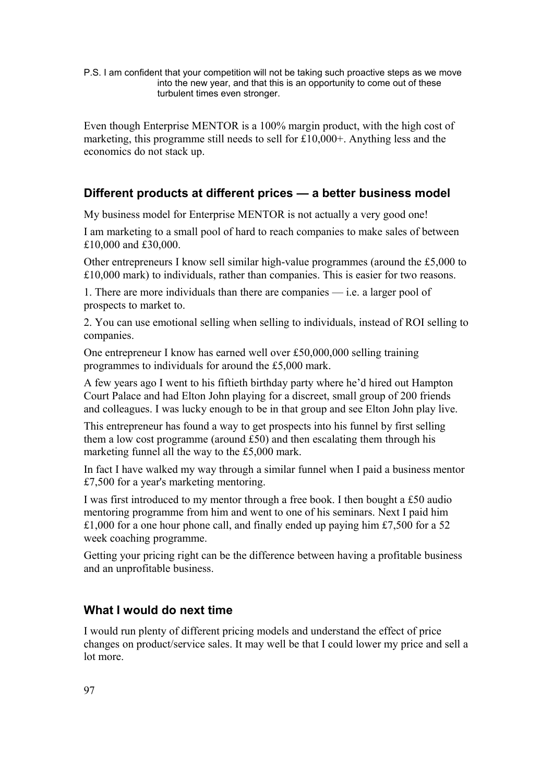P.S. I am confident that your competition will not be taking such proactive steps as we move into the new year, and that this is an opportunity to come out of these turbulent times even stronger.

Even though Enterprise MENTOR is a 100% margin product, with the high cost of marketing, this programme still needs to sell for £10,000+. Anything less and the economics do not stack up.

#### **Different products at different prices — a better business model**

My business model for Enterprise MENTOR is not actually a very good one!

I am marketing to a small pool of hard to reach companies to make sales of between £10,000 and £30,000.

Other entrepreneurs I know sell similar high-value programmes (around the £5,000 to £10,000 mark) to individuals, rather than companies. This is easier for two reasons.

1. There are more individuals than there are companies — i.e. a larger pool of prospects to market to.

2. You can use emotional selling when selling to individuals, instead of ROI selling to companies.

One entrepreneur I know has earned well over £50,000,000 selling training programmes to individuals for around the £5,000 mark.

A few years ago I went to his fiftieth birthday party where he'd hired out Hampton Court Palace and had Elton John playing for a discreet, small group of 200 friends and colleagues. I was lucky enough to be in that group and see Elton John play live.

This entrepreneur has found a way to get prospects into his funnel by first selling them a low cost programme (around £50) and then escalating them through his marketing funnel all the way to the £5,000 mark.

In fact I have walked my way through a similar funnel when I paid a business mentor £7,500 for a year's marketing mentoring.

I was first introduced to my mentor through a free book. I then bought a £50 audio mentoring programme from him and went to one of his seminars. Next I paid him  $£1,000$  for a one hour phone call, and finally ended up paying him £7,500 for a 52 week coaching programme.

Getting your pricing right can be the difference between having a profitable business and an unprofitable business.

#### **What I would do next time**

I would run plenty of different pricing models and understand the effect of price changes on product/service sales. It may well be that I could lower my price and sell a lot more.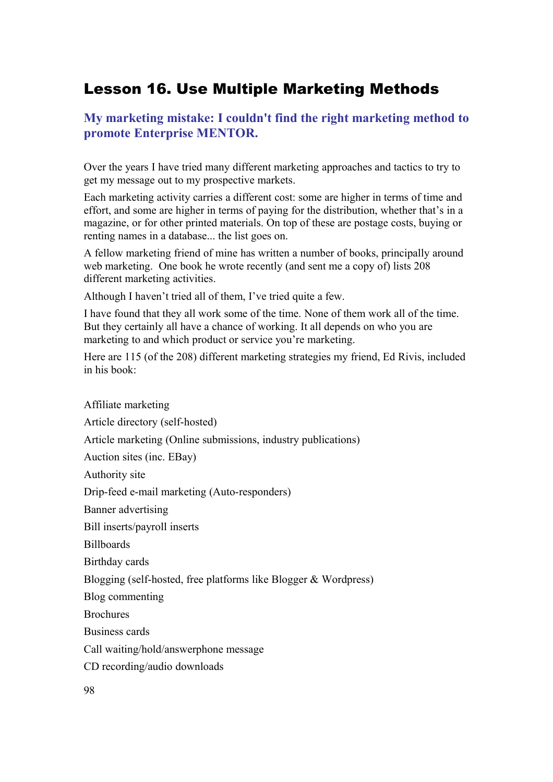# Lesson 16. Use Multiple Marketing Methods

## **My marketing mistake: I couldn't find the right marketing method to promote Enterprise MENTOR.**

Over the years I have tried many different marketing approaches and tactics to try to get my message out to my prospective markets.

Each marketing activity carries a different cost: some are higher in terms of time and effort, and some are higher in terms of paying for the distribution, whether that's in a magazine, or for other printed materials. On top of these are postage costs, buying or renting names in a database... the list goes on.

A fellow marketing friend of mine has written a number of books, principally around web marketing. One book he wrote recently (and sent me a copy of) lists 208 different marketing activities.

Although I haven't tried all of them, I've tried quite a few.

I have found that they all work some of the time. None of them work all of the time. But they certainly all have a chance of working. It all depends on who you are marketing to and which product or service you're marketing.

Here are 115 (of the 208) different marketing strategies my friend, Ed Rivis, included in his book:

Affiliate marketing Article directory (self-hosted) Article marketing (Online submissions, industry publications) Auction sites (inc. EBay) Authority site Drip-feed e-mail marketing (Auto-responders) Banner advertising Bill inserts/payroll inserts Billboards Birthday cards Blogging (self-hosted, free platforms like Blogger & Wordpress) Blog commenting **Brochures** Business cards Call waiting/hold/answerphone message CD recording/audio downloads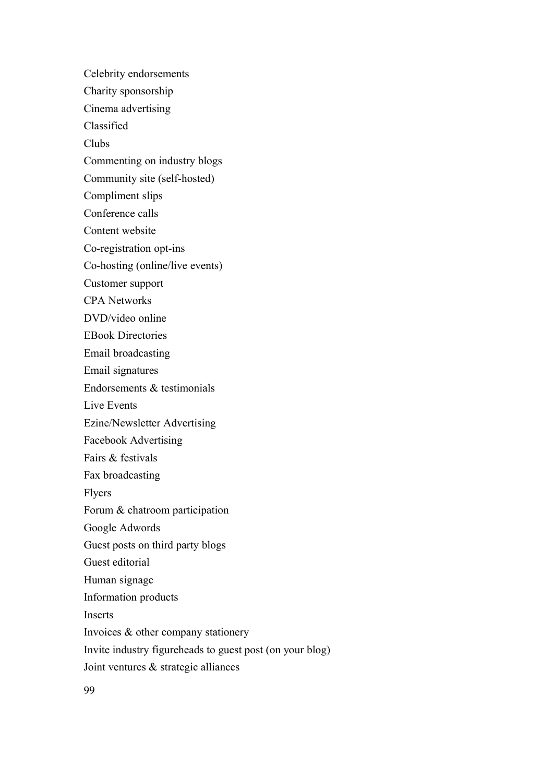Celebrity endorsements

Charity sponsorship

Cinema advertising

Classified

Clubs

Commenting on industry blogs

Community site (self-hosted)

Compliment slips

Conference calls

Content website

Co-registration opt-ins

Co-hosting (online/live events)

Customer support

CPA Networks

DVD/video online

EBook Directories

Email broadcasting

Email signatures

Endorsements & testimonials

Live Events

Ezine/Newsletter Advertising

Facebook Advertising

Fairs & festivals

Fax broadcasting

Flyers

Forum & chatroom participation

Google Adwords

Guest posts on third party blogs

Guest editorial

Human signage

Information products

Inserts

Invoices & other company stationery

Invite industry figureheads to guest post (on your blog)

Joint ventures & strategic alliances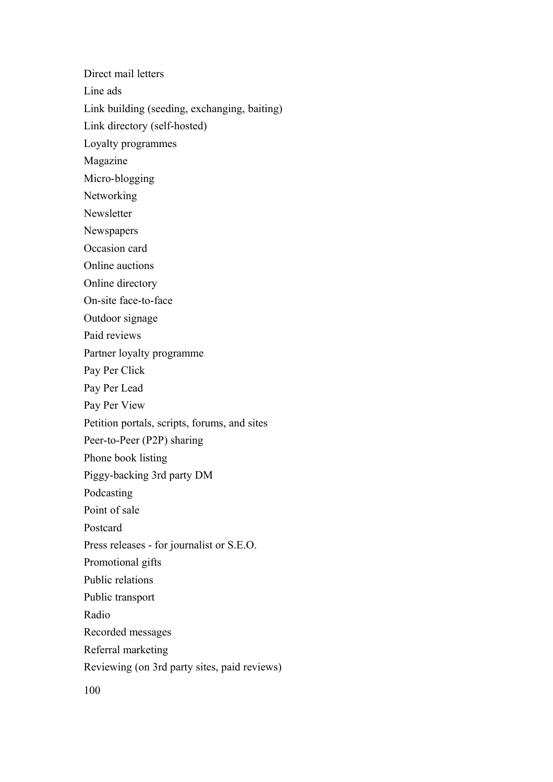Direct mail letters

Line ads

Link building (seeding, exchanging, baiting)

Link directory (self-hosted)

Loyalty programmes

Magazine

Micro-blogging

Networking

Newsletter

Newspapers

Occasion card

Online auctions

Online directory

On-site face-to-face

Outdoor signage

Paid reviews

Partner loyalty programme

Pay Per Click

Pay Per Lead

Pay Per View

Petition portals, scripts, forums, and sites

Peer-to-Peer (P2P) sharing

Phone book listing

Piggy-backing 3rd party DM

Podcasting

Point of sale

Postcard

Press releases - for journalist or S.E.O.

Promotional gifts

Public relations

Public transport

Radio

Recorded messages

Referral marketing

Reviewing (on 3rd party sites, paid reviews)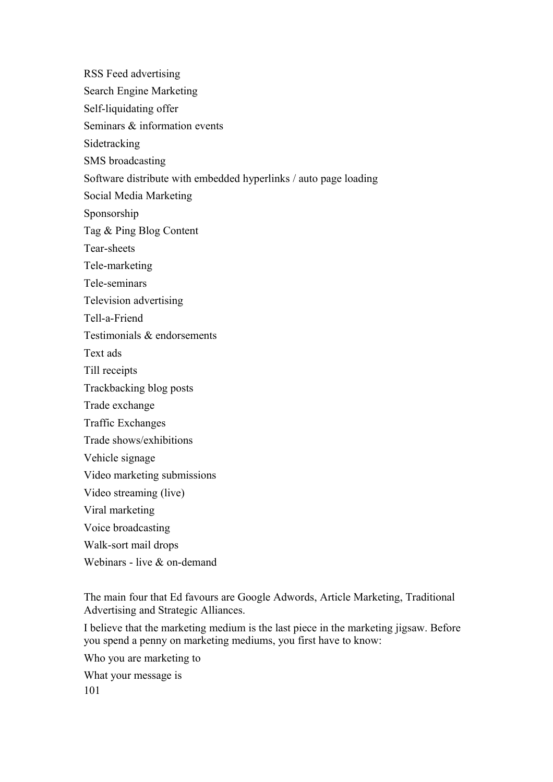RSS Feed advertising Search Engine Marketing Self-liquidating offer Seminars & information events Sidetracking SMS broadcasting Software distribute with embedded hyperlinks / auto page loading Social Media Marketing Sponsorship Tag & Ping Blog Content Tear-sheets Tele-marketing Tele-seminars Television advertising Tell-a-Friend Testimonials & endorsements Text ads Till receipts Trackbacking blog posts Trade exchange Traffic Exchanges Trade shows/exhibitions Vehicle signage Video marketing submissions Video streaming (live) Viral marketing Voice broadcasting Walk-sort mail drops Webinars - live & on-demand

The main four that Ed favours are Google Adwords, Article Marketing, Traditional Advertising and Strategic Alliances.

I believe that the marketing medium is the last piece in the marketing jigsaw. Before you spend a penny on marketing mediums, you first have to know:

Who you are marketing to

What your message is 101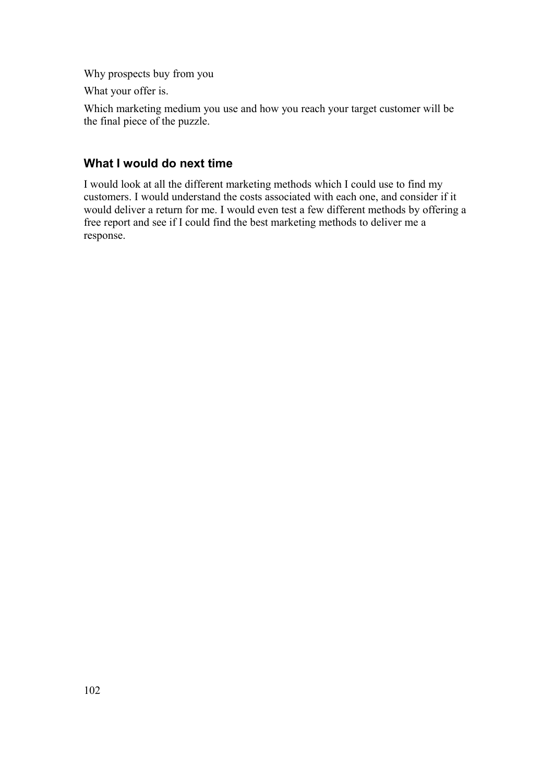Why prospects buy from you

What your offer is.

Which marketing medium you use and how you reach your target customer will be the final piece of the puzzle.

# **What I would do next time**

I would look at all the different marketing methods which I could use to find my customers. I would understand the costs associated with each one, and consider if it would deliver a return for me. I would even test a few different methods by offering a free report and see if I could find the best marketing methods to deliver me a response.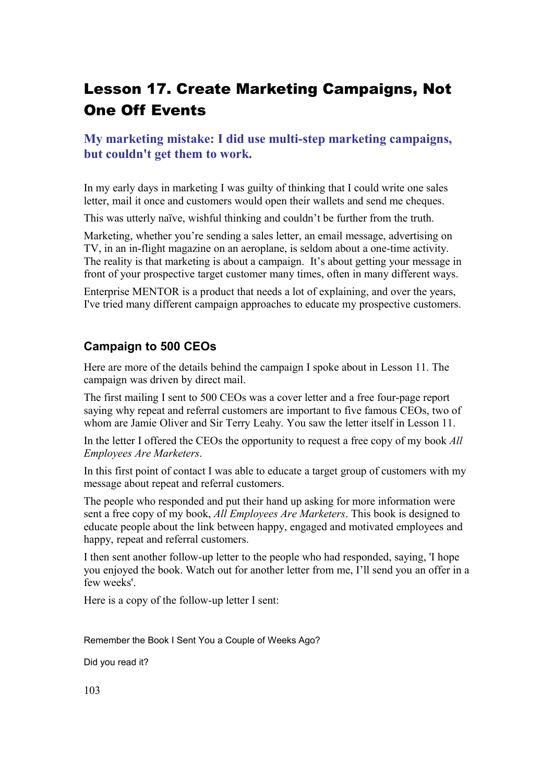# Lesson 17. Create Marketing Campaigns, Not One Off Events

### **My marketing mistake: I did use multi-step marketing campaigns, but couldn't get them to work.**

In my early days in marketing I was guilty of thinking that I could write one sales letter, mail it once and customers would open their wallets and send me cheques.

This was utterly naïve, wishful thinking and couldn't be further from the truth.

Marketing, whether you're sending a sales letter, an email message, advertising on TV, in an in-flight magazine on an aeroplane, is seldom about a one-time activity. The reality is that marketing is about a campaign. It's about getting your message in front of your prospective target customer many times, often in many different ways.

Enterprise MENTOR is a product that needs a lot of explaining, and over the years, I've tried many different campaign approaches to educate my prospective customers.

#### **Campaign to 500 CEOs**

Here are more of the details behind the campaign I spoke about in Lesson 11. The campaign was driven by direct mail.

The first mailing I sent to 500 CEOs was a cover letter and a free four-page report saying why repeat and referral customers are important to five famous CEOs, two of whom are Jamie Oliver and Sir Terry Leahy. You saw the letter itself in Lesson 11.

In the letter I offered the CEOs the opportunity to request a free copy of my book *All Employees Are Marketers*.

In this first point of contact I was able to educate a target group of customers with my message about repeat and referral customers.

The people who responded and put their hand up asking for more information were sent a free copy of my book, *All Employees Are Marketers*. This book is designed to educate people about the link between happy, engaged and motivated employees and happy, repeat and referral customers.

I then sent another follow-up letter to the people who had responded, saying, 'I hope you enjoyed the book. Watch out for another letter from me, I'll send you an offer in a few weeks'.

Here is a copy of the follow-up letter I sent:

Remember the Book I Sent You a Couple of Weeks Ago?

Did you read it?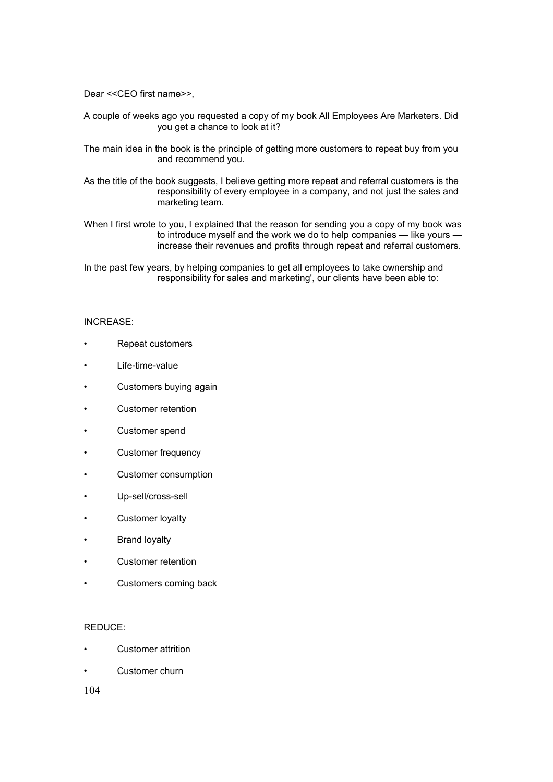Dear <<CEO first name>>,

- A couple of weeks ago you requested a copy of my book All Employees Are Marketers. Did you get a chance to look at it?
- The main idea in the book is the principle of getting more customers to repeat buy from you and recommend you.
- As the title of the book suggests, I believe getting more repeat and referral customers is the responsibility of every employee in a company, and not just the sales and marketing team.
- When I first wrote to you, I explained that the reason for sending you a copy of my book was to introduce myself and the work we do to help companies — like yours increase their revenues and profits through repeat and referral customers.

In the past few years, by helping companies to get all employees to take ownership and responsibility for sales and marketing', our clients have been able to:

#### INCREASE:

- Repeat customers
- Life-time-value
- Customers buying again
- Customer retention
- Customer spend
- Customer frequency
- Customer consumption
- Up-sell/cross-sell
- Customer loyalty
- Brand loyalty
- Customer retention
- Customers coming back

#### REDUCE:

- Customer attrition
- Customer churn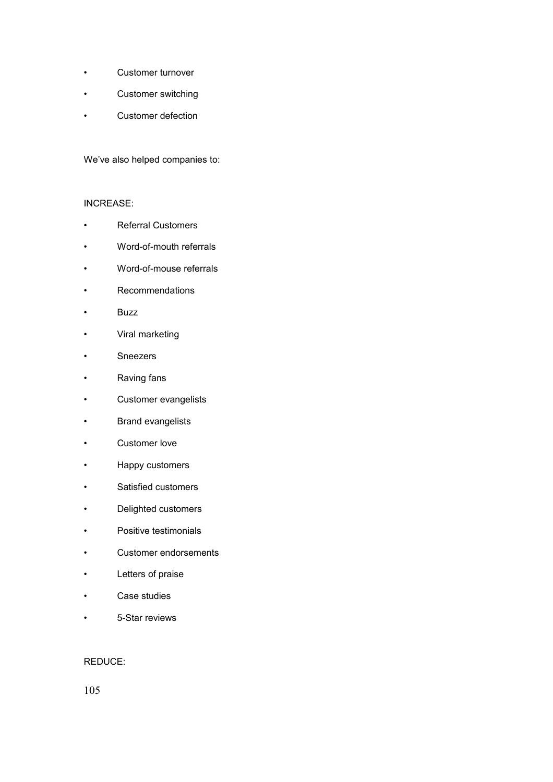- Customer turnover
- Customer switching
- Customer defection

We've also helped companies to:

#### INCREASE:

- Referral Customers
- Word-of-mouth referrals
- Word-of-mouse referrals
- Recommendations
- Buzz
- Viral marketing
- Sneezers
- Raving fans
- Customer evangelists
- Brand evangelists
- Customer love
- Happy customers
- Satisfied customers
- Delighted customers
- Positive testimonials
- Customer endorsements
- Letters of praise
- Case studies
- 5-Star reviews

#### REDUCE: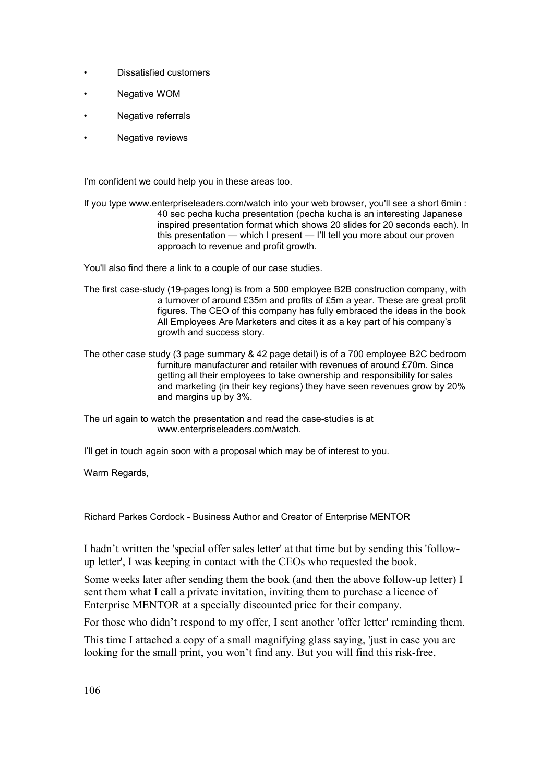- Dissatisfied customers
- **Negative WOM**
- Negative referrals
- Negative reviews

I'm confident we could help you in these areas too.

If you type www.enterpriseleaders.com/watch into your web browser, you'll see a short 6min : 40 sec pecha kucha presentation (pecha kucha is an interesting Japanese inspired presentation format which shows 20 slides for 20 seconds each). In this presentation — which I present — I'll tell you more about our proven approach to revenue and profit growth.

You'll also find there a link to a couple of our case studies.

- The first case-study (19-pages long) is from a 500 employee B2B construction company, with a turnover of around £35m and profits of £5m a year. These are great profit figures. The CEO of this company has fully embraced the ideas in the book All Employees Are Marketers and cites it as a key part of his company's growth and success story.
- The other case study (3 page summary & 42 page detail) is of a 700 employee B2C bedroom furniture manufacturer and retailer with revenues of around £70m. Since getting all their employees to take ownership and responsibility for sales and marketing (in their key regions) they have seen revenues grow by 20% and margins up by 3%.

The url again to watch the presentation and read the case-studies is at www.enterpriseleaders.com/watch.

I'll get in touch again soon with a proposal which may be of interest to you.

Warm Regards,

Richard Parkes Cordock - Business Author and Creator of Enterprise MENTOR

I hadn't written the 'special offer sales letter' at that time but by sending this 'followup letter', I was keeping in contact with the CEOs who requested the book.

Some weeks later after sending them the book (and then the above follow-up letter) I sent them what I call a private invitation, inviting them to purchase a licence of Enterprise MENTOR at a specially discounted price for their company.

For those who didn't respond to my offer, I sent another 'offer letter' reminding them.

This time I attached a copy of a small magnifying glass saying, 'just in case you are looking for the small print, you won't find any. But you will find this risk-free,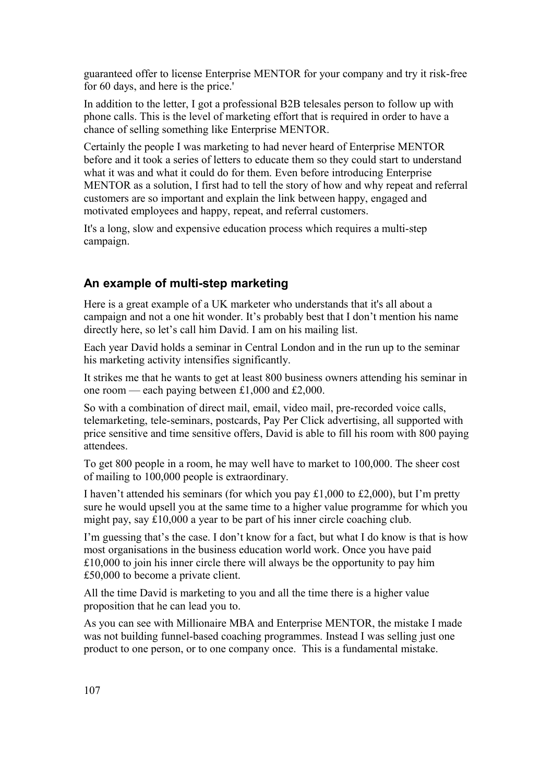guaranteed offer to license Enterprise MENTOR for your company and try it risk-free for 60 days, and here is the price.'

In addition to the letter, I got a professional B2B telesales person to follow up with phone calls. This is the level of marketing effort that is required in order to have a chance of selling something like Enterprise MENTOR.

Certainly the people I was marketing to had never heard of Enterprise MENTOR before and it took a series of letters to educate them so they could start to understand what it was and what it could do for them. Even before introducing Enterprise MENTOR as a solution, I first had to tell the story of how and why repeat and referral customers are so important and explain the link between happy, engaged and motivated employees and happy, repeat, and referral customers.

It's a long, slow and expensive education process which requires a multi-step campaign.

#### **An example of multi-step marketing**

Here is a great example of a UK marketer who understands that it's all about a campaign and not a one hit wonder. It's probably best that I don't mention his name directly here, so let's call him David. I am on his mailing list.

Each year David holds a seminar in Central London and in the run up to the seminar his marketing activity intensifies significantly.

It strikes me that he wants to get at least 800 business owners attending his seminar in one room — each paying between £1,000 and £2,000.

So with a combination of direct mail, email, video mail, pre-recorded voice calls, telemarketing, tele-seminars, postcards, Pay Per Click advertising, all supported with price sensitive and time sensitive offers, David is able to fill his room with 800 paying attendees.

To get 800 people in a room, he may well have to market to 100,000. The sheer cost of mailing to 100,000 people is extraordinary.

I haven't attended his seminars (for which you pay £1,000 to £2,000), but I'm pretty sure he would upsell you at the same time to a higher value programme for which you might pay, say £10,000 a year to be part of his inner circle coaching club.

I'm guessing that's the case. I don't know for a fact, but what I do know is that is how most organisations in the business education world work. Once you have paid £10,000 to join his inner circle there will always be the opportunity to pay him £50,000 to become a private client.

All the time David is marketing to you and all the time there is a higher value proposition that he can lead you to.

As you can see with Millionaire MBA and Enterprise MENTOR, the mistake I made was not building funnel-based coaching programmes. Instead I was selling just one product to one person, or to one company once. This is a fundamental mistake.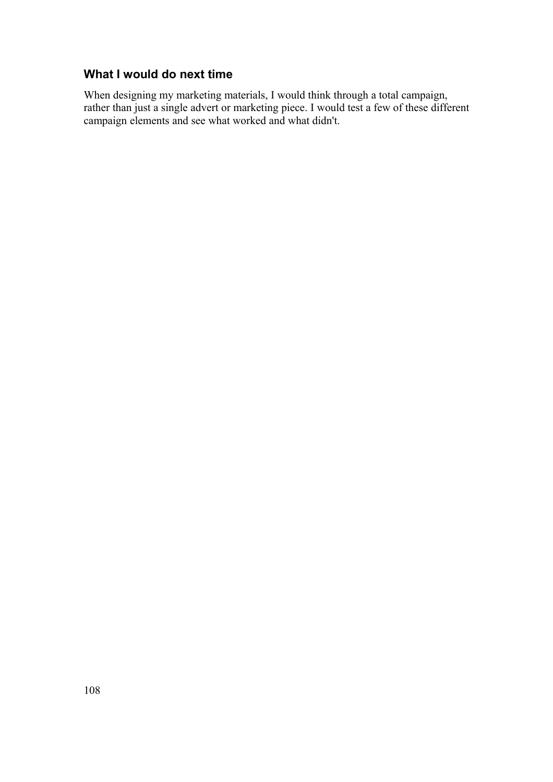# **What I would do next time**

When designing my marketing materials, I would think through a total campaign, rather than just a single advert or marketing piece. I would test a few of these different campaign elements and see what worked and what didn't.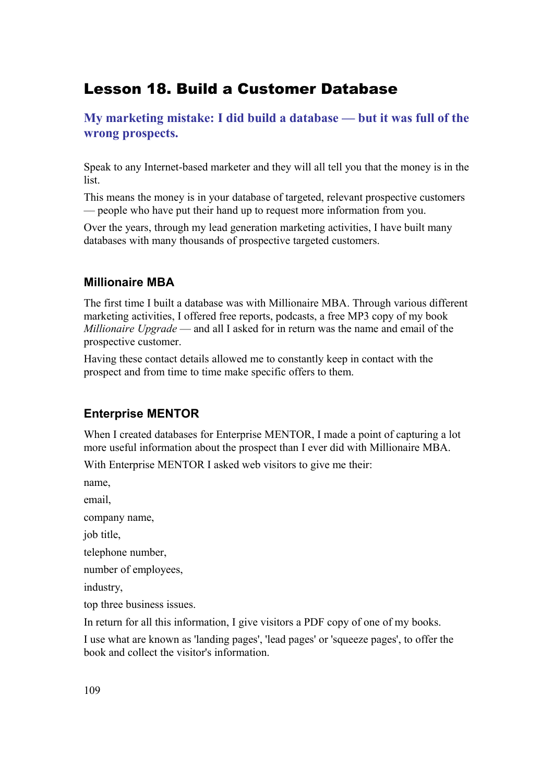## Lesson 18. Build a Customer Database

**My marketing mistake: I did build a database — but it was full of the wrong prospects.**

Speak to any Internet-based marketer and they will all tell you that the money is in the list.

This means the money is in your database of targeted, relevant prospective customers — people who have put their hand up to request more information from you.

Over the years, through my lead generation marketing activities, I have built many databases with many thousands of prospective targeted customers.

#### **Millionaire MBA**

The first time I built a database was with Millionaire MBA. Through various different marketing activities, I offered free reports, podcasts, a free MP3 copy of my book *Millionaire Upgrade* — and all I asked for in return was the name and email of the prospective customer.

Having these contact details allowed me to constantly keep in contact with the prospect and from time to time make specific offers to them.

## **Enterprise MENTOR**

When I created databases for Enterprise MENTOR, I made a point of capturing a lot more useful information about the prospect than I ever did with Millionaire MBA.

With Enterprise MENTOR I asked web visitors to give me their:

name,

email,

company name,

job title.

telephone number,

number of employees,

industry,

top three business issues.

In return for all this information, I give visitors a PDF copy of one of my books.

I use what are known as 'landing pages', 'lead pages' or 'squeeze pages', to offer the book and collect the visitor's information.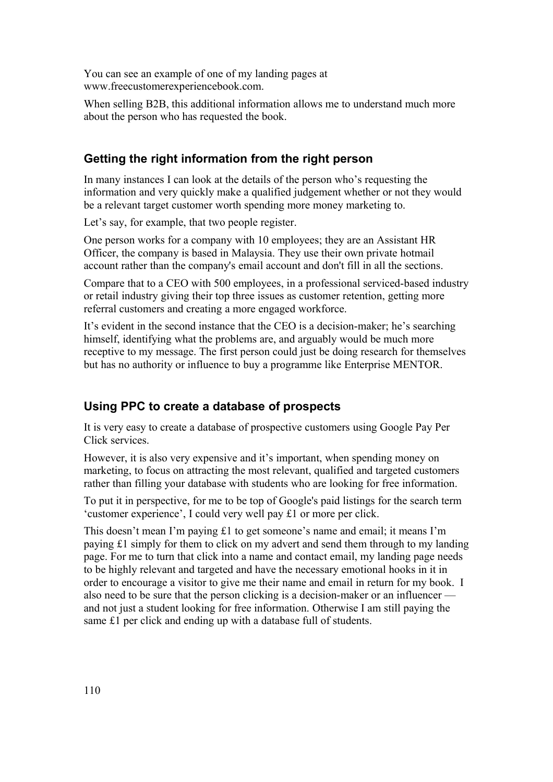You can see an example of one of my landing pages at www.freecustomerexperiencebook.com.

When selling B2B, this additional information allows me to understand much more about the person who has requested the book.

## **Getting the right information from the right person**

In many instances I can look at the details of the person who's requesting the information and very quickly make a qualified judgement whether or not they would be a relevant target customer worth spending more money marketing to.

Let's say, for example, that two people register.

One person works for a company with 10 employees; they are an Assistant HR Officer, the company is based in Malaysia. They use their own private hotmail account rather than the company's email account and don't fill in all the sections.

Compare that to a CEO with 500 employees, in a professional serviced-based industry or retail industry giving their top three issues as customer retention, getting more referral customers and creating a more engaged workforce.

It's evident in the second instance that the CEO is a decision-maker; he's searching himself, identifying what the problems are, and arguably would be much more receptive to my message. The first person could just be doing research for themselves but has no authority or influence to buy a programme like Enterprise MENTOR.

## **Using PPC to create a database of prospects**

It is very easy to create a database of prospective customers using Google Pay Per Click services.

However, it is also very expensive and it's important, when spending money on marketing, to focus on attracting the most relevant, qualified and targeted customers rather than filling your database with students who are looking for free information.

To put it in perspective, for me to be top of Google's paid listings for the search term 'customer experience', I could very well pay £1 or more per click.

This doesn't mean I'm paying £1 to get someone's name and email; it means I'm paying £1 simply for them to click on my advert and send them through to my landing page. For me to turn that click into a name and contact email, my landing page needs to be highly relevant and targeted and have the necessary emotional hooks in it in order to encourage a visitor to give me their name and email in return for my book. I also need to be sure that the person clicking is a decision-maker or an influencer and not just a student looking for free information. Otherwise I am still paying the same £1 per click and ending up with a database full of students.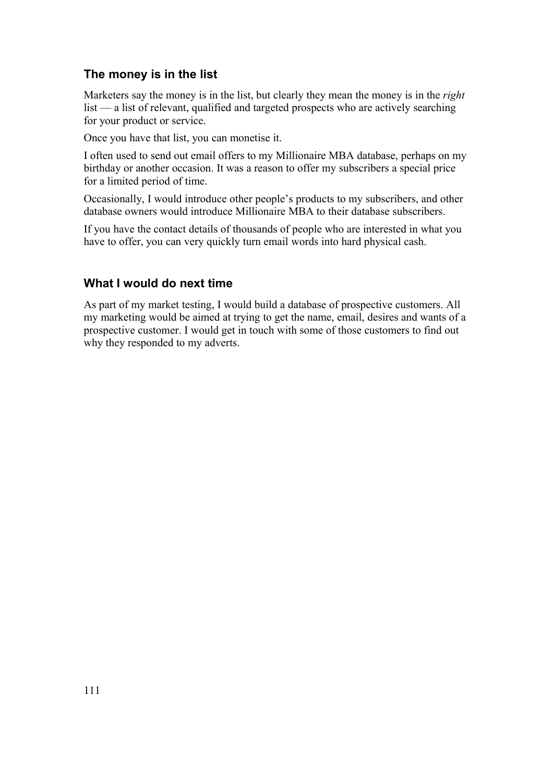## **The money is in the list**

Marketers say the money is in the list, but clearly they mean the money is in the *right* list — a list of relevant, qualified and targeted prospects who are actively searching for your product or service.

Once you have that list, you can monetise it.

I often used to send out email offers to my Millionaire MBA database, perhaps on my birthday or another occasion. It was a reason to offer my subscribers a special price for a limited period of time.

Occasionally, I would introduce other people's products to my subscribers, and other database owners would introduce Millionaire MBA to their database subscribers.

If you have the contact details of thousands of people who are interested in what you have to offer, you can very quickly turn email words into hard physical cash.

#### **What I would do next time**

As part of my market testing, I would build a database of prospective customers. All my marketing would be aimed at trying to get the name, email, desires and wants of a prospective customer. I would get in touch with some of those customers to find out why they responded to my adverts.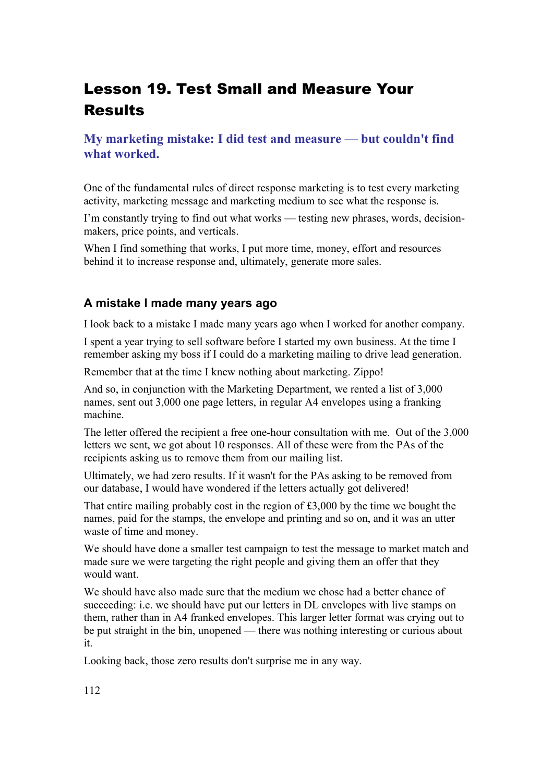# Lesson 19. Test Small and Measure Your **Results**

## **My marketing mistake: I did test and measure — but couldn't find what worked.**

One of the fundamental rules of direct response marketing is to test every marketing activity, marketing message and marketing medium to see what the response is.

I'm constantly trying to find out what works — testing new phrases, words, decisionmakers, price points, and verticals.

When I find something that works, I put more time, money, effort and resources behind it to increase response and, ultimately, generate more sales.

## **A mistake I made many years ago**

I look back to a mistake I made many years ago when I worked for another company.

I spent a year trying to sell software before I started my own business. At the time I remember asking my boss if I could do a marketing mailing to drive lead generation.

Remember that at the time I knew nothing about marketing. Zippo!

And so, in conjunction with the Marketing Department, we rented a list of 3,000 names, sent out 3,000 one page letters, in regular A4 envelopes using a franking machine.

The letter offered the recipient a free one-hour consultation with me. Out of the 3,000 letters we sent, we got about 10 responses. All of these were from the PAs of the recipients asking us to remove them from our mailing list.

Ultimately, we had zero results. If it wasn't for the PAs asking to be removed from our database, I would have wondered if the letters actually got delivered!

That entire mailing probably cost in the region of £3,000 by the time we bought the names, paid for the stamps, the envelope and printing and so on, and it was an utter waste of time and money.

We should have done a smaller test campaign to test the message to market match and made sure we were targeting the right people and giving them an offer that they would want.

We should have also made sure that the medium we chose had a better chance of succeeding: i.e. we should have put our letters in DL envelopes with live stamps on them, rather than in A4 franked envelopes. This larger letter format was crying out to be put straight in the bin, unopened — there was nothing interesting or curious about it.

Looking back, those zero results don't surprise me in any way.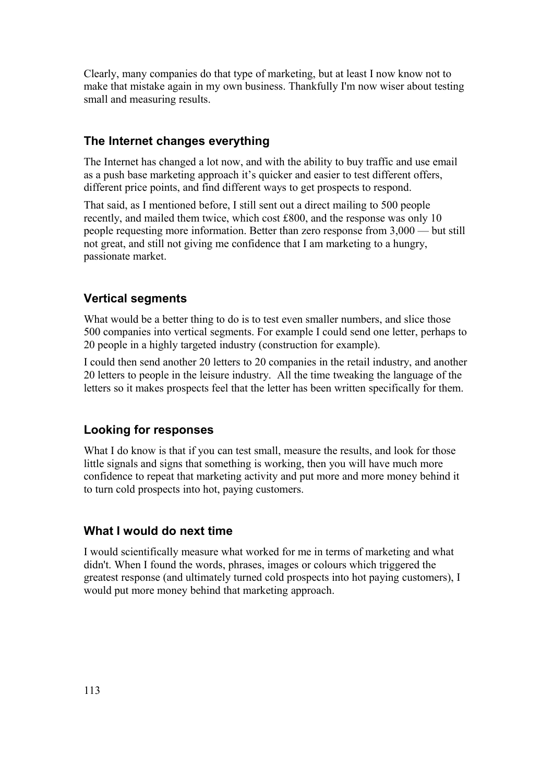Clearly, many companies do that type of marketing, but at least I now know not to make that mistake again in my own business. Thankfully I'm now wiser about testing small and measuring results.

#### **The Internet changes everything**

The Internet has changed a lot now, and with the ability to buy traffic and use email as a push base marketing approach it's quicker and easier to test different offers, different price points, and find different ways to get prospects to respond.

That said, as I mentioned before, I still sent out a direct mailing to 500 people recently, and mailed them twice, which cost £800, and the response was only 10 people requesting more information. Better than zero response from 3,000 — but still not great, and still not giving me confidence that I am marketing to a hungry, passionate market.

#### **Vertical segments**

What would be a better thing to do is to test even smaller numbers, and slice those 500 companies into vertical segments. For example I could send one letter, perhaps to 20 people in a highly targeted industry (construction for example).

I could then send another 20 letters to 20 companies in the retail industry, and another 20 letters to people in the leisure industry. All the time tweaking the language of the letters so it makes prospects feel that the letter has been written specifically for them.

#### **Looking for responses**

What I do know is that if you can test small, measure the results, and look for those little signals and signs that something is working, then you will have much more confidence to repeat that marketing activity and put more and more money behind it to turn cold prospects into hot, paying customers.

#### **What I would do next time**

I would scientifically measure what worked for me in terms of marketing and what didn't. When I found the words, phrases, images or colours which triggered the greatest response (and ultimately turned cold prospects into hot paying customers), I would put more money behind that marketing approach.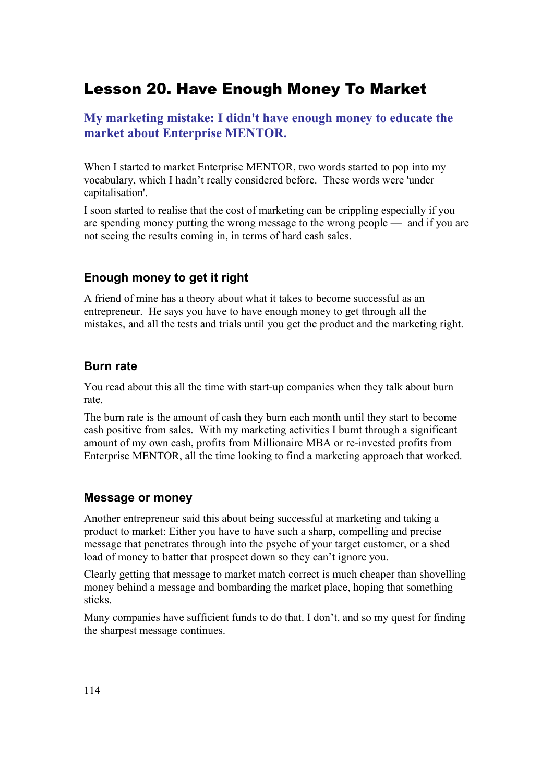## Lesson 20. Have Enough Money To Market

## **My marketing mistake: I didn't have enough money to educate the market about Enterprise MENTOR.**

When I started to market Enterprise MENTOR, two words started to pop into my vocabulary, which I hadn't really considered before. These words were 'under capitalisation'.

I soon started to realise that the cost of marketing can be crippling especially if you are spending money putting the wrong message to the wrong people — and if you are not seeing the results coming in, in terms of hard cash sales.

## **Enough money to get it right**

A friend of mine has a theory about what it takes to become successful as an entrepreneur. He says you have to have enough money to get through all the mistakes, and all the tests and trials until you get the product and the marketing right.

## **Burn rate**

You read about this all the time with start-up companies when they talk about burn rate.

The burn rate is the amount of cash they burn each month until they start to become cash positive from sales. With my marketing activities I burnt through a significant amount of my own cash, profits from Millionaire MBA or re-invested profits from Enterprise MENTOR, all the time looking to find a marketing approach that worked.

## **Message or money**

Another entrepreneur said this about being successful at marketing and taking a product to market: Either you have to have such a sharp, compelling and precise message that penetrates through into the psyche of your target customer, or a shed load of money to batter that prospect down so they can't ignore you.

Clearly getting that message to market match correct is much cheaper than shovelling money behind a message and bombarding the market place, hoping that something sticks.

Many companies have sufficient funds to do that. I don't, and so my quest for finding the sharpest message continues.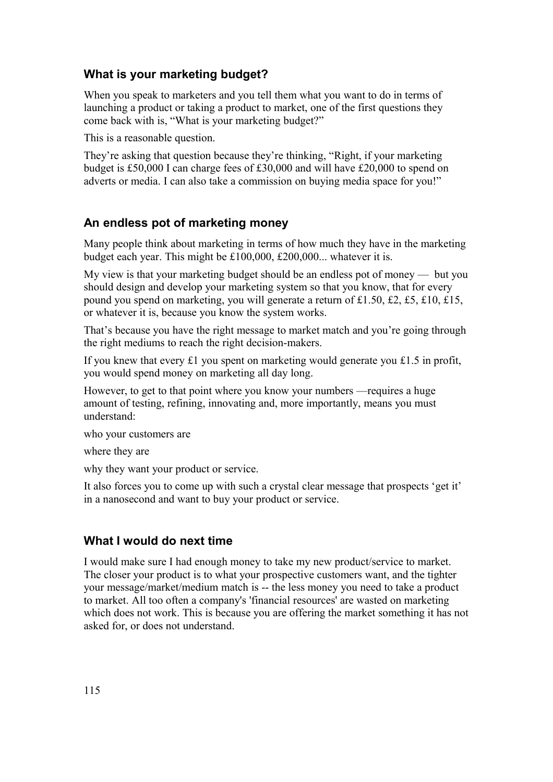## **What is your marketing budget?**

When you speak to marketers and you tell them what you want to do in terms of launching a product or taking a product to market, one of the first questions they come back with is, "What is your marketing budget?"

This is a reasonable question.

They're asking that question because they're thinking, "Right, if your marketing budget is £50,000 I can charge fees of £30,000 and will have £20,000 to spend on adverts or media. I can also take a commission on buying media space for you!"

## **An endless pot of marketing money**

Many people think about marketing in terms of how much they have in the marketing budget each year. This might be £100,000, £200,000... whatever it is.

My view is that your marketing budget should be an endless pot of money — but you should design and develop your marketing system so that you know, that for every pound you spend on marketing, you will generate a return of £1.50, £2, £5, £10, £15, or whatever it is, because you know the system works.

That's because you have the right message to market match and you're going through the right mediums to reach the right decision-makers.

If you knew that every £1 you spent on marketing would generate you £1.5 in profit, you would spend money on marketing all day long.

However, to get to that point where you know your numbers —requires a huge amount of testing, refining, innovating and, more importantly, means you must understand:

who your customers are

where they are

why they want your product or service.

It also forces you to come up with such a crystal clear message that prospects 'get it' in a nanosecond and want to buy your product or service.

## **What I would do next time**

I would make sure I had enough money to take my new product/service to market. The closer your product is to what your prospective customers want, and the tighter your message/market/medium match is -- the less money you need to take a product to market. All too often a company's 'financial resources' are wasted on marketing which does not work. This is because you are offering the market something it has not asked for, or does not understand.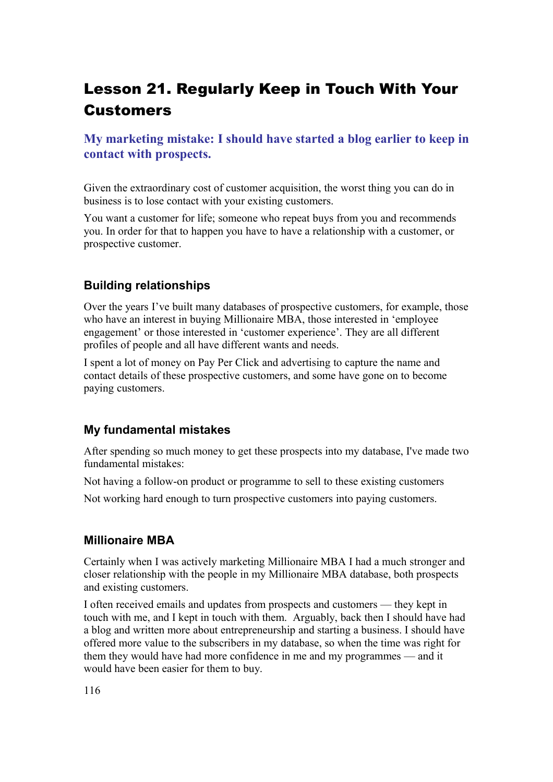## Lesson 21. Regularly Keep in Touch With Your Customers

**My marketing mistake: I should have started a blog earlier to keep in contact with prospects.**

Given the extraordinary cost of customer acquisition, the worst thing you can do in business is to lose contact with your existing customers.

You want a customer for life; someone who repeat buys from you and recommends you. In order for that to happen you have to have a relationship with a customer, or prospective customer.

## **Building relationships**

Over the years I've built many databases of prospective customers, for example, those who have an interest in buying Millionaire MBA, those interested in 'employee engagement' or those interested in 'customer experience'. They are all different profiles of people and all have different wants and needs.

I spent a lot of money on Pay Per Click and advertising to capture the name and contact details of these prospective customers, and some have gone on to become paying customers.

## **My fundamental mistakes**

After spending so much money to get these prospects into my database, I've made two fundamental mistakes:

Not having a follow-on product or programme to sell to these existing customers

Not working hard enough to turn prospective customers into paying customers.

#### **Millionaire MBA**

Certainly when I was actively marketing Millionaire MBA I had a much stronger and closer relationship with the people in my Millionaire MBA database, both prospects and existing customers.

I often received emails and updates from prospects and customers — they kept in touch with me, and I kept in touch with them. Arguably, back then I should have had a blog and written more about entrepreneurship and starting a business. I should have offered more value to the subscribers in my database, so when the time was right for them they would have had more confidence in me and my programmes — and it would have been easier for them to buy.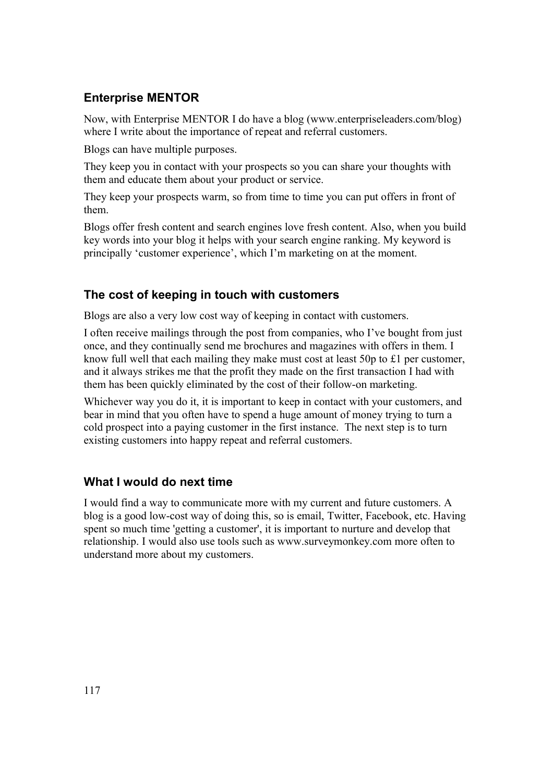## **Enterprise MENTOR**

Now, with Enterprise MENTOR I do have a blog (www.enterpriseleaders.com/blog) where I write about the importance of repeat and referral customers.

Blogs can have multiple purposes.

They keep you in contact with your prospects so you can share your thoughts with them and educate them about your product or service.

They keep your prospects warm, so from time to time you can put offers in front of them.

Blogs offer fresh content and search engines love fresh content. Also, when you build key words into your blog it helps with your search engine ranking. My keyword is principally 'customer experience', which I'm marketing on at the moment.

## **The cost of keeping in touch with customers**

Blogs are also a very low cost way of keeping in contact with customers.

I often receive mailings through the post from companies, who I've bought from just once, and they continually send me brochures and magazines with offers in them. I know full well that each mailing they make must cost at least 50p to £1 per customer, and it always strikes me that the profit they made on the first transaction I had with them has been quickly eliminated by the cost of their follow-on marketing.

Whichever way you do it, it is important to keep in contact with your customers, and bear in mind that you often have to spend a huge amount of money trying to turn a cold prospect into a paying customer in the first instance. The next step is to turn existing customers into happy repeat and referral customers.

## **What I would do next time**

I would find a way to communicate more with my current and future customers. A blog is a good low-cost way of doing this, so is email, Twitter, Facebook, etc. Having spent so much time 'getting a customer', it is important to nurture and develop that relationship. I would also use tools such as www.surveymonkey.com more often to understand more about my customers.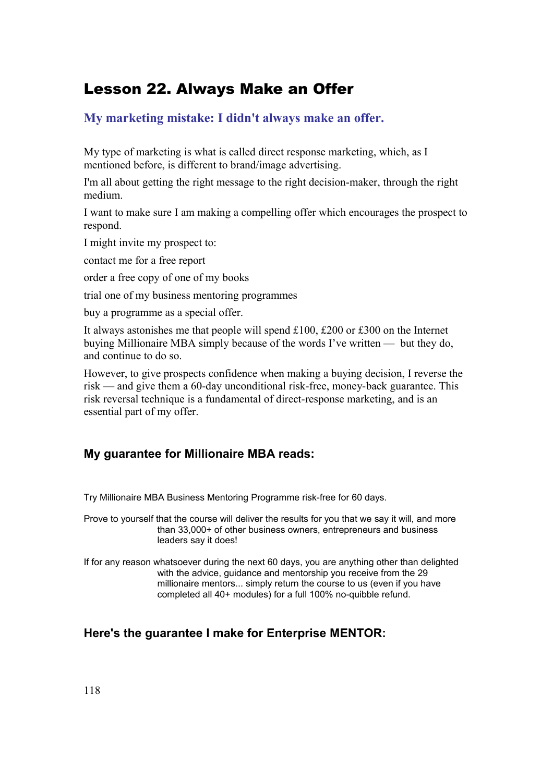## Lesson 22. Always Make an Offer

## **My marketing mistake: I didn't always make an offer.**

My type of marketing is what is called direct response marketing, which, as I mentioned before, is different to brand/image advertising.

I'm all about getting the right message to the right decision-maker, through the right medium.

I want to make sure I am making a compelling offer which encourages the prospect to respond.

I might invite my prospect to:

contact me for a free report

order a free copy of one of my books

trial one of my business mentoring programmes

buy a programme as a special offer.

It always astonishes me that people will spend £100, £200 or £300 on the Internet buying Millionaire MBA simply because of the words I've written — but they do, and continue to do so.

However, to give prospects confidence when making a buying decision, I reverse the risk — and give them a 60-day unconditional risk-free, money-back guarantee. This risk reversal technique is a fundamental of direct-response marketing, and is an essential part of my offer.

## **My guarantee for Millionaire MBA reads:**

Try Millionaire MBA Business Mentoring Programme risk-free for 60 days.

Prove to yourself that the course will deliver the results for you that we say it will, and more than 33,000+ of other business owners, entrepreneurs and business leaders say it does!

If for any reason whatsoever during the next 60 days, you are anything other than delighted with the advice, guidance and mentorship you receive from the 29 millionaire mentors... simply return the course to us (even if you have completed all 40+ modules) for a full 100% no-quibble refund.

## **Here's the guarantee I make for Enterprise MENTOR:**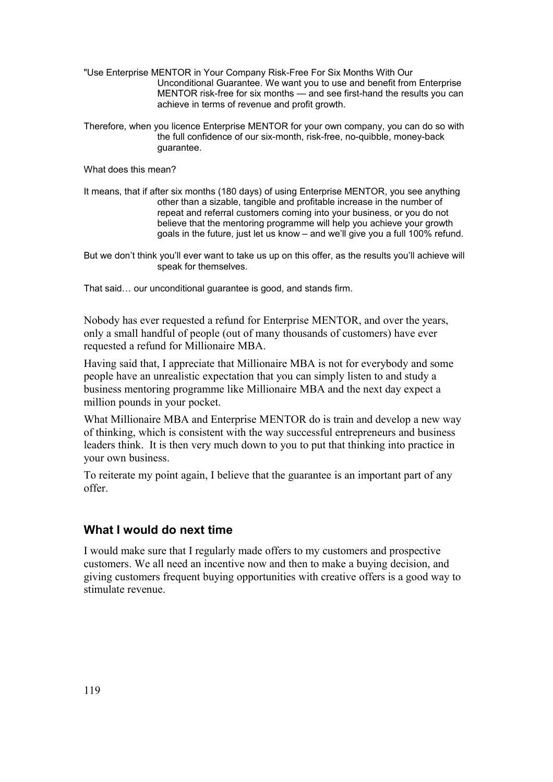- "Use Enterprise MENTOR in Your Company Risk-Free For Six Months With Our Unconditional Guarantee. We want you to use and benefit from Enterprise MENTOR risk-free for six months — and see first-hand the results you can achieve in terms of revenue and profit growth.
- Therefore, when you licence Enterprise MENTOR for your own company, you can do so with the full confidence of our six-month, risk-free, no-quibble, money-back guarantee.

What does this mean?

- It means, that if after six months (180 days) of using Enterprise MENTOR, you see anything other than a sizable, tangible and profitable increase in the number of repeat and referral customers coming into your business, or you do not believe that the mentoring programme will help you achieve your growth goals in the future, just let us know – and we'll give you a full 100% refund.
- But we don't think you'll ever want to take us up on this offer, as the results you'll achieve will speak for themselves.

That said… our unconditional guarantee is good, and stands firm.

Nobody has ever requested a refund for Enterprise MENTOR, and over the years, only a small handful of people (out of many thousands of customers) have ever requested a refund for Millionaire MBA.

Having said that, I appreciate that Millionaire MBA is not for everybody and some people have an unrealistic expectation that you can simply listen to and study a business mentoring programme like Millionaire MBA and the next day expect a million pounds in your pocket.

What Millionaire MBA and Enterprise MENTOR do is train and develop a new way of thinking, which is consistent with the way successful entrepreneurs and business leaders think. It is then very much down to you to put that thinking into practice in your own business.

To reiterate my point again, I believe that the guarantee is an important part of any offer.

## **What I would do next time**

I would make sure that I regularly made offers to my customers and prospective customers. We all need an incentive now and then to make a buying decision, and giving customers frequent buying opportunities with creative offers is a good way to stimulate revenue.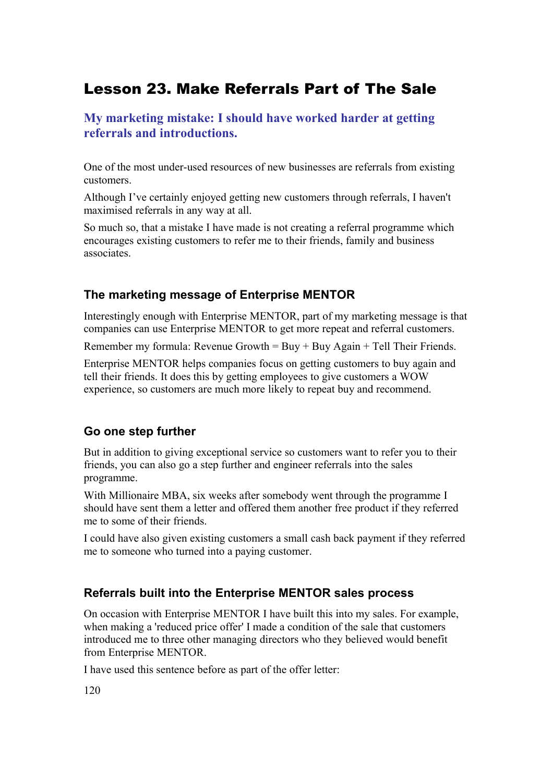## Lesson 23. Make Referrals Part of The Sale

**My marketing mistake: I should have worked harder at getting referrals and introductions.**

One of the most under-used resources of new businesses are referrals from existing customers.

Although I've certainly enjoyed getting new customers through referrals, I haven't maximised referrals in any way at all.

So much so, that a mistake I have made is not creating a referral programme which encourages existing customers to refer me to their friends, family and business associates.

#### **The marketing message of Enterprise MENTOR**

Interestingly enough with Enterprise MENTOR, part of my marketing message is that companies can use Enterprise MENTOR to get more repeat and referral customers.

Remember my formula: Revenue Growth  $=$  Buy  $+$  Buy Again  $+$  Tell Their Friends.

Enterprise MENTOR helps companies focus on getting customers to buy again and tell their friends. It does this by getting employees to give customers a WOW experience, so customers are much more likely to repeat buy and recommend.

#### **Go one step further**

But in addition to giving exceptional service so customers want to refer you to their friends, you can also go a step further and engineer referrals into the sales programme.

With Millionaire MBA, six weeks after somebody went through the programme I should have sent them a letter and offered them another free product if they referred me to some of their friends.

I could have also given existing customers a small cash back payment if they referred me to someone who turned into a paying customer.

## **Referrals built into the Enterprise MENTOR sales process**

On occasion with Enterprise MENTOR I have built this into my sales. For example, when making a 'reduced price offer' I made a condition of the sale that customers introduced me to three other managing directors who they believed would benefit from Enterprise MENTOR.

I have used this sentence before as part of the offer letter: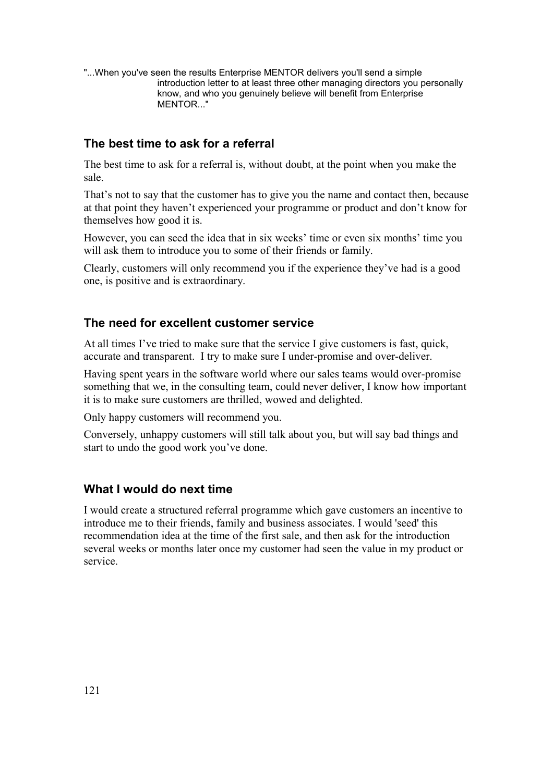"...When you've seen the results Enterprise MENTOR delivers you'll send a simple introduction letter to at least three other managing directors you personally know, and who you genuinely believe will benefit from Enterprise MENTOR..."

## **The best time to ask for a referral**

The best time to ask for a referral is, without doubt, at the point when you make the sale.

That's not to say that the customer has to give you the name and contact then, because at that point they haven't experienced your programme or product and don't know for themselves how good it is.

However, you can seed the idea that in six weeks' time or even six months' time you will ask them to introduce you to some of their friends or family.

Clearly, customers will only recommend you if the experience they've had is a good one, is positive and is extraordinary.

#### **The need for excellent customer service**

At all times I've tried to make sure that the service I give customers is fast, quick, accurate and transparent. I try to make sure I under-promise and over-deliver.

Having spent years in the software world where our sales teams would over-promise something that we, in the consulting team, could never deliver, I know how important it is to make sure customers are thrilled, wowed and delighted.

Only happy customers will recommend you.

Conversely, unhappy customers will still talk about you, but will say bad things and start to undo the good work you've done.

#### **What I would do next time**

I would create a structured referral programme which gave customers an incentive to introduce me to their friends, family and business associates. I would 'seed' this recommendation idea at the time of the first sale, and then ask for the introduction several weeks or months later once my customer had seen the value in my product or service.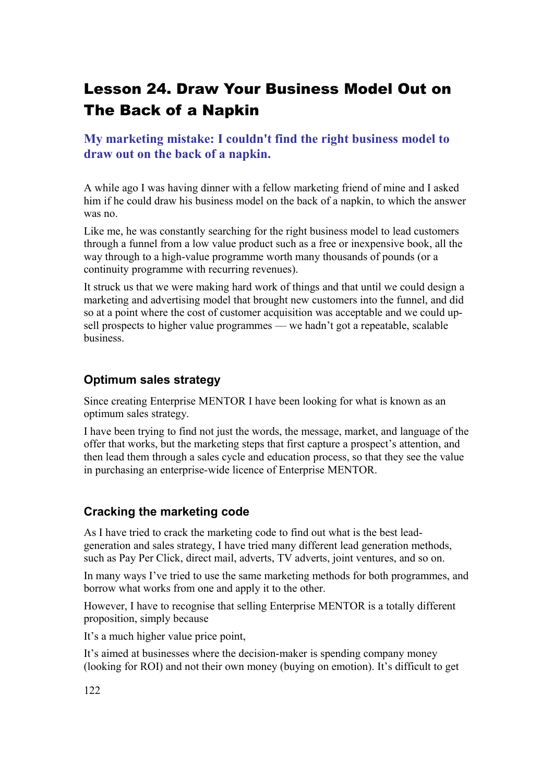# Lesson 24. Draw Your Business Model Out on The Back of a Napkin

**My marketing mistake: I couldn't find the right business model to draw out on the back of a napkin.**

A while ago I was having dinner with a fellow marketing friend of mine and I asked him if he could draw his business model on the back of a napkin, to which the answer was no.

Like me, he was constantly searching for the right business model to lead customers through a funnel from a low value product such as a free or inexpensive book, all the way through to a high-value programme worth many thousands of pounds (or a continuity programme with recurring revenues).

It struck us that we were making hard work of things and that until we could design a marketing and advertising model that brought new customers into the funnel, and did so at a point where the cost of customer acquisition was acceptable and we could upsell prospects to higher value programmes — we hadn't got a repeatable, scalable business.

## **Optimum sales strategy**

Since creating Enterprise MENTOR I have been looking for what is known as an optimum sales strategy.

I have been trying to find not just the words, the message, market, and language of the offer that works, but the marketing steps that first capture a prospect's attention, and then lead them through a sales cycle and education process, so that they see the value in purchasing an enterprise-wide licence of Enterprise MENTOR.

## **Cracking the marketing code**

As I have tried to crack the marketing code to find out what is the best leadgeneration and sales strategy, I have tried many different lead generation methods, such as Pay Per Click, direct mail, adverts, TV adverts, joint ventures, and so on.

In many ways I've tried to use the same marketing methods for both programmes, and borrow what works from one and apply it to the other.

However, I have to recognise that selling Enterprise MENTOR is a totally different proposition, simply because

It's a much higher value price point,

It's aimed at businesses where the decision-maker is spending company money (looking for ROI) and not their own money (buying on emotion). It's difficult to get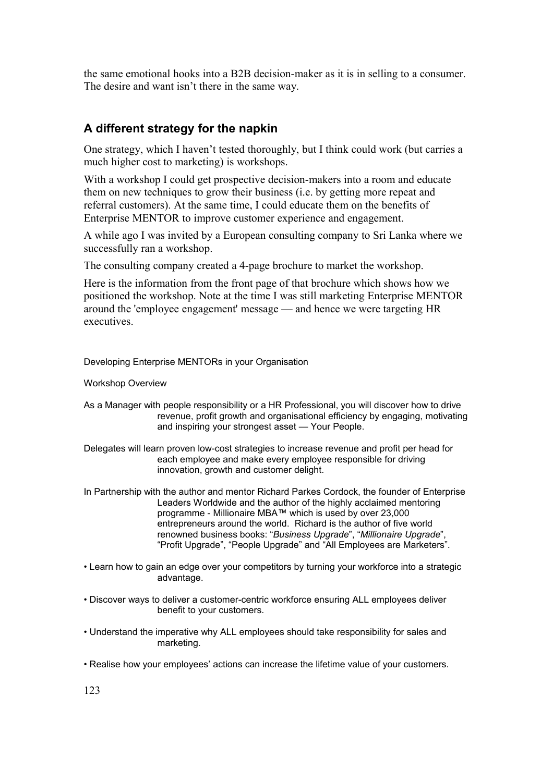the same emotional hooks into a B2B decision-maker as it is in selling to a consumer. The desire and want isn't there in the same way.

## **A different strategy for the napkin**

One strategy, which I haven't tested thoroughly, but I think could work (but carries a much higher cost to marketing) is workshops.

With a workshop I could get prospective decision-makers into a room and educate them on new techniques to grow their business (i.e. by getting more repeat and referral customers). At the same time, I could educate them on the benefits of Enterprise MENTOR to improve customer experience and engagement.

A while ago I was invited by a European consulting company to Sri Lanka where we successfully ran a workshop.

The consulting company created a 4-page brochure to market the workshop.

Here is the information from the front page of that brochure which shows how we positioned the workshop. Note at the time I was still marketing Enterprise MENTOR around the 'employee engagement' message — and hence we were targeting HR executives.

Developing Enterprise MENTORs in your Organisation

Workshop Overview

- As a Manager with people responsibility or a HR Professional, you will discover how to drive revenue, profit growth and organisational efficiency by engaging, motivating and inspiring your strongest asset — Your People.
- Delegates will learn proven low-cost strategies to increase revenue and profit per head for each employee and make every employee responsible for driving innovation, growth and customer delight.

In Partnership with the author and mentor Richard Parkes Cordock, the founder of Enterprise Leaders Worldwide and the author of the highly acclaimed mentoring programme - Millionaire MBA™ which is used by over 23,000 entrepreneurs around the world. Richard is the author of five world renowned business books: "*Business Upgrade*", "*Millionaire Upgrade*", "Profit Upgrade", "People Upgrade" and "All Employees are Marketers".

- Learn how to gain an edge over your competitors by turning your workforce into a strategic advantage.
- Discover ways to deliver a customer-centric workforce ensuring ALL employees deliver benefit to your customers.
- Understand the imperative why ALL employees should take responsibility for sales and marketing.
- Realise how your employees' actions can increase the lifetime value of your customers.

123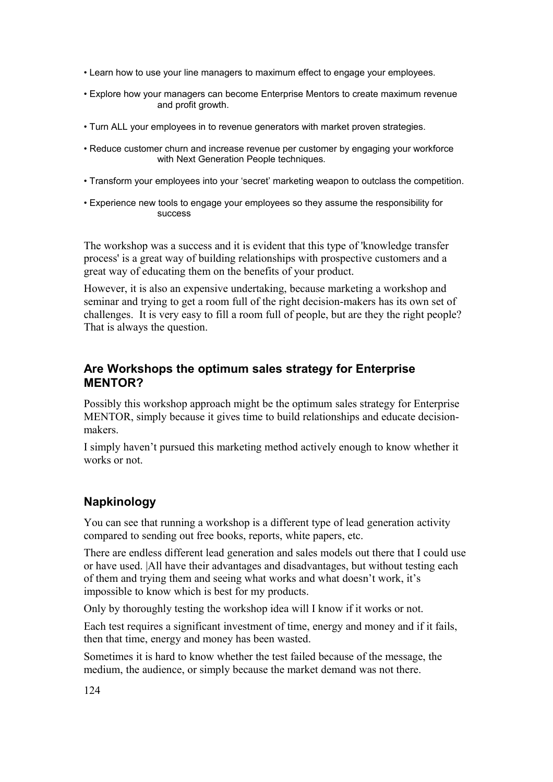- Learn how to use your line managers to maximum effect to engage your employees.
- Explore how your managers can become Enterprise Mentors to create maximum revenue and profit growth.
- Turn ALL your employees in to revenue generators with market proven strategies.
- Reduce customer churn and increase revenue per customer by engaging your workforce with Next Generation People techniques.
- Transform your employees into your 'secret' marketing weapon to outclass the competition.
- Experience new tools to engage your employees so they assume the responsibility for success

The workshop was a success and it is evident that this type of 'knowledge transfer process' is a great way of building relationships with prospective customers and a great way of educating them on the benefits of your product.

However, it is also an expensive undertaking, because marketing a workshop and seminar and trying to get a room full of the right decision-makers has its own set of challenges. It is very easy to fill a room full of people, but are they the right people? That is always the question.

## **Are Workshops the optimum sales strategy for Enterprise MENTOR?**

Possibly this workshop approach might be the optimum sales strategy for Enterprise MENTOR, simply because it gives time to build relationships and educate decisionmakers.

I simply haven't pursued this marketing method actively enough to know whether it works or not.

## **Napkinology**

You can see that running a workshop is a different type of lead generation activity compared to sending out free books, reports, white papers, etc.

There are endless different lead generation and sales models out there that I could use or have used. |All have their advantages and disadvantages, but without testing each of them and trying them and seeing what works and what doesn't work, it's impossible to know which is best for my products.

Only by thoroughly testing the workshop idea will I know if it works or not.

Each test requires a significant investment of time, energy and money and if it fails, then that time, energy and money has been wasted.

Sometimes it is hard to know whether the test failed because of the message, the medium, the audience, or simply because the market demand was not there.

124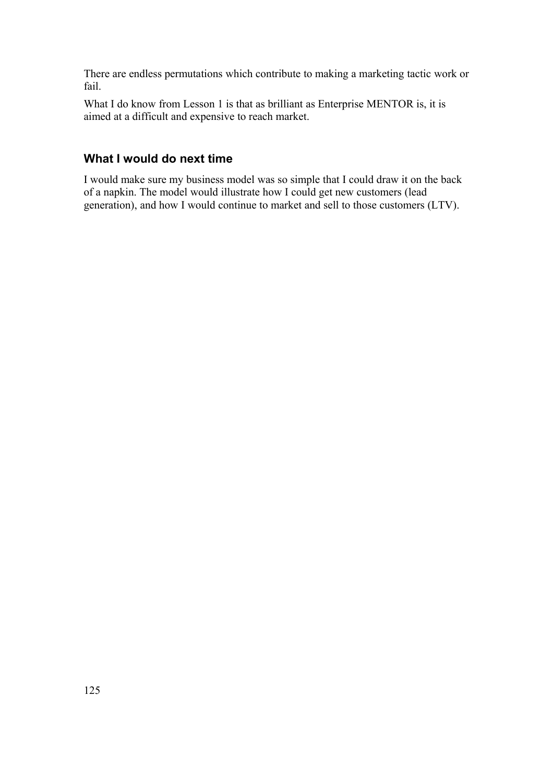There are endless permutations which contribute to making a marketing tactic work or fail.

What I do know from Lesson 1 is that as brilliant as Enterprise MENTOR is, it is aimed at a difficult and expensive to reach market.

## **What I would do next time**

I would make sure my business model was so simple that I could draw it on the back of a napkin. The model would illustrate how I could get new customers (lead generation), and how I would continue to market and sell to those customers (LTV).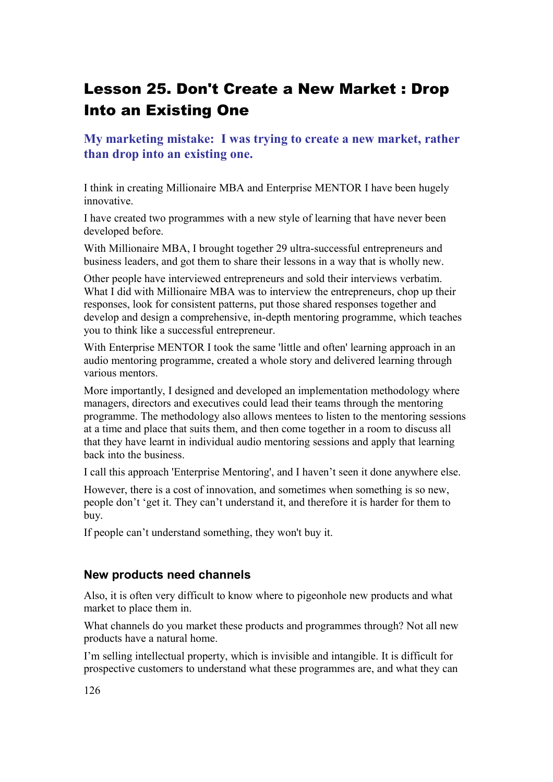# Lesson 25. Don't Create a New Market : Drop Into an Existing One

**My marketing mistake: I was trying to create a new market, rather than drop into an existing one.**

I think in creating Millionaire MBA and Enterprise MENTOR I have been hugely innovative.

I have created two programmes with a new style of learning that have never been developed before.

With Millionaire MBA, I brought together 29 ultra-successful entrepreneurs and business leaders, and got them to share their lessons in a way that is wholly new.

Other people have interviewed entrepreneurs and sold their interviews verbatim. What I did with Millionaire MBA was to interview the entrepreneurs, chop up their responses, look for consistent patterns, put those shared responses together and develop and design a comprehensive, in-depth mentoring programme, which teaches you to think like a successful entrepreneur.

With Enterprise MENTOR I took the same 'little and often' learning approach in an audio mentoring programme, created a whole story and delivered learning through various mentors.

More importantly, I designed and developed an implementation methodology where managers, directors and executives could lead their teams through the mentoring programme. The methodology also allows mentees to listen to the mentoring sessions at a time and place that suits them, and then come together in a room to discuss all that they have learnt in individual audio mentoring sessions and apply that learning back into the business.

I call this approach 'Enterprise Mentoring', and I haven't seen it done anywhere else.

However, there is a cost of innovation, and sometimes when something is so new, people don't 'get it. They can't understand it, and therefore it is harder for them to buy.

If people can't understand something, they won't buy it.

#### **New products need channels**

Also, it is often very difficult to know where to pigeonhole new products and what market to place them in.

What channels do you market these products and programmes through? Not all new products have a natural home.

I'm selling intellectual property, which is invisible and intangible. It is difficult for prospective customers to understand what these programmes are, and what they can

126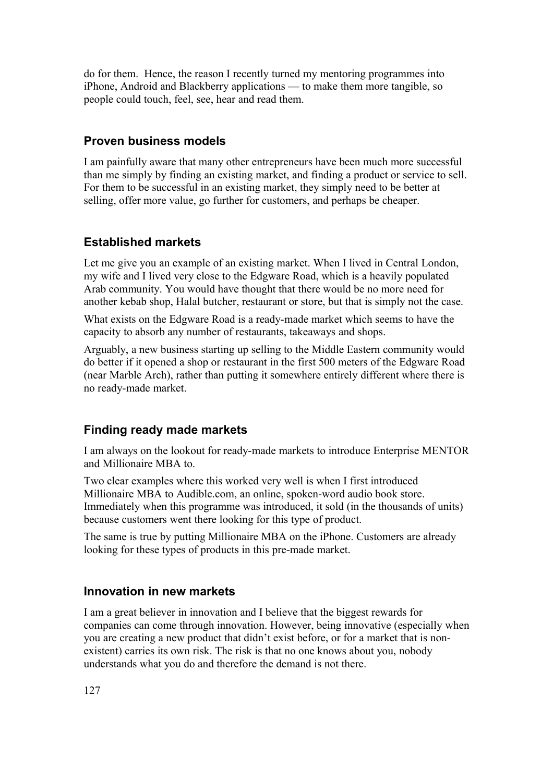do for them. Hence, the reason I recently turned my mentoring programmes into iPhone, Android and Blackberry applications — to make them more tangible, so people could touch, feel, see, hear and read them.

#### **Proven business models**

I am painfully aware that many other entrepreneurs have been much more successful than me simply by finding an existing market, and finding a product or service to sell. For them to be successful in an existing market, they simply need to be better at selling, offer more value, go further for customers, and perhaps be cheaper.

#### **Established markets**

Let me give you an example of an existing market. When I lived in Central London, my wife and I lived very close to the Edgware Road, which is a heavily populated Arab community. You would have thought that there would be no more need for another kebab shop, Halal butcher, restaurant or store, but that is simply not the case.

What exists on the Edgware Road is a ready-made market which seems to have the capacity to absorb any number of restaurants, takeaways and shops.

Arguably, a new business starting up selling to the Middle Eastern community would do better if it opened a shop or restaurant in the first 500 meters of the Edgware Road (near Marble Arch), rather than putting it somewhere entirely different where there is no ready-made market.

#### **Finding ready made markets**

I am always on the lookout for ready-made markets to introduce Enterprise MENTOR and Millionaire MBA to.

Two clear examples where this worked very well is when I first introduced Millionaire MBA to Audible.com, an online, spoken-word audio book store. Immediately when this programme was introduced, it sold (in the thousands of units) because customers went there looking for this type of product.

The same is true by putting Millionaire MBA on the iPhone. Customers are already looking for these types of products in this pre-made market.

#### **Innovation in new markets**

I am a great believer in innovation and I believe that the biggest rewards for companies can come through innovation. However, being innovative (especially when you are creating a new product that didn't exist before, or for a market that is nonexistent) carries its own risk. The risk is that no one knows about you, nobody understands what you do and therefore the demand is not there.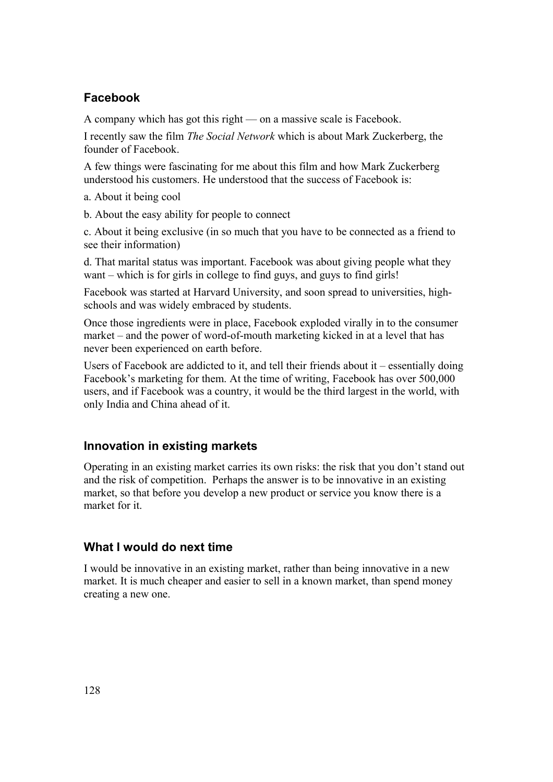## **Facebook**

A company which has got this right — on a massive scale is Facebook.

I recently saw the film *The Social Network* which is about Mark Zuckerberg, the founder of Facebook.

A few things were fascinating for me about this film and how Mark Zuckerberg understood his customers. He understood that the success of Facebook is:

a. About it being cool

b. About the easy ability for people to connect

c. About it being exclusive (in so much that you have to be connected as a friend to see their information)

d. That marital status was important. Facebook was about giving people what they want – which is for girls in college to find guys, and guys to find girls!

Facebook was started at Harvard University, and soon spread to universities, highschools and was widely embraced by students.

Once those ingredients were in place, Facebook exploded virally in to the consumer market – and the power of word-of-mouth marketing kicked in at a level that has never been experienced on earth before.

Users of Facebook are addicted to it, and tell their friends about it – essentially doing Facebook's marketing for them. At the time of writing, Facebook has over 500,000 users, and if Facebook was a country, it would be the third largest in the world, with only India and China ahead of it.

## **Innovation in existing markets**

Operating in an existing market carries its own risks: the risk that you don't stand out and the risk of competition. Perhaps the answer is to be innovative in an existing market, so that before you develop a new product or service you know there is a market for it.

## **What I would do next time**

I would be innovative in an existing market, rather than being innovative in a new market. It is much cheaper and easier to sell in a known market, than spend money creating a new one.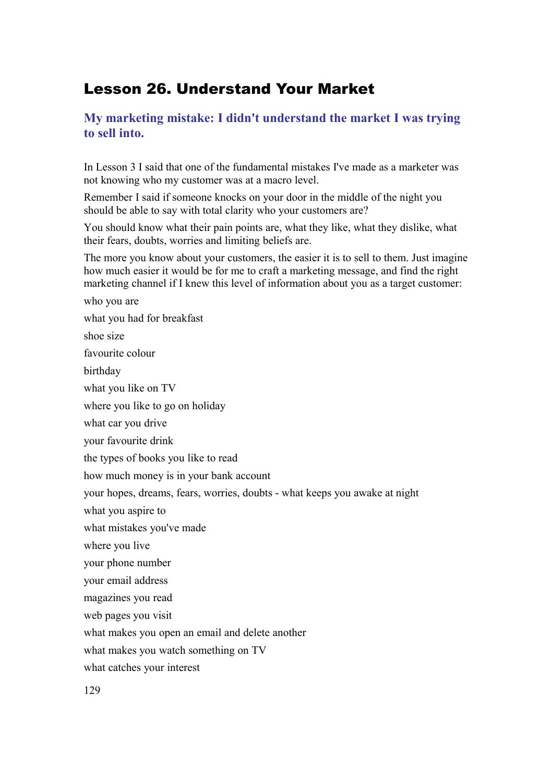## Lesson 26. Understand Your Market

## **My marketing mistake: I didn't understand the market I was trying to sell into.**

In Lesson 3 I said that one of the fundamental mistakes I've made as a marketer was not knowing who my customer was at a macro level.

Remember I said if someone knocks on your door in the middle of the night you should be able to say with total clarity who your customers are?

You should know what their pain points are, what they like, what they dislike, what their fears, doubts, worries and limiting beliefs are.

The more you know about your customers, the easier it is to sell to them. Just imagine how much easier it would be for me to craft a marketing message, and find the right marketing channel if I knew this level of information about you as a target customer:

who you are what you had for breakfast shoe size favourite colour birthday what you like on TV where you like to go on holiday what car you drive your favourite drink the types of books you like to read how much money is in your bank account your hopes, dreams, fears, worries, doubts - what keeps you awake at night what you aspire to what mistakes you've made where you live your phone number your email address magazines you read web pages you visit what makes you open an email and delete another what makes you watch something on TV what catches your interest 129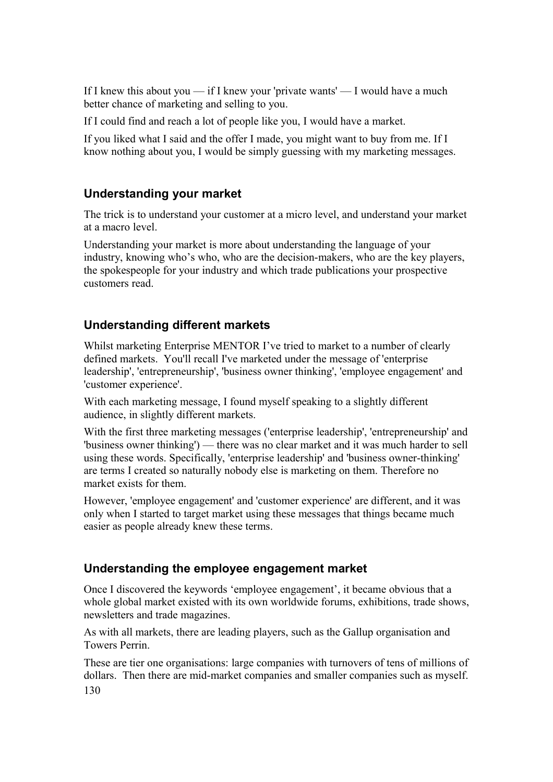If I knew this about you — if I knew your 'private wants' — I would have a much better chance of marketing and selling to you.

If I could find and reach a lot of people like you, I would have a market.

If you liked what I said and the offer I made, you might want to buy from me. If I know nothing about you, I would be simply guessing with my marketing messages.

## **Understanding your market**

The trick is to understand your customer at a micro level, and understand your market at a macro level.

Understanding your market is more about understanding the language of your industry, knowing who's who, who are the decision-makers, who are the key players, the spokespeople for your industry and which trade publications your prospective customers read.

## **Understanding different markets**

Whilst marketing Enterprise MENTOR I've tried to market to a number of clearly defined markets. You'll recall I've marketed under the message of 'enterprise leadership', 'entrepreneurship', 'business owner thinking', 'employee engagement' and 'customer experience'.

With each marketing message, I found myself speaking to a slightly different audience, in slightly different markets.

With the first three marketing messages ('enterprise leadership', 'entrepreneurship' and 'business owner thinking') — there was no clear market and it was much harder to sell using these words. Specifically, 'enterprise leadership' and 'business owner-thinking' are terms I created so naturally nobody else is marketing on them. Therefore no market exists for them.

However, 'employee engagement' and 'customer experience' are different, and it was only when I started to target market using these messages that things became much easier as people already knew these terms.

## **Understanding the employee engagement market**

Once I discovered the keywords 'employee engagement', it became obvious that a whole global market existed with its own worldwide forums, exhibitions, trade shows, newsletters and trade magazines.

As with all markets, there are leading players, such as the Gallup organisation and Towers Perrin.

These are tier one organisations: large companies with turnovers of tens of millions of dollars. Then there are mid-market companies and smaller companies such as myself. 130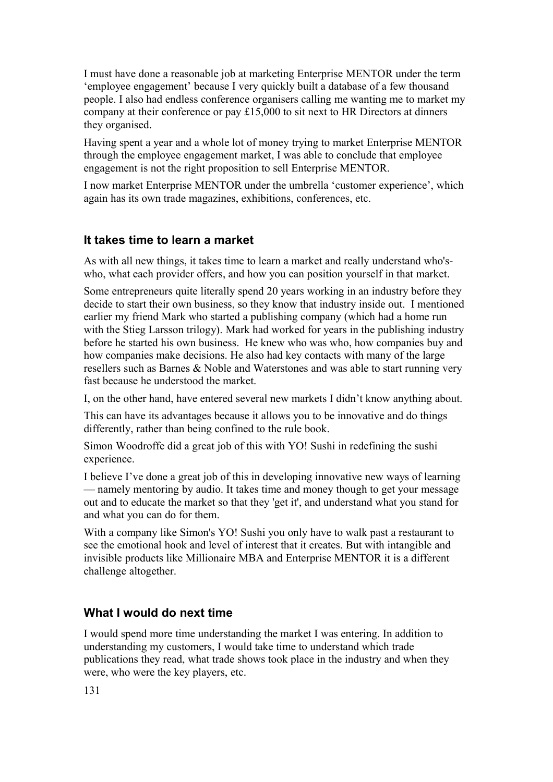I must have done a reasonable job at marketing Enterprise MENTOR under the term 'employee engagement' because I very quickly built a database of a few thousand people. I also had endless conference organisers calling me wanting me to market my company at their conference or pay £15,000 to sit next to HR Directors at dinners they organised.

Having spent a year and a whole lot of money trying to market Enterprise MENTOR through the employee engagement market, I was able to conclude that employee engagement is not the right proposition to sell Enterprise MENTOR.

I now market Enterprise MENTOR under the umbrella 'customer experience', which again has its own trade magazines, exhibitions, conferences, etc.

#### **It takes time to learn a market**

As with all new things, it takes time to learn a market and really understand who'swho, what each provider offers, and how you can position yourself in that market.

Some entrepreneurs quite literally spend 20 years working in an industry before they decide to start their own business, so they know that industry inside out. I mentioned earlier my friend Mark who started a publishing company (which had a home run with the Stieg Larsson trilogy). Mark had worked for years in the publishing industry before he started his own business. He knew who was who, how companies buy and how companies make decisions. He also had key contacts with many of the large resellers such as Barnes & Noble and Waterstones and was able to start running very fast because he understood the market.

I, on the other hand, have entered several new markets I didn't know anything about.

This can have its advantages because it allows you to be innovative and do things differently, rather than being confined to the rule book.

Simon Woodroffe did a great job of this with YO! Sushi in redefining the sushi experience.

I believe I've done a great job of this in developing innovative new ways of learning — namely mentoring by audio. It takes time and money though to get your message out and to educate the market so that they 'get it', and understand what you stand for and what you can do for them.

With a company like Simon's YO! Sushi you only have to walk past a restaurant to see the emotional hook and level of interest that it creates. But with intangible and invisible products like Millionaire MBA and Enterprise MENTOR it is a different challenge altogether.

#### **What I would do next time**

I would spend more time understanding the market I was entering. In addition to understanding my customers, I would take time to understand which trade publications they read, what trade shows took place in the industry and when they were, who were the key players, etc.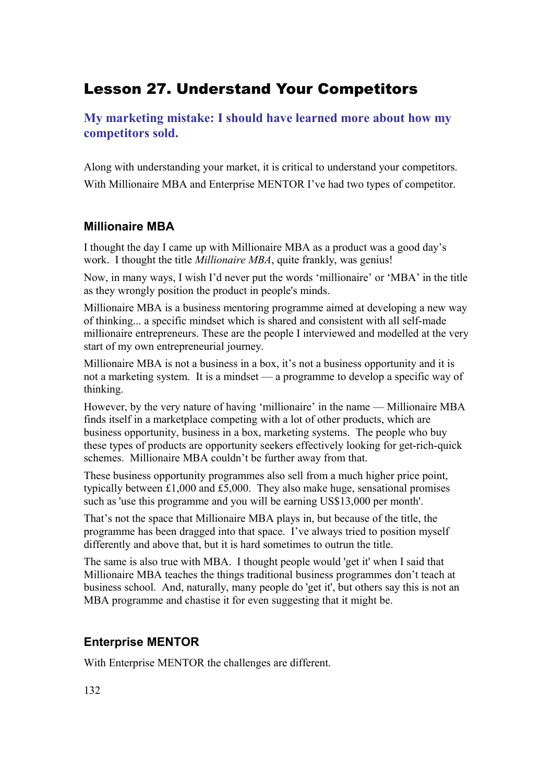## Lesson 27. Understand Your Competitors

**My marketing mistake: I should have learned more about how my competitors sold.**

Along with understanding your market, it is critical to understand your competitors. With Millionaire MBA and Enterprise MENTOR I've had two types of competitor.

## **Millionaire MBA**

I thought the day I came up with Millionaire MBA as a product was a good day's work. I thought the title *Millionaire MBA*, quite frankly, was genius!

Now, in many ways, I wish I'd never put the words 'millionaire' or 'MBA' in the title as they wrongly position the product in people's minds.

Millionaire MBA is a business mentoring programme aimed at developing a new way of thinking... a specific mindset which is shared and consistent with all self-made millionaire entrepreneurs. These are the people I interviewed and modelled at the very start of my own entrepreneurial journey.

Millionaire MBA is not a business in a box, it's not a business opportunity and it is not a marketing system. It is a mindset — a programme to develop a specific way of thinking.

However, by the very nature of having 'millionaire' in the name — Millionaire MBA finds itself in a marketplace competing with a lot of other products, which are business opportunity, business in a box, marketing systems. The people who buy these types of products are opportunity seekers effectively looking for get-rich-quick schemes. Millionaire MBA couldn't be further away from that.

These business opportunity programmes also sell from a much higher price point, typically between £1,000 and £5,000. They also make huge, sensational promises such as 'use this programme and you will be earning US\$13,000 per month'.

That's not the space that Millionaire MBA plays in, but because of the title, the programme has been dragged into that space. I've always tried to position myself differently and above that, but it is hard sometimes to outrun the title.

The same is also true with MBA. I thought people would 'get it' when I said that Millionaire MBA teaches the things traditional business programmes don't teach at business school. And, naturally, many people do 'get it', but others say this is not an MBA programme and chastise it for even suggesting that it might be.

## **Enterprise MENTOR**

With Enterprise MENTOR the challenges are different.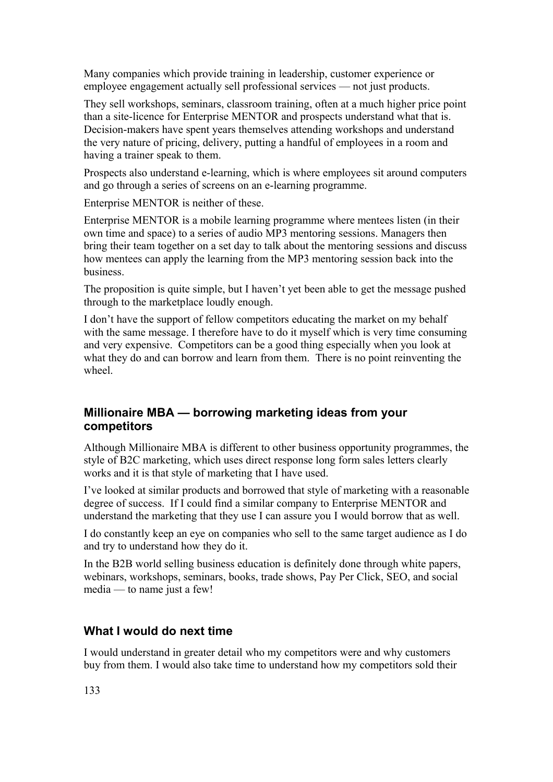Many companies which provide training in leadership, customer experience or employee engagement actually sell professional services — not just products.

They sell workshops, seminars, classroom training, often at a much higher price point than a site-licence for Enterprise MENTOR and prospects understand what that is. Decision-makers have spent years themselves attending workshops and understand the very nature of pricing, delivery, putting a handful of employees in a room and having a trainer speak to them.

Prospects also understand e-learning, which is where employees sit around computers and go through a series of screens on an e-learning programme.

Enterprise MENTOR is neither of these.

Enterprise MENTOR is a mobile learning programme where mentees listen (in their own time and space) to a series of audio MP3 mentoring sessions. Managers then bring their team together on a set day to talk about the mentoring sessions and discuss how mentees can apply the learning from the MP3 mentoring session back into the business.

The proposition is quite simple, but I haven't yet been able to get the message pushed through to the marketplace loudly enough.

I don't have the support of fellow competitors educating the market on my behalf with the same message. I therefore have to do it myself which is very time consuming and very expensive. Competitors can be a good thing especially when you look at what they do and can borrow and learn from them. There is no point reinventing the wheel.

#### **Millionaire MBA — borrowing marketing ideas from your competitors**

Although Millionaire MBA is different to other business opportunity programmes, the style of B2C marketing, which uses direct response long form sales letters clearly works and it is that style of marketing that I have used.

I've looked at similar products and borrowed that style of marketing with a reasonable degree of success. If I could find a similar company to Enterprise MENTOR and understand the marketing that they use I can assure you I would borrow that as well.

I do constantly keep an eye on companies who sell to the same target audience as I do and try to understand how they do it.

In the B2B world selling business education is definitely done through white papers, webinars, workshops, seminars, books, trade shows, Pay Per Click, SEO, and social media — to name just a few!

## **What I would do next time**

I would understand in greater detail who my competitors were and why customers buy from them. I would also take time to understand how my competitors sold their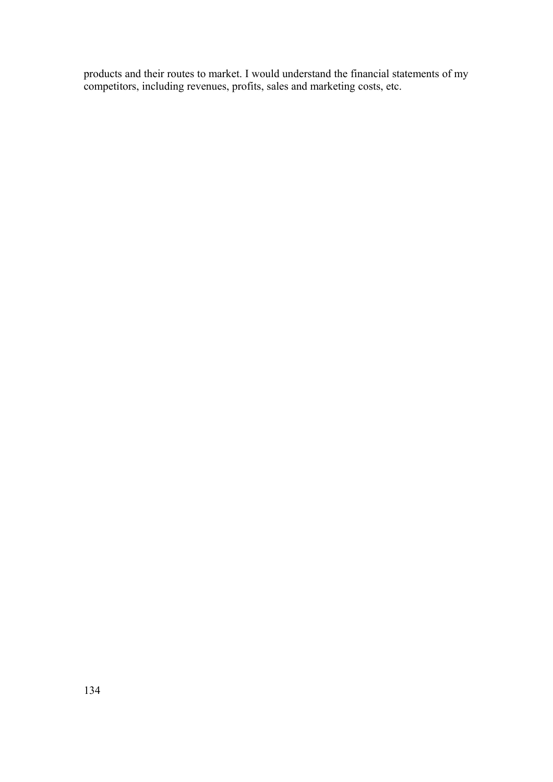products and their routes to market. I would understand the financial statements of my competitors, including revenues, profits, sales and marketing costs, etc.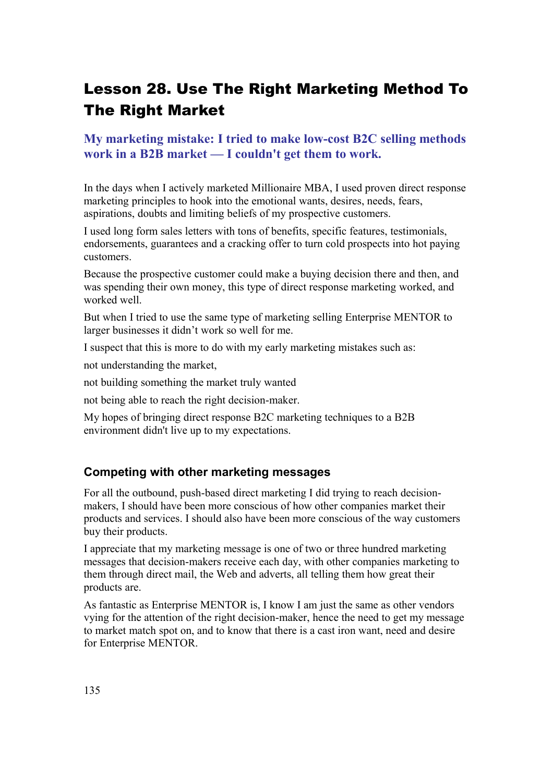# Lesson 28. Use The Right Marketing Method To The Right Market

## **My marketing mistake: I tried to make low-cost B2C selling methods work in a B2B market — I couldn't get them to work.**

In the days when I actively marketed Millionaire MBA, I used proven direct response marketing principles to hook into the emotional wants, desires, needs, fears, aspirations, doubts and limiting beliefs of my prospective customers.

I used long form sales letters with tons of benefits, specific features, testimonials, endorsements, guarantees and a cracking offer to turn cold prospects into hot paying customers.

Because the prospective customer could make a buying decision there and then, and was spending their own money, this type of direct response marketing worked, and worked well.

But when I tried to use the same type of marketing selling Enterprise MENTOR to larger businesses it didn't work so well for me.

I suspect that this is more to do with my early marketing mistakes such as:

not understanding the market,

not building something the market truly wanted

not being able to reach the right decision-maker.

My hopes of bringing direct response B2C marketing techniques to a B2B environment didn't live up to my expectations.

#### **Competing with other marketing messages**

For all the outbound, push-based direct marketing I did trying to reach decisionmakers, I should have been more conscious of how other companies market their products and services. I should also have been more conscious of the way customers buy their products.

I appreciate that my marketing message is one of two or three hundred marketing messages that decision-makers receive each day, with other companies marketing to them through direct mail, the Web and adverts, all telling them how great their products are.

As fantastic as Enterprise MENTOR is, I know I am just the same as other vendors vying for the attention of the right decision-maker, hence the need to get my message to market match spot on, and to know that there is a cast iron want, need and desire for Enterprise MENTOR.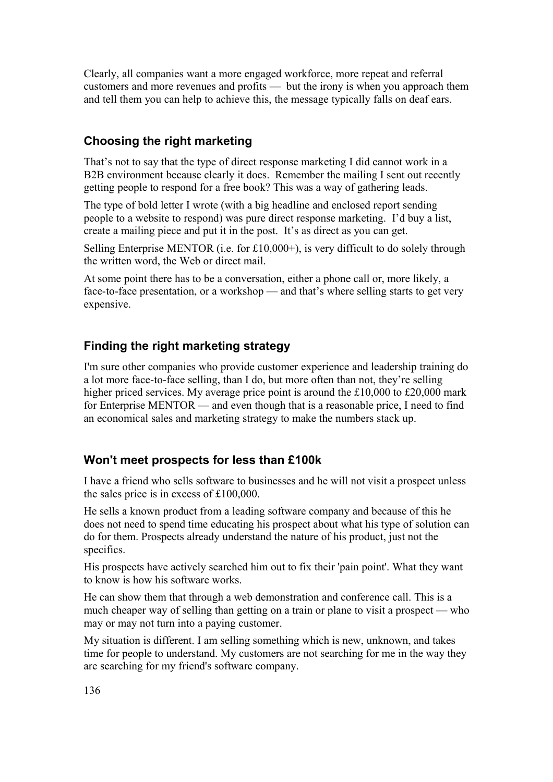Clearly, all companies want a more engaged workforce, more repeat and referral customers and more revenues and profits — but the irony is when you approach them and tell them you can help to achieve this, the message typically falls on deaf ears.

## **Choosing the right marketing**

That's not to say that the type of direct response marketing I did cannot work in a B2B environment because clearly it does. Remember the mailing I sent out recently getting people to respond for a free book? This was a way of gathering leads.

The type of bold letter I wrote (with a big headline and enclosed report sending people to a website to respond) was pure direct response marketing. I'd buy a list, create a mailing piece and put it in the post. It's as direct as you can get.

Selling Enterprise MENTOR (i.e. for £10,000+), is very difficult to do solely through the written word, the Web or direct mail.

At some point there has to be a conversation, either a phone call or, more likely, a face-to-face presentation, or a workshop — and that's where selling starts to get very expensive.

## **Finding the right marketing strategy**

I'm sure other companies who provide customer experience and leadership training do a lot more face-to-face selling, than I do, but more often than not, they're selling higher priced services. My average price point is around the £10,000 to £20,000 mark for Enterprise MENTOR — and even though that is a reasonable price, I need to find an economical sales and marketing strategy to make the numbers stack up.

## **Won't meet prospects for less than £100k**

I have a friend who sells software to businesses and he will not visit a prospect unless the sales price is in excess of £100,000.

He sells a known product from a leading software company and because of this he does not need to spend time educating his prospect about what his type of solution can do for them. Prospects already understand the nature of his product, just not the specifics.

His prospects have actively searched him out to fix their 'pain point'. What they want to know is how his software works.

He can show them that through a web demonstration and conference call. This is a much cheaper way of selling than getting on a train or plane to visit a prospect — who may or may not turn into a paying customer.

My situation is different. I am selling something which is new, unknown, and takes time for people to understand. My customers are not searching for me in the way they are searching for my friend's software company.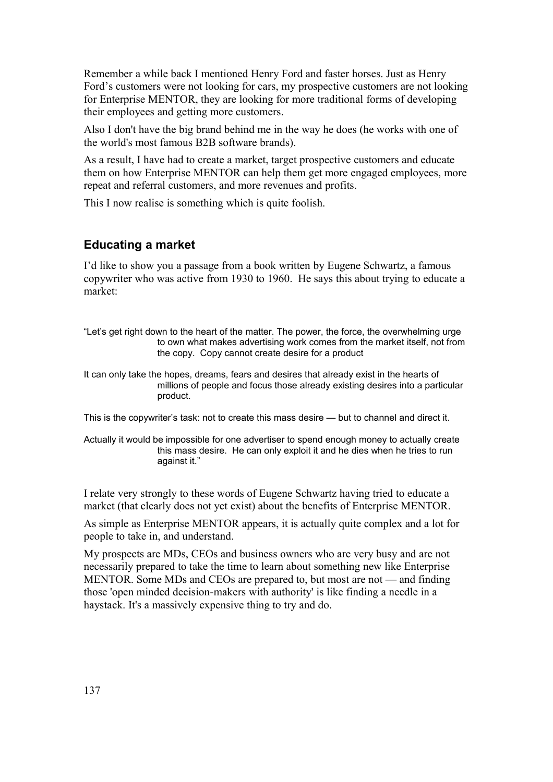Remember a while back I mentioned Henry Ford and faster horses. Just as Henry Ford's customers were not looking for cars, my prospective customers are not looking for Enterprise MENTOR, they are looking for more traditional forms of developing their employees and getting more customers.

Also I don't have the big brand behind me in the way he does (he works with one of the world's most famous B2B software brands).

As a result, I have had to create a market, target prospective customers and educate them on how Enterprise MENTOR can help them get more engaged employees, more repeat and referral customers, and more revenues and profits.

This I now realise is something which is quite foolish.

#### **Educating a market**

I'd like to show you a passage from a book written by Eugene Schwartz, a famous copywriter who was active from 1930 to 1960. He says this about trying to educate a market:

"Let's get right down to the heart of the matter. The power, the force, the overwhelming urge to own what makes advertising work comes from the market itself, not from the copy. Copy cannot create desire for a product

It can only take the hopes, dreams, fears and desires that already exist in the hearts of millions of people and focus those already existing desires into a particular product.

This is the copywriter's task: not to create this mass desire — but to channel and direct it.

Actually it would be impossible for one advertiser to spend enough money to actually create this mass desire. He can only exploit it and he dies when he tries to run against it."

I relate very strongly to these words of Eugene Schwartz having tried to educate a market (that clearly does not yet exist) about the benefits of Enterprise MENTOR.

As simple as Enterprise MENTOR appears, it is actually quite complex and a lot for people to take in, and understand.

My prospects are MDs, CEOs and business owners who are very busy and are not necessarily prepared to take the time to learn about something new like Enterprise MENTOR. Some MDs and CEOs are prepared to, but most are not — and finding those 'open minded decision-makers with authority' is like finding a needle in a haystack. It's a massively expensive thing to try and do.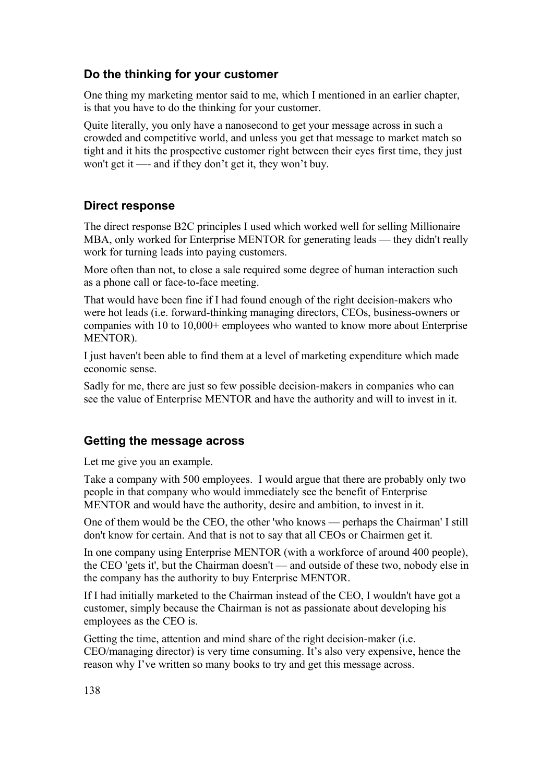## **Do the thinking for your customer**

One thing my marketing mentor said to me, which I mentioned in an earlier chapter, is that you have to do the thinking for your customer.

Quite literally, you only have a nanosecond to get your message across in such a crowded and competitive world, and unless you get that message to market match so tight and it hits the prospective customer right between their eyes first time, they just won't get it —- and if they don't get it, they won't buy.

## **Direct response**

The direct response B2C principles I used which worked well for selling Millionaire MBA, only worked for Enterprise MENTOR for generating leads — they didn't really work for turning leads into paying customers.

More often than not, to close a sale required some degree of human interaction such as a phone call or face-to-face meeting.

That would have been fine if I had found enough of the right decision-makers who were hot leads (i.e. forward-thinking managing directors, CEOs, business-owners or companies with 10 to 10,000+ employees who wanted to know more about Enterprise MENTOR).

I just haven't been able to find them at a level of marketing expenditure which made economic sense.

Sadly for me, there are just so few possible decision-makers in companies who can see the value of Enterprise MENTOR and have the authority and will to invest in it.

## **Getting the message across**

Let me give you an example.

Take a company with 500 employees. I would argue that there are probably only two people in that company who would immediately see the benefit of Enterprise MENTOR and would have the authority, desire and ambition, to invest in it.

One of them would be the CEO, the other 'who knows — perhaps the Chairman' I still don't know for certain. And that is not to say that all CEOs or Chairmen get it.

In one company using Enterprise MENTOR (with a workforce of around 400 people), the CEO 'gets it', but the Chairman doesn't — and outside of these two, nobody else in the company has the authority to buy Enterprise MENTOR.

If I had initially marketed to the Chairman instead of the CEO, I wouldn't have got a customer, simply because the Chairman is not as passionate about developing his employees as the CEO is.

Getting the time, attention and mind share of the right decision-maker (i.e. CEO/managing director) is very time consuming. It's also very expensive, hence the reason why I've written so many books to try and get this message across.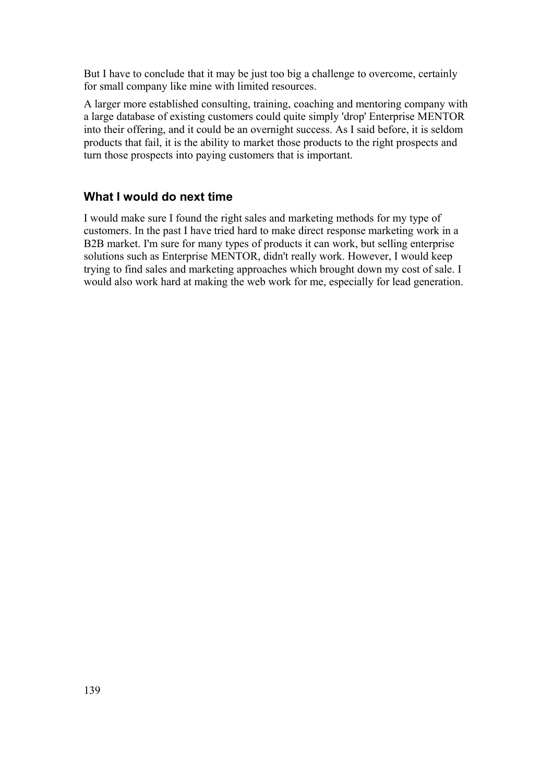But I have to conclude that it may be just too big a challenge to overcome, certainly for small company like mine with limited resources.

A larger more established consulting, training, coaching and mentoring company with a large database of existing customers could quite simply 'drop' Enterprise MENTOR into their offering, and it could be an overnight success. As I said before, it is seldom products that fail, it is the ability to market those products to the right prospects and turn those prospects into paying customers that is important.

## **What I would do next time**

I would make sure I found the right sales and marketing methods for my type of customers. In the past I have tried hard to make direct response marketing work in a B2B market. I'm sure for many types of products it can work, but selling enterprise solutions such as Enterprise MENTOR, didn't really work. However, I would keep trying to find sales and marketing approaches which brought down my cost of sale. I would also work hard at making the web work for me, especially for lead generation.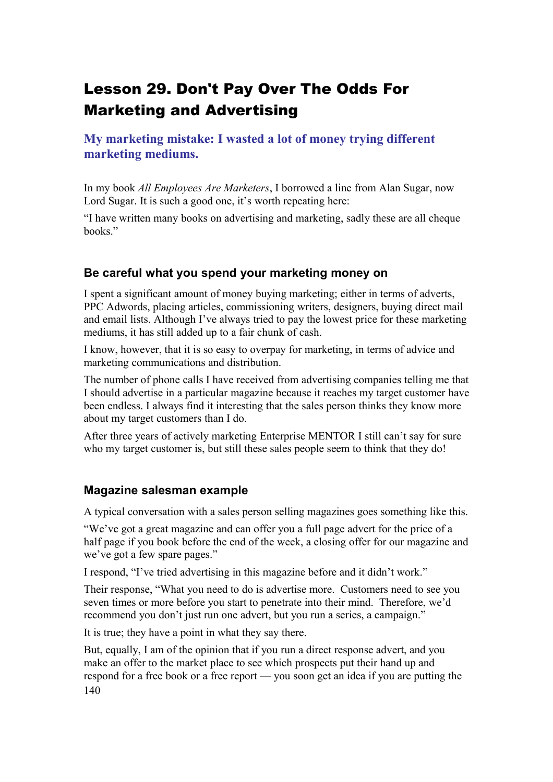# Lesson 29. Don't Pay Over The Odds For Marketing and Advertising

**My marketing mistake: I wasted a lot of money trying different marketing mediums.**

In my book *All Employees Are Marketers*, I borrowed a line from Alan Sugar, now Lord Sugar. It is such a good one, it's worth repeating here:

"I have written many books on advertising and marketing, sadly these are all cheque books."

#### **Be careful what you spend your marketing money on**

I spent a significant amount of money buying marketing; either in terms of adverts, PPC Adwords, placing articles, commissioning writers, designers, buying direct mail and email lists. Although I've always tried to pay the lowest price for these marketing mediums, it has still added up to a fair chunk of cash.

I know, however, that it is so easy to overpay for marketing, in terms of advice and marketing communications and distribution.

The number of phone calls I have received from advertising companies telling me that I should advertise in a particular magazine because it reaches my target customer have been endless. I always find it interesting that the sales person thinks they know more about my target customers than I do.

After three years of actively marketing Enterprise MENTOR I still can't say for sure who my target customer is, but still these sales people seem to think that they do!

#### **Magazine salesman example**

A typical conversation with a sales person selling magazines goes something like this.

"We've got a great magazine and can offer you a full page advert for the price of a half page if you book before the end of the week, a closing offer for our magazine and we've got a few spare pages."

I respond, "I've tried advertising in this magazine before and it didn't work."

Their response, "What you need to do is advertise more. Customers need to see you seven times or more before you start to penetrate into their mind. Therefore, we'd recommend you don't just run one advert, but you run a series, a campaign."

It is true; they have a point in what they say there.

But, equally, I am of the opinion that if you run a direct response advert, and you make an offer to the market place to see which prospects put their hand up and respond for a free book or a free report — you soon get an idea if you are putting the 140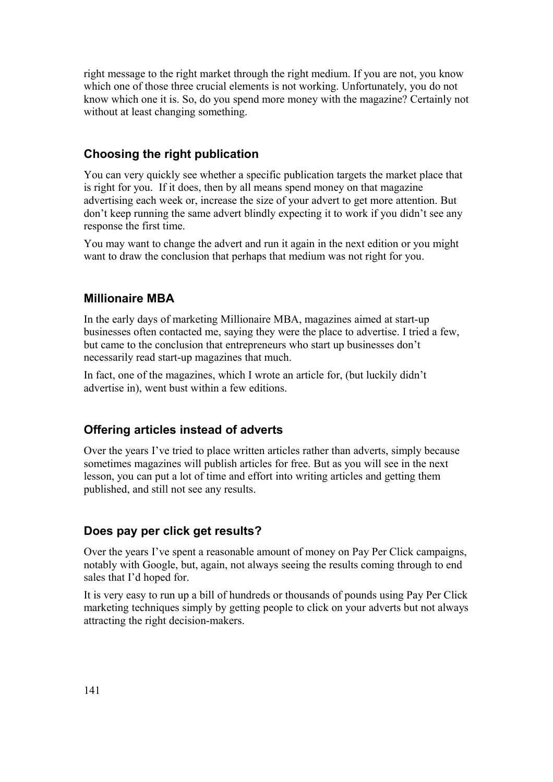right message to the right market through the right medium. If you are not, you know which one of those three crucial elements is not working. Unfortunately, you do not know which one it is. So, do you spend more money with the magazine? Certainly not without at least changing something.

## **Choosing the right publication**

You can very quickly see whether a specific publication targets the market place that is right for you. If it does, then by all means spend money on that magazine advertising each week or, increase the size of your advert to get more attention. But don't keep running the same advert blindly expecting it to work if you didn't see any response the first time.

You may want to change the advert and run it again in the next edition or you might want to draw the conclusion that perhaps that medium was not right for you.

## **Millionaire MBA**

In the early days of marketing Millionaire MBA, magazines aimed at start-up businesses often contacted me, saying they were the place to advertise. I tried a few, but came to the conclusion that entrepreneurs who start up businesses don't necessarily read start-up magazines that much.

In fact, one of the magazines, which I wrote an article for, (but luckily didn't advertise in), went bust within a few editions.

## **Offering articles instead of adverts**

Over the years I've tried to place written articles rather than adverts, simply because sometimes magazines will publish articles for free. But as you will see in the next lesson, you can put a lot of time and effort into writing articles and getting them published, and still not see any results.

## **Does pay per click get results?**

Over the years I've spent a reasonable amount of money on Pay Per Click campaigns, notably with Google, but, again, not always seeing the results coming through to end sales that I'd hoped for.

It is very easy to run up a bill of hundreds or thousands of pounds using Pay Per Click marketing techniques simply by getting people to click on your adverts but not always attracting the right decision-makers.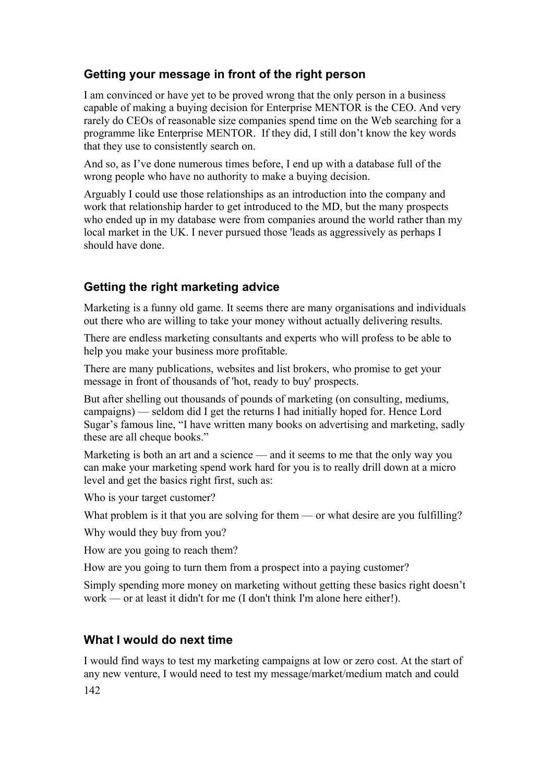## **Getting your message in front of the right person**

I am convinced or have yet to be proved wrong that the only person in a business capable of making a buying decision for Enterprise MENTOR is the CEO. And very rarely do CEOs of reasonable size companies spend time on the Web searching for a programme like Enterprise MENTOR. If they did, I still don't know the key words that they use to consistently search on.

And so, as I've done numerous times before, I end up with a database full of the wrong people who have no authority to make a buying decision.

Arguably I could use those relationships as an introduction into the company and work that relationship harder to get introduced to the MD, but the many prospects who ended up in my database were from companies around the world rather than my local market in the UK. I never pursued those 'leads as aggressively as perhaps I should have done.

## **Getting the right marketing advice**

Marketing is a funny old game. It seems there are many organisations and individuals out there who are willing to take your money without actually delivering results.

There are endless marketing consultants and experts who will profess to be able to help you make your business more profitable.

There are many publications, websites and list brokers, who promise to get your message in front of thousands of 'hot, ready to buy' prospects.

But after shelling out thousands of pounds of marketing (on consulting, mediums, campaigns) — seldom did I get the returns I had initially hoped for. Hence Lord Sugar's famous line, "I have written many books on advertising and marketing, sadly these are all cheque books."

Marketing is both an art and a science — and it seems to me that the only way you can make your marketing spend work hard for you is to really drill down at a micro level and get the basics right first, such as:

Who is your target customer?

What problem is it that you are solving for them — or what desire are you fulfilling?

Why would they buy from you?

How are you going to reach them?

How are you going to turn them from a prospect into a paying customer?

Simply spending more money on marketing without getting these basics right doesn't work — or at least it didn't for me (I don't think I'm alone here either!).

## **What I would do next time**

I would find ways to test my marketing campaigns at low or zero cost. At the start of any new venture, I would need to test my message/market/medium match and could

142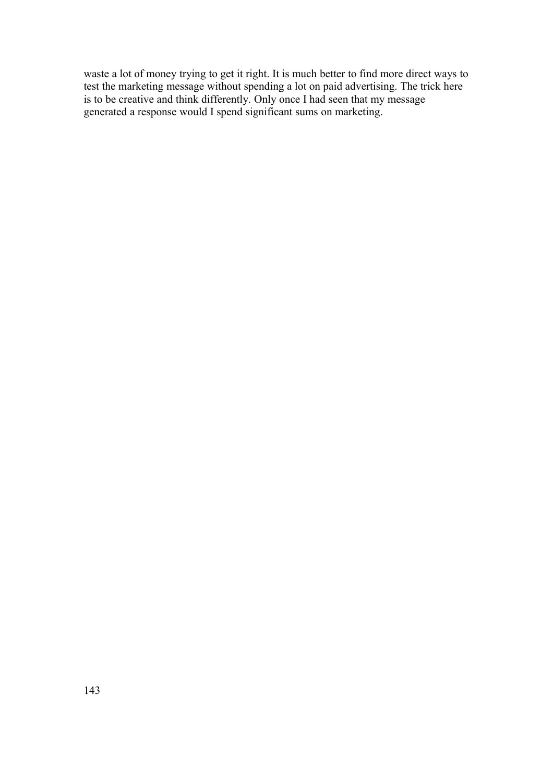waste a lot of money trying to get it right. It is much better to find more direct ways to test the marketing message without spending a lot on paid advertising. The trick here is to be creative and think differently. Only once I had seen that my message generated a response would I spend significant sums on marketing.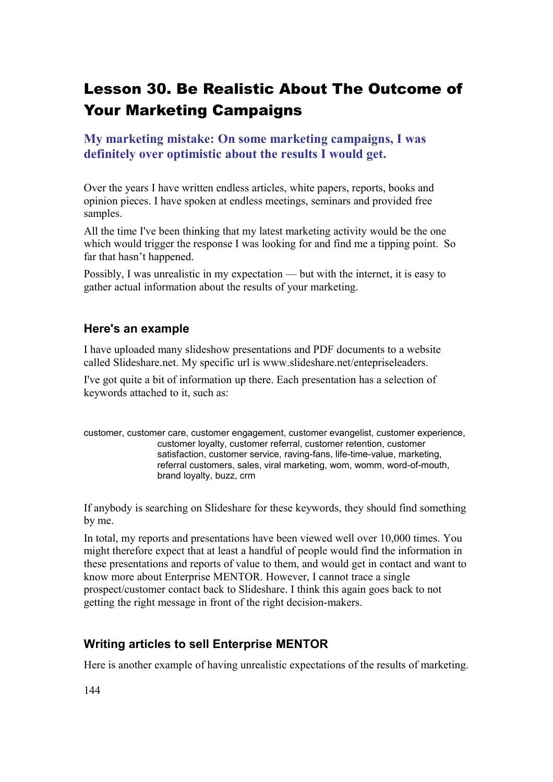# Lesson 30. Be Realistic About The Outcome of Your Marketing Campaigns

**My marketing mistake: On some marketing campaigns, I was definitely over optimistic about the results I would get.**

Over the years I have written endless articles, white papers, reports, books and opinion pieces. I have spoken at endless meetings, seminars and provided free samples.

All the time I've been thinking that my latest marketing activity would be the one which would trigger the response I was looking for and find me a tipping point. So far that hasn't happened.

Possibly, I was unrealistic in my expectation — but with the internet, it is easy to gather actual information about the results of your marketing.

#### **Here's an example**

I have uploaded many slideshow presentations and PDF documents to a website called Slideshare.net. My specific url is www.slideshare.net/entepriseleaders.

I've got quite a bit of information up there. Each presentation has a selection of keywords attached to it, such as:

customer, customer care, customer engagement, customer evangelist, customer experience, customer loyalty, customer referral, customer retention, customer satisfaction, customer service, raving-fans, life-time-value, marketing, referral customers, sales, viral marketing, wom, womm, word-of-mouth, brand loyalty, buzz, crm

If anybody is searching on Slideshare for these keywords, they should find something by me.

In total, my reports and presentations have been viewed well over 10,000 times. You might therefore expect that at least a handful of people would find the information in these presentations and reports of value to them, and would get in contact and want to know more about Enterprise MENTOR. However, I cannot trace a single prospect/customer contact back to Slideshare. I think this again goes back to not getting the right message in front of the right decision-makers.

## **Writing articles to sell Enterprise MENTOR**

Here is another example of having unrealistic expectations of the results of marketing.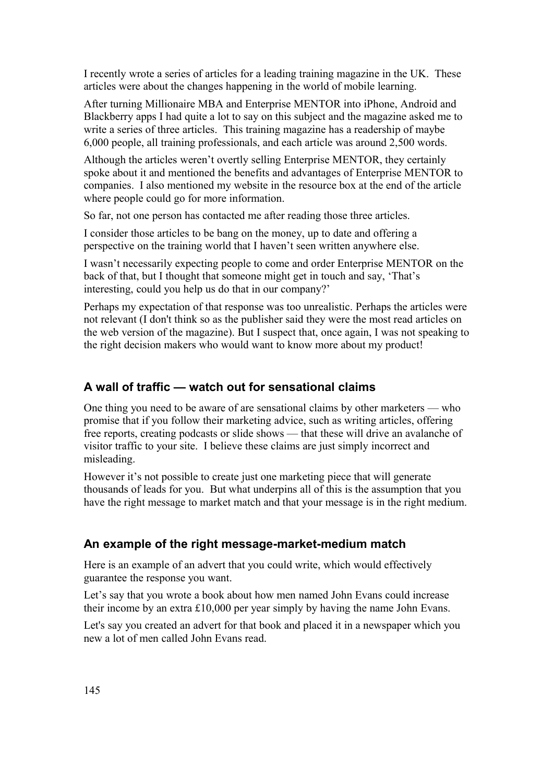I recently wrote a series of articles for a leading training magazine in the UK. These articles were about the changes happening in the world of mobile learning.

After turning Millionaire MBA and Enterprise MENTOR into iPhone, Android and Blackberry apps I had quite a lot to say on this subject and the magazine asked me to write a series of three articles. This training magazine has a readership of maybe 6,000 people, all training professionals, and each article was around 2,500 words.

Although the articles weren't overtly selling Enterprise MENTOR, they certainly spoke about it and mentioned the benefits and advantages of Enterprise MENTOR to companies. I also mentioned my website in the resource box at the end of the article where people could go for more information.

So far, not one person has contacted me after reading those three articles.

I consider those articles to be bang on the money, up to date and offering a perspective on the training world that I haven't seen written anywhere else.

I wasn't necessarily expecting people to come and order Enterprise MENTOR on the back of that, but I thought that someone might get in touch and say, 'That's interesting, could you help us do that in our company?'

Perhaps my expectation of that response was too unrealistic. Perhaps the articles were not relevant (I don't think so as the publisher said they were the most read articles on the web version of the magazine). But I suspect that, once again, I was not speaking to the right decision makers who would want to know more about my product!

#### **A wall of traffic — watch out for sensational claims**

One thing you need to be aware of are sensational claims by other marketers — who promise that if you follow their marketing advice, such as writing articles, offering free reports, creating podcasts or slide shows — that these will drive an avalanche of visitor traffic to your site. I believe these claims are just simply incorrect and misleading.

However it's not possible to create just one marketing piece that will generate thousands of leads for you. But what underpins all of this is the assumption that you have the right message to market match and that your message is in the right medium.

#### **An example of the right message-market-medium match**

Here is an example of an advert that you could write, which would effectively guarantee the response you want.

Let's say that you wrote a book about how men named John Evans could increase their income by an extra £10,000 per year simply by having the name John Evans.

Let's say you created an advert for that book and placed it in a newspaper which you new a lot of men called John Evans read.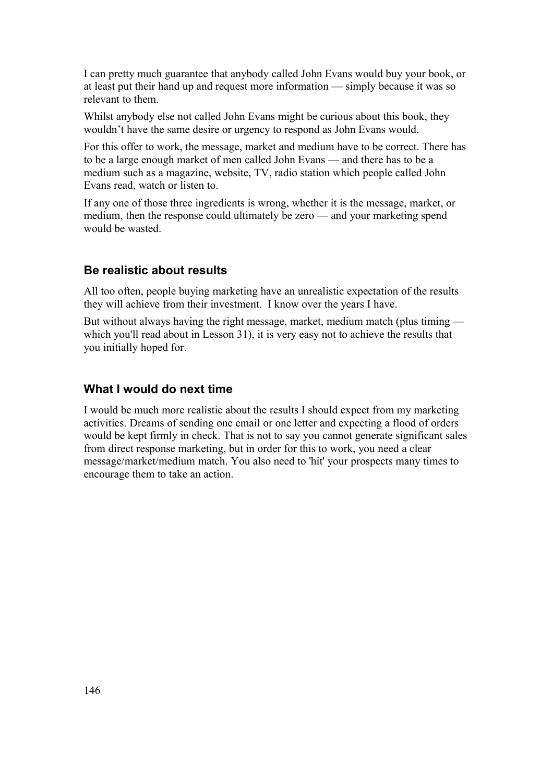I can pretty much guarantee that anybody called John Evans would buy your book, or at least put their hand up and request more information — simply because it was so relevant to them.

Whilst anybody else not called John Evans might be curious about this book, they wouldn't have the same desire or urgency to respond as John Evans would.

For this offer to work, the message, market and medium have to be correct. There has to be a large enough market of men called John Evans — and there has to be a medium such as a magazine, website, TV, radio station which people called John Evans read, watch or listen to.

If any one of those three ingredients is wrong, whether it is the message, market, or medium, then the response could ultimately be zero — and your marketing spend would be wasted.

#### **Be realistic about results**

All too often, people buying marketing have an unrealistic expectation of the results they will achieve from their investment. I know over the years I have.

But without always having the right message, market, medium match (plus timing which you'll read about in Lesson 31), it is very easy not to achieve the results that you initially hoped for.

#### **What I would do next time**

I would be much more realistic about the results I should expect from my marketing activities. Dreams of sending one email or one letter and expecting a flood of orders would be kept firmly in check. That is not to say you cannot generate significant sales from direct response marketing, but in order for this to work, you need a clear message/market/medium match. You also need to 'hit' your prospects many times to encourage them to take an action.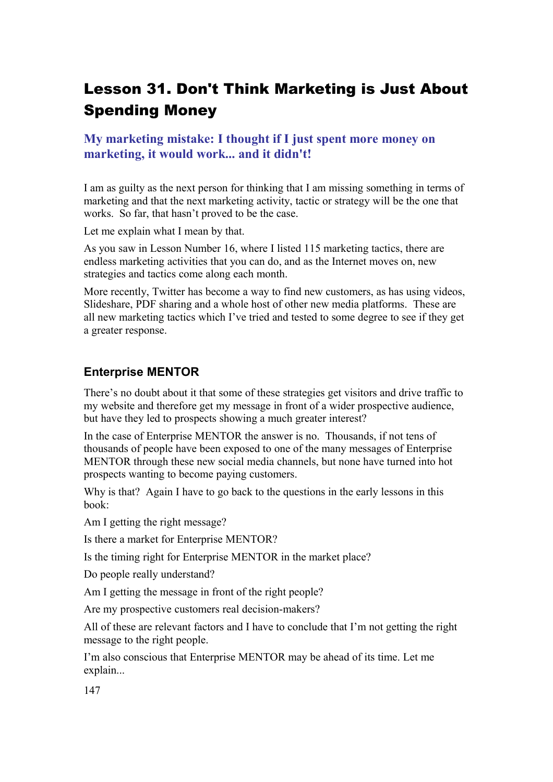# Lesson 31. Don't Think Marketing is Just About Spending Money

#### **My marketing mistake: I thought if I just spent more money on marketing, it would work... and it didn't!**

I am as guilty as the next person for thinking that I am missing something in terms of marketing and that the next marketing activity, tactic or strategy will be the one that works. So far, that hasn't proved to be the case.

Let me explain what I mean by that.

As you saw in Lesson Number 16, where I listed 115 marketing tactics, there are endless marketing activities that you can do, and as the Internet moves on, new strategies and tactics come along each month.

More recently, Twitter has become a way to find new customers, as has using videos, Slideshare, PDF sharing and a whole host of other new media platforms. These are all new marketing tactics which I've tried and tested to some degree to see if they get a greater response.

#### **Enterprise MENTOR**

There's no doubt about it that some of these strategies get visitors and drive traffic to my website and therefore get my message in front of a wider prospective audience, but have they led to prospects showing a much greater interest?

In the case of Enterprise MENTOR the answer is no. Thousands, if not tens of thousands of people have been exposed to one of the many messages of Enterprise MENTOR through these new social media channels, but none have turned into hot prospects wanting to become paying customers.

Why is that? Again I have to go back to the questions in the early lessons in this book:

Am I getting the right message?

Is there a market for Enterprise MENTOR?

Is the timing right for Enterprise MENTOR in the market place?

Do people really understand?

Am I getting the message in front of the right people?

Are my prospective customers real decision-makers?

All of these are relevant factors and I have to conclude that I'm not getting the right message to the right people.

I'm also conscious that Enterprise MENTOR may be ahead of its time. Let me explain...

147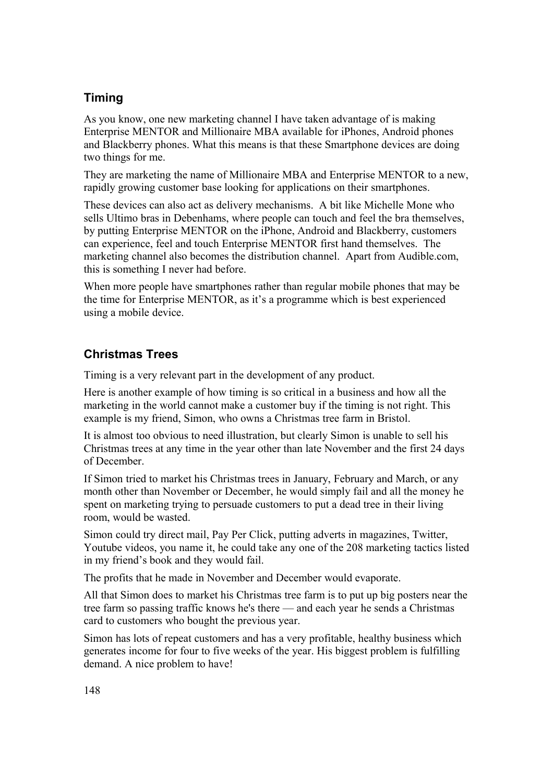## **Timing**

As you know, one new marketing channel I have taken advantage of is making Enterprise MENTOR and Millionaire MBA available for iPhones, Android phones and Blackberry phones. What this means is that these Smartphone devices are doing two things for me.

They are marketing the name of Millionaire MBA and Enterprise MENTOR to a new, rapidly growing customer base looking for applications on their smartphones.

These devices can also act as delivery mechanisms. A bit like Michelle Mone who sells Ultimo bras in Debenhams, where people can touch and feel the bra themselves, by putting Enterprise MENTOR on the iPhone, Android and Blackberry, customers can experience, feel and touch Enterprise MENTOR first hand themselves. The marketing channel also becomes the distribution channel. Apart from Audible.com, this is something I never had before.

When more people have smartphones rather than regular mobile phones that may be the time for Enterprise MENTOR, as it's a programme which is best experienced using a mobile device.

## **Christmas Trees**

Timing is a very relevant part in the development of any product.

Here is another example of how timing is so critical in a business and how all the marketing in the world cannot make a customer buy if the timing is not right. This example is my friend, Simon, who owns a Christmas tree farm in Bristol.

It is almost too obvious to need illustration, but clearly Simon is unable to sell his Christmas trees at any time in the year other than late November and the first 24 days of December.

If Simon tried to market his Christmas trees in January, February and March, or any month other than November or December, he would simply fail and all the money he spent on marketing trying to persuade customers to put a dead tree in their living room, would be wasted.

Simon could try direct mail, Pay Per Click, putting adverts in magazines, Twitter, Youtube videos, you name it, he could take any one of the 208 marketing tactics listed in my friend's book and they would fail.

The profits that he made in November and December would evaporate.

All that Simon does to market his Christmas tree farm is to put up big posters near the tree farm so passing traffic knows he's there — and each year he sends a Christmas card to customers who bought the previous year.

Simon has lots of repeat customers and has a very profitable, healthy business which generates income for four to five weeks of the year. His biggest problem is fulfilling demand. A nice problem to have!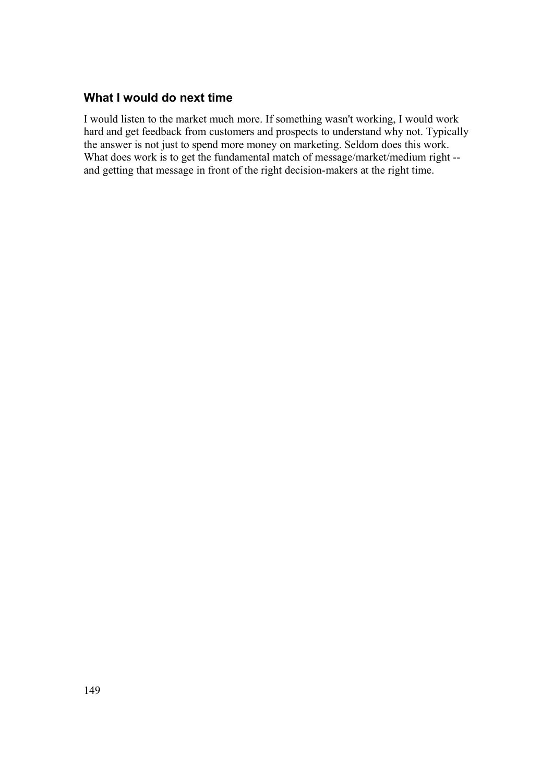#### **What I would do next time**

I would listen to the market much more. If something wasn't working, I would work hard and get feedback from customers and prospects to understand why not. Typically the answer is not just to spend more money on marketing. Seldom does this work. What does work is to get the fundamental match of message/market/medium right -and getting that message in front of the right decision-makers at the right time.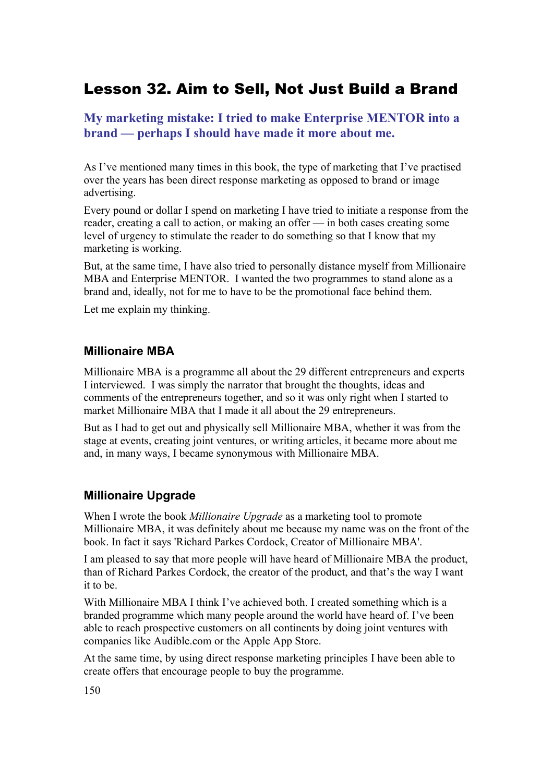## Lesson 32. Aim to Sell, Not Just Build a Brand

#### **My marketing mistake: I tried to make Enterprise MENTOR into a brand — perhaps I should have made it more about me.**

As I've mentioned many times in this book, the type of marketing that I've practised over the years has been direct response marketing as opposed to brand or image advertising.

Every pound or dollar I spend on marketing I have tried to initiate a response from the reader, creating a call to action, or making an offer — in both cases creating some level of urgency to stimulate the reader to do something so that I know that my marketing is working.

But, at the same time, I have also tried to personally distance myself from Millionaire MBA and Enterprise MENTOR. I wanted the two programmes to stand alone as a brand and, ideally, not for me to have to be the promotional face behind them.

Let me explain my thinking.

#### **Millionaire MBA**

Millionaire MBA is a programme all about the 29 different entrepreneurs and experts I interviewed. I was simply the narrator that brought the thoughts, ideas and comments of the entrepreneurs together, and so it was only right when I started to market Millionaire MBA that I made it all about the 29 entrepreneurs.

But as I had to get out and physically sell Millionaire MBA, whether it was from the stage at events, creating joint ventures, or writing articles, it became more about me and, in many ways, I became synonymous with Millionaire MBA.

#### **Millionaire Upgrade**

When I wrote the book *Millionaire Upgrade* as a marketing tool to promote Millionaire MBA, it was definitely about me because my name was on the front of the book. In fact it says 'Richard Parkes Cordock, Creator of Millionaire MBA'.

I am pleased to say that more people will have heard of Millionaire MBA the product, than of Richard Parkes Cordock, the creator of the product, and that's the way I want it to be.

With Millionaire MBA I think I've achieved both. I created something which is a branded programme which many people around the world have heard of. I've been able to reach prospective customers on all continents by doing joint ventures with companies like Audible.com or the Apple App Store.

At the same time, by using direct response marketing principles I have been able to create offers that encourage people to buy the programme.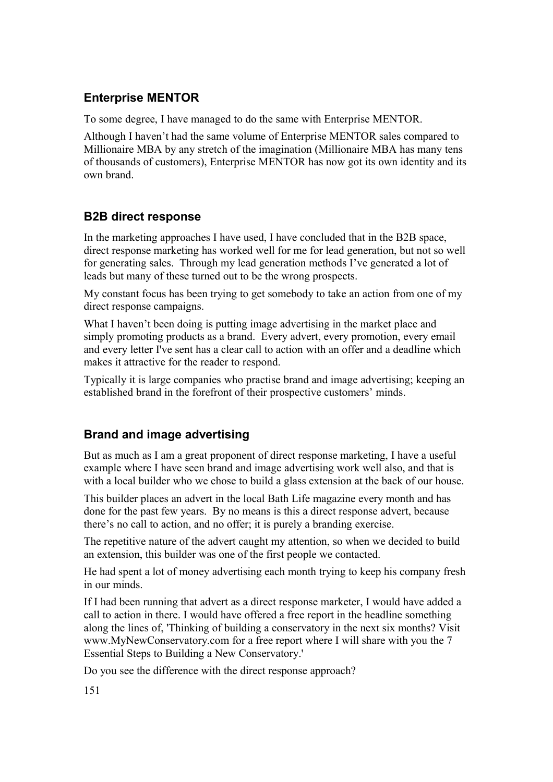### **Enterprise MENTOR**

To some degree, I have managed to do the same with Enterprise MENTOR.

Although I haven't had the same volume of Enterprise MENTOR sales compared to Millionaire MBA by any stretch of the imagination (Millionaire MBA has many tens of thousands of customers), Enterprise MENTOR has now got its own identity and its own brand.

## **B2B direct response**

In the marketing approaches I have used, I have concluded that in the B2B space, direct response marketing has worked well for me for lead generation, but not so well for generating sales. Through my lead generation methods I've generated a lot of leads but many of these turned out to be the wrong prospects.

My constant focus has been trying to get somebody to take an action from one of my direct response campaigns.

What I haven't been doing is putting image advertising in the market place and simply promoting products as a brand. Every advert, every promotion, every email and every letter I've sent has a clear call to action with an offer and a deadline which makes it attractive for the reader to respond.

Typically it is large companies who practise brand and image advertising; keeping an established brand in the forefront of their prospective customers' minds.

## **Brand and image advertising**

But as much as I am a great proponent of direct response marketing, I have a useful example where I have seen brand and image advertising work well also, and that is with a local builder who we chose to build a glass extension at the back of our house.

This builder places an advert in the local Bath Life magazine every month and has done for the past few years. By no means is this a direct response advert, because there's no call to action, and no offer; it is purely a branding exercise.

The repetitive nature of the advert caught my attention, so when we decided to build an extension, this builder was one of the first people we contacted.

He had spent a lot of money advertising each month trying to keep his company fresh in our minds.

If I had been running that advert as a direct response marketer, I would have added a call to action in there. I would have offered a free report in the headline something along the lines of, 'Thinking of building a conservatory in the next six months? Visit www.MyNewConservatory.com for a free report where I will share with you the 7 Essential Steps to Building a New Conservatory.'

Do you see the difference with the direct response approach?

151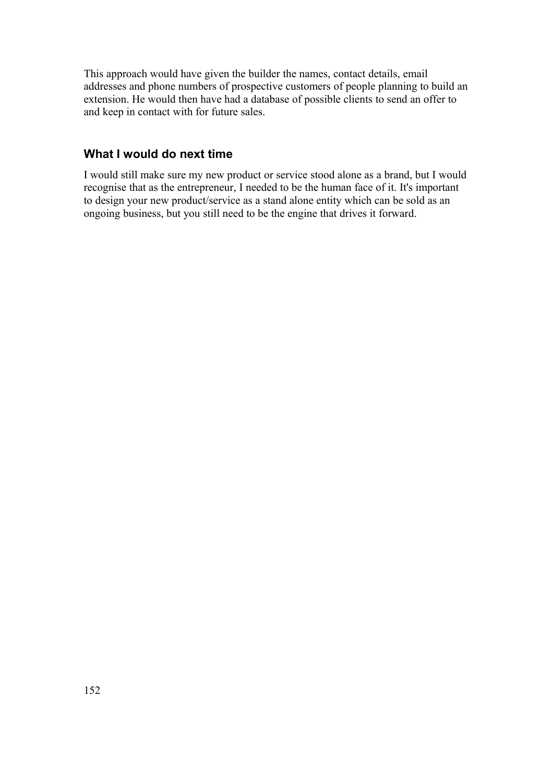This approach would have given the builder the names, contact details, email addresses and phone numbers of prospective customers of people planning to build an extension. He would then have had a database of possible clients to send an offer to and keep in contact with for future sales.

#### **What I would do next time**

I would still make sure my new product or service stood alone as a brand, but I would recognise that as the entrepreneur, I needed to be the human face of it. It's important to design your new product/service as a stand alone entity which can be sold as an ongoing business, but you still need to be the engine that drives it forward.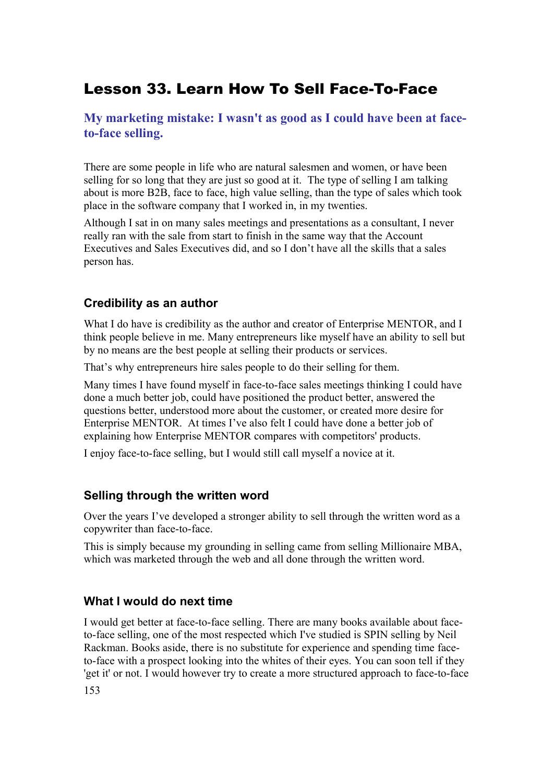## Lesson 33. Learn How To Sell Face-To-Face

### **My marketing mistake: I wasn't as good as I could have been at faceto-face selling.**

There are some people in life who are natural salesmen and women, or have been selling for so long that they are just so good at it. The type of selling I am talking about is more B2B, face to face, high value selling, than the type of sales which took place in the software company that I worked in, in my twenties.

Although I sat in on many sales meetings and presentations as a consultant, I never really ran with the sale from start to finish in the same way that the Account Executives and Sales Executives did, and so I don't have all the skills that a sales person has.

#### **Credibility as an author**

What I do have is credibility as the author and creator of Enterprise MENTOR, and I think people believe in me. Many entrepreneurs like myself have an ability to sell but by no means are the best people at selling their products or services.

That's why entrepreneurs hire sales people to do their selling for them.

Many times I have found myself in face-to-face sales meetings thinking I could have done a much better job, could have positioned the product better, answered the questions better, understood more about the customer, or created more desire for Enterprise MENTOR. At times I've also felt I could have done a better job of explaining how Enterprise MENTOR compares with competitors' products.

I enjoy face-to-face selling, but I would still call myself a novice at it.

#### **Selling through the written word**

Over the years I've developed a stronger ability to sell through the written word as a copywriter than face-to-face.

This is simply because my grounding in selling came from selling Millionaire MBA, which was marketed through the web and all done through the written word.

#### **What I would do next time**

I would get better at face-to-face selling. There are many books available about faceto-face selling, one of the most respected which I've studied is SPIN selling by Neil Rackman. Books aside, there is no substitute for experience and spending time faceto-face with a prospect looking into the whites of their eyes. You can soon tell if they 'get it' or not. I would however try to create a more structured approach to face-to-face 153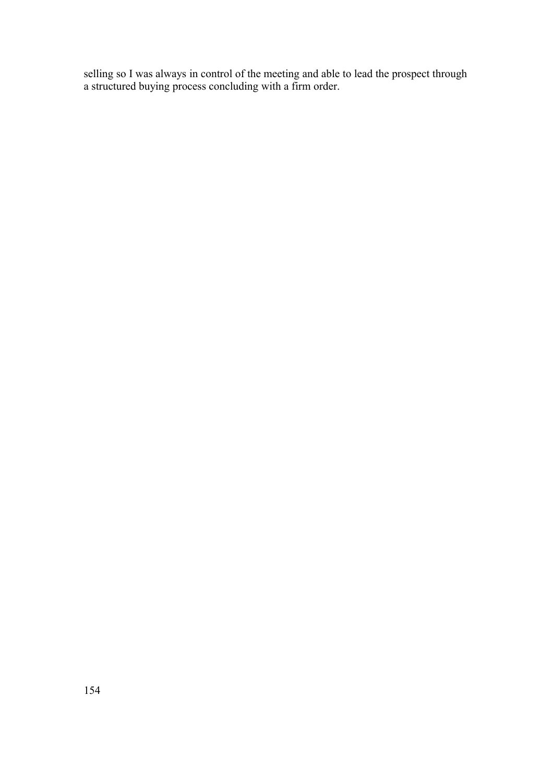selling so I was always in control of the meeting and able to lead the prospect through a structured buying process concluding with a firm order.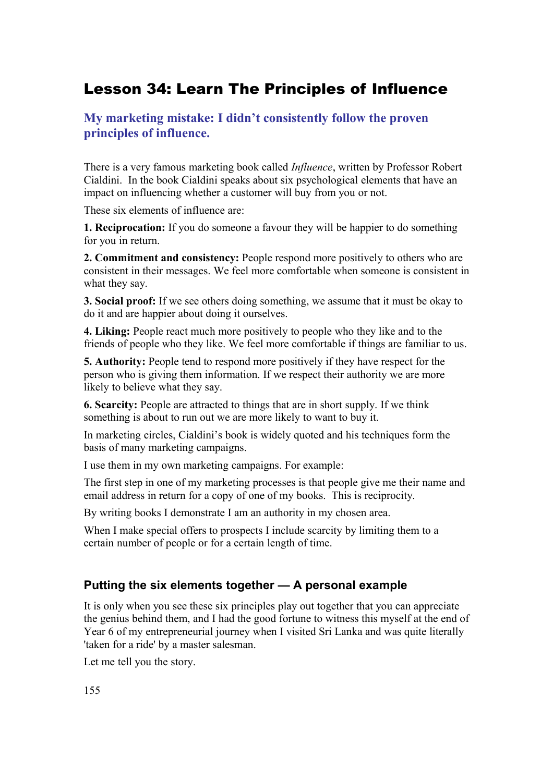## Lesson 34: Learn The Principles of Influence

### **My marketing mistake: I didn't consistently follow the proven principles of influence.**

There is a very famous marketing book called *Influence*, written by Professor Robert Cialdini. In the book Cialdini speaks about six psychological elements that have an impact on influencing whether a customer will buy from you or not.

These six elements of influence are:

**1. Reciprocation:** If you do someone a favour they will be happier to do something for you in return.

**2. Commitment and consistency:** People respond more positively to others who are consistent in their messages. We feel more comfortable when someone is consistent in what they say.

**3. Social proof:** If we see others doing something, we assume that it must be okay to do it and are happier about doing it ourselves.

**4. Liking:** People react much more positively to people who they like and to the friends of people who they like. We feel more comfortable if things are familiar to us.

**5. Authority:** People tend to respond more positively if they have respect for the person who is giving them information. If we respect their authority we are more likely to believe what they say.

**6. Scarcity:** People are attracted to things that are in short supply. If we think something is about to run out we are more likely to want to buy it.

In marketing circles, Cialdini's book is widely quoted and his techniques form the basis of many marketing campaigns.

I use them in my own marketing campaigns. For example:

The first step in one of my marketing processes is that people give me their name and email address in return for a copy of one of my books. This is reciprocity.

By writing books I demonstrate I am an authority in my chosen area.

When I make special offers to prospects I include scarcity by limiting them to a certain number of people or for a certain length of time.

#### **Putting the six elements together — A personal example**

It is only when you see these six principles play out together that you can appreciate the genius behind them, and I had the good fortune to witness this myself at the end of Year 6 of my entrepreneurial journey when I visited Sri Lanka and was quite literally 'taken for a ride' by a master salesman.

Let me tell you the story.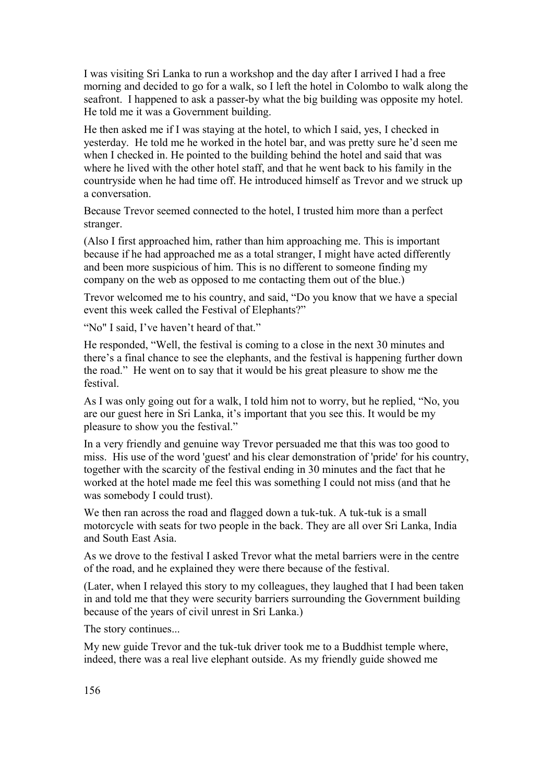I was visiting Sri Lanka to run a workshop and the day after I arrived I had a free morning and decided to go for a walk, so I left the hotel in Colombo to walk along the seafront. I happened to ask a passer-by what the big building was opposite my hotel. He told me it was a Government building.

He then asked me if I was staying at the hotel, to which I said, yes, I checked in yesterday. He told me he worked in the hotel bar, and was pretty sure he'd seen me when I checked in. He pointed to the building behind the hotel and said that was where he lived with the other hotel staff, and that he went back to his family in the countryside when he had time off. He introduced himself as Trevor and we struck up a conversation.

Because Trevor seemed connected to the hotel, I trusted him more than a perfect stranger.

(Also I first approached him, rather than him approaching me. This is important because if he had approached me as a total stranger, I might have acted differently and been more suspicious of him. This is no different to someone finding my company on the web as opposed to me contacting them out of the blue.)

Trevor welcomed me to his country, and said, "Do you know that we have a special event this week called the Festival of Elephants?"

"No" I said, I've haven't heard of that."

He responded, "Well, the festival is coming to a close in the next 30 minutes and there's a final chance to see the elephants, and the festival is happening further down the road." He went on to say that it would be his great pleasure to show me the festival.

As I was only going out for a walk, I told him not to worry, but he replied, "No, you are our guest here in Sri Lanka, it's important that you see this. It would be my pleasure to show you the festival."

In a very friendly and genuine way Trevor persuaded me that this was too good to miss. His use of the word 'guest' and his clear demonstration of 'pride' for his country, together with the scarcity of the festival ending in 30 minutes and the fact that he worked at the hotel made me feel this was something I could not miss (and that he was somebody I could trust).

We then ran across the road and flagged down a tuk-tuk. A tuk-tuk is a small motorcycle with seats for two people in the back. They are all over Sri Lanka, India and South East Asia.

As we drove to the festival I asked Trevor what the metal barriers were in the centre of the road, and he explained they were there because of the festival.

(Later, when I relayed this story to my colleagues, they laughed that I had been taken in and told me that they were security barriers surrounding the Government building because of the years of civil unrest in Sri Lanka.)

The story continues...

My new guide Trevor and the tuk-tuk driver took me to a Buddhist temple where, indeed, there was a real live elephant outside. As my friendly guide showed me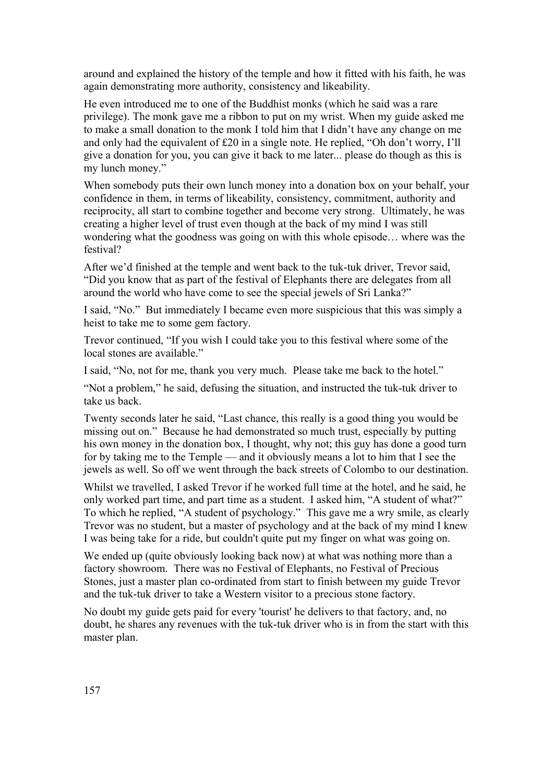around and explained the history of the temple and how it fitted with his faith, he was again demonstrating more authority, consistency and likeability.

He even introduced me to one of the Buddhist monks (which he said was a rare privilege). The monk gave me a ribbon to put on my wrist. When my guide asked me to make a small donation to the monk I told him that I didn't have any change on me and only had the equivalent of £20 in a single note. He replied, "Oh don't worry, I'll give a donation for you, you can give it back to me later... please do though as this is my lunch money."

When somebody puts their own lunch money into a donation box on your behalf, your confidence in them, in terms of likeability, consistency, commitment, authority and reciprocity, all start to combine together and become very strong. Ultimately, he was creating a higher level of trust even though at the back of my mind I was still wondering what the goodness was going on with this whole episode… where was the festival?

After we'd finished at the temple and went back to the tuk-tuk driver, Trevor said, "Did you know that as part of the festival of Elephants there are delegates from all around the world who have come to see the special jewels of Sri Lanka?"

I said, "No." But immediately I became even more suspicious that this was simply a heist to take me to some gem factory.

Trevor continued, "If you wish I could take you to this festival where some of the local stones are available."

I said, "No, not for me, thank you very much. Please take me back to the hotel."

"Not a problem," he said, defusing the situation, and instructed the tuk-tuk driver to take us back.

Twenty seconds later he said, "Last chance, this really is a good thing you would be missing out on." Because he had demonstrated so much trust, especially by putting his own money in the donation box, I thought, why not; this guy has done a good turn for by taking me to the Temple — and it obviously means a lot to him that I see the jewels as well. So off we went through the back streets of Colombo to our destination.

Whilst we travelled, I asked Trevor if he worked full time at the hotel, and he said, he only worked part time, and part time as a student. I asked him, "A student of what?" To which he replied, "A student of psychology." This gave me a wry smile, as clearly Trevor was no student, but a master of psychology and at the back of my mind I knew I was being take for a ride, but couldn't quite put my finger on what was going on.

We ended up (quite obviously looking back now) at what was nothing more than a factory showroom. There was no Festival of Elephants, no Festival of Precious Stones, just a master plan co-ordinated from start to finish between my guide Trevor and the tuk-tuk driver to take a Western visitor to a precious stone factory.

No doubt my guide gets paid for every 'tourist' he delivers to that factory, and, no doubt, he shares any revenues with the tuk-tuk driver who is in from the start with this master plan.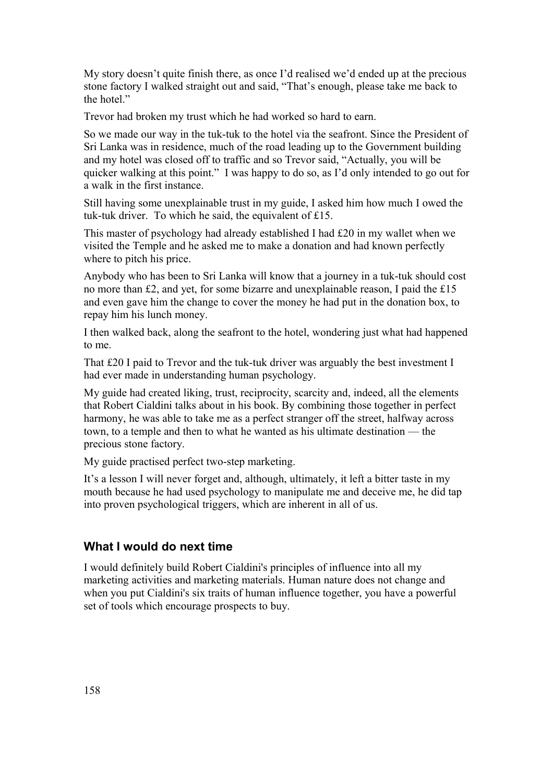My story doesn't quite finish there, as once I'd realised we'd ended up at the precious stone factory I walked straight out and said, "That's enough, please take me back to the hotel."

Trevor had broken my trust which he had worked so hard to earn.

So we made our way in the tuk-tuk to the hotel via the seafront. Since the President of Sri Lanka was in residence, much of the road leading up to the Government building and my hotel was closed off to traffic and so Trevor said, "Actually, you will be quicker walking at this point." I was happy to do so, as I'd only intended to go out for a walk in the first instance.

Still having some unexplainable trust in my guide, I asked him how much I owed the tuk-tuk driver. To which he said, the equivalent of £15.

This master of psychology had already established I had £20 in my wallet when we visited the Temple and he asked me to make a donation and had known perfectly where to pitch his price.

Anybody who has been to Sri Lanka will know that a journey in a tuk-tuk should cost no more than £2, and yet, for some bizarre and unexplainable reason, I paid the £15 and even gave him the change to cover the money he had put in the donation box, to repay him his lunch money.

I then walked back, along the seafront to the hotel, wondering just what had happened to me.

That £20 I paid to Trevor and the tuk-tuk driver was arguably the best investment I had ever made in understanding human psychology.

My guide had created liking, trust, reciprocity, scarcity and, indeed, all the elements that Robert Cialdini talks about in his book. By combining those together in perfect harmony, he was able to take me as a perfect stranger off the street, halfway across town, to a temple and then to what he wanted as his ultimate destination — the precious stone factory.

My guide practised perfect two-step marketing.

It's a lesson I will never forget and, although, ultimately, it left a bitter taste in my mouth because he had used psychology to manipulate me and deceive me, he did tap into proven psychological triggers, which are inherent in all of us.

#### **What I would do next time**

I would definitely build Robert Cialdini's principles of influence into all my marketing activities and marketing materials. Human nature does not change and when you put Cialdini's six traits of human influence together, you have a powerful set of tools which encourage prospects to buy.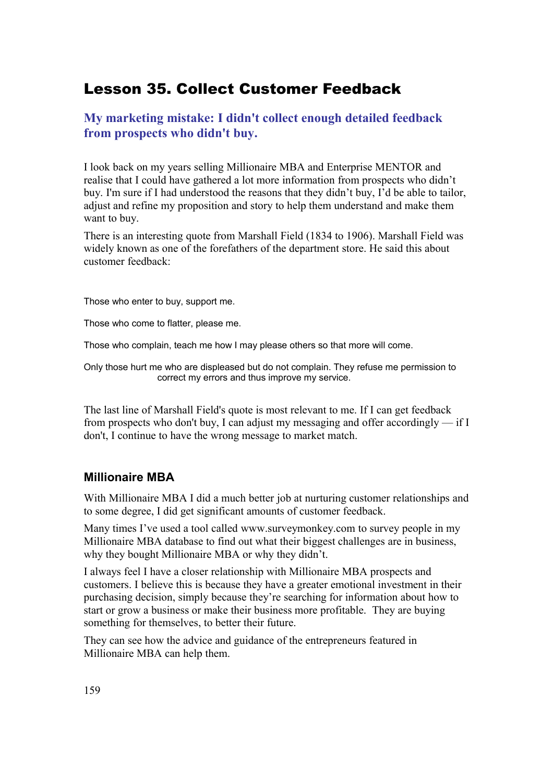## Lesson 35. Collect Customer Feedback

### **My marketing mistake: I didn't collect enough detailed feedback from prospects who didn't buy.**

I look back on my years selling Millionaire MBA and Enterprise MENTOR and realise that I could have gathered a lot more information from prospects who didn't buy. I'm sure if I had understood the reasons that they didn't buy, I'd be able to tailor, adjust and refine my proposition and story to help them understand and make them want to buy.

There is an interesting quote from Marshall Field (1834 to 1906). Marshall Field was widely known as one of the forefathers of the department store. He said this about customer feedback:

Those who enter to buy, support me.

Those who come to flatter, please me.

Those who complain, teach me how I may please others so that more will come.

Only those hurt me who are displeased but do not complain. They refuse me permission to correct my errors and thus improve my service.

The last line of Marshall Field's quote is most relevant to me. If I can get feedback from prospects who don't buy. I can adjust my messaging and offer accordingly  $-$  if I don't, I continue to have the wrong message to market match.

#### **Millionaire MBA**

With Millionaire MBA I did a much better job at nurturing customer relationships and to some degree, I did get significant amounts of customer feedback.

Many times I've used a tool called www.surveymonkey.com to survey people in my Millionaire MBA database to find out what their biggest challenges are in business, why they bought Millionaire MBA or why they didn't.

I always feel I have a closer relationship with Millionaire MBA prospects and customers. I believe this is because they have a greater emotional investment in their purchasing decision, simply because they're searching for information about how to start or grow a business or make their business more profitable. They are buying something for themselves, to better their future.

They can see how the advice and guidance of the entrepreneurs featured in Millionaire MBA can help them.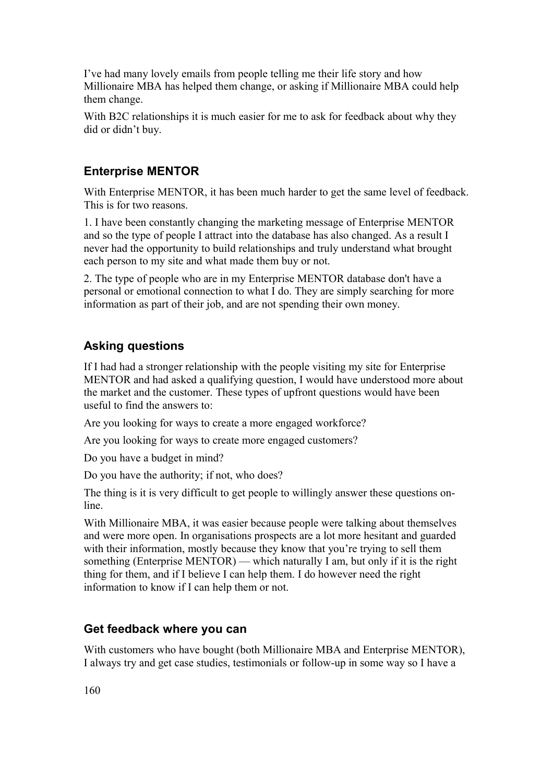I've had many lovely emails from people telling me their life story and how Millionaire MBA has helped them change, or asking if Millionaire MBA could help them change.

With B2C relationships it is much easier for me to ask for feedback about why they did or didn't buy.

#### **Enterprise MENTOR**

With Enterprise MENTOR, it has been much harder to get the same level of feedback. This is for two reasons.

1. I have been constantly changing the marketing message of Enterprise MENTOR and so the type of people I attract into the database has also changed. As a result I never had the opportunity to build relationships and truly understand what brought each person to my site and what made them buy or not.

2. The type of people who are in my Enterprise MENTOR database don't have a personal or emotional connection to what I do. They are simply searching for more information as part of their job, and are not spending their own money.

### **Asking questions**

If I had had a stronger relationship with the people visiting my site for Enterprise MENTOR and had asked a qualifying question, I would have understood more about the market and the customer. These types of upfront questions would have been useful to find the answers to:

Are you looking for ways to create a more engaged workforce?

Are you looking for ways to create more engaged customers?

Do you have a budget in mind?

Do you have the authority; if not, who does?

The thing is it is very difficult to get people to willingly answer these questions online.

With Millionaire MBA, it was easier because people were talking about themselves and were more open. In organisations prospects are a lot more hesitant and guarded with their information, mostly because they know that you're trying to sell them something (Enterprise MENTOR) — which naturally I am, but only if it is the right thing for them, and if I believe I can help them. I do however need the right information to know if I can help them or not.

#### **Get feedback where you can**

With customers who have bought (both Millionaire MBA and Enterprise MENTOR), I always try and get case studies, testimonials or follow-up in some way so I have a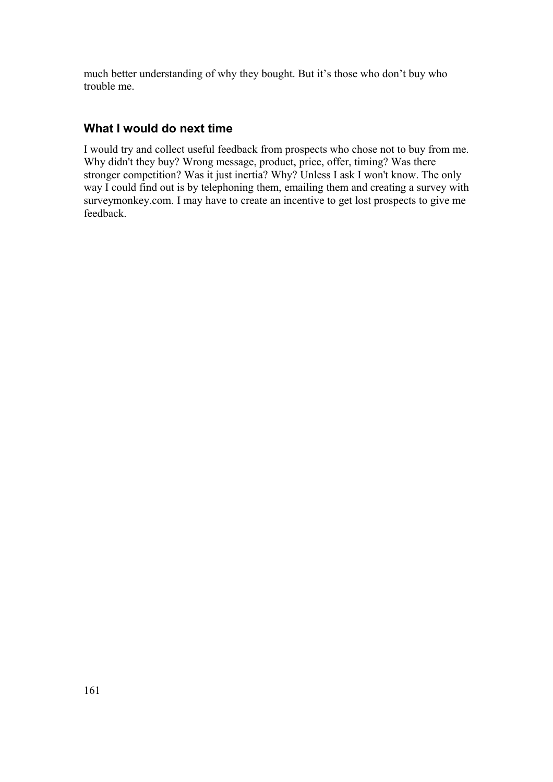much better understanding of why they bought. But it's those who don't buy who trouble me.

### **What I would do next time**

I would try and collect useful feedback from prospects who chose not to buy from me. Why didn't they buy? Wrong message, product, price, offer, timing? Was there stronger competition? Was it just inertia? Why? Unless I ask I won't know. The only way I could find out is by telephoning them, emailing them and creating a survey with surveymonkey.com. I may have to create an incentive to get lost prospects to give me feedback.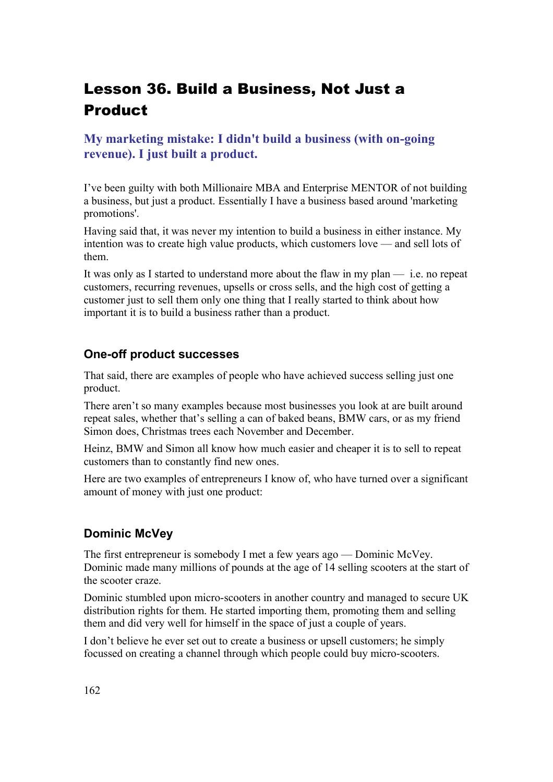# Lesson 36. Build a Business, Not Just a Product

## **My marketing mistake: I didn't build a business (with on-going revenue). I just built a product.**

I've been guilty with both Millionaire MBA and Enterprise MENTOR of not building a business, but just a product. Essentially I have a business based around 'marketing promotions'.

Having said that, it was never my intention to build a business in either instance. My intention was to create high value products, which customers love — and sell lots of them.

It was only as I started to understand more about the flaw in my plan  $-$  i.e. no repeat customers, recurring revenues, upsells or cross sells, and the high cost of getting a customer just to sell them only one thing that I really started to think about how important it is to build a business rather than a product.

#### **One-off product successes**

That said, there are examples of people who have achieved success selling just one product.

There aren't so many examples because most businesses you look at are built around repeat sales, whether that's selling a can of baked beans, BMW cars, or as my friend Simon does, Christmas trees each November and December.

Heinz, BMW and Simon all know how much easier and cheaper it is to sell to repeat customers than to constantly find new ones.

Here are two examples of entrepreneurs I know of, who have turned over a significant amount of money with just one product:

### **Dominic McVey**

The first entrepreneur is somebody I met a few years ago — Dominic McVey. Dominic made many millions of pounds at the age of 14 selling scooters at the start of the scooter craze.

Dominic stumbled upon micro-scooters in another country and managed to secure UK distribution rights for them. He started importing them, promoting them and selling them and did very well for himself in the space of just a couple of years.

I don't believe he ever set out to create a business or upsell customers; he simply focussed on creating a channel through which people could buy micro-scooters.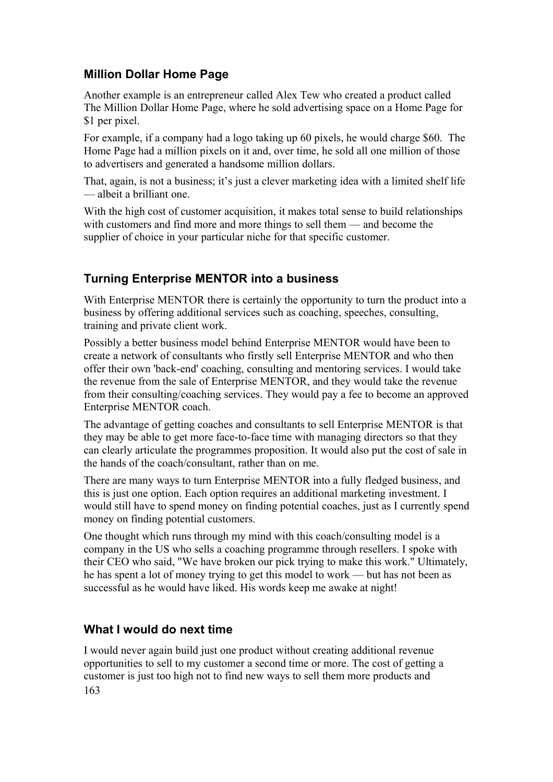### **Million Dollar Home Page**

Another example is an entrepreneur called Alex Tew who created a product called The Million Dollar Home Page, where he sold advertising space on a Home Page for \$1 per pixel.

For example, if a company had a logo taking up 60 pixels, he would charge \$60. The Home Page had a million pixels on it and, over time, he sold all one million of those to advertisers and generated a handsome million dollars.

That, again, is not a business; it's just a clever marketing idea with a limited shelf life — albeit a brilliant one.

With the high cost of customer acquisition, it makes total sense to build relationships with customers and find more and more things to sell them — and become the supplier of choice in your particular niche for that specific customer.

### **Turning Enterprise MENTOR into a business**

With Enterprise MENTOR there is certainly the opportunity to turn the product into a business by offering additional services such as coaching, speeches, consulting, training and private client work.

Possibly a better business model behind Enterprise MENTOR would have been to create a network of consultants who firstly sell Enterprise MENTOR and who then offer their own 'back-end' coaching, consulting and mentoring services. I would take the revenue from the sale of Enterprise MENTOR, and they would take the revenue from their consulting/coaching services. They would pay a fee to become an approved Enterprise MENTOR coach.

The advantage of getting coaches and consultants to sell Enterprise MENTOR is that they may be able to get more face-to-face time with managing directors so that they can clearly articulate the programmes proposition. It would also put the cost of sale in the hands of the coach/consultant, rather than on me.

There are many ways to turn Enterprise MENTOR into a fully fledged business, and this is just one option. Each option requires an additional marketing investment. I would still have to spend money on finding potential coaches, just as I currently spend money on finding potential customers.

One thought which runs through my mind with this coach/consulting model is a company in the US who sells a coaching programme through resellers. I spoke with their CEO who said, "We have broken our pick trying to make this work." Ultimately, he has spent a lot of money trying to get this model to work — but has not been as successful as he would have liked. His words keep me awake at night!

#### **What I would do next time**

I would never again build just one product without creating additional revenue opportunities to sell to my customer a second time or more. The cost of getting a customer is just too high not to find new ways to sell them more products and 163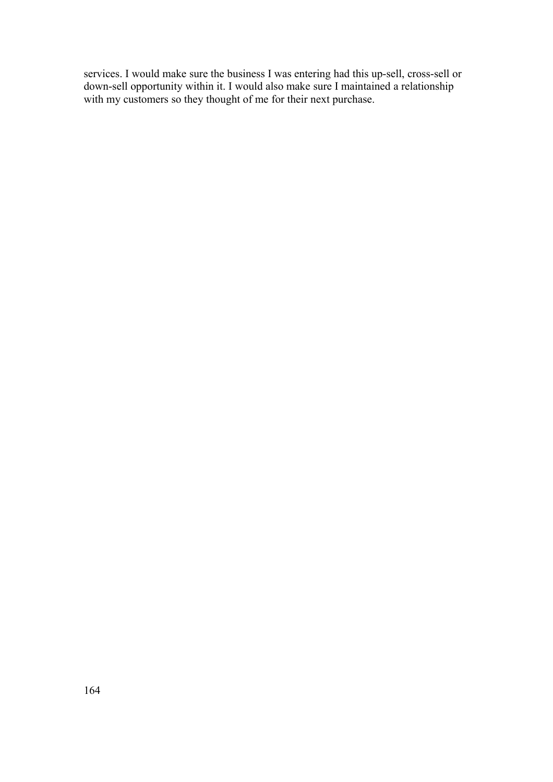services. I would make sure the business I was entering had this up-sell, cross-sell or down-sell opportunity within it. I would also make sure I maintained a relationship with my customers so they thought of me for their next purchase.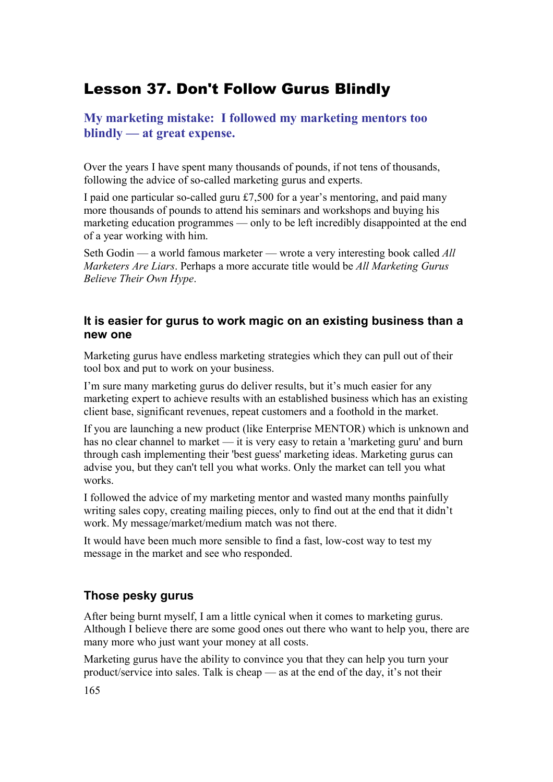## Lesson 37. Don't Follow Gurus Blindly

**My marketing mistake: I followed my marketing mentors too blindly — at great expense.**

Over the years I have spent many thousands of pounds, if not tens of thousands, following the advice of so-called marketing gurus and experts.

I paid one particular so-called guru £7,500 for a year's mentoring, and paid many more thousands of pounds to attend his seminars and workshops and buying his marketing education programmes — only to be left incredibly disappointed at the end of a year working with him.

Seth Godin — a world famous marketer — wrote a very interesting book called *All Marketers Are Liars*. Perhaps a more accurate title would be *All Marketing Gurus Believe Their Own Hype*.

#### **It is easier for gurus to work magic on an existing business than a new one**

Marketing gurus have endless marketing strategies which they can pull out of their tool box and put to work on your business.

I'm sure many marketing gurus do deliver results, but it's much easier for any marketing expert to achieve results with an established business which has an existing client base, significant revenues, repeat customers and a foothold in the market.

If you are launching a new product (like Enterprise MENTOR) which is unknown and has no clear channel to market — it is very easy to retain a 'marketing guru' and burn through cash implementing their 'best guess' marketing ideas. Marketing gurus can advise you, but they can't tell you what works. Only the market can tell you what works.

I followed the advice of my marketing mentor and wasted many months painfully writing sales copy, creating mailing pieces, only to find out at the end that it didn't work. My message/market/medium match was not there.

It would have been much more sensible to find a fast, low-cost way to test my message in the market and see who responded.

### **Those pesky gurus**

After being burnt myself, I am a little cynical when it comes to marketing gurus. Although I believe there are some good ones out there who want to help you, there are many more who just want your money at all costs.

Marketing gurus have the ability to convince you that they can help you turn your product/service into sales. Talk is cheap — as at the end of the day, it's not their

165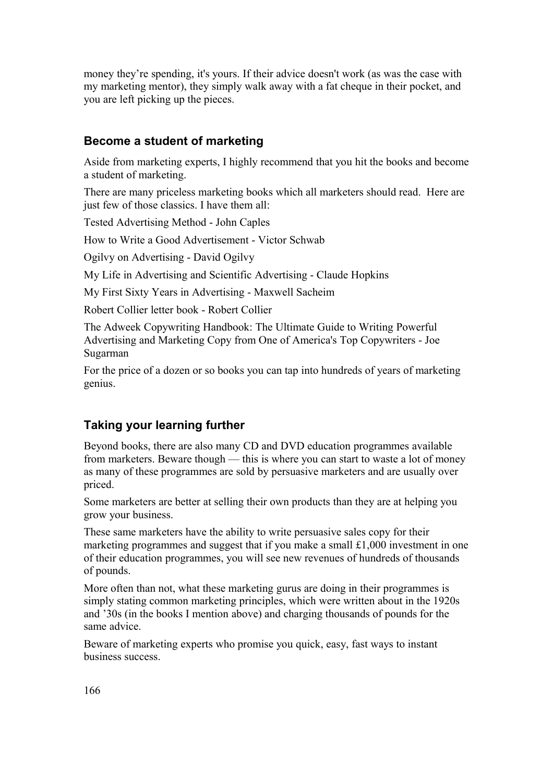money they're spending, it's yours. If their advice doesn't work (as was the case with my marketing mentor), they simply walk away with a fat cheque in their pocket, and you are left picking up the pieces.

#### **Become a student of marketing**

Aside from marketing experts, I highly recommend that you hit the books and become a student of marketing.

There are many priceless marketing books which all marketers should read. Here are just few of those classics. I have them all:

Tested Advertising Method - John Caples

How to Write a Good Advertisement - Victor Schwab

Ogilvy on Advertising - David Ogilvy

My Life in Advertising and Scientific Advertising - Claude Hopkins

My First Sixty Years in Advertising - Maxwell Sacheim

Robert Collier letter book - Robert Collier

The Adweek Copywriting Handbook: The Ultimate Guide to Writing Powerful Advertising and Marketing Copy from One of America's Top Copywriters - Joe Sugarman

For the price of a dozen or so books you can tap into hundreds of years of marketing genius.

#### **Taking your learning further**

Beyond books, there are also many CD and DVD education programmes available from marketers. Beware though — this is where you can start to waste a lot of money as many of these programmes are sold by persuasive marketers and are usually over priced.

Some marketers are better at selling their own products than they are at helping you grow your business.

These same marketers have the ability to write persuasive sales copy for their marketing programmes and suggest that if you make a small £1,000 investment in one of their education programmes, you will see new revenues of hundreds of thousands of pounds.

More often than not, what these marketing gurus are doing in their programmes is simply stating common marketing principles, which were written about in the 1920s and '30s (in the books I mention above) and charging thousands of pounds for the same advice.

Beware of marketing experts who promise you quick, easy, fast ways to instant business success.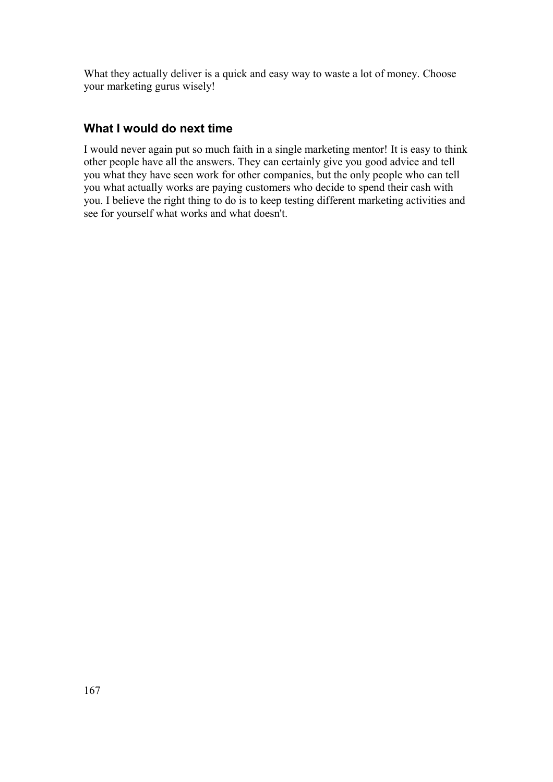What they actually deliver is a quick and easy way to waste a lot of money. Choose your marketing gurus wisely!

### **What I would do next time**

I would never again put so much faith in a single marketing mentor! It is easy to think other people have all the answers. They can certainly give you good advice and tell you what they have seen work for other companies, but the only people who can tell you what actually works are paying customers who decide to spend their cash with you. I believe the right thing to do is to keep testing different marketing activities and see for yourself what works and what doesn't.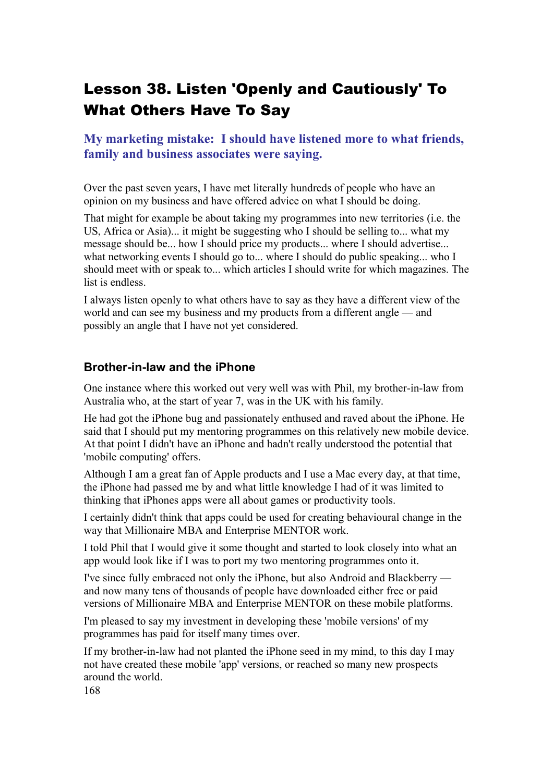# Lesson 38. Listen 'Openly and Cautiously' To What Others Have To Say

**My marketing mistake: I should have listened more to what friends, family and business associates were saying.**

Over the past seven years, I have met literally hundreds of people who have an opinion on my business and have offered advice on what I should be doing.

That might for example be about taking my programmes into new territories (i.e. the US, Africa or Asia)... it might be suggesting who I should be selling to... what my message should be... how I should price my products... where I should advertise... what networking events I should go to... where I should do public speaking... who I should meet with or speak to... which articles I should write for which magazines. The list is endless.

I always listen openly to what others have to say as they have a different view of the world and can see my business and my products from a different angle — and possibly an angle that I have not yet considered.

#### **Brother-in-law and the iPhone**

One instance where this worked out very well was with Phil, my brother-in-law from Australia who, at the start of year 7, was in the UK with his family.

He had got the iPhone bug and passionately enthused and raved about the iPhone. He said that I should put my mentoring programmes on this relatively new mobile device. At that point I didn't have an iPhone and hadn't really understood the potential that 'mobile computing' offers.

Although I am a great fan of Apple products and I use a Mac every day, at that time, the iPhone had passed me by and what little knowledge I had of it was limited to thinking that iPhones apps were all about games or productivity tools.

I certainly didn't think that apps could be used for creating behavioural change in the way that Millionaire MBA and Enterprise MENTOR work.

I told Phil that I would give it some thought and started to look closely into what an app would look like if I was to port my two mentoring programmes onto it.

I've since fully embraced not only the iPhone, but also Android and Blackberry and now many tens of thousands of people have downloaded either free or paid versions of Millionaire MBA and Enterprise MENTOR on these mobile platforms.

I'm pleased to say my investment in developing these 'mobile versions' of my programmes has paid for itself many times over.

If my brother-in-law had not planted the iPhone seed in my mind, to this day I may not have created these mobile 'app' versions, or reached so many new prospects around the world.

168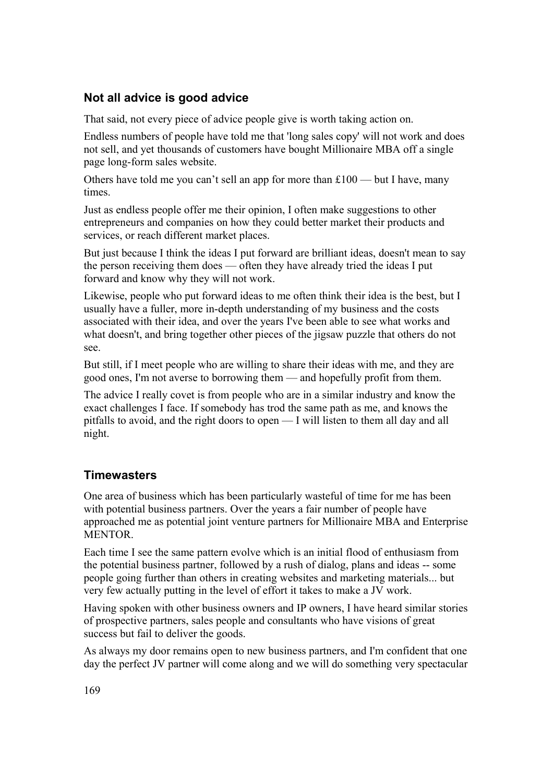### **Not all advice is good advice**

That said, not every piece of advice people give is worth taking action on.

Endless numbers of people have told me that 'long sales copy' will not work and does not sell, and yet thousands of customers have bought Millionaire MBA off a single page long-form sales website.

Others have told me you can't sell an app for more than £100 — but I have, many times.

Just as endless people offer me their opinion, I often make suggestions to other entrepreneurs and companies on how they could better market their products and services, or reach different market places.

But just because I think the ideas I put forward are brilliant ideas, doesn't mean to say the person receiving them does — often they have already tried the ideas I put forward and know why they will not work.

Likewise, people who put forward ideas to me often think their idea is the best, but I usually have a fuller, more in-depth understanding of my business and the costs associated with their idea, and over the years I've been able to see what works and what doesn't, and bring together other pieces of the jigsaw puzzle that others do not see.

But still, if I meet people who are willing to share their ideas with me, and they are good ones, I'm not averse to borrowing them — and hopefully profit from them.

The advice I really covet is from people who are in a similar industry and know the exact challenges I face. If somebody has trod the same path as me, and knows the pitfalls to avoid, and the right doors to open — I will listen to them all day and all night.

#### **Timewasters**

One area of business which has been particularly wasteful of time for me has been with potential business partners. Over the years a fair number of people have approached me as potential joint venture partners for Millionaire MBA and Enterprise **MENTOR** 

Each time I see the same pattern evolve which is an initial flood of enthusiasm from the potential business partner, followed by a rush of dialog, plans and ideas -- some people going further than others in creating websites and marketing materials... but very few actually putting in the level of effort it takes to make a JV work.

Having spoken with other business owners and IP owners, I have heard similar stories of prospective partners, sales people and consultants who have visions of great success but fail to deliver the goods.

As always my door remains open to new business partners, and I'm confident that one day the perfect JV partner will come along and we will do something very spectacular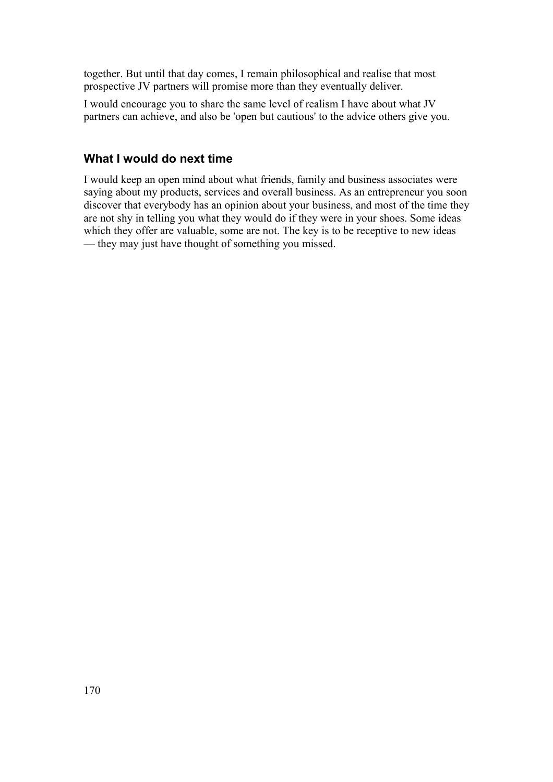together. But until that day comes, I remain philosophical and realise that most prospective JV partners will promise more than they eventually deliver.

I would encourage you to share the same level of realism I have about what JV partners can achieve, and also be 'open but cautious' to the advice others give you.

## **What I would do next time**

I would keep an open mind about what friends, family and business associates were saying about my products, services and overall business. As an entrepreneur you soon discover that everybody has an opinion about your business, and most of the time they are not shy in telling you what they would do if they were in your shoes. Some ideas which they offer are valuable, some are not. The key is to be receptive to new ideas — they may just have thought of something you missed.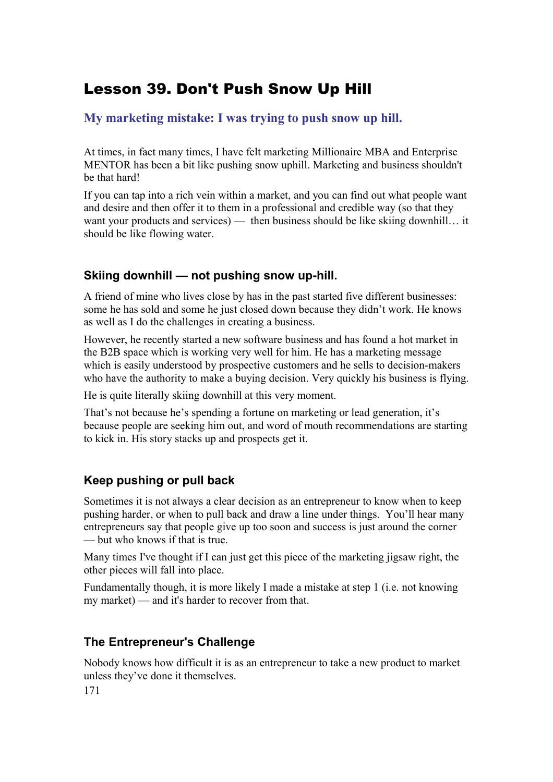## Lesson 39. Don't Push Snow Up Hill

**My marketing mistake: I was trying to push snow up hill.**

At times, in fact many times, I have felt marketing Millionaire MBA and Enterprise MENTOR has been a bit like pushing snow uphill. Marketing and business shouldn't be that hard!

If you can tap into a rich vein within a market, and you can find out what people want and desire and then offer it to them in a professional and credible way (so that they want your products and services) — then business should be like skiing downhill... it should be like flowing water.

### **Skiing downhill — not pushing snow up-hill.**

A friend of mine who lives close by has in the past started five different businesses: some he has sold and some he just closed down because they didn't work. He knows as well as I do the challenges in creating a business.

However, he recently started a new software business and has found a hot market in the B2B space which is working very well for him. He has a marketing message which is easily understood by prospective customers and he sells to decision-makers who have the authority to make a buying decision. Very quickly his business is flying.

He is quite literally skiing downhill at this very moment.

That's not because he's spending a fortune on marketing or lead generation, it's because people are seeking him out, and word of mouth recommendations are starting to kick in. His story stacks up and prospects get it.

### **Keep pushing or pull back**

Sometimes it is not always a clear decision as an entrepreneur to know when to keep pushing harder, or when to pull back and draw a line under things. You'll hear many entrepreneurs say that people give up too soon and success is just around the corner — but who knows if that is true.

Many times I've thought if I can just get this piece of the marketing jigsaw right, the other pieces will fall into place.

Fundamentally though, it is more likely I made a mistake at step 1 (i.e. not knowing my market) — and it's harder to recover from that.

### **The Entrepreneur's Challenge**

Nobody knows how difficult it is as an entrepreneur to take a new product to market unless they've done it themselves.

171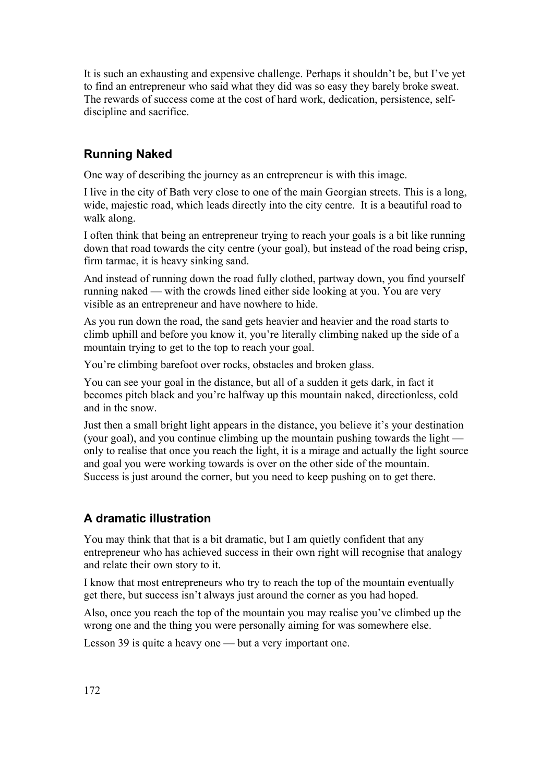It is such an exhausting and expensive challenge. Perhaps it shouldn't be, but I've yet to find an entrepreneur who said what they did was so easy they barely broke sweat. The rewards of success come at the cost of hard work, dedication, persistence, selfdiscipline and sacrifice.

### **Running Naked**

One way of describing the journey as an entrepreneur is with this image.

I live in the city of Bath very close to one of the main Georgian streets. This is a long, wide, majestic road, which leads directly into the city centre. It is a beautiful road to walk along.

I often think that being an entrepreneur trying to reach your goals is a bit like running down that road towards the city centre (your goal), but instead of the road being crisp, firm tarmac, it is heavy sinking sand.

And instead of running down the road fully clothed, partway down, you find yourself running naked — with the crowds lined either side looking at you. You are very visible as an entrepreneur and have nowhere to hide.

As you run down the road, the sand gets heavier and heavier and the road starts to climb uphill and before you know it, you're literally climbing naked up the side of a mountain trying to get to the top to reach your goal.

You're climbing barefoot over rocks, obstacles and broken glass.

You can see your goal in the distance, but all of a sudden it gets dark, in fact it becomes pitch black and you're halfway up this mountain naked, directionless, cold and in the snow.

Just then a small bright light appears in the distance, you believe it's your destination (your goal), and you continue climbing up the mountain pushing towards the light only to realise that once you reach the light, it is a mirage and actually the light source and goal you were working towards is over on the other side of the mountain. Success is just around the corner, but you need to keep pushing on to get there.

### **A dramatic illustration**

You may think that that is a bit dramatic, but I am quietly confident that any entrepreneur who has achieved success in their own right will recognise that analogy and relate their own story to it.

I know that most entrepreneurs who try to reach the top of the mountain eventually get there, but success isn't always just around the corner as you had hoped.

Also, once you reach the top of the mountain you may realise you've climbed up the wrong one and the thing you were personally aiming for was somewhere else.

Lesson 39 is quite a heavy one — but a very important one.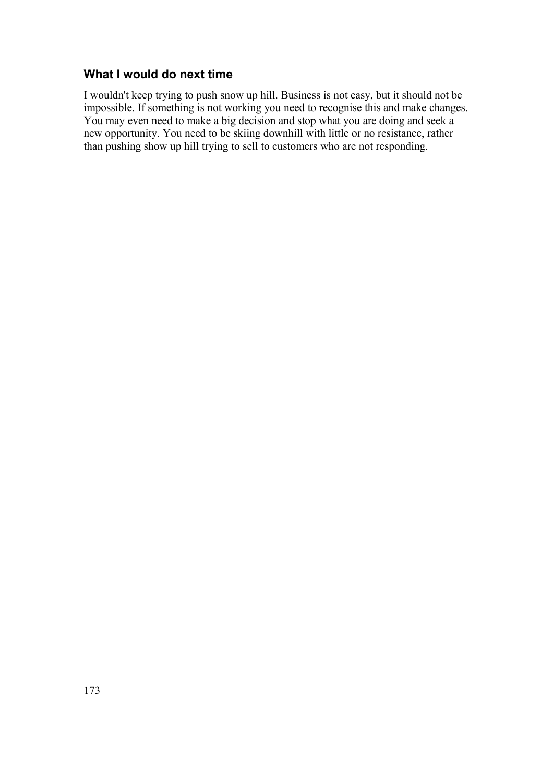#### **What I would do next time**

I wouldn't keep trying to push snow up hill. Business is not easy, but it should not be impossible. If something is not working you need to recognise this and make changes. You may even need to make a big decision and stop what you are doing and seek a new opportunity. You need to be skiing downhill with little or no resistance, rather than pushing show up hill trying to sell to customers who are not responding.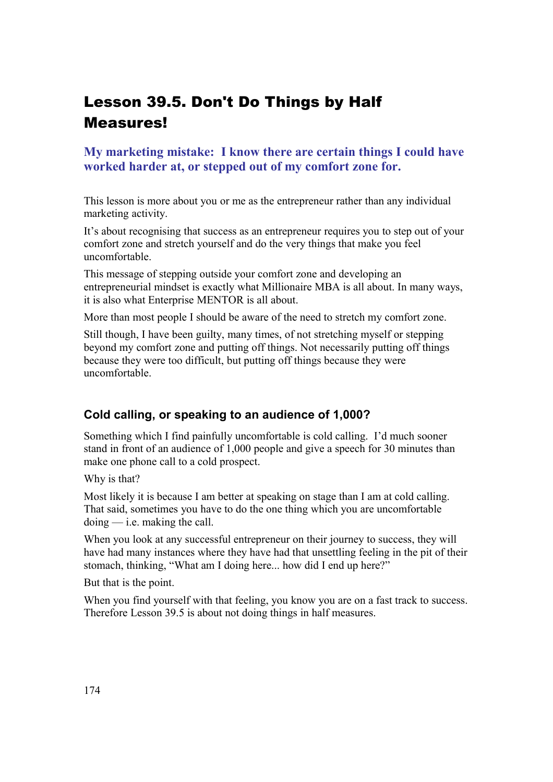# Lesson 39.5. Don't Do Things by Half Measures!

### **My marketing mistake: I know there are certain things I could have worked harder at, or stepped out of my comfort zone for.**

This lesson is more about you or me as the entrepreneur rather than any individual marketing activity.

It's about recognising that success as an entrepreneur requires you to step out of your comfort zone and stretch yourself and do the very things that make you feel uncomfortable.

This message of stepping outside your comfort zone and developing an entrepreneurial mindset is exactly what Millionaire MBA is all about. In many ways, it is also what Enterprise MENTOR is all about.

More than most people I should be aware of the need to stretch my comfort zone.

Still though, I have been guilty, many times, of not stretching myself or stepping beyond my comfort zone and putting off things. Not necessarily putting off things because they were too difficult, but putting off things because they were uncomfortable.

#### **Cold calling, or speaking to an audience of 1,000?**

Something which I find painfully uncomfortable is cold calling. I'd much sooner stand in front of an audience of 1,000 people and give a speech for 30 minutes than make one phone call to a cold prospect.

Why is that?

Most likely it is because I am better at speaking on stage than I am at cold calling. That said, sometimes you have to do the one thing which you are uncomfortable  $\phi$  doing  $\frac{d}{dx}$  i.e. making the call.

When you look at any successful entrepreneur on their journey to success, they will have had many instances where they have had that unsettling feeling in the pit of their stomach, thinking, "What am I doing here... how did I end up here?"

But that is the point.

When you find yourself with that feeling, you know you are on a fast track to success. Therefore Lesson 39.5 is about not doing things in half measures.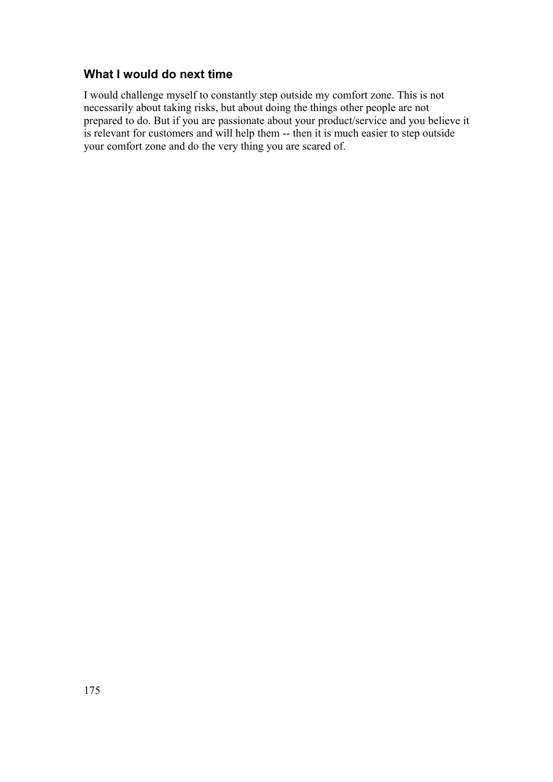### **What I would do next time**

I would challenge myself to constantly step outside my comfort zone. This is not necessarily about taking risks, but about doing the things other people are not prepared to do. But if you are passionate about your product/service and you believe it is relevant for customers and will help them -- then it is much easier to step outside your comfort zone and do the very thing you are scared of.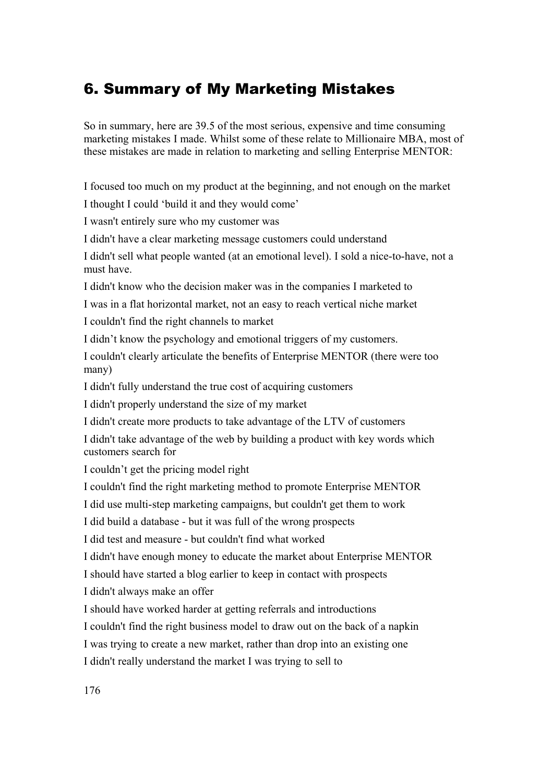## 6. Summary of My Marketing Mistakes

So in summary, here are 39.5 of the most serious, expensive and time consuming marketing mistakes I made. Whilst some of these relate to Millionaire MBA, most of these mistakes are made in relation to marketing and selling Enterprise MENTOR:

I focused too much on my product at the beginning, and not enough on the market

I thought I could 'build it and they would come'

I wasn't entirely sure who my customer was

I didn't have a clear marketing message customers could understand

I didn't sell what people wanted (at an emotional level). I sold a nice-to-have, not a must have.

I didn't know who the decision maker was in the companies I marketed to

I was in a flat horizontal market, not an easy to reach vertical niche market

I couldn't find the right channels to market

I didn't know the psychology and emotional triggers of my customers.

I couldn't clearly articulate the benefits of Enterprise MENTOR (there were too many)

I didn't fully understand the true cost of acquiring customers

I didn't properly understand the size of my market

I didn't create more products to take advantage of the LTV of customers

I didn't take advantage of the web by building a product with key words which customers search for

I couldn't get the pricing model right

I couldn't find the right marketing method to promote Enterprise MENTOR

I did use multi-step marketing campaigns, but couldn't get them to work

I did build a database - but it was full of the wrong prospects

I did test and measure - but couldn't find what worked

I didn't have enough money to educate the market about Enterprise MENTOR

I should have started a blog earlier to keep in contact with prospects

I didn't always make an offer

I should have worked harder at getting referrals and introductions

I couldn't find the right business model to draw out on the back of a napkin

I was trying to create a new market, rather than drop into an existing one

I didn't really understand the market I was trying to sell to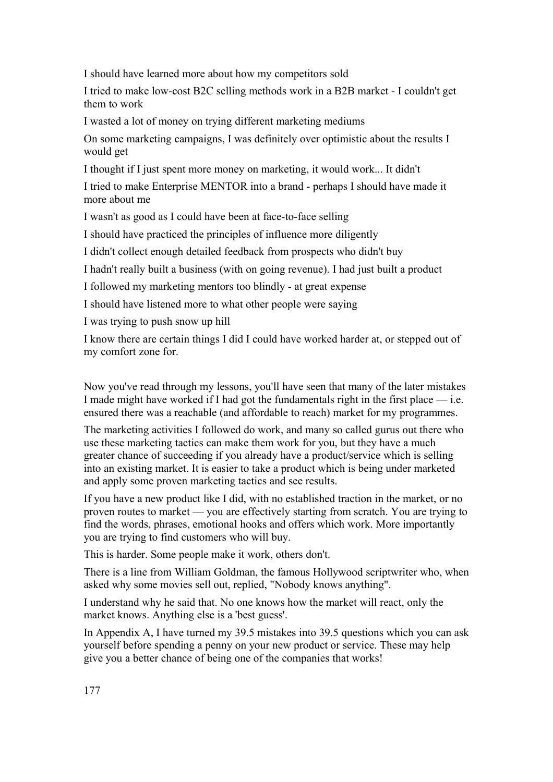I should have learned more about how my competitors sold

I tried to make low-cost B2C selling methods work in a B2B market - I couldn't get them to work

I wasted a lot of money on trying different marketing mediums

On some marketing campaigns, I was definitely over optimistic about the results I would get

I thought if I just spent more money on marketing, it would work... It didn't

I tried to make Enterprise MENTOR into a brand - perhaps I should have made it more about me

I wasn't as good as I could have been at face-to-face selling

I should have practiced the principles of influence more diligently

I didn't collect enough detailed feedback from prospects who didn't buy

I hadn't really built a business (with on going revenue). I had just built a product

I followed my marketing mentors too blindly - at great expense

I should have listened more to what other people were saying

I was trying to push snow up hill

I know there are certain things I did I could have worked harder at, or stepped out of my comfort zone for.

Now you've read through my lessons, you'll have seen that many of the later mistakes I made might have worked if I had got the fundamentals right in the first place  $-$  i.e. ensured there was a reachable (and affordable to reach) market for my programmes.

The marketing activities I followed do work, and many so called gurus out there who use these marketing tactics can make them work for you, but they have a much greater chance of succeeding if you already have a product/service which is selling into an existing market. It is easier to take a product which is being under marketed and apply some proven marketing tactics and see results.

If you have a new product like I did, with no established traction in the market, or no proven routes to market — you are effectively starting from scratch. You are trying to find the words, phrases, emotional hooks and offers which work. More importantly you are trying to find customers who will buy.

This is harder. Some people make it work, others don't.

There is a line from William Goldman, the famous Hollywood scriptwriter who, when asked why some movies sell out, replied, "Nobody knows anything".

I understand why he said that. No one knows how the market will react, only the market knows. Anything else is a 'best guess'.

In Appendix A, I have turned my 39.5 mistakes into 39.5 questions which you can ask yourself before spending a penny on your new product or service. These may help give you a better chance of being one of the companies that works!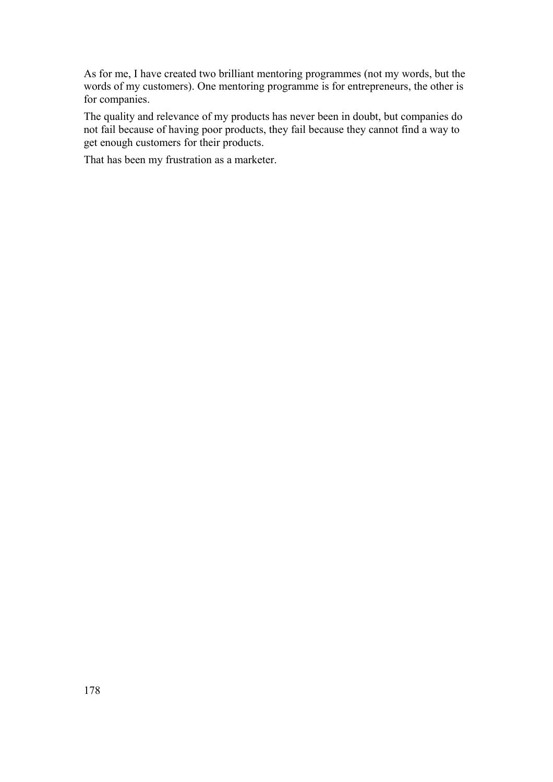As for me, I have created two brilliant mentoring programmes (not my words, but the words of my customers). One mentoring programme is for entrepreneurs, the other is for companies.

The quality and relevance of my products has never been in doubt, but companies do not fail because of having poor products, they fail because they cannot find a way to get enough customers for their products.

That has been my frustration as a marketer.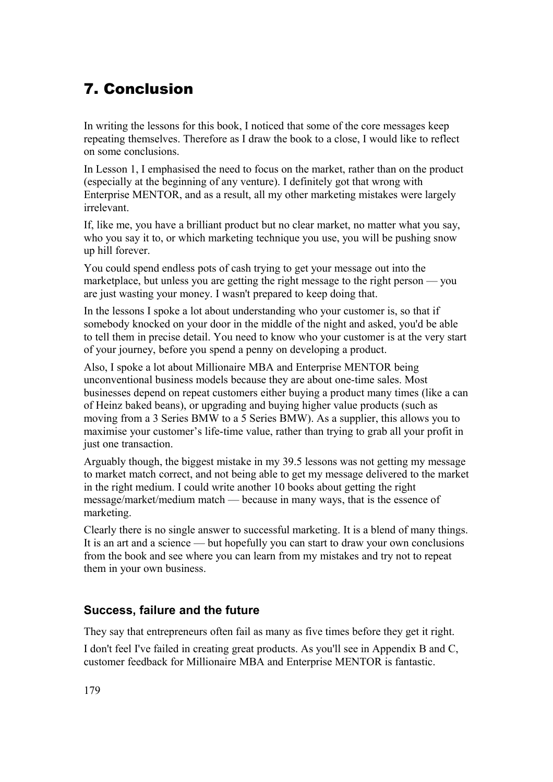# 7. Conclusion

In writing the lessons for this book, I noticed that some of the core messages keep repeating themselves. Therefore as I draw the book to a close, I would like to reflect on some conclusions.

In Lesson 1, I emphasised the need to focus on the market, rather than on the product (especially at the beginning of any venture). I definitely got that wrong with Enterprise MENTOR, and as a result, all my other marketing mistakes were largely irrelevant.

If, like me, you have a brilliant product but no clear market, no matter what you say, who you say it to, or which marketing technique you use, you will be pushing snow up hill forever.

You could spend endless pots of cash trying to get your message out into the marketplace, but unless you are getting the right message to the right person — you are just wasting your money. I wasn't prepared to keep doing that.

In the lessons I spoke a lot about understanding who your customer is, so that if somebody knocked on your door in the middle of the night and asked, you'd be able to tell them in precise detail. You need to know who your customer is at the very start of your journey, before you spend a penny on developing a product.

Also, I spoke a lot about Millionaire MBA and Enterprise MENTOR being unconventional business models because they are about one-time sales. Most businesses depend on repeat customers either buying a product many times (like a can of Heinz baked beans), or upgrading and buying higher value products (such as moving from a 3 Series BMW to a 5 Series BMW). As a supplier, this allows you to maximise your customer's life-time value, rather than trying to grab all your profit in just one transaction.

Arguably though, the biggest mistake in my 39.5 lessons was not getting my message to market match correct, and not being able to get my message delivered to the market in the right medium. I could write another 10 books about getting the right message/market/medium match — because in many ways, that is the essence of marketing.

Clearly there is no single answer to successful marketing. It is a blend of many things. It is an art and a science — but hopefully you can start to draw your own conclusions from the book and see where you can learn from my mistakes and try not to repeat them in your own business.

### **Success, failure and the future**

They say that entrepreneurs often fail as many as five times before they get it right.

I don't feel I've failed in creating great products. As you'll see in Appendix B and C, customer feedback for Millionaire MBA and Enterprise MENTOR is fantastic.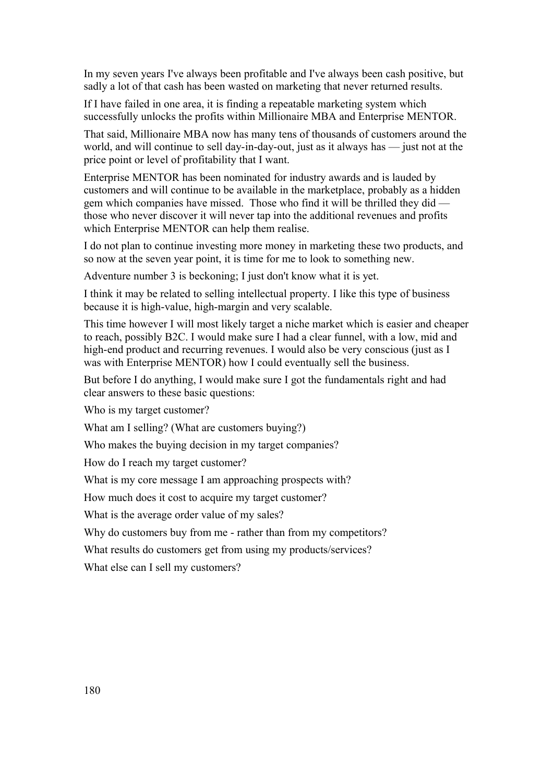In my seven years I've always been profitable and I've always been cash positive, but sadly a lot of that cash has been wasted on marketing that never returned results.

If I have failed in one area, it is finding a repeatable marketing system which successfully unlocks the profits within Millionaire MBA and Enterprise MENTOR.

That said, Millionaire MBA now has many tens of thousands of customers around the world, and will continue to sell day-in-day-out, just as it always has — just not at the price point or level of profitability that I want.

Enterprise MENTOR has been nominated for industry awards and is lauded by customers and will continue to be available in the marketplace, probably as a hidden gem which companies have missed. Those who find it will be thrilled they did those who never discover it will never tap into the additional revenues and profits which Enterprise MENTOR can help them realise.

I do not plan to continue investing more money in marketing these two products, and so now at the seven year point, it is time for me to look to something new.

Adventure number 3 is beckoning; I just don't know what it is yet.

I think it may be related to selling intellectual property. I like this type of business because it is high-value, high-margin and very scalable.

This time however I will most likely target a niche market which is easier and cheaper to reach, possibly B2C. I would make sure I had a clear funnel, with a low, mid and high-end product and recurring revenues. I would also be very conscious (just as I was with Enterprise MENTOR) how I could eventually sell the business.

But before I do anything, I would make sure I got the fundamentals right and had clear answers to these basic questions:

Who is my target customer?

What am I selling? (What are customers buying?)

Who makes the buying decision in my target companies?

How do I reach my target customer?

What is my core message I am approaching prospects with?

How much does it cost to acquire my target customer?

What is the average order value of my sales?

Why do customers buy from me - rather than from my competitors?

What results do customers get from using my products/services?

What else can I sell my customers?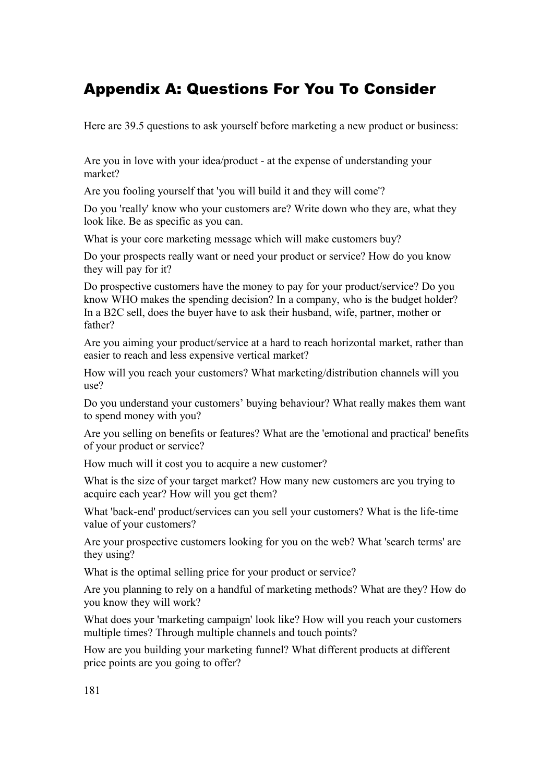# Appendix A: Questions For You To Consider

Here are 39.5 questions to ask yourself before marketing a new product or business:

Are you in love with your idea/product - at the expense of understanding your market?

Are you fooling yourself that 'you will build it and they will come'?

Do you 'really' know who your customers are? Write down who they are, what they look like. Be as specific as you can.

What is your core marketing message which will make customers buy?

Do your prospects really want or need your product or service? How do you know they will pay for it?

Do prospective customers have the money to pay for your product/service? Do you know WHO makes the spending decision? In a company, who is the budget holder? In a B2C sell, does the buyer have to ask their husband, wife, partner, mother or father?

Are you aiming your product/service at a hard to reach horizontal market, rather than easier to reach and less expensive vertical market?

How will you reach your customers? What marketing/distribution channels will you use?

Do you understand your customers' buying behaviour? What really makes them want to spend money with you?

Are you selling on benefits or features? What are the 'emotional and practical' benefits of your product or service?

How much will it cost you to acquire a new customer?

What is the size of your target market? How many new customers are you trying to acquire each year? How will you get them?

What 'back-end' product/services can you sell your customers? What is the life-time value of your customers?

Are your prospective customers looking for you on the web? What 'search terms' are they using?

What is the optimal selling price for your product or service?

Are you planning to rely on a handful of marketing methods? What are they? How do you know they will work?

What does your 'marketing campaign' look like? How will you reach your customers multiple times? Through multiple channels and touch points?

How are you building your marketing funnel? What different products at different price points are you going to offer?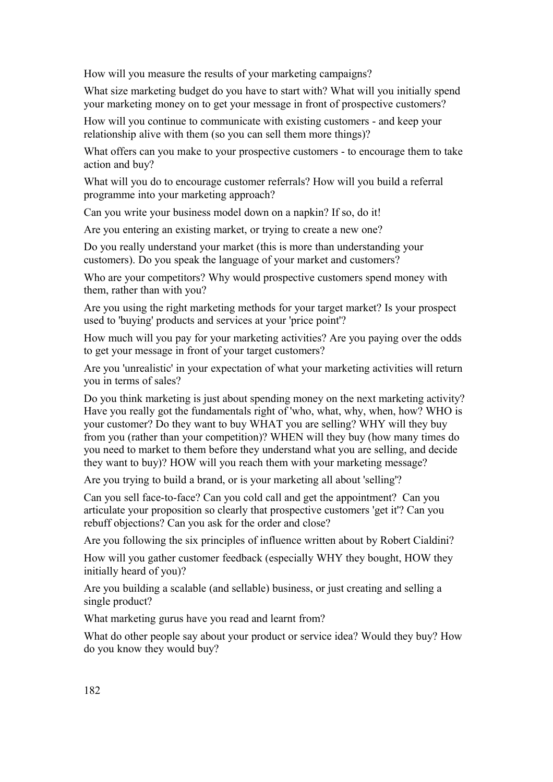How will you measure the results of your marketing campaigns?

What size marketing budget do you have to start with? What will you initially spend your marketing money on to get your message in front of prospective customers?

How will you continue to communicate with existing customers - and keep your relationship alive with them (so you can sell them more things)?

What offers can you make to your prospective customers - to encourage them to take action and buy?

What will you do to encourage customer referrals? How will you build a referral programme into your marketing approach?

Can you write your business model down on a napkin? If so, do it!

Are you entering an existing market, or trying to create a new one?

Do you really understand your market (this is more than understanding your customers). Do you speak the language of your market and customers?

Who are your competitors? Why would prospective customers spend money with them, rather than with you?

Are you using the right marketing methods for your target market? Is your prospect used to 'buying' products and services at your 'price point'?

How much will you pay for your marketing activities? Are you paying over the odds to get your message in front of your target customers?

Are you 'unrealistic' in your expectation of what your marketing activities will return you in terms of sales?

Do you think marketing is just about spending money on the next marketing activity? Have you really got the fundamentals right of 'who, what, why, when, how? WHO is your customer? Do they want to buy WHAT you are selling? WHY will they buy from you (rather than your competition)? WHEN will they buy (how many times do you need to market to them before they understand what you are selling, and decide they want to buy)? HOW will you reach them with your marketing message?

Are you trying to build a brand, or is your marketing all about 'selling'?

Can you sell face-to-face? Can you cold call and get the appointment? Can you articulate your proposition so clearly that prospective customers 'get it'? Can you rebuff objections? Can you ask for the order and close?

Are you following the six principles of influence written about by Robert Cialdini?

How will you gather customer feedback (especially WHY they bought, HOW they initially heard of you)?

Are you building a scalable (and sellable) business, or just creating and selling a single product?

What marketing gurus have you read and learnt from?

What do other people say about your product or service idea? Would they buy? How do you know they would buy?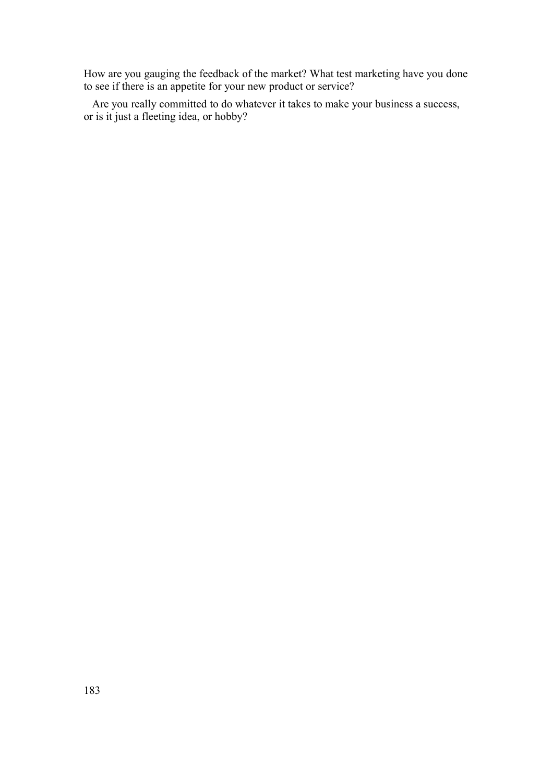How are you gauging the feedback of the market? What test marketing have you done to see if there is an appetite for your new product or service?

 Are you really committed to do whatever it takes to make your business a success, or is it just a fleeting idea, or hobby?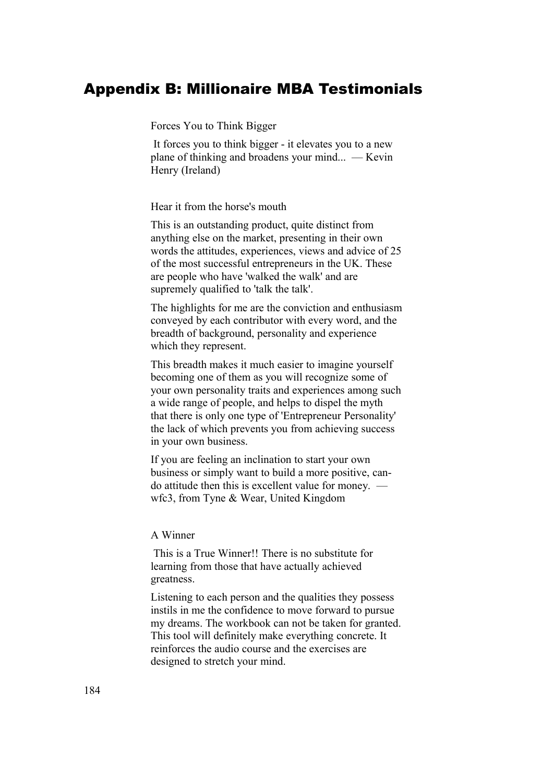# Appendix B: Millionaire MBA Testimonials

Forces You to Think Bigger

 It forces you to think bigger - it elevates you to a new plane of thinking and broadens your mind... — Kevin Henry (Ireland)

Hear it from the horse's mouth

This is an outstanding product, quite distinct from anything else on the market, presenting in their own words the attitudes, experiences, views and advice of 25 of the most successful entrepreneurs in the UK. These are people who have 'walked the walk' and are supremely qualified to 'talk the talk'.

The highlights for me are the conviction and enthusiasm conveyed by each contributor with every word, and the breadth of background, personality and experience which they represent.

This breadth makes it much easier to imagine yourself becoming one of them as you will recognize some of your own personality traits and experiences among such a wide range of people, and helps to dispel the myth that there is only one type of 'Entrepreneur Personality' the lack of which prevents you from achieving success in your own business.

If you are feeling an inclination to start your own business or simply want to build a more positive, cando attitude then this is excellent value for money. wfc3, from Tyne & Wear, United Kingdom

### A Winner

 This is a True Winner!! There is no substitute for learning from those that have actually achieved greatness.

Listening to each person and the qualities they possess instils in me the confidence to move forward to pursue my dreams. The workbook can not be taken for granted. This tool will definitely make everything concrete. It reinforces the audio course and the exercises are designed to stretch your mind.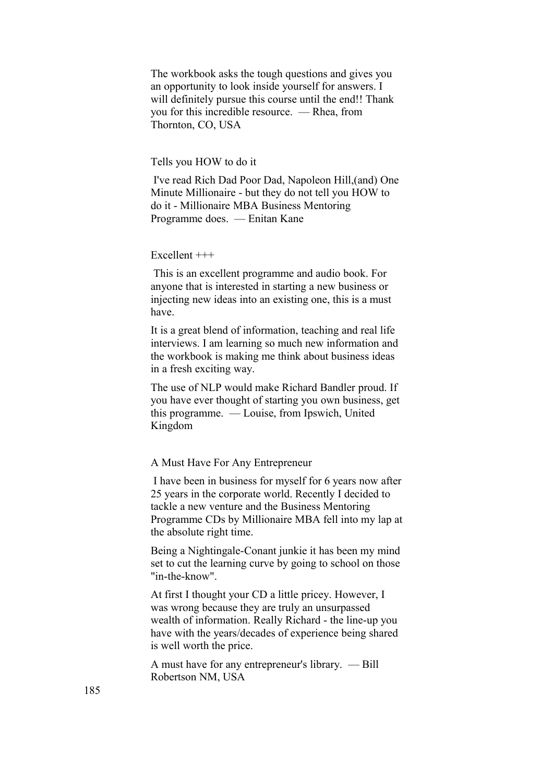The workbook asks the tough questions and gives you an opportunity to look inside yourself for answers. I will definitely pursue this course until the end!! Thank you for this incredible resource. — Rhea, from Thornton, CO, USA

#### Tells you HOW to do it

 I've read Rich Dad Poor Dad, Napoleon Hill,(and) One Minute Millionaire - but they do not tell you HOW to do it - Millionaire MBA Business Mentoring Programme does. — Enitan Kane

#### Excellent  $+++$

 This is an excellent programme and audio book. For anyone that is interested in starting a new business or injecting new ideas into an existing one, this is a must have.

It is a great blend of information, teaching and real life interviews. I am learning so much new information and the workbook is making me think about business ideas in a fresh exciting way.

The use of NLP would make Richard Bandler proud. If you have ever thought of starting you own business, get this programme. — Louise, from Ipswich, United Kingdom

A Must Have For Any Entrepreneur

 I have been in business for myself for 6 years now after 25 years in the corporate world. Recently I decided to tackle a new venture and the Business Mentoring Programme CDs by Millionaire MBA fell into my lap at the absolute right time.

Being a Nightingale-Conant junkie it has been my mind set to cut the learning curve by going to school on those "in-the-know".

At first I thought your CD a little pricey. However, I was wrong because they are truly an unsurpassed wealth of information. Really Richard - the line-up you have with the years/decades of experience being shared is well worth the price.

A must have for any entrepreneur's library. — Bill Robertson NM, USA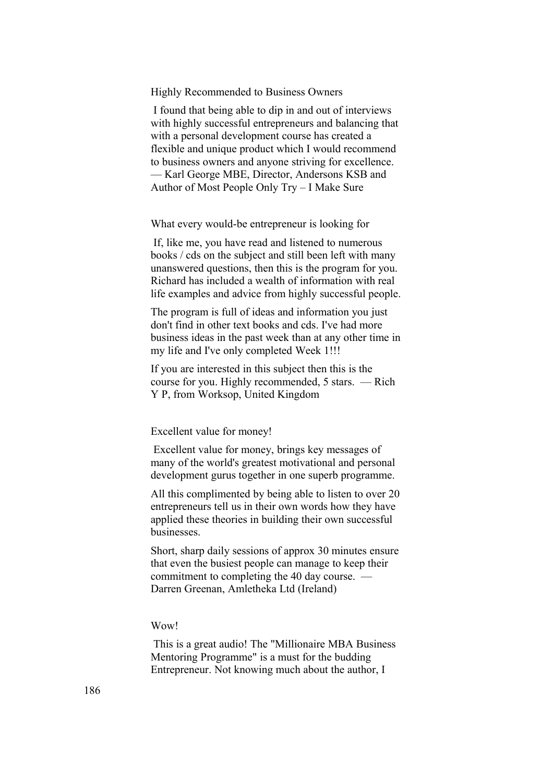Highly Recommended to Business Owners

 I found that being able to dip in and out of interviews with highly successful entrepreneurs and balancing that with a personal development course has created a flexible and unique product which I would recommend to business owners and anyone striving for excellence. — Karl George MBE, Director, Andersons KSB and Author of Most People Only Try – I Make Sure

What every would-be entrepreneur is looking for

 If, like me, you have read and listened to numerous books / cds on the subject and still been left with many unanswered questions, then this is the program for you. Richard has included a wealth of information with real life examples and advice from highly successful people.

The program is full of ideas and information you just don't find in other text books and cds. I've had more business ideas in the past week than at any other time in my life and I've only completed Week 1!!!

If you are interested in this subject then this is the course for you. Highly recommended, 5 stars. — Rich Y P, from Worksop, United Kingdom

Excellent value for money!

 Excellent value for money, brings key messages of many of the world's greatest motivational and personal development gurus together in one superb programme.

All this complimented by being able to listen to over 20 entrepreneurs tell us in their own words how they have applied these theories in building their own successful businesses.

Short, sharp daily sessions of approx 30 minutes ensure that even the busiest people can manage to keep their commitment to completing the 40 day course. — Darren Greenan, Amletheka Ltd (Ireland)

#### Wow!

 This is a great audio! The "Millionaire MBA Business Mentoring Programme" is a must for the budding Entrepreneur. Not knowing much about the author, I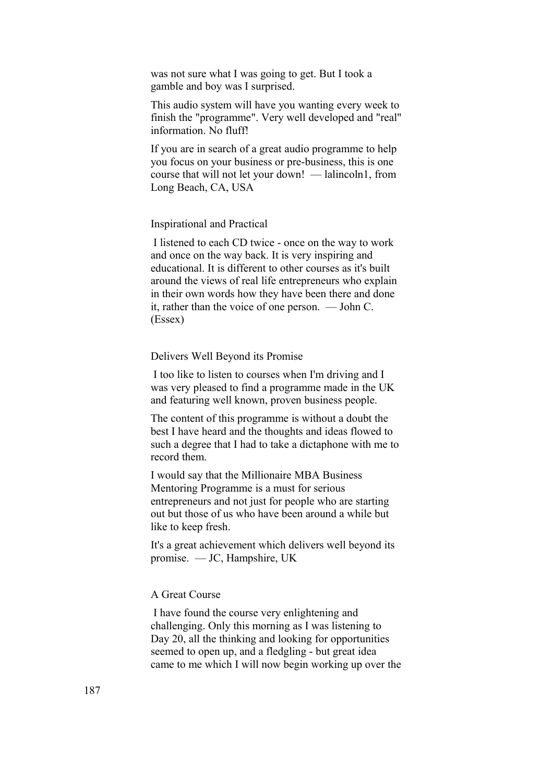was not sure what I was going to get. But I took a gamble and boy was I surprised.

This audio system will have you wanting every week to finish the "programme". Very well developed and "real" information. No fluff!

If you are in search of a great audio programme to help you focus on your business or pre-business, this is one course that will not let your down! — lalincoln1, from Long Beach, CA, USA

#### Inspirational and Practical

 I listened to each CD twice - once on the way to work and once on the way back. It is very inspiring and educational. It is different to other courses as it's built around the views of real life entrepreneurs who explain in their own words how they have been there and done it, rather than the voice of one person. — John C. (Essex)

#### Delivers Well Beyond its Promise

 I too like to listen to courses when I'm driving and I was very pleased to find a programme made in the UK and featuring well known, proven business people.

The content of this programme is without a doubt the best I have heard and the thoughts and ideas flowed to such a degree that I had to take a dictaphone with me to record them.

I would say that the Millionaire MBA Business Mentoring Programme is a must for serious entrepreneurs and not just for people who are starting out but those of us who have been around a while but like to keep fresh.

It's a great achievement which delivers well beyond its promise. — JC, Hampshire, UK

### A Great Course

 I have found the course very enlightening and challenging. Only this morning as I was listening to Day 20, all the thinking and looking for opportunities seemed to open up, and a fledgling - but great idea came to me which I will now begin working up over the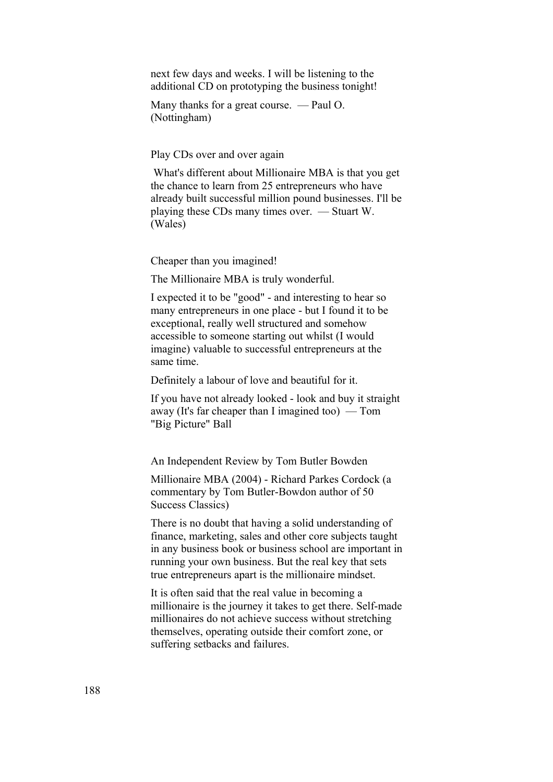next few days and weeks. I will be listening to the additional CD on prototyping the business tonight!

Many thanks for a great course. — Paul O. (Nottingham)

Play CDs over and over again

 What's different about Millionaire MBA is that you get the chance to learn from 25 entrepreneurs who have already built successful million pound businesses. I'll be playing these CDs many times over. — Stuart W. (Wales)

Cheaper than you imagined!

The Millionaire MBA is truly wonderful.

I expected it to be "good" - and interesting to hear so many entrepreneurs in one place - but I found it to be exceptional, really well structured and somehow accessible to someone starting out whilst (I would imagine) valuable to successful entrepreneurs at the same time.

Definitely a labour of love and beautiful for it.

If you have not already looked - look and buy it straight away (It's far cheaper than I imagined too) — Tom "Big Picture" Ball

An Independent Review by Tom Butler Bowden

Millionaire MBA (2004) - Richard Parkes Cordock (a commentary by Tom Butler-Bowdon author of 50 Success Classics)

There is no doubt that having a solid understanding of finance, marketing, sales and other core subjects taught in any business book or business school are important in running your own business. But the real key that sets true entrepreneurs apart is the millionaire mindset.

It is often said that the real value in becoming a millionaire is the journey it takes to get there. Self-made millionaires do not achieve success without stretching themselves, operating outside their comfort zone, or suffering setbacks and failures.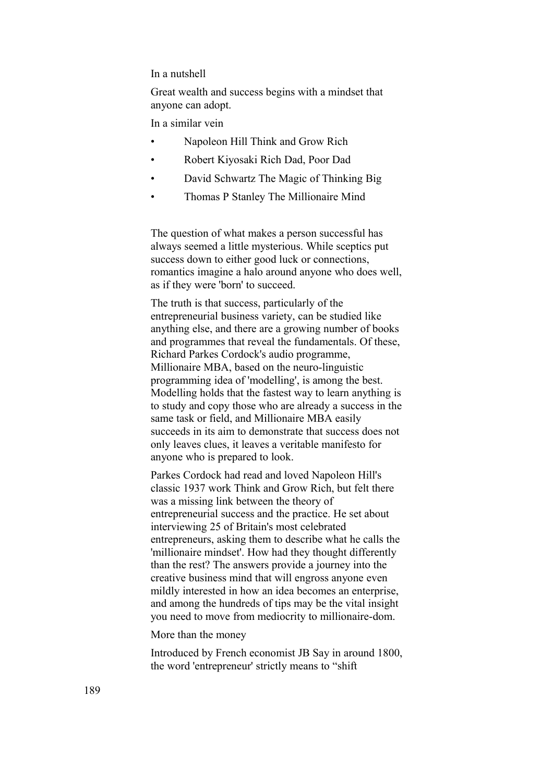#### In a nutshell

Great wealth and success begins with a mindset that anyone can adopt.

In a similar vein

- Napoleon Hill Think and Grow Rich
- Robert Kiyosaki Rich Dad, Poor Dad
- David Schwartz The Magic of Thinking Big
- Thomas P Stanley The Millionaire Mind

The question of what makes a person successful has always seemed a little mysterious. While sceptics put success down to either good luck or connections, romantics imagine a halo around anyone who does well, as if they were 'born' to succeed.

The truth is that success, particularly of the entrepreneurial business variety, can be studied like anything else, and there are a growing number of books and programmes that reveal the fundamentals. Of these, Richard Parkes Cordock's audio programme, Millionaire MBA, based on the neuro-linguistic programming idea of 'modelling', is among the best. Modelling holds that the fastest way to learn anything is to study and copy those who are already a success in the same task or field, and Millionaire MBA easily succeeds in its aim to demonstrate that success does not only leaves clues, it leaves a veritable manifesto for anyone who is prepared to look.

Parkes Cordock had read and loved Napoleon Hill's classic 1937 work Think and Grow Rich, but felt there was a missing link between the theory of entrepreneurial success and the practice. He set about interviewing 25 of Britain's most celebrated entrepreneurs, asking them to describe what he calls the 'millionaire mindset'. How had they thought differently than the rest? The answers provide a journey into the creative business mind that will engross anyone even mildly interested in how an idea becomes an enterprise, and among the hundreds of tips may be the vital insight you need to move from mediocrity to millionaire-dom.

#### More than the money

Introduced by French economist JB Say in around 1800, the word 'entrepreneur' strictly means to "shift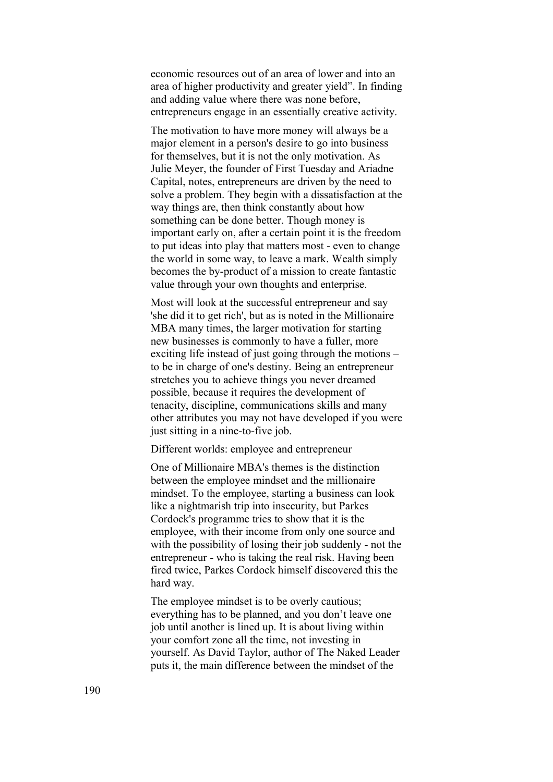economic resources out of an area of lower and into an area of higher productivity and greater yield". In finding and adding value where there was none before, entrepreneurs engage in an essentially creative activity.

The motivation to have more money will always be a major element in a person's desire to go into business for themselves, but it is not the only motivation. As Julie Meyer, the founder of First Tuesday and Ariadne Capital, notes, entrepreneurs are driven by the need to solve a problem. They begin with a dissatisfaction at the way things are, then think constantly about how something can be done better. Though money is important early on, after a certain point it is the freedom to put ideas into play that matters most - even to change the world in some way, to leave a mark. Wealth simply becomes the by-product of a mission to create fantastic value through your own thoughts and enterprise.

Most will look at the successful entrepreneur and say 'she did it to get rich', but as is noted in the Millionaire MBA many times, the larger motivation for starting new businesses is commonly to have a fuller, more exciting life instead of just going through the motions – to be in charge of one's destiny. Being an entrepreneur stretches you to achieve things you never dreamed possible, because it requires the development of tenacity, discipline, communications skills and many other attributes you may not have developed if you were just sitting in a nine-to-five job.

Different worlds: employee and entrepreneur

One of Millionaire MBA's themes is the distinction between the employee mindset and the millionaire mindset. To the employee, starting a business can look like a nightmarish trip into insecurity, but Parkes Cordock's programme tries to show that it is the employee, with their income from only one source and with the possibility of losing their job suddenly - not the entrepreneur - who is taking the real risk. Having been fired twice, Parkes Cordock himself discovered this the hard way.

The employee mindset is to be overly cautious; everything has to be planned, and you don't leave one job until another is lined up. It is about living within your comfort zone all the time, not investing in yourself. As David Taylor, author of The Naked Leader puts it, the main difference between the mindset of the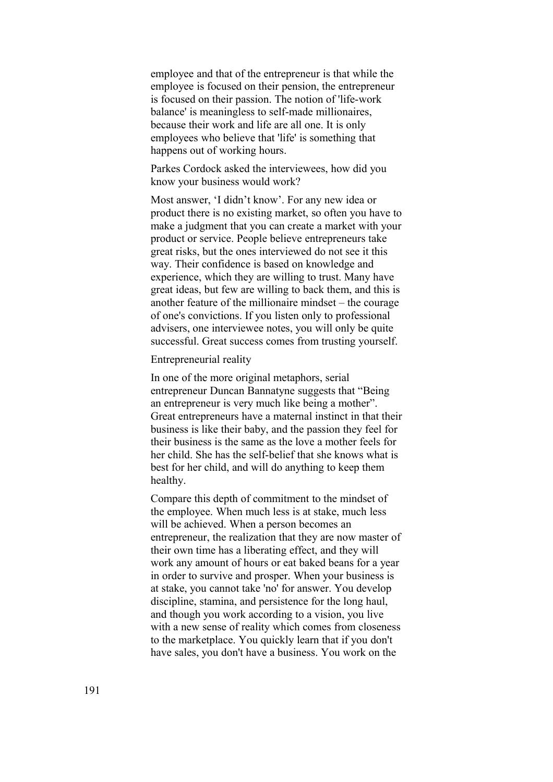employee and that of the entrepreneur is that while the employee is focused on their pension, the entrepreneur is focused on their passion. The notion of 'life-work balance' is meaningless to self-made millionaires, because their work and life are all one. It is only employees who believe that 'life' is something that happens out of working hours.

Parkes Cordock asked the interviewees, how did you know your business would work?

Most answer, 'I didn't know'. For any new idea or product there is no existing market, so often you have to make a judgment that you can create a market with your product or service. People believe entrepreneurs take great risks, but the ones interviewed do not see it this way. Their confidence is based on knowledge and experience, which they are willing to trust. Many have great ideas, but few are willing to back them, and this is another feature of the millionaire mindset – the courage of one's convictions. If you listen only to professional advisers, one interviewee notes, you will only be quite successful. Great success comes from trusting yourself.

#### Entrepreneurial reality

In one of the more original metaphors, serial entrepreneur Duncan Bannatyne suggests that "Being an entrepreneur is very much like being a mother". Great entrepreneurs have a maternal instinct in that their business is like their baby, and the passion they feel for their business is the same as the love a mother feels for her child. She has the self-belief that she knows what is best for her child, and will do anything to keep them healthy.

Compare this depth of commitment to the mindset of the employee. When much less is at stake, much less will be achieved. When a person becomes an entrepreneur, the realization that they are now master of their own time has a liberating effect, and they will work any amount of hours or eat baked beans for a year in order to survive and prosper. When your business is at stake, you cannot take 'no' for answer. You develop discipline, stamina, and persistence for the long haul, and though you work according to a vision, you live with a new sense of reality which comes from closeness to the marketplace. You quickly learn that if you don't have sales, you don't have a business. You work on the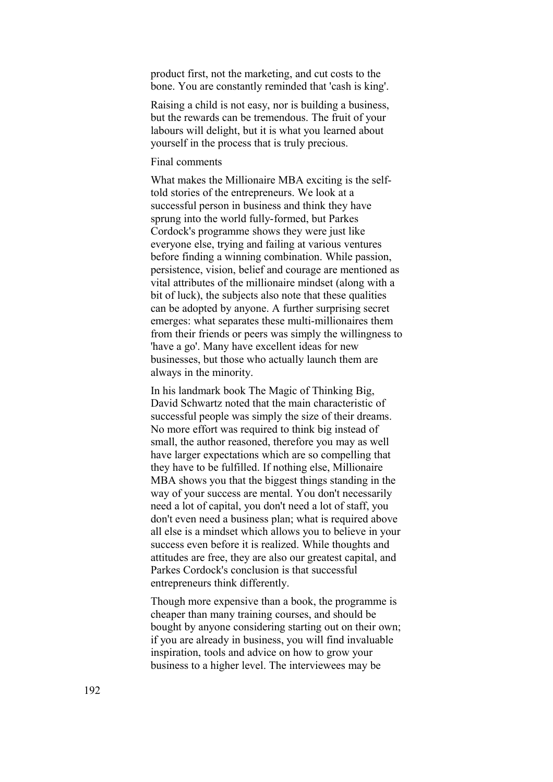product first, not the marketing, and cut costs to the bone. You are constantly reminded that 'cash is king'.

Raising a child is not easy, nor is building a business, but the rewards can be tremendous. The fruit of your labours will delight, but it is what you learned about yourself in the process that is truly precious.

#### Final comments

What makes the Millionaire MBA exciting is the selftold stories of the entrepreneurs. We look at a successful person in business and think they have sprung into the world fully-formed, but Parkes Cordock's programme shows they were just like everyone else, trying and failing at various ventures before finding a winning combination. While passion, persistence, vision, belief and courage are mentioned as vital attributes of the millionaire mindset (along with a bit of luck), the subjects also note that these qualities can be adopted by anyone. A further surprising secret emerges: what separates these multi-millionaires them from their friends or peers was simply the willingness to 'have a go'. Many have excellent ideas for new businesses, but those who actually launch them are always in the minority.

In his landmark book The Magic of Thinking Big, David Schwartz noted that the main characteristic of successful people was simply the size of their dreams. No more effort was required to think big instead of small, the author reasoned, therefore you may as well have larger expectations which are so compelling that they have to be fulfilled. If nothing else, Millionaire MBA shows you that the biggest things standing in the way of your success are mental. You don't necessarily need a lot of capital, you don't need a lot of staff, you don't even need a business plan; what is required above all else is a mindset which allows you to believe in your success even before it is realized. While thoughts and attitudes are free, they are also our greatest capital, and Parkes Cordock's conclusion is that successful entrepreneurs think differently.

Though more expensive than a book, the programme is cheaper than many training courses, and should be bought by anyone considering starting out on their own; if you are already in business, you will find invaluable inspiration, tools and advice on how to grow your business to a higher level. The interviewees may be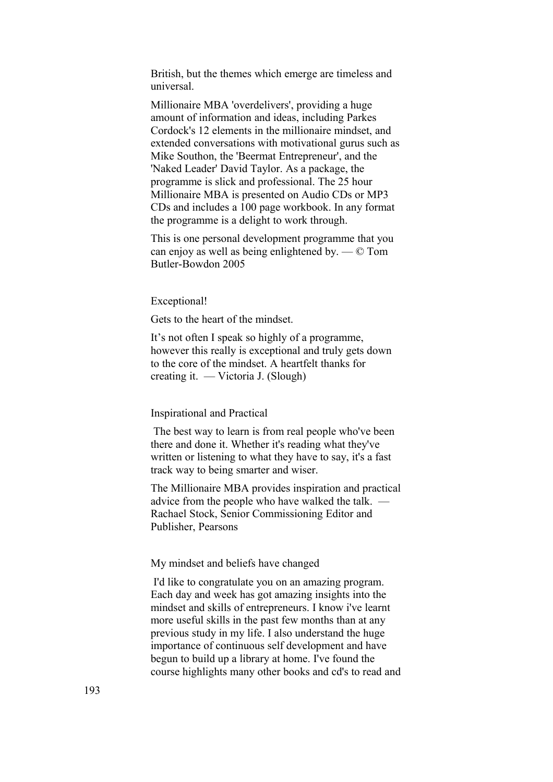British, but the themes which emerge are timeless and universal.

Millionaire MBA 'overdelivers', providing a huge amount of information and ideas, including Parkes Cordock's 12 elements in the millionaire mindset, and extended conversations with motivational gurus such as Mike Southon, the 'Beermat Entrepreneur', and the 'Naked Leader' David Taylor. As a package, the programme is slick and professional. The 25 hour Millionaire MBA is presented on Audio CDs or MP3 CDs and includes a 100 page workbook. In any format the programme is a delight to work through.

This is one personal development programme that you can enjoy as well as being enlightened by. — © Tom Butler-Bowdon 2005

#### Exceptional!

Gets to the heart of the mindset.

It's not often I speak so highly of a programme, however this really is exceptional and truly gets down to the core of the mindset. A heartfelt thanks for creating it. — Victoria J. (Slough)

#### Inspirational and Practical

 The best way to learn is from real people who've been there and done it. Whether it's reading what they've written or listening to what they have to say, it's a fast track way to being smarter and wiser.

The Millionaire MBA provides inspiration and practical advice from the people who have walked the talk. — Rachael Stock, Senior Commissioning Editor and Publisher, Pearsons

#### My mindset and beliefs have changed

 I'd like to congratulate you on an amazing program. Each day and week has got amazing insights into the mindset and skills of entrepreneurs. I know i've learnt more useful skills in the past few months than at any previous study in my life. I also understand the huge importance of continuous self development and have begun to build up a library at home. I've found the course highlights many other books and cd's to read and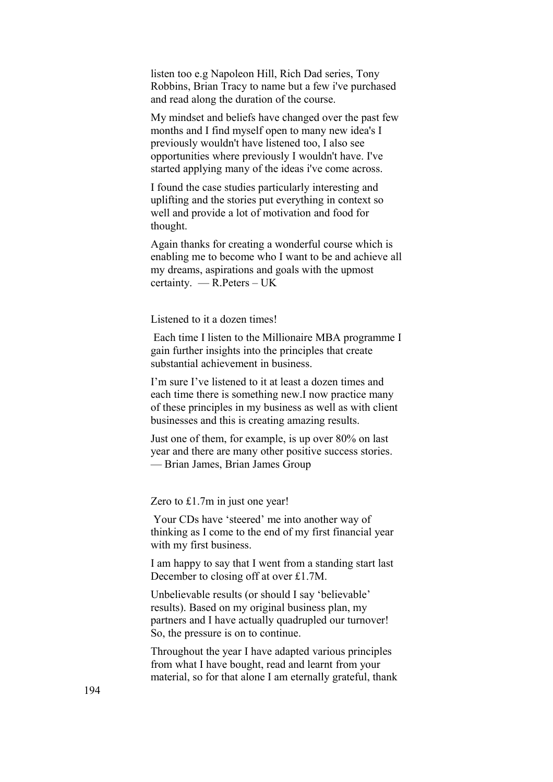listen too e.g Napoleon Hill, Rich Dad series, Tony Robbins, Brian Tracy to name but a few i've purchased and read along the duration of the course.

My mindset and beliefs have changed over the past few months and I find myself open to many new idea's I previously wouldn't have listened too, I also see opportunities where previously I wouldn't have. I've started applying many of the ideas i've come across.

I found the case studies particularly interesting and uplifting and the stories put everything in context so well and provide a lot of motivation and food for thought.

Again thanks for creating a wonderful course which is enabling me to become who I want to be and achieve all my dreams, aspirations and goals with the upmost certainty. — R.Peters – UK

Listened to it a dozen times!

 Each time I listen to the Millionaire MBA programme I gain further insights into the principles that create substantial achievement in business.

I'm sure I've listened to it at least a dozen times and each time there is something new.I now practice many of these principles in my business as well as with client businesses and this is creating amazing results.

Just one of them, for example, is up over 80% on last year and there are many other positive success stories. — Brian James, Brian James Group

Zero to £1.7m in just one year!

 Your CDs have 'steered' me into another way of thinking as I come to the end of my first financial year with my first business.

I am happy to say that I went from a standing start last December to closing off at over £1.7M.

Unbelievable results (or should I say 'believable' results). Based on my original business plan, my partners and I have actually quadrupled our turnover! So, the pressure is on to continue.

Throughout the year I have adapted various principles from what I have bought, read and learnt from your material, so for that alone I am eternally grateful, thank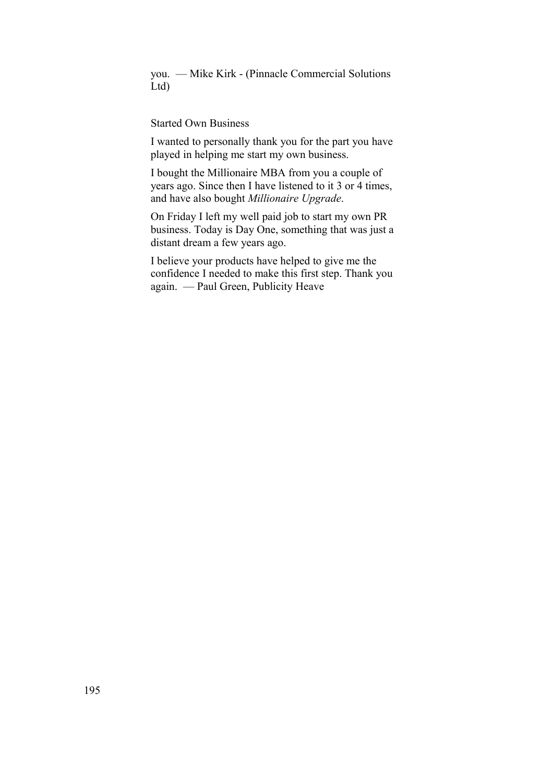you. — Mike Kirk - (Pinnacle Commercial Solutions Ltd)

### Started Own Business

I wanted to personally thank you for the part you have played in helping me start my own business.

I bought the Millionaire MBA from you a couple of years ago. Since then I have listened to it 3 or 4 times, and have also bought *Millionaire Upgrade*.

On Friday I left my well paid job to start my own PR business. Today is Day One, something that was just a distant dream a few years ago.

I believe your products have helped to give me the confidence I needed to make this first step. Thank you again. — Paul Green, Publicity Heave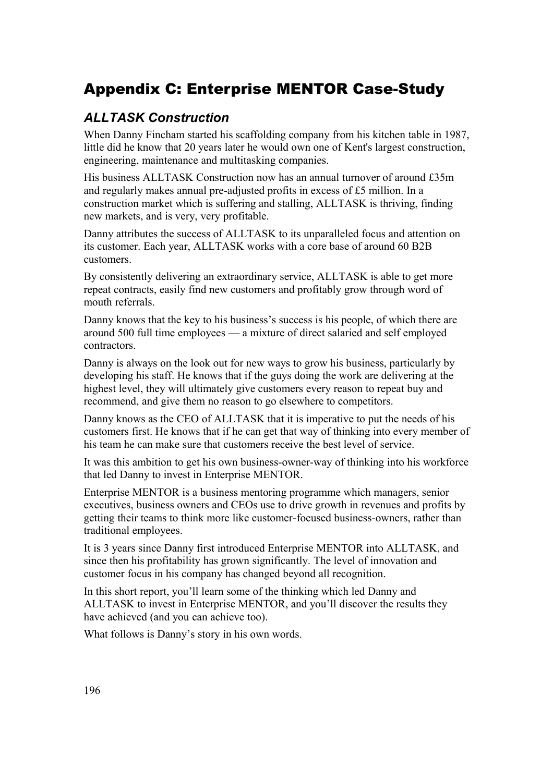# Appendix C: Enterprise MENTOR Case-Study

# *ALLTASK Construction*

When Danny Fincham started his scaffolding company from his kitchen table in 1987, little did he know that 20 years later he would own one of Kent's largest construction, engineering, maintenance and multitasking companies.

His business ALLTASK Construction now has an annual turnover of around £35m and regularly makes annual pre-adjusted profits in excess of £5 million. In a construction market which is suffering and stalling, ALLTASK is thriving, finding new markets, and is very, very profitable.

Danny attributes the success of ALLTASK to its unparalleled focus and attention on its customer. Each year, ALLTASK works with a core base of around 60 B2B customers.

By consistently delivering an extraordinary service, ALLTASK is able to get more repeat contracts, easily find new customers and profitably grow through word of mouth referrals.

Danny knows that the key to his business's success is his people, of which there are around 500 full time employees — a mixture of direct salaried and self employed contractors.

Danny is always on the look out for new ways to grow his business, particularly by developing his staff. He knows that if the guys doing the work are delivering at the highest level, they will ultimately give customers every reason to repeat buy and recommend, and give them no reason to go elsewhere to competitors.

Danny knows as the CEO of ALLTASK that it is imperative to put the needs of his customers first. He knows that if he can get that way of thinking into every member of his team he can make sure that customers receive the best level of service.

It was this ambition to get his own business-owner-way of thinking into his workforce that led Danny to invest in Enterprise MENTOR.

Enterprise MENTOR is a business mentoring programme which managers, senior executives, business owners and CEOs use to drive growth in revenues and profits by getting their teams to think more like customer-focused business-owners, rather than traditional employees.

It is 3 years since Danny first introduced Enterprise MENTOR into ALLTASK, and since then his profitability has grown significantly. The level of innovation and customer focus in his company has changed beyond all recognition.

In this short report, you'll learn some of the thinking which led Danny and ALLTASK to invest in Enterprise MENTOR, and you'll discover the results they have achieved (and you can achieve too).

What follows is Danny's story in his own words.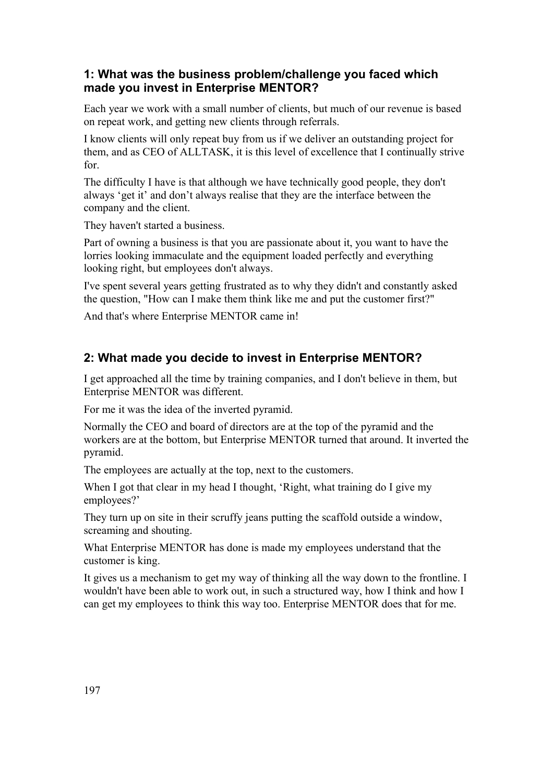### **1: What was the business problem/challenge you faced which made you invest in Enterprise MENTOR?**

Each year we work with a small number of clients, but much of our revenue is based on repeat work, and getting new clients through referrals.

I know clients will only repeat buy from us if we deliver an outstanding project for them, and as CEO of ALLTASK, it is this level of excellence that I continually strive for.

The difficulty I have is that although we have technically good people, they don't always 'get it' and don't always realise that they are the interface between the company and the client.

They haven't started a business.

Part of owning a business is that you are passionate about it, you want to have the lorries looking immaculate and the equipment loaded perfectly and everything looking right, but employees don't always.

I've spent several years getting frustrated as to why they didn't and constantly asked the question, "How can I make them think like me and put the customer first?"

And that's where Enterprise MENTOR came in!

# **2: What made you decide to invest in Enterprise MENTOR?**

I get approached all the time by training companies, and I don't believe in them, but Enterprise MENTOR was different.

For me it was the idea of the inverted pyramid.

Normally the CEO and board of directors are at the top of the pyramid and the workers are at the bottom, but Enterprise MENTOR turned that around. It inverted the pyramid.

The employees are actually at the top, next to the customers.

When I got that clear in my head I thought, 'Right, what training do I give my employees?'

They turn up on site in their scruffy jeans putting the scaffold outside a window, screaming and shouting.

What Enterprise MENTOR has done is made my employees understand that the customer is king.

It gives us a mechanism to get my way of thinking all the way down to the frontline. I wouldn't have been able to work out, in such a structured way, how I think and how I can get my employees to think this way too. Enterprise MENTOR does that for me.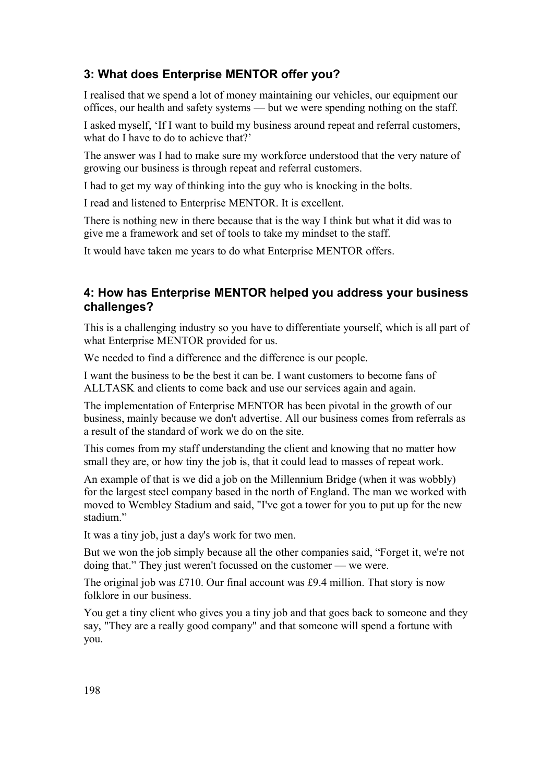# **3: What does Enterprise MENTOR offer you?**

I realised that we spend a lot of money maintaining our vehicles, our equipment our offices, our health and safety systems — but we were spending nothing on the staff.

I asked myself, 'If I want to build my business around repeat and referral customers, what do I have to do to achieve that?'

The answer was I had to make sure my workforce understood that the very nature of growing our business is through repeat and referral customers.

I had to get my way of thinking into the guy who is knocking in the bolts.

I read and listened to Enterprise MENTOR. It is excellent.

There is nothing new in there because that is the way I think but what it did was to give me a framework and set of tools to take my mindset to the staff.

It would have taken me years to do what Enterprise MENTOR offers.

### **4: How has Enterprise MENTOR helped you address your business challenges?**

This is a challenging industry so you have to differentiate yourself, which is all part of what Enterprise MENTOR provided for us.

We needed to find a difference and the difference is our people.

I want the business to be the best it can be. I want customers to become fans of ALLTASK and clients to come back and use our services again and again.

The implementation of Enterprise MENTOR has been pivotal in the growth of our business, mainly because we don't advertise. All our business comes from referrals as a result of the standard of work we do on the site.

This comes from my staff understanding the client and knowing that no matter how small they are, or how tiny the job is, that it could lead to masses of repeat work.

An example of that is we did a job on the Millennium Bridge (when it was wobbly) for the largest steel company based in the north of England. The man we worked with moved to Wembley Stadium and said, "I've got a tower for you to put up for the new stadium<sup>"</sup>

It was a tiny job, just a day's work for two men.

But we won the job simply because all the other companies said, "Forget it, we're not doing that." They just weren't focussed on the customer — we were.

The original job was £710. Our final account was £9.4 million. That story is now folklore in our business.

You get a tiny client who gives you a tiny job and that goes back to someone and they say, "They are a really good company" and that someone will spend a fortune with you.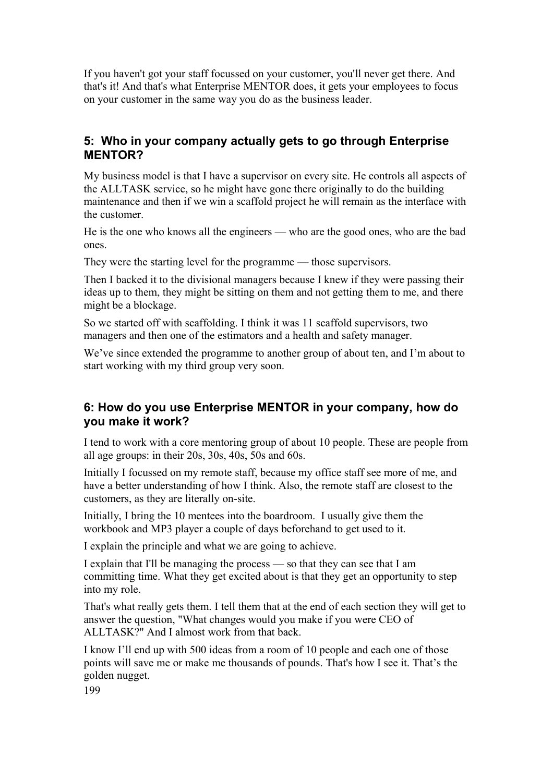If you haven't got your staff focussed on your customer, you'll never get there. And that's it! And that's what Enterprise MENTOR does, it gets your employees to focus on your customer in the same way you do as the business leader.

### **5: Who in your company actually gets to go through Enterprise MENTOR?**

My business model is that I have a supervisor on every site. He controls all aspects of the ALLTASK service, so he might have gone there originally to do the building maintenance and then if we win a scaffold project he will remain as the interface with the customer.

He is the one who knows all the engineers — who are the good ones, who are the bad ones.

They were the starting level for the programme — those supervisors.

Then I backed it to the divisional managers because I knew if they were passing their ideas up to them, they might be sitting on them and not getting them to me, and there might be a blockage.

So we started off with scaffolding. I think it was 11 scaffold supervisors, two managers and then one of the estimators and a health and safety manager.

We've since extended the programme to another group of about ten, and I'm about to start working with my third group very soon.

### **6: How do you use Enterprise MENTOR in your company, how do you make it work?**

I tend to work with a core mentoring group of about 10 people. These are people from all age groups: in their 20s, 30s, 40s, 50s and 60s.

Initially I focussed on my remote staff, because my office staff see more of me, and have a better understanding of how I think. Also, the remote staff are closest to the customers, as they are literally on-site.

Initially, I bring the 10 mentees into the boardroom. I usually give them the workbook and MP3 player a couple of days beforehand to get used to it.

I explain the principle and what we are going to achieve.

I explain that I'll be managing the process — so that they can see that I am committing time. What they get excited about is that they get an opportunity to step into my role.

That's what really gets them. I tell them that at the end of each section they will get to answer the question, "What changes would you make if you were CEO of ALLTASK?" And I almost work from that back.

I know I'll end up with 500 ideas from a room of 10 people and each one of those points will save me or make me thousands of pounds. That's how I see it. That's the golden nugget.

199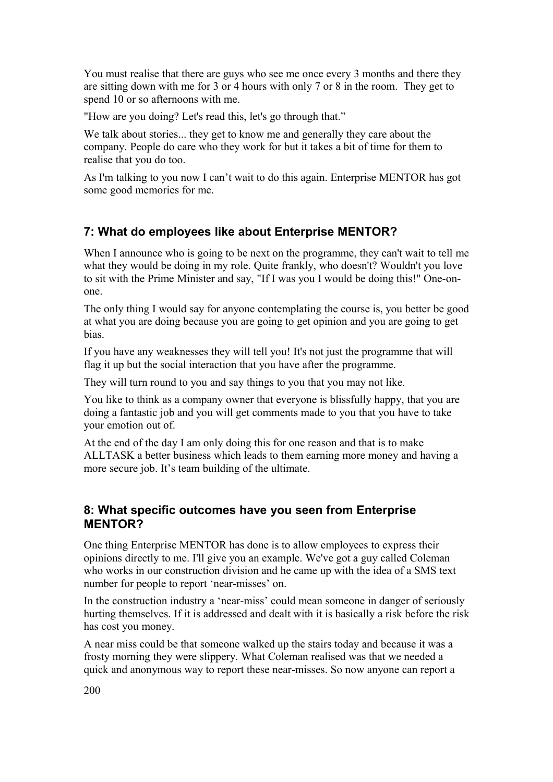You must realise that there are guys who see me once every 3 months and there they are sitting down with me for 3 or 4 hours with only 7 or 8 in the room. They get to spend 10 or so afternoons with me.

"How are you doing? Let's read this, let's go through that."

We talk about stories... they get to know me and generally they care about the company. People do care who they work for but it takes a bit of time for them to realise that you do too.

As I'm talking to you now I can't wait to do this again. Enterprise MENTOR has got some good memories for me.

# **7: What do employees like about Enterprise MENTOR?**

When I announce who is going to be next on the programme, they can't wait to tell me what they would be doing in my role. Quite frankly, who doesn't? Wouldn't you love to sit with the Prime Minister and say, "If I was you I would be doing this!" One-onone.

The only thing I would say for anyone contemplating the course is, you better be good at what you are doing because you are going to get opinion and you are going to get bias.

If you have any weaknesses they will tell you! It's not just the programme that will flag it up but the social interaction that you have after the programme.

They will turn round to you and say things to you that you may not like.

You like to think as a company owner that everyone is blissfully happy, that you are doing a fantastic job and you will get comments made to you that you have to take your emotion out of.

At the end of the day I am only doing this for one reason and that is to make ALLTASK a better business which leads to them earning more money and having a more secure job. It's team building of the ultimate.

### **8: What specific outcomes have you seen from Enterprise MENTOR?**

One thing Enterprise MENTOR has done is to allow employees to express their opinions directly to me. I'll give you an example. We've got a guy called Coleman who works in our construction division and he came up with the idea of a SMS text number for people to report 'near-misses' on.

In the construction industry a 'near-miss' could mean someone in danger of seriously hurting themselves. If it is addressed and dealt with it is basically a risk before the risk has cost you money.

A near miss could be that someone walked up the stairs today and because it was a frosty morning they were slippery. What Coleman realised was that we needed a quick and anonymous way to report these near-misses. So now anyone can report a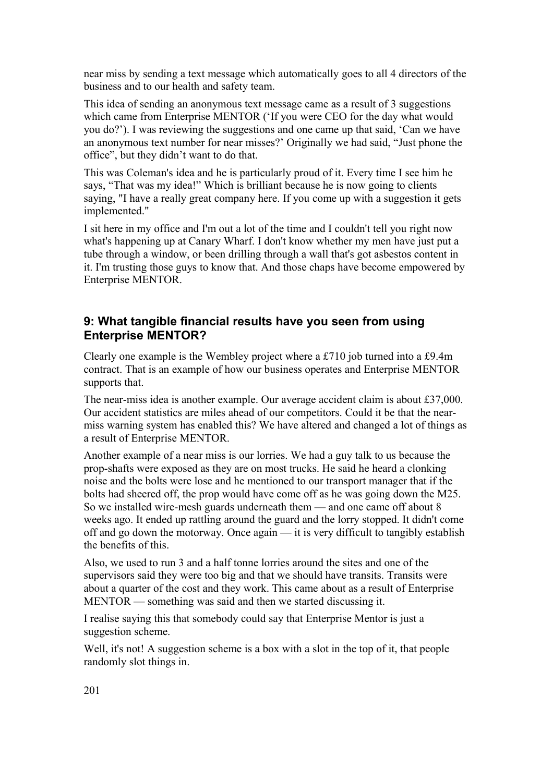near miss by sending a text message which automatically goes to all 4 directors of the business and to our health and safety team.

This idea of sending an anonymous text message came as a result of 3 suggestions which came from Enterprise MENTOR ('If you were CEO for the day what would you do?'). I was reviewing the suggestions and one came up that said, 'Can we have an anonymous text number for near misses?' Originally we had said, "Just phone the office", but they didn't want to do that.

This was Coleman's idea and he is particularly proud of it. Every time I see him he says, "That was my idea!" Which is brilliant because he is now going to clients saying, "I have a really great company here. If you come up with a suggestion it gets implemented."

I sit here in my office and I'm out a lot of the time and I couldn't tell you right now what's happening up at Canary Wharf. I don't know whether my men have just put a tube through a window, or been drilling through a wall that's got asbestos content in it. I'm trusting those guys to know that. And those chaps have become empowered by Enterprise MENTOR.

### **9: What tangible financial results have you seen from using Enterprise MENTOR?**

Clearly one example is the Wembley project where a £710 job turned into a £9.4m contract. That is an example of how our business operates and Enterprise MENTOR supports that.

The near-miss idea is another example. Our average accident claim is about £37,000. Our accident statistics are miles ahead of our competitors. Could it be that the nearmiss warning system has enabled this? We have altered and changed a lot of things as a result of Enterprise MENTOR.

Another example of a near miss is our lorries. We had a guy talk to us because the prop-shafts were exposed as they are on most trucks. He said he heard a clonking noise and the bolts were lose and he mentioned to our transport manager that if the bolts had sheered off, the prop would have come off as he was going down the M25. So we installed wire-mesh guards underneath them — and one came off about 8 weeks ago. It ended up rattling around the guard and the lorry stopped. It didn't come off and go down the motorway. Once again — it is very difficult to tangibly establish the benefits of this.

Also, we used to run 3 and a half tonne lorries around the sites and one of the supervisors said they were too big and that we should have transits. Transits were about a quarter of the cost and they work. This came about as a result of Enterprise MENTOR — something was said and then we started discussing it.

I realise saying this that somebody could say that Enterprise Mentor is just a suggestion scheme.

Well, it's not! A suggestion scheme is a box with a slot in the top of it, that people randomly slot things in.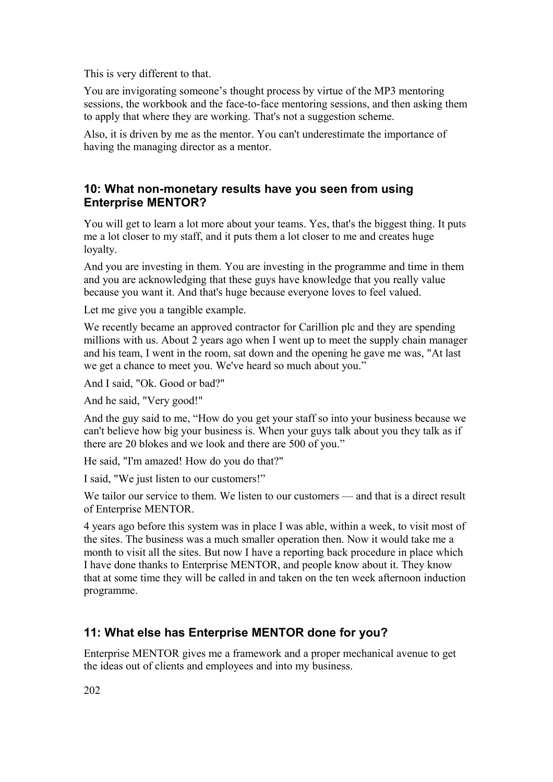This is very different to that.

You are invigorating someone's thought process by virtue of the MP3 mentoring sessions, the workbook and the face-to-face mentoring sessions, and then asking them to apply that where they are working. That's not a suggestion scheme.

Also, it is driven by me as the mentor. You can't underestimate the importance of having the managing director as a mentor.

### **10: What non-monetary results have you seen from using Enterprise MENTOR?**

You will get to learn a lot more about your teams. Yes, that's the biggest thing. It puts me a lot closer to my staff, and it puts them a lot closer to me and creates huge loyalty.

And you are investing in them. You are investing in the programme and time in them and you are acknowledging that these guys have knowledge that you really value because you want it. And that's huge because everyone loves to feel valued.

Let me give you a tangible example.

We recently became an approved contractor for Carillion plc and they are spending millions with us. About 2 years ago when I went up to meet the supply chain manager and his team, I went in the room, sat down and the opening he gave me was, "At last we get a chance to meet you. We've heard so much about you."

And I said, "Ok. Good or bad?"

And he said, "Very good!"

And the guy said to me, "How do you get your staff so into your business because we can't believe how big your business is. When your guys talk about you they talk as if there are 20 blokes and we look and there are 500 of you."

He said, "I'm amazed! How do you do that?"

I said, "We just listen to our customers!"

We tailor our service to them. We listen to our customers — and that is a direct result of Enterprise MENTOR.

4 years ago before this system was in place I was able, within a week, to visit most of the sites. The business was a much smaller operation then. Now it would take me a month to visit all the sites. But now I have a reporting back procedure in place which I have done thanks to Enterprise MENTOR, and people know about it. They know that at some time they will be called in and taken on the ten week afternoon induction programme.

# **11: What else has Enterprise MENTOR done for you?**

Enterprise MENTOR gives me a framework and a proper mechanical avenue to get the ideas out of clients and employees and into my business.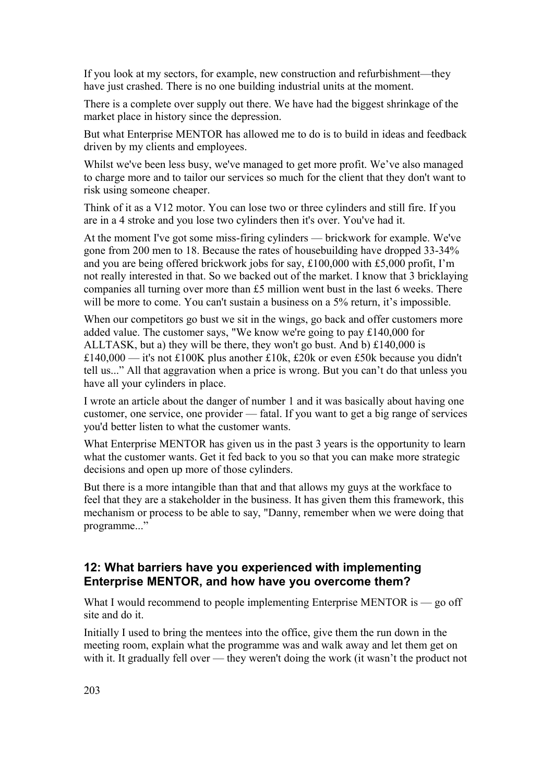If you look at my sectors, for example, new construction and refurbishment—they have just crashed. There is no one building industrial units at the moment.

There is a complete over supply out there. We have had the biggest shrinkage of the market place in history since the depression.

But what Enterprise MENTOR has allowed me to do is to build in ideas and feedback driven by my clients and employees.

Whilst we've been less busy, we've managed to get more profit. We've also managed to charge more and to tailor our services so much for the client that they don't want to risk using someone cheaper.

Think of it as a V12 motor. You can lose two or three cylinders and still fire. If you are in a 4 stroke and you lose two cylinders then it's over. You've had it.

At the moment I've got some miss-firing cylinders — brickwork for example. We've gone from 200 men to 18. Because the rates of housebuilding have dropped 33-34% and you are being offered brickwork jobs for say, £100,000 with £5,000 profit, I'm not really interested in that. So we backed out of the market. I know that 3 bricklaying companies all turning over more than £5 million went bust in the last 6 weeks. There will be more to come. You can't sustain a business on a 5% return, it's impossible.

When our competitors go bust we sit in the wings, go back and offer customers more added value. The customer says, "We know we're going to pay £140,000 for ALLTASK, but a) they will be there, they won't go bust. And b) £140,000 is £140,000 — it's not £100K plus another £10k, £20k or even £50k because you didn't tell us..." All that aggravation when a price is wrong. But you can't do that unless you have all your cylinders in place.

I wrote an article about the danger of number 1 and it was basically about having one customer, one service, one provider — fatal. If you want to get a big range of services you'd better listen to what the customer wants.

What Enterprise MENTOR has given us in the past 3 years is the opportunity to learn what the customer wants. Get it fed back to you so that you can make more strategic decisions and open up more of those cylinders.

But there is a more intangible than that and that allows my guys at the workface to feel that they are a stakeholder in the business. It has given them this framework, this mechanism or process to be able to say, "Danny, remember when we were doing that programme..."

### **12: What barriers have you experienced with implementing Enterprise MENTOR, and how have you overcome them?**

What I would recommend to people implementing Enterprise MENTOR is  $-$  go off site and do it.

Initially I used to bring the mentees into the office, give them the run down in the meeting room, explain what the programme was and walk away and let them get on with it. It gradually fell over — they weren't doing the work (it wasn't the product not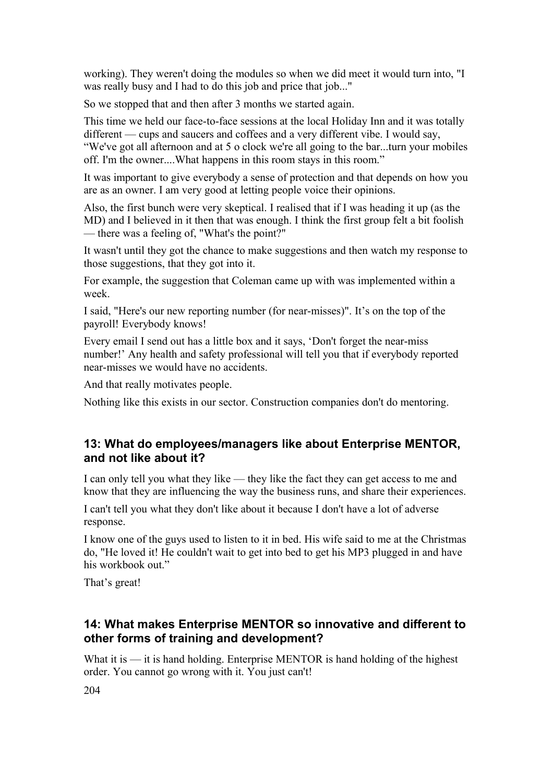working). They weren't doing the modules so when we did meet it would turn into, "I was really busy and I had to do this job and price that job..."

So we stopped that and then after 3 months we started again.

This time we held our face-to-face sessions at the local Holiday Inn and it was totally different — cups and saucers and coffees and a very different vibe. I would say, "We've got all afternoon and at 5 o clock we're all going to the bar...turn your mobiles

off. I'm the owner....What happens in this room stays in this room."

It was important to give everybody a sense of protection and that depends on how you are as an owner. I am very good at letting people voice their opinions.

Also, the first bunch were very skeptical. I realised that if I was heading it up (as the MD) and I believed in it then that was enough. I think the first group felt a bit foolish — there was a feeling of, "What's the point?"

It wasn't until they got the chance to make suggestions and then watch my response to those suggestions, that they got into it.

For example, the suggestion that Coleman came up with was implemented within a week.

I said, "Here's our new reporting number (for near-misses)". It's on the top of the payroll! Everybody knows!

Every email I send out has a little box and it says, 'Don't forget the near-miss number!' Any health and safety professional will tell you that if everybody reported near-misses we would have no accidents.

And that really motivates people.

Nothing like this exists in our sector. Construction companies don't do mentoring.

### **13: What do employees/managers like about Enterprise MENTOR, and not like about it?**

I can only tell you what they like — they like the fact they can get access to me and know that they are influencing the way the business runs, and share their experiences.

I can't tell you what they don't like about it because I don't have a lot of adverse response.

I know one of the guys used to listen to it in bed. His wife said to me at the Christmas do, "He loved it! He couldn't wait to get into bed to get his MP3 plugged in and have his workbook out."

That's great!

### **14: What makes Enterprise MENTOR so innovative and different to other forms of training and development?**

What it is  $\frac{d}{dx}$  is hand holding. Enterprise MENTOR is hand holding of the highest order. You cannot go wrong with it. You just can't!

204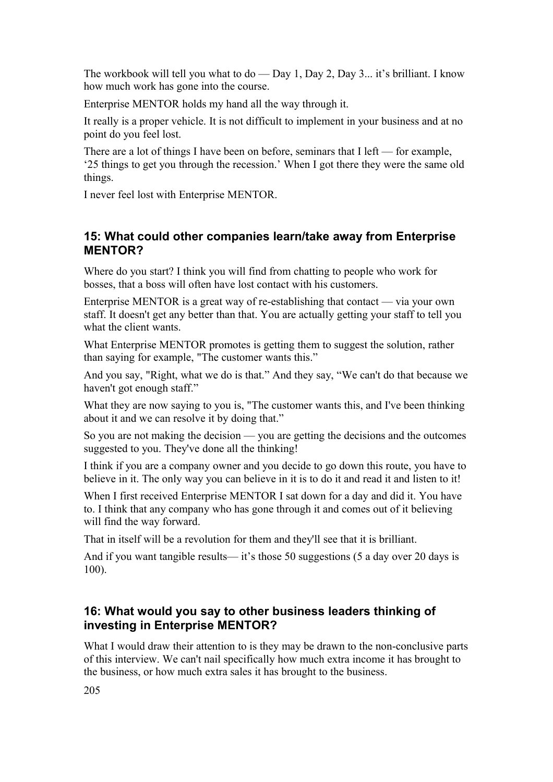The workbook will tell you what to do — Day 1, Day 2, Day 3... it's brilliant. I know how much work has gone into the course.

Enterprise MENTOR holds my hand all the way through it.

It really is a proper vehicle. It is not difficult to implement in your business and at no point do you feel lost.

There are a lot of things I have been on before, seminars that I left — for example, '25 things to get you through the recession.' When I got there they were the same old things.

I never feel lost with Enterprise MENTOR.

### **15: What could other companies learn/take away from Enterprise MENTOR?**

Where do you start? I think you will find from chatting to people who work for bosses, that a boss will often have lost contact with his customers.

Enterprise MENTOR is a great way of re-establishing that contact — via your own staff. It doesn't get any better than that. You are actually getting your staff to tell you what the client wants.

What Enterprise MENTOR promotes is getting them to suggest the solution, rather than saying for example, "The customer wants this."

And you say, "Right, what we do is that." And they say, "We can't do that because we haven't got enough staff."

What they are now saying to you is, "The customer wants this, and I've been thinking about it and we can resolve it by doing that."

So you are not making the decision — you are getting the decisions and the outcomes suggested to you. They've done all the thinking!

I think if you are a company owner and you decide to go down this route, you have to believe in it. The only way you can believe in it is to do it and read it and listen to it!

When I first received Enterprise MENTOR I sat down for a day and did it. You have to. I think that any company who has gone through it and comes out of it believing will find the way forward.

That in itself will be a revolution for them and they'll see that it is brilliant.

And if you want tangible results— it's those 50 suggestions (5 a day over 20 days is 100).

### **16: What would you say to other business leaders thinking of investing in Enterprise MENTOR?**

What I would draw their attention to is they may be drawn to the non-conclusive parts of this interview. We can't nail specifically how much extra income it has brought to the business, or how much extra sales it has brought to the business.